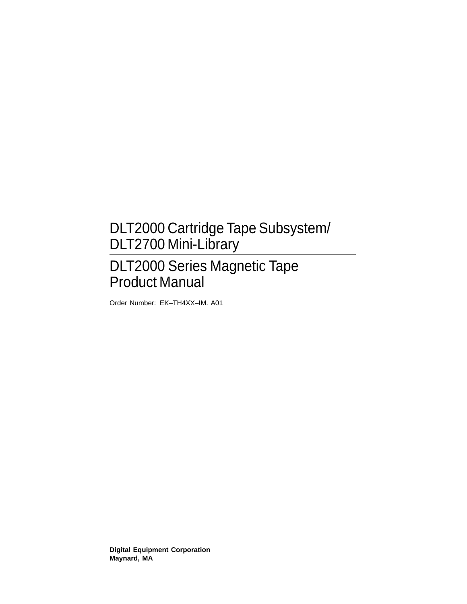# DLT2000 Cartridge Tape Subsystem/ DLT2700 Mini-Library

# DLT2000 Series Magnetic Tape Product Manual

Order Number: EK–TH4XX–IM. A01

**Digital Equipment Corporation Maynard, MA**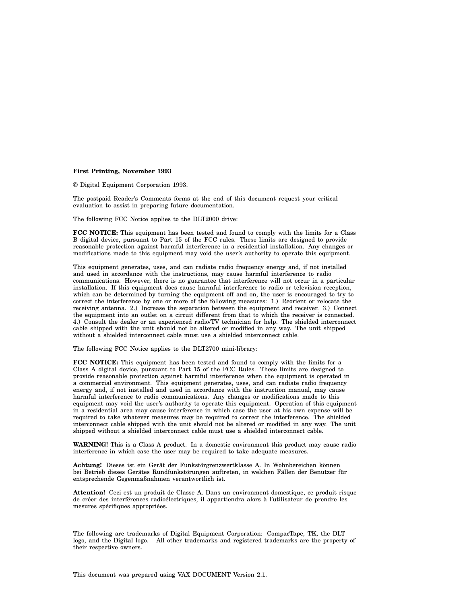#### **First Printing, November 1993**

© Digital Equipment Corporation 1993.

The postpaid Reader's Comments forms at the end of this document request your critical evaluation to assist in preparing future documentation.

The following FCC Notice applies to the DLT2000 drive:

**FCC NOTICE:** This equipment has been tested and found to comply with the limits for a Class B digital device, pursuant to Part 15 of the FCC rules. These limits are designed to provide reasonable protection against harmful interference in a residential installation. Any changes or modifications made to this equipment may void the user's authority to operate this equipment.

This equipment generates, uses, and can radiate radio frequency energy and, if not installed and used in accordance with the instructions, may cause harmful interference to radio communications. However, there is no guarantee that interference will not occur in a particular installation. If this equipment does cause harmful interference to radio or television reception, which can be determined by turning the equipment off and on, the user is encouraged to try to correct the interference by one or more of the following measures: 1.) Reorient or relocate the receiving antenna. 2.) Increase the separation between the equipment and receiver. 3.) Connect the equipment into an outlet on a circuit different from that to which the receiver is connected. 4.) Consult the dealer or an experienced radio/TV technician for help. The shielded interconnect cable shipped with the unit should not be altered or modified in any way. The unit shipped without a shielded interconnect cable must use a shielded interconnect cable.

The following FCC Notice applies to the DLT2700 mini-library:

**FCC NOTICE:** This equipment has been tested and found to comply with the limits for a Class A digital device, pursuant to Part 15 of the FCC Rules. These limits are designed to provide reasonable protection against harmful interference when the equipment is operated in a commercial environment. This equipment generates, uses, and can radiate radio frequency energy and, if not installed and used in accordance with the instruction manual, may cause harmful interference to radio communications. Any changes or modifications made to this equipment may void the user's authority to operate this equipment. Operation of this equipment in a residential area may cause interference in which case the user at his own expense will be required to take whatever measures may be required to correct the interference. The shielded interconnect cable shipped with the unit should not be altered or modified in any way. The unit shipped without a shielded interconnect cable must use a shielded interconnect cable.

**WARNING!** This is a Class A product. In a domestic environment this product may cause radio interference in which case the user may be required to take adequate measures.

**Achtung!** Dieses ist ein Gerät der Funkstörgrenzwertklasse A. In Wohnbereichen können bei Betrieb dieses Gerätes Rundfunkstörungen auftreten, in welchen Fällen der Benutzer für entsprechende Gegenmaßnahmen verantwortlich ist.

**Attention!** Ceci est un produit de Classe A. Dans un environment domestique, ce produit risque de créer des interférences radioélectriques, il appartiendra alors à l'utilisateur de prendre les mesures spécifiques appropriées.

The following are trademarks of Digital Equipment Corporation: CompacTape, TK, the DLT logo, and the Digital logo. All other trademarks and registered trademarks are the property of their respective owners.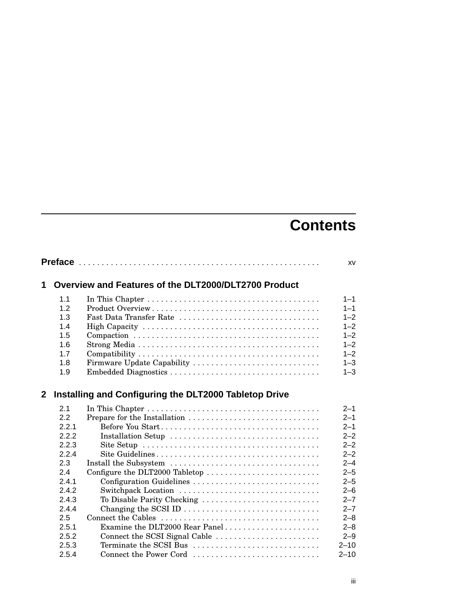# **Contents**

|              |       |                                                       | XV       |
|--------------|-------|-------------------------------------------------------|----------|
| 1            |       | Overview and Features of the DLT2000/DLT2700 Product  |          |
|              | 1.1   |                                                       | $1 - 1$  |
|              | 1.2   |                                                       | $1 - 1$  |
|              | 1.3   | Fast Data Transfer Rate                               | $1 - 2$  |
|              | 1.4   |                                                       | $1 - 2$  |
|              | 1.5   |                                                       | $1 - 2$  |
|              | 1.6   |                                                       | $1 - 2$  |
|              | 1.7   |                                                       | $1 - 2$  |
|              | 1.8   | Firmware Update Capability                            | $1 - 3$  |
|              | 1.9   |                                                       | $1 - 3$  |
| $\mathbf{2}$ |       | Installing and Configuring the DLT2000 Tabletop Drive |          |
|              | 2.1   |                                                       | $2 - 1$  |
|              | 2.2   |                                                       | $2 - 1$  |
|              | 2.2.1 |                                                       | $2 - 1$  |
|              | 2.2.2 | Installation Setup                                    | $2 - 2$  |
|              | 2.2.3 |                                                       | $2 - 2$  |
|              | 2.2.4 |                                                       | $2 - 2$  |
|              | 2.3   | Install the Subsystem                                 | $2 - 4$  |
|              | 2.4   | Configure the DLT2000 Tabletop                        | $2 - 5$  |
|              | 2.4.1 | Configuration Guidelines                              | $2 - 5$  |
|              | 2.4.2 | Switchpack Location                                   | $2 - 6$  |
|              | 2.4.3 | To Disable Parity Checking                            | $2 - 7$  |
|              | 2.4.4 |                                                       | $2 - 7$  |
|              | 2.5   |                                                       | $2 - 8$  |
|              | 2.5.1 | Examine the DLT2000 Rear Panel                        | $2 - 8$  |
|              | 2.5.2 | Connect the SCSI Signal Cable                         | $2 - 9$  |
|              | 2.5.3 | Terminate the SCSI Bus                                | $2 - 10$ |
|              | 2.5.4 | Connect the Power Cord                                | $2 - 10$ |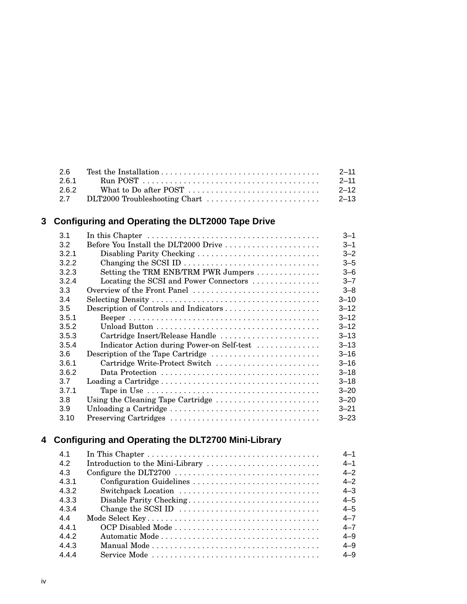| -2.6  | $2 - 11$ |
|-------|----------|
| 2.6.1 | $2 - 11$ |
| 262   | $2 - 12$ |
|       | $2 - 13$ |

# **3 Configuring and Operating the DLT2000 Tape Drive**

| 3.1   | In this Chapter $\dots \dots \dots \dots \dots \dots \dots \dots \dots \dots \dots \dots \dots$ | $3 - 1$  |
|-------|-------------------------------------------------------------------------------------------------|----------|
| 3.2   | Before You Install the DLT2000 Drive                                                            | $3 - 1$  |
| 3.2.1 | Disabling Parity Checking                                                                       | $3 - 2$  |
| 3.2.2 |                                                                                                 | $3 - 5$  |
| 3.2.3 | Setting the TRM ENB/TRM PWR Jumpers                                                             | $3 - 6$  |
| 3.2.4 | Locating the SCSI and Power Connectors                                                          | $3 - 7$  |
| 3.3   | Overview of the Front Panel                                                                     | $3 - 8$  |
| 3.4   |                                                                                                 | $3 - 10$ |
| 3.5   |                                                                                                 | $3 - 12$ |
| 3.5.1 |                                                                                                 | $3 - 12$ |
| 3.5.2 |                                                                                                 | $3 - 12$ |
| 3.5.3 | Cartridge Insert/Release Handle                                                                 | $3 - 13$ |
| 3.5.4 | Indicator Action during Power-on Self-test                                                      | $3 - 13$ |
| 3.6   | Description of the Tape Cartridge                                                               | $3 - 16$ |
| 3.6.1 | Cartridge Write-Protect Switch                                                                  | $3 - 16$ |
| 3.6.2 |                                                                                                 | $3 - 18$ |
| 3.7   |                                                                                                 | $3 - 18$ |
| 3.7.1 |                                                                                                 | $3 - 20$ |
| 3.8   | Using the Cleaning Tape Cartridge                                                               | $3 - 20$ |
| 3.9   |                                                                                                 | $3 - 21$ |
| 3.10  |                                                                                                 | $3 - 23$ |
|       |                                                                                                 |          |

# **4 Configuring and Operating the DLT2700 Mini-Library**

| 4.1   |                                                                                              | $4 - 1$ |
|-------|----------------------------------------------------------------------------------------------|---------|
| 4.2   | Introduction to the Mini-Library                                                             | $4 - 1$ |
| 4.3   |                                                                                              | $4 - 2$ |
| 4.3.1 | Configuration Guidelines                                                                     | $4 - 2$ |
| 4.3.2 | Switchpack Location                                                                          | $4 - 3$ |
| 4.3.3 | Disable Parity Checking                                                                      | $4 - 5$ |
| 4.3.4 |                                                                                              | $4 - 5$ |
| 44    |                                                                                              | $4 - 7$ |
| 441   |                                                                                              | $4 - 7$ |
| 4.4.2 |                                                                                              | $4 - 9$ |
| 4.4.3 |                                                                                              | $4 - 9$ |
| 4.4.4 | $Service Mode \dots \dots \dots \dots \dots \dots \dots \dots \dots \dots \dots \dots \dots$ | $4 - 9$ |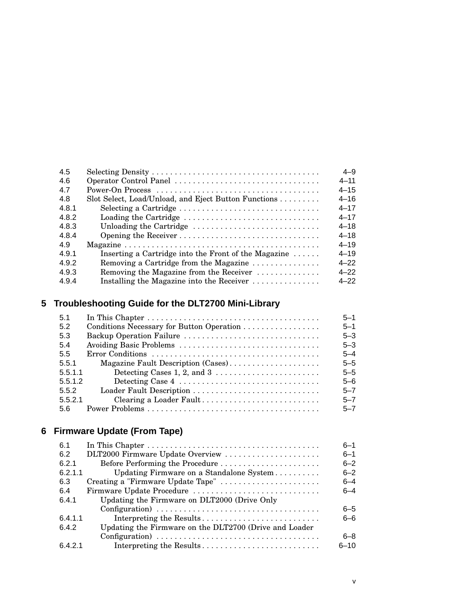|                                                              | $4 - 9$                |
|--------------------------------------------------------------|------------------------|
|                                                              | $4 - 11$               |
|                                                              | $4 - 15$               |
| Slot Select, Load/Unload, and Eject Button Functions         | $4 - 16$               |
| Selecting a Cartridge                                        | $4 - 17$               |
| Loading the Cartridge                                        | $4 - 17$               |
| Unloading the Cartridge                                      | $4 - 18$               |
|                                                              | $4 - 18$               |
|                                                              | $4 - 19$               |
| Inserting a Cartridge into the Front of the Magazine $\dots$ | $4 - 19$               |
| Removing a Cartridge from the Magazine                       | $4 - 22$               |
| Removing the Magazine from the Receiver                      | $4 - 22$               |
| Installing the Magazine into the Receiver                    | $4 - 22$               |
|                                                              | Operator Control Panel |

# **5 Troubleshooting Guide for the DLT2700 Mini-Library**

| 5.1     |                                                                                   | $5 - 1$ |
|---------|-----------------------------------------------------------------------------------|---------|
| 5.2     |                                                                                   | $5 - 1$ |
| 5.3     | Backup Operation Failure                                                          | $5 - 3$ |
| 5.4     |                                                                                   | $5 - 3$ |
| 5.5     |                                                                                   | $5 - 4$ |
| 5.5.1   | Magazine Fault Description (Cases)                                                | $5 - 5$ |
| 5.5.1.1 | Detecting Cases 1, 2, and $3 \ldots \ldots \ldots \ldots \ldots \ldots$           | $5 - 5$ |
| 5.5.1.2 | Detecting Case $4 \ldots \ldots \ldots \ldots \ldots \ldots \ldots \ldots \ldots$ | $5 - 6$ |
| 5.5.2   | Loader Fault Description                                                          | $5 - 7$ |
| 5.5.2.1 | Clearing a Loader Fault                                                           | $5 - 7$ |
| 5.6     |                                                                                   | $5 - 7$ |

# **6 Firmware Update (From Tape)**

| 6.1     |                                                        | $6 - 1$  |
|---------|--------------------------------------------------------|----------|
| 6.2     | DLT2000 Firmware Update Overview                       | $6 - 1$  |
| 6.2.1   | Before Performing the Procedure                        | $6 - 2$  |
| 6.2.1.1 | Updating Firmware on a Standalone System               | $6 - 2$  |
| 6.3     | Creating a "Firmware Update Tape"                      | $6 - 4$  |
| 6.4     | Firmware Update Procedure                              | $6 - 4$  |
| 6.4.1   | Updating the Firmware on DLT2000 (Drive Only           |          |
|         |                                                        | 6-5      |
| 6.4.1.1 | Interpreting the Results                               | 6-6      |
| 6.4.2   | Updating the Firmware on the DLT2700 (Drive and Loader |          |
|         |                                                        | 6–8      |
| 6.4.2.1 | Interpreting the Results                               | $6 - 10$ |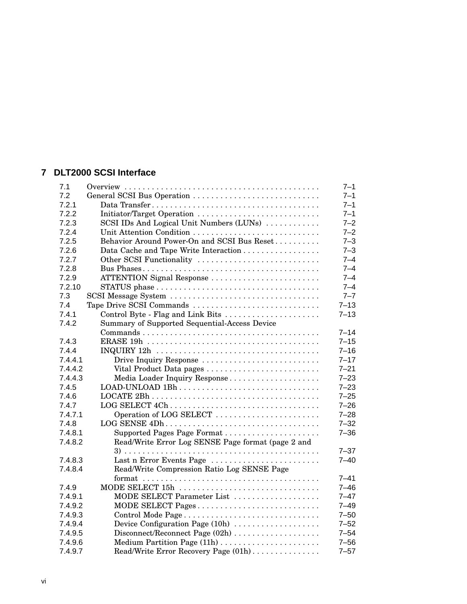#### **7 DLT2000 SCSI Interface**

|                                                    | $7 - 1$                                                                                                                                                                                                                                                 |
|----------------------------------------------------|---------------------------------------------------------------------------------------------------------------------------------------------------------------------------------------------------------------------------------------------------------|
| General SCSI Bus Operation                         | $7 - 1$                                                                                                                                                                                                                                                 |
|                                                    | $7 - 1$                                                                                                                                                                                                                                                 |
|                                                    | $7 - 1$                                                                                                                                                                                                                                                 |
| SCSI IDs And Logical Unit Numbers (LUNs)           | $7 - 2$                                                                                                                                                                                                                                                 |
|                                                    | $7 - 2$                                                                                                                                                                                                                                                 |
| Behavior Around Power-On and SCSI Bus Reset        | $7 - 3$                                                                                                                                                                                                                                                 |
|                                                    | $7 - 3$                                                                                                                                                                                                                                                 |
| Other SCSI Functionality                           | $7 - 4$                                                                                                                                                                                                                                                 |
|                                                    | $7 - 4$                                                                                                                                                                                                                                                 |
| ATTENTION Signal Response                          | $7 - 4$                                                                                                                                                                                                                                                 |
|                                                    | $7 - 4$                                                                                                                                                                                                                                                 |
|                                                    | $7 - 7$                                                                                                                                                                                                                                                 |
| Tape Drive SCSI Commands                           | $7 - 13$                                                                                                                                                                                                                                                |
| Control Byte - Flag and Link Bits                  | $7 - 13$                                                                                                                                                                                                                                                |
| Summary of Supported Sequential-Access Device      |                                                                                                                                                                                                                                                         |
|                                                    | $7 - 14$                                                                                                                                                                                                                                                |
|                                                    | $7 - 15$                                                                                                                                                                                                                                                |
|                                                    | $7 - 16$                                                                                                                                                                                                                                                |
| Drive Inquiry Response                             | $7 - 17$                                                                                                                                                                                                                                                |
| Vital Product Data pages                           | $7 - 21$                                                                                                                                                                                                                                                |
| Media Loader Inquiry Response                      | $7 - 23$                                                                                                                                                                                                                                                |
|                                                    | $7 - 23$                                                                                                                                                                                                                                                |
|                                                    | $7 - 25$                                                                                                                                                                                                                                                |
| LOG SELECT 4Ch                                     | $7 - 26$                                                                                                                                                                                                                                                |
| Operation of LOG SELECT                            | $7 - 28$                                                                                                                                                                                                                                                |
| LOG SENSE 4Dh                                      | $7 - 32$                                                                                                                                                                                                                                                |
|                                                    | $7 - 36$                                                                                                                                                                                                                                                |
| Read/Write Error Log SENSE Page format (page 2 and |                                                                                                                                                                                                                                                         |
|                                                    | $7 - 37$                                                                                                                                                                                                                                                |
|                                                    | $7 - 40$                                                                                                                                                                                                                                                |
|                                                    |                                                                                                                                                                                                                                                         |
|                                                    | $7 - 41$                                                                                                                                                                                                                                                |
|                                                    | $7 - 46$                                                                                                                                                                                                                                                |
|                                                    | $7 - 47$                                                                                                                                                                                                                                                |
|                                                    | $7 - 49$                                                                                                                                                                                                                                                |
|                                                    | $7 - 50$                                                                                                                                                                                                                                                |
| Device Configuration Page (10h)                    | $7 - 52$                                                                                                                                                                                                                                                |
|                                                    | $7 - 54$                                                                                                                                                                                                                                                |
| Medium Partition Page (11h)                        | $7 - 56$                                                                                                                                                                                                                                                |
| Read/Write Error Recovery Page (01h)               | $7 - 57$                                                                                                                                                                                                                                                |
|                                                    | Initiator/Target Operation<br>Data Cache and Tape Write Interaction<br>Last n Error Events Page<br>Read/Write Compression Ratio Log SENSE Page<br>MODE SELECT 15h<br>MODE SELECT Parameter List<br>MODE SELECT Pages<br>Disconnect/Reconnect Page (02h) |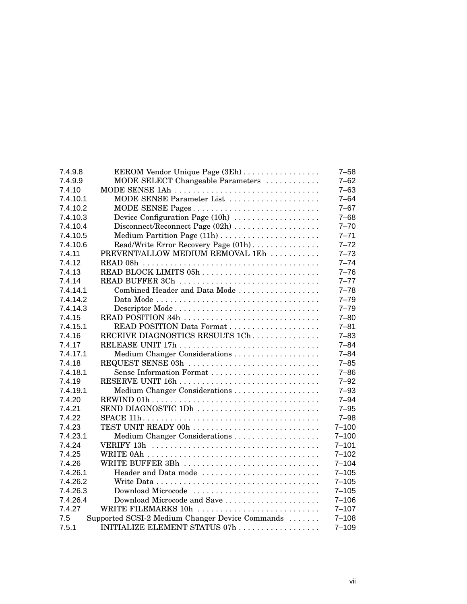| 7.4.9.8  | EEROM Vendor Unique Page (3Eh)                  | $7 - 58$  |
|----------|-------------------------------------------------|-----------|
| 7.4.9.9  | MODE SELECT Changeable Parameters               | $7 - 62$  |
| 7.4.10   | MODE SENSE 1Ah                                  | $7 - 63$  |
| 7.4.10.1 | MODE SENSE Parameter List                       | $7 - 64$  |
| 7.4.10.2 | MODE SENSE Pages                                | $7 - 67$  |
| 7.4.10.3 | Device Configuration Page (10h)                 | $7 - 68$  |
| 7.4.10.4 |                                                 | $7 - 70$  |
| 7.4.10.5 |                                                 | $7 - 71$  |
| 7.4.10.6 | Read/Write Error Recovery Page (01h)            | $7 - 72$  |
| 7.4.11   | PREVENT/ALLOW MEDIUM REMOVAL 1Eh                | $7 - 73$  |
| 7.4.12   |                                                 | $7 - 74$  |
| 7.4.13   |                                                 | $7 - 76$  |
| 7.4.14   | READ BUFFER 3Ch                                 | $7 - 77$  |
| 7.4.14.1 | Combined Header and Data Mode                   | $7 - 78$  |
| 7.4.14.2 |                                                 | $7 - 79$  |
| 7.4.14.3 |                                                 | $7 - 79$  |
| 7.4.15   | READ POSITION 34h                               | $7 - 80$  |
| 7.4.15.1 |                                                 | $7 - 81$  |
| 7.4.16   | RECEIVE DIAGNOSTICS RESULTS 1Ch                 | $7 - 83$  |
| 7.4.17   |                                                 | $7 - 84$  |
| 7.4.17.1 | Medium Changer Considerations                   | $7 - 84$  |
| 7.4.18   | REQUEST SENSE 03h                               | $7 - 85$  |
| 7.4.18.1 | Sense Information Format                        | $7 - 86$  |
| 7.4.19   |                                                 | $7 - 92$  |
| 7.4.19.1 |                                                 | $7 - 93$  |
| 7.4.20   |                                                 | $7 - 94$  |
| 7.4.21   | SEND DIAGNOSTIC 1Dh                             | $7 - 95$  |
| 7.4.22   |                                                 | $7 - 98$  |
| 7.4.23   | TEST UNIT READY 00h                             | $7 - 100$ |
| 7.4.23.1 |                                                 | $7 - 100$ |
| 7.4.24   |                                                 | $7 - 101$ |
| 7.4.25   |                                                 | $7 - 102$ |
| 7.4.26   | WRITE BUFFER 3Bh                                | $7 - 104$ |
| 7.4.26.1 | Header and Data mode                            | $7 - 105$ |
| 7.4.26.2 |                                                 | $7 - 105$ |
| 7.4.26.3 | Download Microcode                              | $7 - 105$ |
| 7.4.26.4 | Download Microcode and Save                     | $7 - 106$ |
| 7.4.27   | WRITE FILEMARKS 10h                             | $7 - 107$ |
| 7.5      | Supported SCSI-2 Medium Changer Device Commands | $7 - 108$ |
| 7.5.1    | INITIALIZE ELEMENT STATUS 07h                   | $7 - 109$ |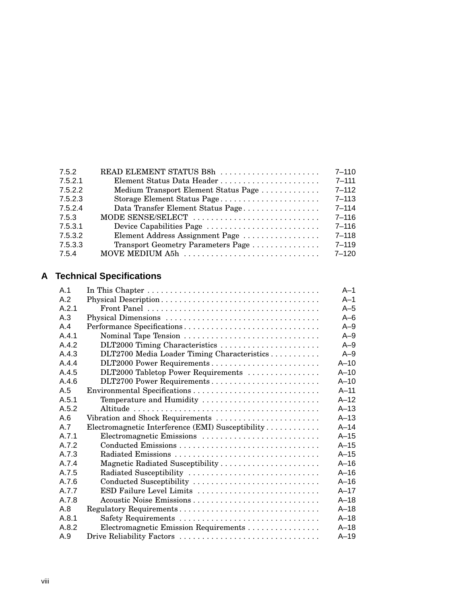| 7.5.2   | READ ELEMENT STATUS B8h              | $7 - 110$ |
|---------|--------------------------------------|-----------|
| 7.5.2.1 | Element Status Data Header           | $7 - 111$ |
| 7.5.2.2 | Medium Transport Element Status Page | $7 - 112$ |
| 7.5.2.3 | Storage Element Status Page          | $7 - 113$ |
| 7.5.2.4 | Data Transfer Element Status Page    | $7 - 114$ |
| 7.5.3   | MODE SENSE/SELECT                    | $7 - 116$ |
| 7.5.3.1 | Device Capabilities Page             | $7 - 116$ |
| 7.5.3.2 | Element Address Assignment Page      | $7 - 118$ |
| 7.5.3.3 | Transport Geometry Parameters Page   | $7 - 119$ |
| 7.5.4   | MOVE MEDIUM A5h                      | $7 - 120$ |

# **A Technical Specifications**

| A.1   |                                                   | $A-1$   |
|-------|---------------------------------------------------|---------|
| A.2   |                                                   | $A-1$   |
| A.2.1 |                                                   | $A-5$   |
| A.3   |                                                   | $A - 6$ |
| A.4   | Performance Specifications                        | $A-9$   |
| A 4 1 | Nominal Tape Tension                              | $A-9$   |
| A.4.2 | DLT2000 Timing Characteristics                    | $A-9$   |
| A.4.3 | DLT2700 Media Loader Timing Characteristics       | $A-9$   |
| A.4.4 |                                                   | $A-10$  |
| A.4.5 | DLT2000 Tabletop Power Requirements               | $A-10$  |
| A.4.6 | DLT2700 Power Requirements                        | $A-10$  |
| A.5   |                                                   | $A-11$  |
| A.5.1 | Temperature and Humidity                          | $A-12$  |
| A.5.2 |                                                   | $A-13$  |
| A.6   | Vibration and Shock Requirements                  | $A-13$  |
| A.7   | Electromagnetic Interference (EMI) Susceptibility | $A-14$  |
| A 7 1 | Electromagnetic Emissions                         | $A-15$  |
| A 7 2 |                                                   | $A-15$  |
| A.7.3 | Radiated Emissions                                | $A-15$  |
| A.7.4 | Magnetic Radiated Susceptibility                  | $A-16$  |
| A.7.5 | Radiated Susceptibility                           | $A-16$  |
| A.7.6 | Conducted Susceptibility                          | $A-16$  |
| A.7.7 | ESD Failure Level Limits                          | $A-17$  |
| A.7.8 | Acoustic Noise Emissions                          | $A-18$  |
| A.8   | Regulatory Requirements                           | $A-18$  |
| A.8.1 | Safety Requirements                               | $A-18$  |
| A.8.2 | Electromagnetic Emission Requirements             | $A-18$  |
| A.9   | Drive Reliability Factors                         | $A-19$  |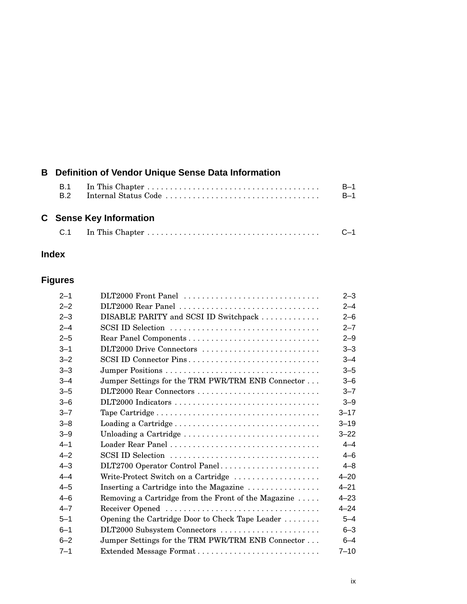| <b>B</b> Definition of Vendor Unique Sense Data Information |                                |                |
|-------------------------------------------------------------|--------------------------------|----------------|
| B.1<br>B <sub>2</sub>                                       | Internal Status Code           | $B-1$<br>$B-1$ |
|                                                             | <b>C</b> Sense Key Information |                |

# C.1 In This Chapter . . . . . . . . . . . . . . . . . . . . . . . . . . . . . . . . . . . . . . C–1

### **Index**

# **Figures**

| $2 - 1$ | DLT2000 Front Panel                                 | $2 - 3$  |
|---------|-----------------------------------------------------|----------|
| $2 - 2$ | DLT2000 Rear Panel                                  | $2 - 4$  |
| $2 - 3$ | DISABLE PARITY and SCSI ID Switchpack               | $2 - 6$  |
| $2 - 4$ | SCSI ID Selection                                   | $2 - 7$  |
| $2 - 5$ |                                                     | $2 - 9$  |
| $3 - 1$ | DLT2000 Drive Connectors                            | $3 - 3$  |
| $3 - 2$ | SCSI ID Connector Pins                              | $3 - 4$  |
| $3 - 3$ |                                                     | $3 - 5$  |
| $3 - 4$ | Jumper Settings for the TRM PWR/TRM ENB Connector   | $3 - 6$  |
| $3 - 5$ |                                                     | $3 - 7$  |
| $3 - 6$ |                                                     | $3 - 9$  |
| $3 - 7$ |                                                     | $3 - 17$ |
| $3 - 8$ |                                                     | $3 - 19$ |
| $3 - 9$ | Unloading a Cartridge                               | $3 - 22$ |
| $4 - 1$ |                                                     | $4 - 4$  |
| $4 - 2$ | SCSI ID Selection                                   | $4 - 6$  |
| $4 - 3$ | DLT2700 Operator Control Panel                      | $4 - 8$  |
| $4 - 4$ | Write-Protect Switch on a Cartridge                 | $4 - 20$ |
| $4 - 5$ | Inserting a Cartridge into the Magazine             | $4 - 21$ |
| $4 - 6$ | Removing a Cartridge from the Front of the Magazine | $4 - 23$ |
| $4 - 7$ |                                                     | $4 - 24$ |
| $5 - 1$ | Opening the Cartridge Door to Check Tape Leader     | $5 - 4$  |
| $6 - 1$ | DLT2000 Subsystem Connectors                        | $6 - 3$  |
| $6 - 2$ | Jumper Settings for the TRM PWR/TRM ENB Connector   | $6 - 4$  |
| $7 - 1$ |                                                     | $7 - 10$ |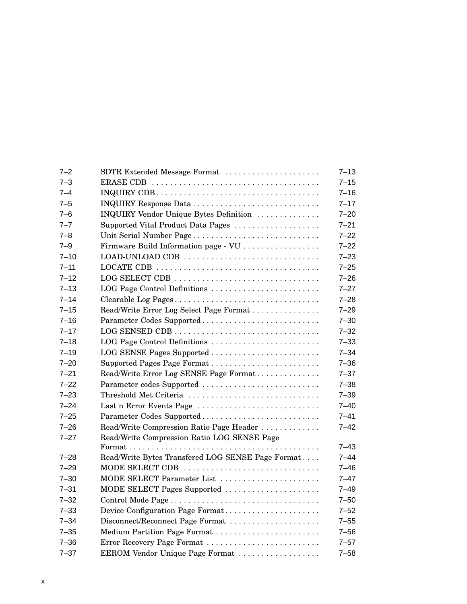| $7 - 2$  | SDTR Extended Message Format                      | $7 - 13$ |
|----------|---------------------------------------------------|----------|
| $7 - 3$  |                                                   | $7 - 15$ |
| $7 - 4$  |                                                   | $7 - 16$ |
| $7 - 5$  |                                                   | $7 - 17$ |
| $7 - 6$  | INQUIRY Vendor Unique Bytes Definition            | $7 - 20$ |
| $7 - 7$  | Supported Vital Product Data Pages                | $7 - 21$ |
| $7 - 8$  | Unit Serial Number Page                           | $7 - 22$ |
| $7 - 9$  | Firmware Build Information page - VU              | $7 - 22$ |
| $7 - 10$ | LOAD-UNLOAD CDB                                   | $7 - 23$ |
| $7 - 11$ |                                                   | $7 - 25$ |
| $7 - 12$ | LOG SELECT CDB                                    | $7 - 26$ |
| $7 - 13$ | LOG Page Control Definitions                      | $7 - 27$ |
| $7 - 14$ | Clearable Log Pages                               | $7 - 28$ |
| $7 - 15$ | Read/Write Error Log Select Page Format           | $7 - 29$ |
| $7 - 16$ | Parameter Codes Supported                         | $7 - 30$ |
| $7 - 17$ |                                                   | $7 - 32$ |
| $7 - 18$ | LOG Page Control Definitions                      | $7 - 33$ |
| $7 - 19$ | LOG SENSE Pages Supported                         | $7 - 34$ |
| $7 - 20$ |                                                   | $7 - 36$ |
| $7 - 21$ | Read/Write Error Log SENSE Page Format            | $7 - 37$ |
| $7 - 22$ | Parameter codes Supported                         | $7 - 38$ |
| $7 - 23$ | Threshold Met Criteria                            | $7 - 39$ |
| $7 - 24$ | Last n Error Events Page                          | $7 - 40$ |
| $7 - 25$ | Parameter Codes Supported                         | $7 - 41$ |
| $7 - 26$ | Read/Write Compression Ratio Page Header          | $7 - 42$ |
| $7 - 27$ | Read/Write Compression Ratio LOG SENSE Page       |          |
|          |                                                   | $7 - 43$ |
| $7 - 28$ | Read/Write Bytes Transfered LOG SENSE Page Format | $7 - 44$ |
| $7 - 29$ | MODE SELECT CDB                                   | $7 - 46$ |
| $7 - 30$ | MODE SELECT Parameter List                        | $7 - 47$ |
| 7–31     | MODE SELECT Pages Supported                       | $7 - 49$ |
| $7 - 32$ |                                                   | $7 - 50$ |
| $7 - 33$ | Device Configuration Page Format                  | $7 - 52$ |
| $7 - 34$ | Disconnect/Reconnect Page Format                  | $7 - 55$ |
| $7 - 35$ | Medium Partition Page Format                      | $7 - 56$ |
| $7 - 36$ | Error Recovery Page Format                        | $7 - 57$ |
| $7 - 37$ | EEROM Vendor Unique Page Format                   | $7 - 58$ |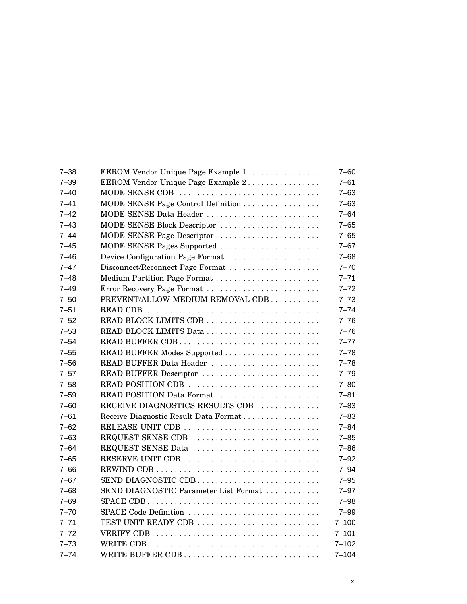| $7 - 38$ | EEROM Vendor Unique Page Example 1    | $7 - 60$  |
|----------|---------------------------------------|-----------|
| $7 - 39$ | EEROM Vendor Unique Page Example 2    | $7 - 61$  |
| $7 - 40$ | MODE SENSE CDB                        | $7 - 63$  |
| $7 - 41$ | MODE SENSE Page Control Definition    | $7 - 63$  |
| $7 - 42$ | MODE SENSE Data Header                | $7 - 64$  |
| $7 - 43$ | MODE SENSE Block Descriptor           | $7 - 65$  |
| $7 - 44$ | MODE SENSE Page Descriptor            | $7 - 65$  |
| $7 - 45$ | MODE SENSE Pages Supported            | $7 - 67$  |
| $7 - 46$ | Device Configuration Page Format      | $7 - 68$  |
| $7 - 47$ | Disconnect/Reconnect Page Format      | $7 - 70$  |
| $7 - 48$ | Medium Partition Page Format          | $7 - 71$  |
| $7 - 49$ | Error Recovery Page Format            | $7 - 72$  |
| $7 - 50$ | PREVENT/ALLOW MEDIUM REMOVAL CDB      | $7 - 73$  |
| $7 - 51$ |                                       | $7 - 74$  |
| $7 - 52$ |                                       | $7 - 76$  |
| $7 - 53$ | READ BLOCK LIMITS Data                | $7 - 76$  |
| $7 - 54$ | READ BUFFER CDB                       | $7 - 77$  |
| $7 - 55$ | READ BUFFER Modes Supported           | $7 - 78$  |
| $7 - 56$ | READ BUFFER Data Header               | $7 - 78$  |
| $7 - 57$ | READ BUFFER Descriptor                | $7 - 79$  |
| $7 - 58$ | READ POSITION CDB                     | $7 - 80$  |
| $7 - 59$ | READ POSITION Data Format             | $7 - 81$  |
| $7 - 60$ | RECEIVE DIAGNOSTICS RESULTS CDB       | $7 - 83$  |
| $7 - 61$ | Receive Diagnostic Result Data Format | $7 - 83$  |
| $7 - 62$ |                                       | $7 - 84$  |
| $7 - 63$ | REQUEST SENSE CDB                     | $7 - 85$  |
| $7 - 64$ | REQUEST SENSE Data                    | $7 - 86$  |
| $7 - 65$ |                                       | $7 - 92$  |
| $7 - 66$ |                                       | $7 - 94$  |
| $7 - 67$ | SEND DIAGNOSTIC CDB                   | $7 - 95$  |
| $7 - 68$ | SEND DIAGNOSTIC Parameter List Format | $7 - 97$  |
| $7 - 69$ |                                       | $7 - 98$  |
| $7 - 70$ | SPACE Code Definition                 | $7 - 99$  |
| $7 - 71$ | TEST UNIT READY CDB                   | $7 - 100$ |
| $7 - 72$ |                                       | $7 - 101$ |
| $7 - 73$ |                                       | $7 - 102$ |
| $7 - 74$ | WRITE BUFFER CDB                      | $7 - 104$ |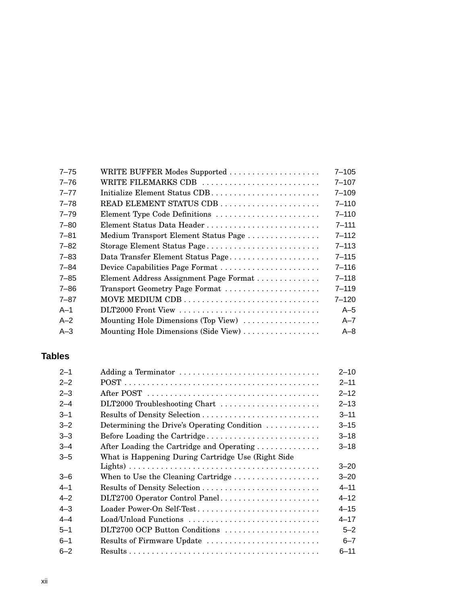| $7 - 75$ | WRITE BUFFER Modes Supported           | $7 - 105$ |
|----------|----------------------------------------|-----------|
| $7 - 76$ | WRITE FILEMARKS CDB                    | $7 - 107$ |
| $7 - 77$ | Initialize Element Status CDB          | $7 - 109$ |
| $7 - 78$ | READ ELEMENT STATUS CDB                | $7 - 110$ |
| $7 - 79$ | Element Type Code Definitions          | $7 - 110$ |
| $7 - 80$ | Element Status Data Header             | $7 - 111$ |
| $7 - 81$ | Medium Transport Element Status Page   | $7 - 112$ |
| $7 - 82$ | Storage Element Status Page            | $7 - 113$ |
| $7 - 83$ | Data Transfer Element Status Page      | $7 - 115$ |
| 7–84     |                                        | $7 - 116$ |
| $7 - 85$ | Element Address Assignment Page Format | $7 - 118$ |
| 7–86     | Transport Geometry Page Format         | $7 - 119$ |
| $7 - 87$ |                                        | $7 - 120$ |
| $A-1$    |                                        | $A-5$     |
| $A-2$    | Mounting Hole Dimensions (Top View)    | $A - 7$   |
| $A-3$    | Mounting Hole Dimensions (Side View)   | $A - 8$   |

### **Tables**

| $2 - 1$ | Adding a Terminator                                 | $2 - 10$ |
|---------|-----------------------------------------------------|----------|
| $2 - 2$ |                                                     | $2 - 11$ |
| $2 - 3$ |                                                     | $2 - 12$ |
| $2 - 4$ | DLT2000 Troubleshooting Chart                       | $2 - 13$ |
| $3 - 1$ |                                                     | $3 - 11$ |
| $3 - 2$ | Determining the Drive's Operating Condition         | $3 - 15$ |
| $3 - 3$ | Before Loading the Cartridge                        | $3 - 18$ |
| $3 - 4$ | After Loading the Cartridge and Operating           | $3 - 18$ |
| $3 - 5$ | What is Happening During Cartridge Use (Right Side) |          |
|         |                                                     | $3 - 20$ |
| $3 - 6$ | When to Use the Cleaning Cartridge                  | $3 - 20$ |
| $4 - 1$ |                                                     | $4 - 11$ |
| $4 - 2$ | DLT2700 Operator Control Panel                      | $4 - 12$ |
| $4 - 3$ | Loader Power-On Self-Test                           | $4 - 15$ |
| $4 - 4$ | Load/Unload Functions                               | $4 - 17$ |
| $5 - 1$ | DLT2700 OCP Button Conditions                       | $5 - 2$  |
| $6 - 1$ | Results of Firmware Update                          | $6 - 7$  |
| $6 - 2$ |                                                     | $6 - 11$ |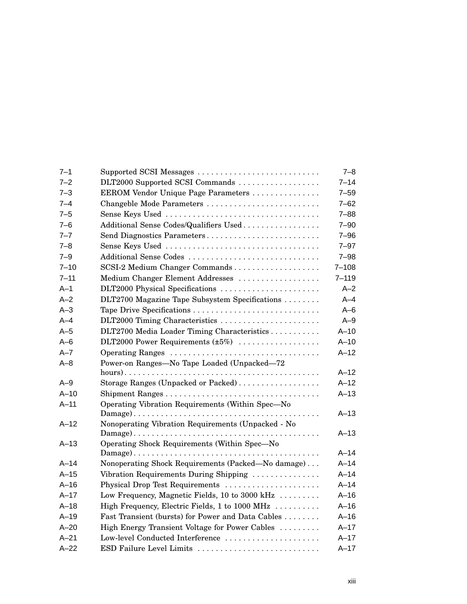| $7 - 1$  | Supported SCSI Messages                            | $7 - 8$   |
|----------|----------------------------------------------------|-----------|
| $7 - 2$  | DLT2000 Supported SCSI Commands                    | $7 - 14$  |
| $7 - 3$  | EEROM Vendor Unique Page Parameters                | $7 - 59$  |
| $7 - 4$  |                                                    | $7 - 62$  |
| $7 - 5$  | Sense Keys Used                                    | $7 - 88$  |
| $7 - 6$  | Additional Sense Codes/Qualifiers Used             | $7 - 90$  |
| $7 - 7$  | Send Diagnostics Parameters                        | $7 - 96$  |
| $7 - 8$  | Sense Keys Used                                    | $7 - 97$  |
| $7 - 9$  | Additional Sense Codes                             | $7 - 98$  |
| $7 - 10$ | SCSI-2 Medium Changer Commands                     | $7 - 108$ |
| $7 - 11$ | Medium Changer Element Addresses                   | $7 - 119$ |
| $A-1$    | DLT2000 Physical Specifications                    | $A-2$     |
| $A - 2$  | DLT2700 Magazine Tape Subsystem Specifications     | $A-4$     |
| $A-3$    |                                                    | $A - 6$   |
| $A - 4$  | DLT2000 Timing Characteristics                     | $A-9$     |
| $A-5$    | DLT2700 Media Loader Timing Characteristics        | $A-10$    |
| $A-6$    | DLT2000 Power Requirements (±5%)                   | $A-10$    |
| $A - 7$  | Operating Ranges                                   | $A-12$    |
| $A - 8$  | Power-on Ranges-No Tape Loaded (Unpacked-72        |           |
|          |                                                    | $A-12$    |
| $A-9$    | Storage Ranges (Unpacked or Packed)                | $A-12$    |
| $A-10$   |                                                    | $A-13$    |
| $A-11$   | Operating Vibration Requirements (Within Spec-No   |           |
|          |                                                    | $A - 13$  |
| $A - 12$ | Nonoperating Vibration Requirements (Unpacked - No |           |
|          |                                                    | $A-13$    |
| $A-13$   | Operating Shock Requirements (Within Spec-No       | $A-14$    |
| $A-14$   | Nonoperating Shock Requirements (Packed—No damage) | $A-14$    |
| $A-15$   | Vibration Requirements During Shipping             | $A-14$    |
| $A-16$   | Physical Drop Test Requirements                    | $A-14$    |
| $A - 17$ | Low Frequency, Magnetic Fields, 10 to 3000 kHz     | $A-16$    |
| $A-18$   | High Frequency, Electric Fields, 1 to 1000 MHz     | $A-16$    |
| $A-19$   | Fast Transient (bursts) for Power and Data Cables  | $A-16$    |
| $A - 20$ | High Energy Transient Voltage for Power Cables     | $A-17$    |
| $A - 21$ | Low-level Conducted Interference                   | $A-17$    |
| $A-22$   |                                                    | $A-17$    |
|          | ESD Failure Level Limits                           |           |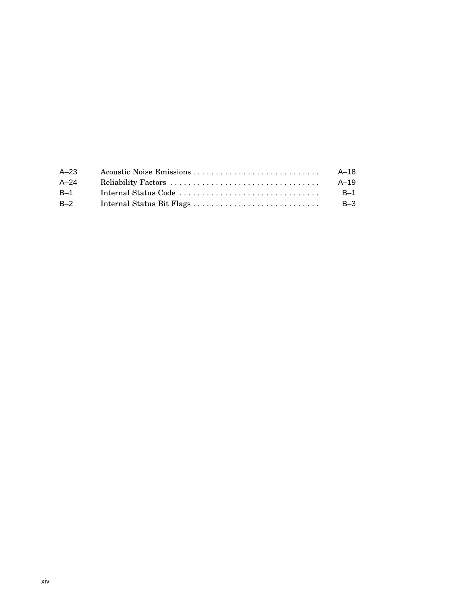| $A - 23$ | A–18     |
|----------|----------|
| $A - 24$ | $A - 19$ |
| $B-1$    | $B-1$    |
| $B-2$    | $B-3$    |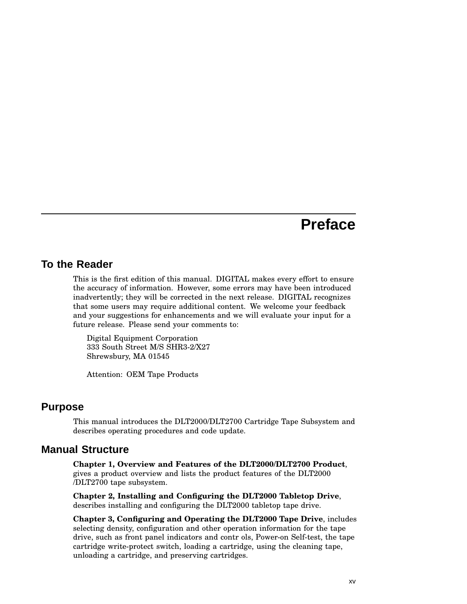# **Preface**

#### **To the Reader**

This is the first edition of this manual. DIGITAL makes every effort to ensure the accuracy of information. However, some errors may have been introduced inadvertently; they will be corrected in the next release. DIGITAL recognizes that some users may require additional content. We welcome your feedback and your suggestions for enhancements and we will evaluate your input for a future release. Please send your comments to:

Digital Equipment Corporation 333 South Street M/S SHR3-2/X27 Shrewsbury, MA 01545

Attention: OEM Tape Products

#### **Purpose**

This manual introduces the DLT2000/DLT2700 Cartridge Tape Subsystem and describes operating procedures and code update.

#### **Manual Structure**

**Chapter 1, Overview and Features of the DLT2000/DLT2700 Product**, gives a product overview and lists the product features of the DLT2000 /DLT2700 tape subsystem.

**Chapter 2, Installing and Configuring the DLT2000 Tabletop Drive**, describes installing and configuring the DLT2000 tabletop tape drive.

**Chapter 3, Configuring and Operating the DLT2000 Tape Drive**, includes selecting density, configuration and other operation information for the tape drive, such as front panel indicators and contr ols, Power-on Self-test, the tape cartridge write-protect switch, loading a cartridge, using the cleaning tape, unloading a cartridge, and preserving cartridges.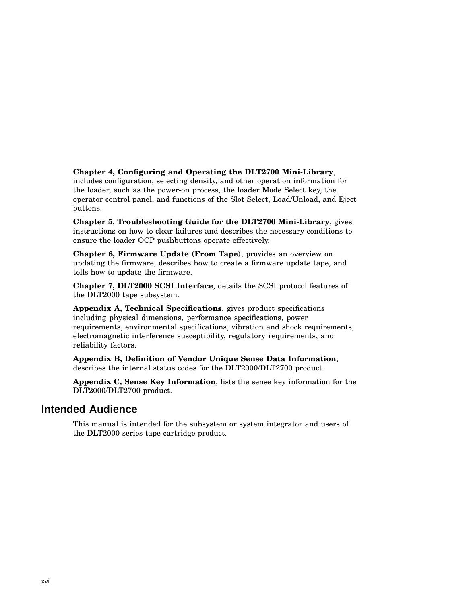**Chapter 4, Configuring and Operating the DLT2700 Mini-Library**, includes configuration, selecting density, and other operation information for the loader, such as the power-on process, the loader Mode Select key, the operator control panel, and functions of the Slot Select, Load/Unload, and Eject buttons.

**Chapter 5, Troubleshooting Guide for the DLT2700 Mini-Library**, gives instructions on how to clear failures and describes the necessary conditions to ensure the loader OCP pushbuttons operate effectively.

**Chapter 6, Firmware Update (From Tape)**, provides an overview on updating the firmware, describes how to create a firmware update tape, and tells how to update the firmware.

**Chapter 7, DLT2000 SCSI Interface**, details the SCSI protocol features of the DLT2000 tape subsystem.

**Appendix A, Technical Specifications**, gives product specifications including physical dimensions, performance specifications, power requirements, environmental specifications, vibration and shock requirements, electromagnetic interference susceptibility, regulatory requirements, and reliability factors.

**Appendix B, Definition of Vendor Unique Sense Data Information**, describes the internal status codes for the DLT2000/DLT2700 product.

**Appendix C, Sense Key Information**, lists the sense key information for the DLT2000/DLT2700 product.

#### **Intended Audience**

This manual is intended for the subsystem or system integrator and users of the DLT2000 series tape cartridge product.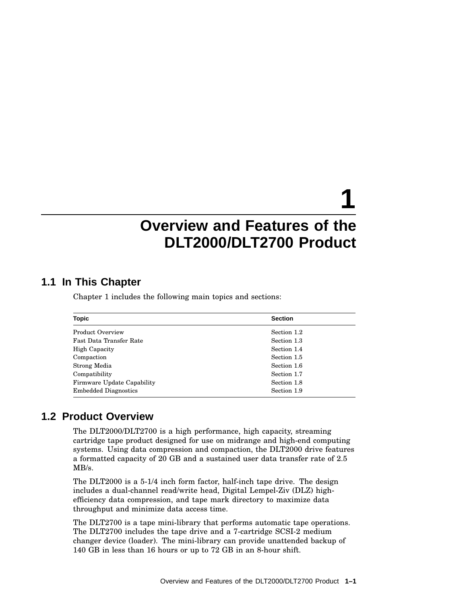# **1**

# **Overview and Features of the DLT2000/DLT2700 Product**

#### **1.1 In This Chapter**

Chapter 1 includes the following main topics and sections:

| <b>Topic</b>                      | <b>Section</b> |
|-----------------------------------|----------------|
| Product Overview                  | Section 1.2    |
| Fast Data Transfer Rate           | Section 1.3    |
| <b>High Capacity</b>              | Section 1.4    |
| Compaction                        | Section 1.5    |
| Strong Media                      | Section 1.6    |
| Compatibility                     | Section 1.7    |
| <b>Firmware Update Capability</b> | Section 1.8    |
| <b>Embedded Diagnostics</b>       | Section 1.9    |

#### **1.2 Product Overview**

The DLT2000/DLT2700 is a high performance, high capacity, streaming cartridge tape product designed for use on midrange and high-end computing systems. Using data compression and compaction, the DLT2000 drive features a formatted capacity of 20 GB and a sustained user data transfer rate of 2.5 MB/s.

The DLT2000 is a 5-1/4 inch form factor, half-inch tape drive. The design includes a dual-channel read/write head, Digital Lempel-Ziv (DLZ) highefficiency data compression, and tape mark directory to maximize data throughput and minimize data access time.

The DLT2700 is a tape mini-library that performs automatic tape operations. The DLT2700 includes the tape drive and a 7-cartridge SCSI-2 medium changer device (loader). The mini-library can provide unattended backup of 140 GB in less than 16 hours or up to 72 GB in an 8-hour shift.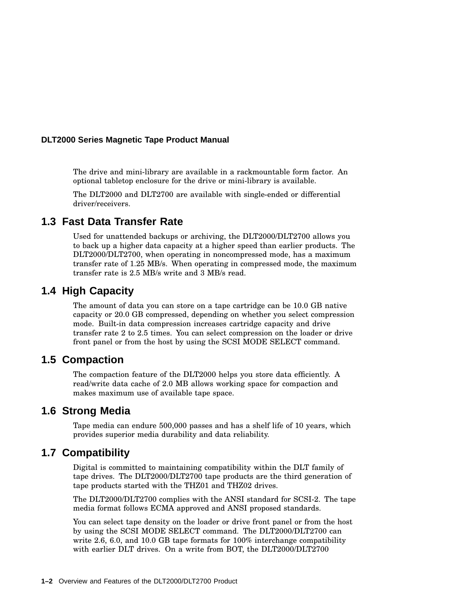The drive and mini-library are available in a rackmountable form factor. An optional tabletop enclosure for the drive or mini-library is available.

The DLT2000 and DLT2700 are available with single-ended or differential driver/receivers.

#### **1.3 Fast Data Transfer Rate**

Used for unattended backups or archiving, the DLT2000/DLT2700 allows you to back up a higher data capacity at a higher speed than earlier products. The DLT2000/DLT2700, when operating in noncompressed mode, has a maximum transfer rate of 1.25 MB/s. When operating in compressed mode, the maximum transfer rate is 2.5 MB/s write and 3 MB/s read.

#### **1.4 High Capacity**

The amount of data you can store on a tape cartridge can be 10.0 GB native capacity or 20.0 GB compressed, depending on whether you select compression mode. Built-in data compression increases cartridge capacity and drive transfer rate 2 to 2.5 times. You can select compression on the loader or drive front panel or from the host by using the SCSI MODE SELECT command.

#### **1.5 Compaction**

The compaction feature of the DLT2000 helps you store data efficiently. A read/write data cache of 2.0 MB allows working space for compaction and makes maximum use of available tape space.

#### **1.6 Strong Media**

Tape media can endure 500,000 passes and has a shelf life of 10 years, which provides superior media durability and data reliability.

#### **1.7 Compatibility**

Digital is committed to maintaining compatibility within the DLT family of tape drives. The DLT2000/DLT2700 tape products are the third generation of tape products started with the THZ01 and THZ02 drives.

The DLT2000/DLT2700 complies with the ANSI standard for SCSI-2. The tape media format follows ECMA approved and ANSI proposed standards.

You can select tape density on the loader or drive front panel or from the host by using the SCSI MODE SELECT command. The DLT2000/DLT2700 can write 2.6, 6.0, and 10.0 GB tape formats for 100% interchange compatibility with earlier DLT drives. On a write from BOT, the DLT2000/DLT2700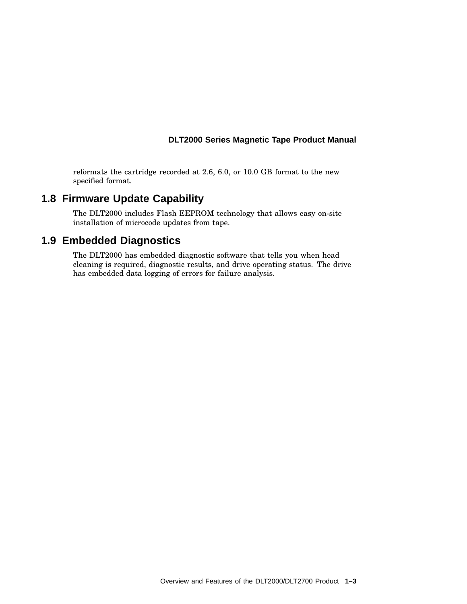reformats the cartridge recorded at 2.6, 6.0, or 10.0 GB format to the new specified format.

#### **1.8 Firmware Update Capability**

The DLT2000 includes Flash EEPROM technology that allows easy on-site installation of microcode updates from tape.

#### **1.9 Embedded Diagnostics**

The DLT2000 has embedded diagnostic software that tells you when head cleaning is required, diagnostic results, and drive operating status. The drive has embedded data logging of errors for failure analysis.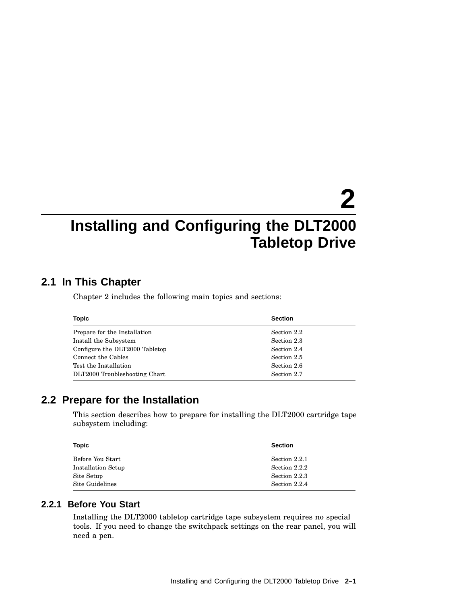# **2 Installing and Configuring the DLT2000 Tabletop Drive**

#### **2.1 In This Chapter**

Chapter 2 includes the following main topics and sections:

| <b>Topic</b>                   | <b>Section</b> |
|--------------------------------|----------------|
| Prepare for the Installation   | Section 2.2    |
| Install the Subsystem          | Section 2.3    |
| Configure the DLT2000 Tabletop | Section 2.4    |
| Connect the Cables             | Section 2.5    |
| Test the Installation          | Section 2.6    |
| DLT2000 Troubleshooting Chart  | Section 2.7    |

#### **2.2 Prepare for the Installation**

This section describes how to prepare for installing the DLT2000 cartridge tape subsystem including:

| Topic                     | <b>Section</b> |
|---------------------------|----------------|
| Before You Start          | Section 2.2.1  |
| <b>Installation Setup</b> | Section 2.2.2  |
| Site Setup                | Section 2.2.3  |
| Site Guidelines           | Section 2.2.4  |

#### **2.2.1 Before You Start**

Installing the DLT2000 tabletop cartridge tape subsystem requires no special tools. If you need to change the switchpack settings on the rear panel, you will need a pen.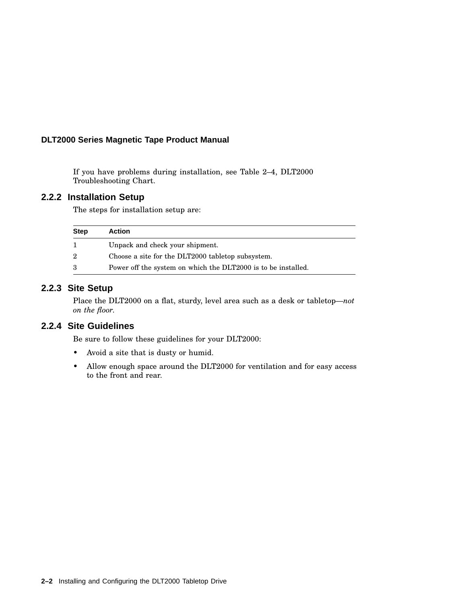If you have problems during installation, see Table 2–4, DLT2000 Troubleshooting Chart.

#### **2.2.2 Installation Setup**

The steps for installation setup are:

| <b>Step</b> | Action                                                        |
|-------------|---------------------------------------------------------------|
|             | Unpack and check your shipment.                               |
| 2           | Choose a site for the DLT2000 tabletop subsystem.             |
| 3           | Power off the system on which the DLT2000 is to be installed. |

#### **2.2.3 Site Setup**

Place the DLT2000 on a flat, sturdy, level area such as a desk or tabletop—*not on the floor.*

#### **2.2.4 Site Guidelines**

Be sure to follow these guidelines for your DLT2000:

- Avoid a site that is dusty or humid.
- Allow enough space around the DLT2000 for ventilation and for easy access to the front and rear.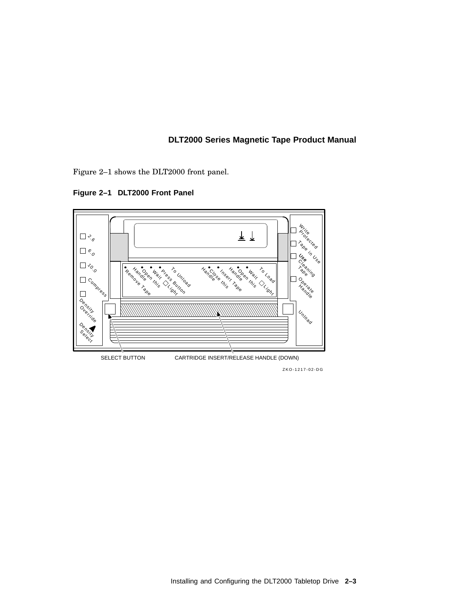Figure 2–1 shows the DLT2000 front panel.

h<br>Prito H 上上 **Protected**  $\Box$   $\div_{\mathcal{O}}$ Tape in Use  $\Box$  $\Box \mbox{ \emph{7}}_{\mbox{O}}$ Insert Tape  $\sqrt{\frac{1}{\gamma}}\, \delta_{\gamma_{o_{i_{e_{v}}}}\delta_{\gamma_{o_{e_{e}}}}}\ \sqrt{\frac{1}{\gamma_{o_{e_{e}}}}}\, \delta_{\gamma_{o_{e_{e}}}}$ Cleaning Comp<sub>ress</sub> Mandleon Mai **Maintess Bungal** Handlese Inser Handleen Mail Wait Coad Operate Light Density Unload Override Density SELECT BUTTON CARTRIDGE INSERT/RELEASE HANDLE (DOWN)

**Figure 2–1 DLT2000 Front Panel**

ZKO-1217-02-DG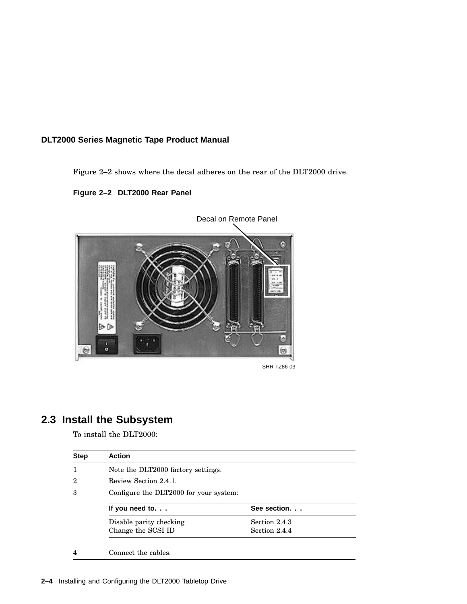Figure 2–2 shows where the decal adheres on the rear of the DLT2000 drive.

**Figure 2–2 DLT2000 Rear Panel**



SHR-TZ86-03

### **2.3 Install the Subsystem**

To install the DLT2000:

| <b>Step</b> | <b>Action</b>                          |               |
|-------------|----------------------------------------|---------------|
|             | Note the DLT2000 factory settings.     |               |
| 2           | Review Section 2.4.1.                  |               |
| 3           | Configure the DLT2000 for your system: |               |
|             | If you need to. $\ldots$               | See section.  |
|             |                                        |               |
|             | Disable parity checking                | Section 2.4.3 |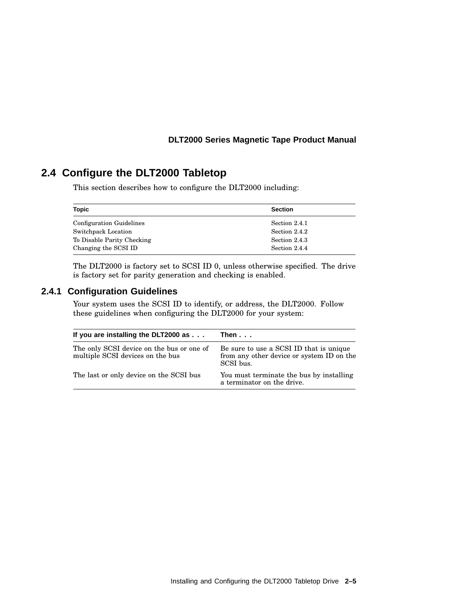#### **2.4 Configure the DLT2000 Tabletop**

This section describes how to configure the DLT2000 including:

| Topic                           | <b>Section</b> |
|---------------------------------|----------------|
| <b>Configuration Guidelines</b> | Section 2.4.1  |
| Switchpack Location             | Section 2.4.2  |
| To Disable Parity Checking      | Section 2.4.3  |
| Changing the SCSI ID            | Section 2.4.4  |

The DLT2000 is factory set to SCSI ID 0, unless otherwise specified. The drive is factory set for parity generation and checking is enabled.

#### **2.4.1 Configuration Guidelines**

Your system uses the SCSI ID to identify, or address, the DLT2000. Follow these guidelines when configuring the DLT2000 for your system:

| If you are installing the DLT2000 as                                          | Then                                                                                              |  |
|-------------------------------------------------------------------------------|---------------------------------------------------------------------------------------------------|--|
| The only SCSI device on the bus or one of<br>multiple SCSI devices on the bus | Be sure to use a SCSI ID that is unique<br>from any other device or system ID on the<br>SCSI bus. |  |
| The last or only device on the SCSI bus                                       | You must terminate the bus by installing<br>a terminator on the drive.                            |  |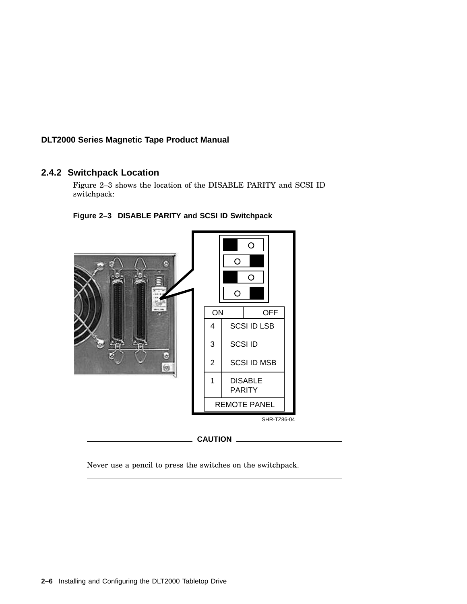#### **2.4.2 Switchpack Location**

Figure 2–3 shows the location of the DISABLE PARITY and SCSI ID switchpack:





Never use a pencil to press the switches on the switchpack.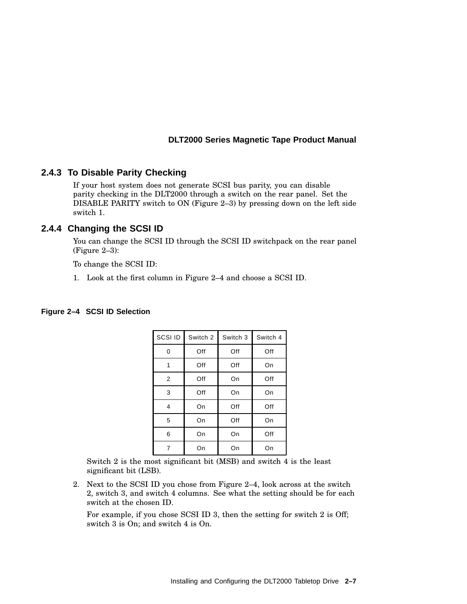#### **2.4.3 To Disable Parity Checking**

If your host system does not generate SCSI bus parity, you can disable parity checking in the DLT2000 through a switch on the rear panel. Set the DISABLE PARITY switch to ON (Figure 2–3) by pressing down on the left side switch 1.

#### **2.4.4 Changing the SCSI ID**

You can change the SCSI ID through the SCSI ID switchpack on the rear panel (Figure 2–3):

To change the SCSI ID:

1. Look at the first column in Figure 2–4 and choose a SCSI ID.

| Figure 2-4 SCSI ID Selection |
|------------------------------|
|                              |

| SCSI ID        | Switch 2 | Switch 3 | Switch 4 |
|----------------|----------|----------|----------|
| 0              | Off      | Off      | Off      |
| 1              | Off      | Off      | On       |
| $\overline{2}$ | Off      | On       | Off      |
| 3              | Off      | On       | On       |
| 4              | On       | Off      | Off      |
| 5              | On       | Off      | On       |
| 6              | On       | On       | Off      |
| 7              | On       | On       | On       |

Switch 2 is the most significant bit (MSB) and switch 4 is the least significant bit (LSB).

2. Next to the SCSI ID you chose from Figure 2–4, look across at the switch 2, switch 3, and switch 4 columns. See what the setting should be for each switch at the chosen ID.

For example, if you chose SCSI ID 3, then the setting for switch 2 is Off; switch 3 is On; and switch 4 is On.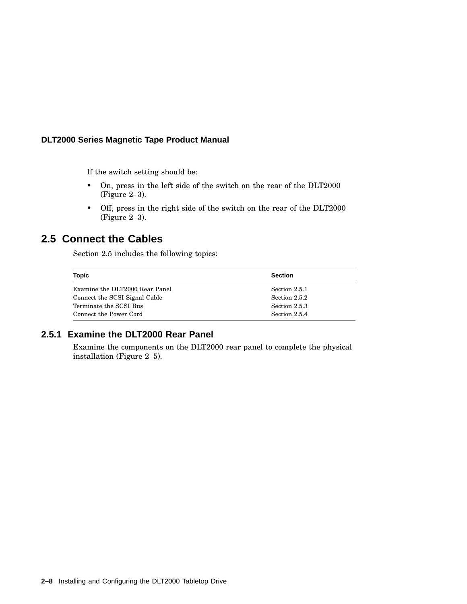If the switch setting should be:

- On, press in the left side of the switch on the rear of the DLT2000 (Figure 2–3).
- Off, press in the right side of the switch on the rear of the DLT2000 (Figure 2–3).

#### **2.5 Connect the Cables**

Section 2.5 includes the following topics:

| Topic                          | <b>Section</b> |
|--------------------------------|----------------|
| Examine the DLT2000 Rear Panel | Section 2.5.1  |
| Connect the SCSI Signal Cable  | Section 2.5.2  |
| Terminate the SCSI Bus         | Section 2.5.3  |
| Connect the Power Cord         | Section 2.5.4  |

#### **2.5.1 Examine the DLT2000 Rear Panel**

Examine the components on the DLT2000 rear panel to complete the physical installation (Figure 2–5).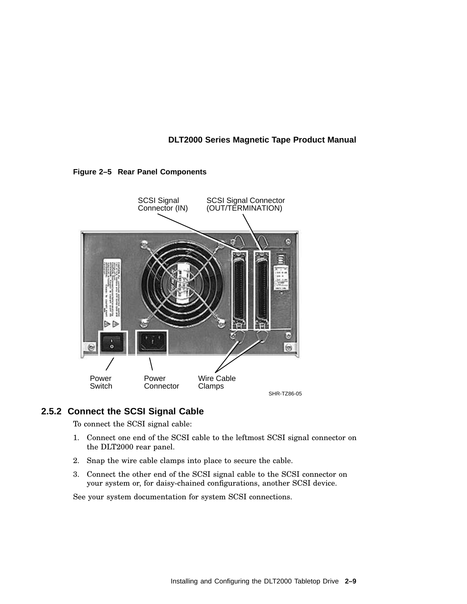



#### **2.5.2 Connect the SCSI Signal Cable**

To connect the SCSI signal cable:

- 1. Connect one end of the SCSI cable to the leftmost SCSI signal connector on the DLT2000 rear panel.
- 2. Snap the wire cable clamps into place to secure the cable.
- 3. Connect the other end of the SCSI signal cable to the SCSI connector on your system or, for daisy-chained configurations, another SCSI device.

See your system documentation for system SCSI connections.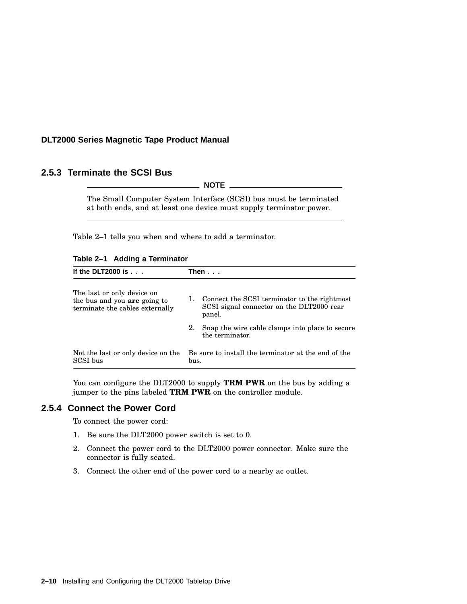#### **2.5.3 Terminate the SCSI Bus**

 $\_$  NOTE  $\_$ 

The Small Computer System Interface (SCSI) bus must be terminated at both ends, and at least one device must supply terminator power.

Table 2–1 tells you when and where to add a terminator.

|  |  | Table 2-1 Adding a Terminator |
|--|--|-------------------------------|
|--|--|-------------------------------|

| If the DLT2000 is $\ldots$                                                                    | Then...                                                     |                                                                                                     |
|-----------------------------------------------------------------------------------------------|-------------------------------------------------------------|-----------------------------------------------------------------------------------------------------|
| The last or only device on<br>the bus and you are going to<br>terminate the cables externally | 1.                                                          | Connect the SCSI terminator to the rightmost<br>SCSI signal connector on the DLT2000 rear<br>panel. |
|                                                                                               | 2.                                                          | Snap the wire cable clamps into place to secure<br>the terminator.                                  |
| Not the last or only device on the<br>SCSI bus                                                | Be sure to install the terminator at the end of the<br>bus. |                                                                                                     |

You can configure the DLT2000 to supply **TRM PWR** on the bus by adding a jumper to the pins labeled **TRM PWR** on the controller module.

#### **2.5.4 Connect the Power Cord**

To connect the power cord:

- 1. Be sure the DLT2000 power switch is set to 0.
- 2. Connect the power cord to the DLT2000 power connector. Make sure the connector is fully seated.
- 3. Connect the other end of the power cord to a nearby ac outlet.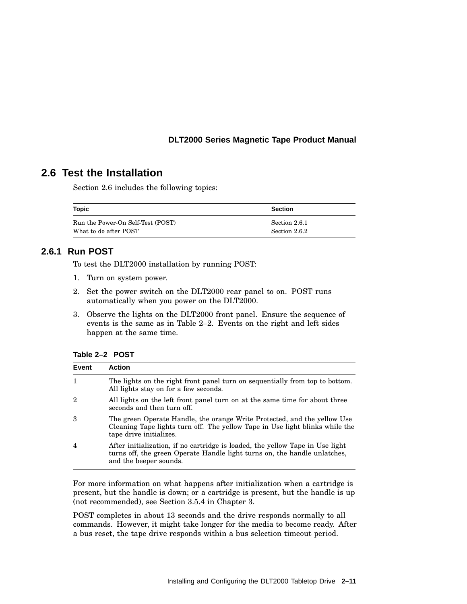#### **2.6 Test the Installation**

Section 2.6 includes the following topics:

| Topic                             | <b>Section</b> |
|-----------------------------------|----------------|
| Run the Power-On Self-Test (POST) | Section 2.6.1  |
| What to do after POST             | Section 2.6.2  |

#### **2.6.1 Run POST**

To test the DLT2000 installation by running POST:

- 1. Turn on system power.
- 2. Set the power switch on the DLT2000 rear panel to on. POST runs automatically when you power on the DLT2000.
- 3. Observe the lights on the DLT2000 front panel. Ensure the sequence of events is the same as in Table 2–2. Events on the right and left sides happen at the same time.

**Table 2–2 POST**

| Event          | <b>Action</b>                                                                                                                                                                        |
|----------------|--------------------------------------------------------------------------------------------------------------------------------------------------------------------------------------|
| 1              | The lights on the right front panel turn on sequentially from top to bottom.<br>All lights stay on for a few seconds.                                                                |
| 2              | All lights on the left front panel turn on at the same time for about three<br>seconds and then turn off.                                                                            |
| 3              | The green Operate Handle, the orange Write Protected, and the yellow Use<br>Cleaning Tape lights turn off. The yellow Tape in Use light blinks while the<br>tape drive initializes.  |
| $\overline{4}$ | After initialization, if no cartridge is loaded, the yellow Tape in Use light<br>turns off, the green Operate Handle light turns on, the handle unlatches,<br>and the beeper sounds. |

For more information on what happens after initialization when a cartridge is present, but the handle is down; or a cartridge is present, but the handle is up (not recommended), see Section 3.5.4 in Chapter 3.

POST completes in about 13 seconds and the drive responds normally to all commands. However, it might take longer for the media to become ready. After a bus reset, the tape drive responds within a bus selection timeout period.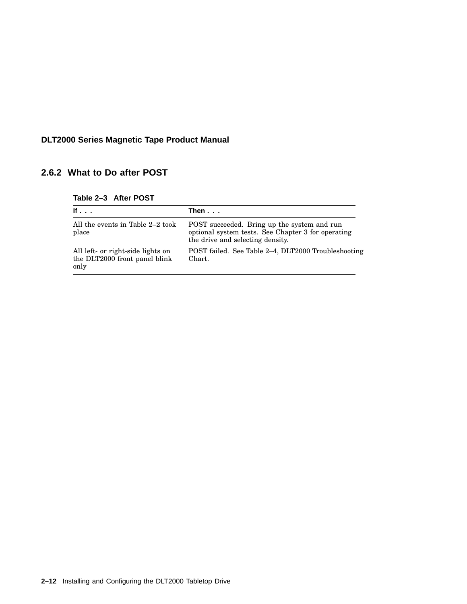#### **2.6.2 What to Do after POST**

| Table 2-3 After POST |  |  |  |  |  |
|----------------------|--|--|--|--|--|
|----------------------|--|--|--|--|--|

| If $\cdot$ $\cdot$ $\cdot$                                                 | Then $\ldots$                                                                                                                         |
|----------------------------------------------------------------------------|---------------------------------------------------------------------------------------------------------------------------------------|
| All the events in Table 2–2 took<br>place                                  | POST succeeded. Bring up the system and run<br>optional system tests. See Chapter 3 for operating<br>the drive and selecting density. |
| All left- or right-side lights on<br>the DLT2000 front panel blink<br>only | POST failed. See Table 2-4, DLT2000 Troubleshooting<br>Chart.                                                                         |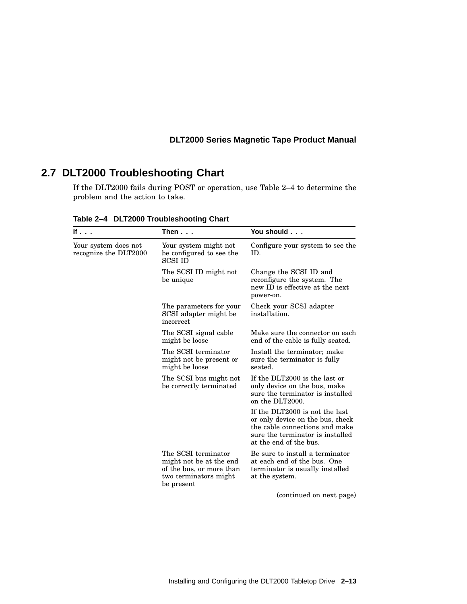### **2.7 DLT2000 Troubleshooting Chart**

If the DLT2000 fails during POST or operation, use Table 2–4 to determine the problem and the action to take.

| If $\ldots$                                   | Then $\dots$                                                                                                      | You should                                                                                                                                                         |
|-----------------------------------------------|-------------------------------------------------------------------------------------------------------------------|--------------------------------------------------------------------------------------------------------------------------------------------------------------------|
| Your system does not<br>recognize the DLT2000 | Your system might not<br>be configured to see the<br><b>SCSI ID</b>                                               | Configure your system to see the<br>ID.                                                                                                                            |
|                                               | The SCSI ID might not<br>be unique                                                                                | Change the SCSI ID and<br>reconfigure the system. The<br>new ID is effective at the next<br>power-on.                                                              |
|                                               | The parameters for your<br>SCSI adapter might be<br>incorrect                                                     | Check your SCSI adapter<br>installation.                                                                                                                           |
|                                               | The SCSI signal cable<br>might be loose                                                                           | Make sure the connector on each<br>end of the cable is fully seated.                                                                                               |
|                                               | The SCSI terminator<br>might not be present or<br>might be loose                                                  | Install the terminator; make<br>sure the terminator is fully<br>seated.                                                                                            |
|                                               | The SCSI bus might not<br>be correctly terminated                                                                 | If the DLT2000 is the last or<br>only device on the bus, make<br>sure the terminator is installed<br>on the DLT2000.                                               |
|                                               |                                                                                                                   | If the DLT2000 is not the last<br>or only device on the bus, check<br>the cable connections and make<br>sure the terminator is installed<br>at the end of the bus. |
|                                               | The SCSI terminator<br>might not be at the end<br>of the bus, or more than<br>two terminators might<br>be present | Be sure to install a terminator<br>at each end of the bus. One<br>terminator is usually installed<br>at the system.                                                |
|                                               |                                                                                                                   | (continued on next page)                                                                                                                                           |

**Table 2–4 DLT2000 Troubleshooting Chart**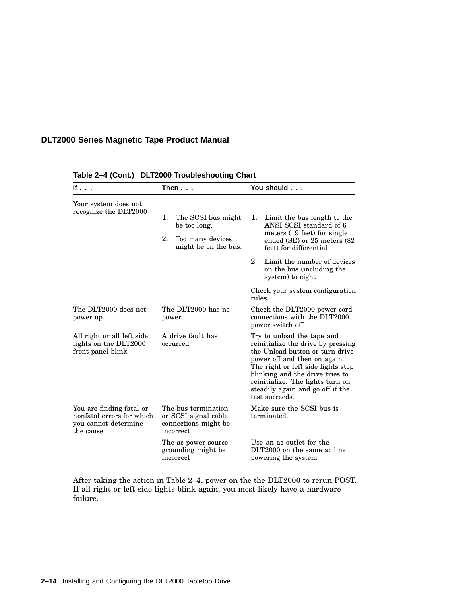| If                                                                                         | Then $\ldots$                                                                    | You should                                                                                                                                                                                                                                                                                             |
|--------------------------------------------------------------------------------------------|----------------------------------------------------------------------------------|--------------------------------------------------------------------------------------------------------------------------------------------------------------------------------------------------------------------------------------------------------------------------------------------------------|
| Your system does not<br>recognize the DLT2000                                              |                                                                                  |                                                                                                                                                                                                                                                                                                        |
|                                                                                            | 1.<br>The SCSI bus might<br>be too long.                                         | 1. Limit the bus length to the<br>ANSI SCSI standard of 6<br>meters (19 feet) for single                                                                                                                                                                                                               |
|                                                                                            | 2.<br>Too many devices<br>might be on the bus.                                   | ended $(SE)$ or 25 meters $(82)$<br>feet) for differential                                                                                                                                                                                                                                             |
|                                                                                            |                                                                                  | 2.<br>Limit the number of devices<br>on the bus (including the<br>system) to eight                                                                                                                                                                                                                     |
|                                                                                            |                                                                                  | Check your system configuration<br>rules.                                                                                                                                                                                                                                                              |
| The DLT2000 does not<br>power up                                                           | The DLT2000 has no<br>power                                                      | Check the DLT2000 power cord<br>connections with the DLT2000<br>power switch off                                                                                                                                                                                                                       |
| All right or all left side<br>lights on the DLT2000<br>front panel blink                   | A drive fault has<br>occurred                                                    | Try to unload the tape and<br>reinitialize the drive by pressing<br>the Unload button or turn drive<br>power off and then on again.<br>The right or left side lights stop<br>blinking and the drive tries to<br>reinitialize. The lights turn on<br>steadily again and go off if the<br>test succeeds. |
| You are finding fatal or<br>nonfatal errors for which<br>you cannot determine<br>the cause | The bus termination<br>or SCSI signal cable<br>connections might be<br>incorrect | Make sure the SCSI bus is<br>terminated.                                                                                                                                                                                                                                                               |
|                                                                                            | The ac power source<br>grounding might be<br>incorrect                           | Use an ac outlet for the<br>DLT2000 on the same ac line<br>powering the system.                                                                                                                                                                                                                        |

**Table 2–4 (Cont.) DLT2000 Troubleshooting Chart**

After taking the action in Table 2–4, power on the the DLT2000 to rerun POST. If all right or left side lights blink again, you most likely have a hardware failure.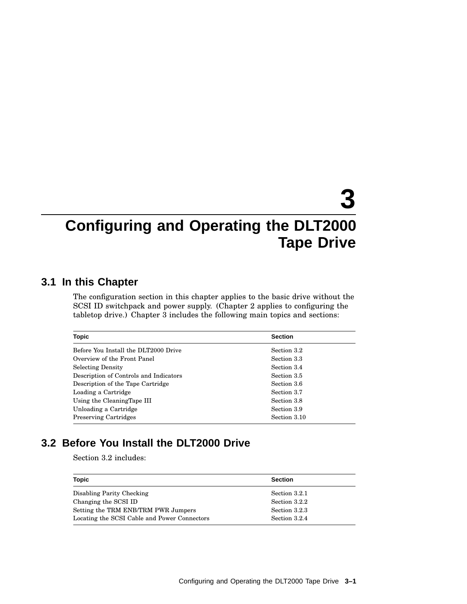# **3**

# **Configuring and Operating the DLT2000 Tape Drive**

### **3.1 In this Chapter**

The configuration section in this chapter applies to the basic drive without the SCSI ID switchpack and power supply. (Chapter 2 applies to configuring the tabletop drive.) Chapter 3 includes the following main topics and sections:

| <b>Topic</b>                           | <b>Section</b> |
|----------------------------------------|----------------|
| Before You Install the DLT2000 Drive   | Section 3.2    |
| Overview of the Front Panel            | Section 3.3    |
| <b>Selecting Density</b>               | Section 3.4    |
| Description of Controls and Indicators | Section 3.5    |
| Description of the Tape Cartridge      | Section 3.6    |
| Loading a Cartridge                    | Section 3.7    |
| Using the CleaningTape III             | Section 3.8    |
| Unloading a Cartridge                  | Section 3.9    |
| <b>Preserving Cartridges</b>           | Section 3.10   |

### **3.2 Before You Install the DLT2000 Drive**

Section 3.2 includes:

| Topic                                        | <b>Section</b> |
|----------------------------------------------|----------------|
| Disabling Parity Checking                    | Section 3.2.1  |
| Changing the SCSI ID                         | Section 3.2.2  |
| Setting the TRM ENB/TRM PWR Jumpers          | Section 3.2.3  |
| Locating the SCSI Cable and Power Connectors | Section 3.2.4  |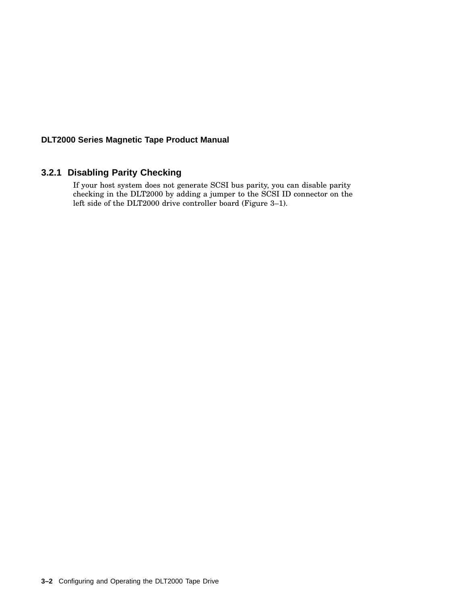#### **3.2.1 Disabling Parity Checking**

If your host system does not generate SCSI bus parity, you can disable parity checking in the DLT2000 by adding a jumper to the SCSI ID connector on the left side of the DLT2000 drive controller board (Figure 3–1).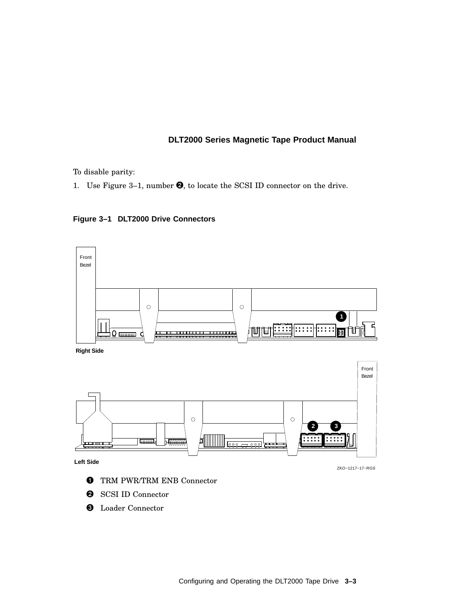To disable parity:

1. Use Figure 3-1, number  $\Theta$ , to locate the SCSI ID connector on the drive.



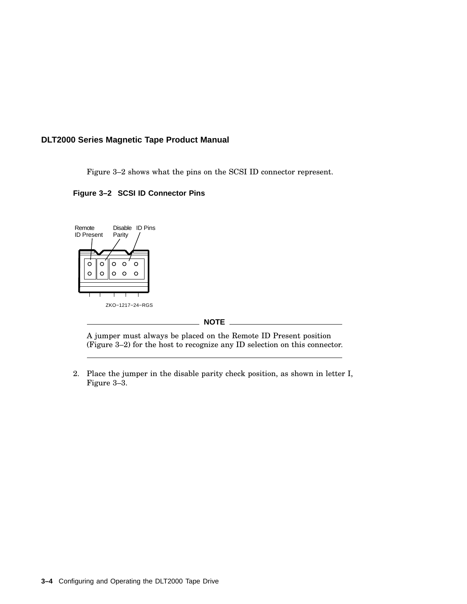Figure 3–2 shows what the pins on the SCSI ID connector represent.





A jumper must always be placed on the Remote ID Present position (Figure 3–2) for the host to recognize any ID selection on this connector.

2. Place the jumper in the disable parity check position, as shown in letter I, Figure 3–3.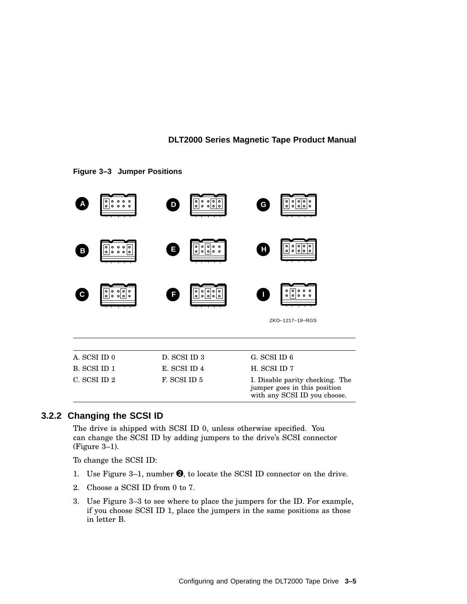

#### **Figure 3–3 Jumper Positions**

## **3.2.2 Changing the SCSI ID**

The drive is shipped with SCSI ID 0, unless otherwise specified. You can change the SCSI ID by adding jumpers to the drive's SCSI connector (Figure 3–1).

To change the SCSI ID:

- 1. Use Figure 3–1, number  $\Theta$ , to locate the SCSI ID connector on the drive.
- 2. Choose a SCSI ID from 0 to 7.
- 3. Use Figure 3–3 to see where to place the jumpers for the ID. For example, if you choose SCSI ID 1, place the jumpers in the same positions as those in letter B.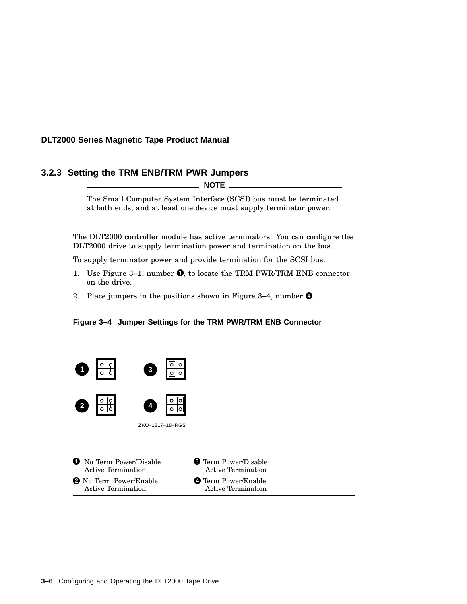## **3.2.3 Setting the TRM ENB/TRM PWR Jumpers**

**NOTE**

The Small Computer System Interface (SCSI) bus must be terminated at both ends, and at least one device must supply terminator power.

The DLT2000 controller module has active terminators. You can configure the DLT2000 drive to supply termination power and termination on the bus.

To supply terminator power and provide termination for the SCSI bus:

- 1. Use Figure 3–1, number  $\bullet$ , to locate the TRM PWR/TRM ENB connector on the drive.
- 2. Place jumpers in the positions shown in Figure 3–4, number  $\bullet$ .





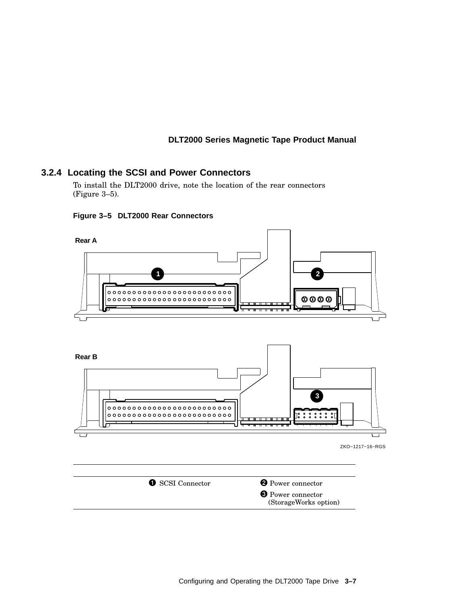## **3.2.4 Locating the SCSI and Power Connectors**

To install the DLT2000 drive, note the location of the rear connectors (Figure 3–5).



#### **Figure 3–5 DLT2000 Rear Connectors**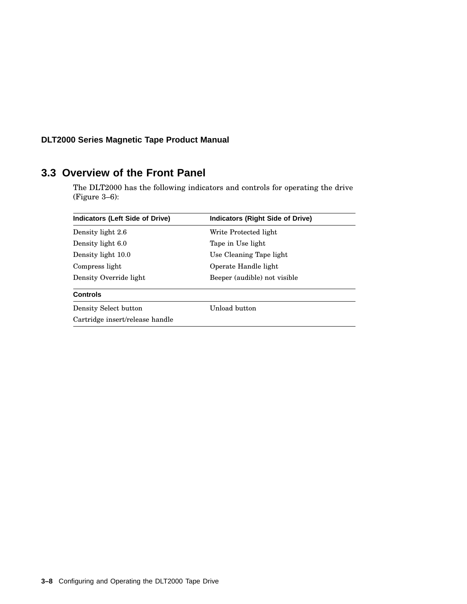## **3.3 Overview of the Front Panel**

The DLT2000 has the following indicators and controls for operating the drive (Figure 3–6):

| <b>Indicators (Left Side of Drive)</b> | <b>Indicators (Right Side of Drive)</b> |
|----------------------------------------|-----------------------------------------|
| Density light 2.6                      | Write Protected light                   |
| Density light 6.0                      | Tape in Use light                       |
| Density light 10.0                     | Use Cleaning Tape light                 |
| Compress light                         | Operate Handle light                    |
| Density Override light                 | Beeper (audible) not visible            |
| <b>Controls</b>                        |                                         |
| Density Select button                  | Unload button                           |
| Cartridge insert/release handle        |                                         |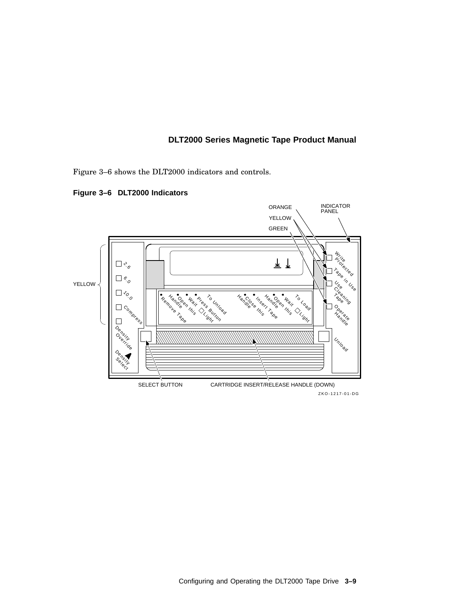Figure 3–6 shows the DLT2000 indicators and controls.

**Figure 3–6 DLT2000 Indicators**



ZKO-1217-01-DG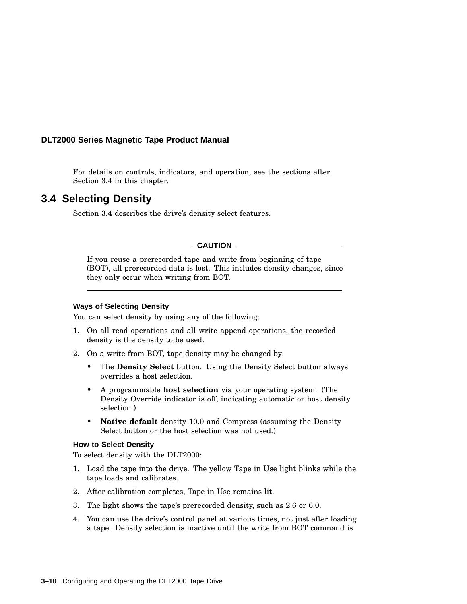For details on controls, indicators, and operation, see the sections after Section 3.4 in this chapter.

## **3.4 Selecting Density**

Section 3.4 describes the drive's density select features.

**CAUTION**

If you reuse a prerecorded tape and write from beginning of tape (BOT), all prerecorded data is lost. This includes density changes, since they only occur when writing from BOT.

#### **Ways of Selecting Density**

You can select density by using any of the following:

- 1. On all read operations and all write append operations, the recorded density is the density to be used.
- 2. On a write from BOT, tape density may be changed by:
	- The **Density Select** button. Using the Density Select button always overrides a host selection.
	- A programmable **host selection** via your operating system. (The Density Override indicator is off, indicating automatic or host density selection.)
	- **Native default** density 10.0 and Compress (assuming the Density Select button or the host selection was not used.)

#### **How to Select Density**

To select density with the DLT2000:

- 1. Load the tape into the drive. The yellow Tape in Use light blinks while the tape loads and calibrates.
- 2. After calibration completes, Tape in Use remains lit.
- 3. The light shows the tape's prerecorded density, such as 2.6 or 6.0.
- 4. You can use the drive's control panel at various times, not just after loading a tape. Density selection is inactive until the write from BOT command is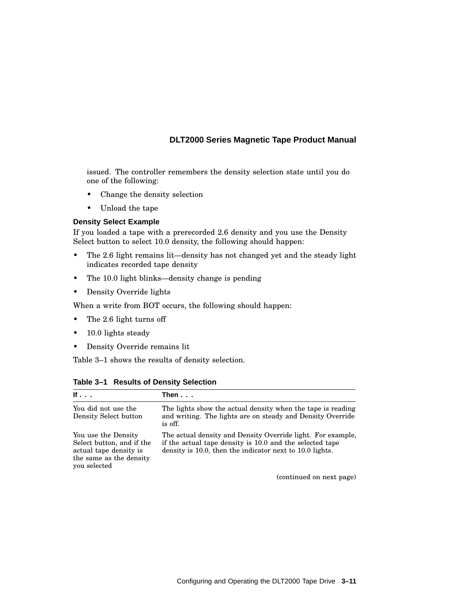issued. The controller remembers the density selection state until you do one of the following:

- Change the density selection
- Unload the tape

## **Density Select Example**

If you loaded a tape with a prerecorded 2.6 density and you use the Density Select button to select 10.0 density, the following should happen:

- The 2.6 light remains lit—density has not changed yet and the steady light indicates recorded tape density
- The 10.0 light blinks—density change is pending
- Density Override lights

When a write from BOT occurs, the following should happen:

- The 2.6 light turns off
- 10.0 lights steady
- Density Override remains lit

Table 3–1 shows the results of density selection.

| If $\ldots$                                                                                                           | Then...                                                                                                                                                                             |
|-----------------------------------------------------------------------------------------------------------------------|-------------------------------------------------------------------------------------------------------------------------------------------------------------------------------------|
| You did not use the<br>Density Select button                                                                          | The lights show the actual density when the tape is reading<br>and writing. The lights are on steady and Density Override<br>is off.                                                |
| You use the Density<br>Select button, and if the<br>actual tape density is<br>the same as the density<br>you selected | The actual density and Density Override light. For example,<br>if the actual tape density is 10.0 and the selected tape<br>density is 10.0, then the indicator next to 10.0 lights. |
|                                                                                                                       | $(constant)$ on nort nome)                                                                                                                                                          |

**Table 3–1 Results of Density Selection**

(continued on next page)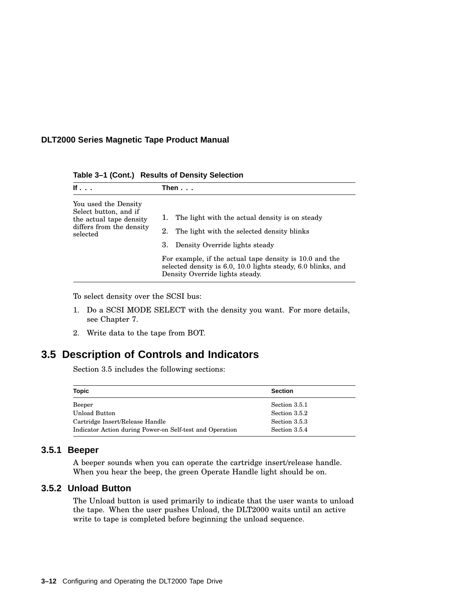|  | Table 3-1 (Cont.) Results of Density Selection |  |
|--|------------------------------------------------|--|
|--|------------------------------------------------|--|

| If $\ldots$                                                                                                      | Then...                                                                                                                                                                                                                                                                                                        |
|------------------------------------------------------------------------------------------------------------------|----------------------------------------------------------------------------------------------------------------------------------------------------------------------------------------------------------------------------------------------------------------------------------------------------------------|
| You used the Density<br>Select button, and if<br>the actual tape density<br>differs from the density<br>selected | The light with the actual density is on steady<br>1.<br>The light with the selected density blinks<br>2.<br>Density Override lights steady<br>3.<br>For example, if the actual tape density is 10.0 and the<br>selected density is 6.0, 10.0 lights steady, 6.0 blinks, and<br>Density Override lights steady. |

To select density over the SCSI bus:

- 1. Do a SCSI MODE SELECT with the density you want. For more details, see Chapter 7.
- 2. Write data to the tape from BOT.

## **3.5 Description of Controls and Indicators**

Section 3.5 includes the following sections:

| <b>Topic</b>                                             | <b>Section</b> |
|----------------------------------------------------------|----------------|
| Beeper                                                   | Section 3.5.1  |
| Unload Button                                            | Section 3.5.2  |
| Cartridge Insert/Release Handle                          | Section 3.5.3  |
| Indicator Action during Power-on Self-test and Operation | Section 3.5.4  |

### **3.5.1 Beeper**

A beeper sounds when you can operate the cartridge insert/release handle. When you hear the beep, the green Operate Handle light should be on.

## **3.5.2 Unload Button**

The Unload button is used primarily to indicate that the user wants to unload the tape. When the user pushes Unload, the DLT2000 waits until an active write to tape is completed before beginning the unload sequence.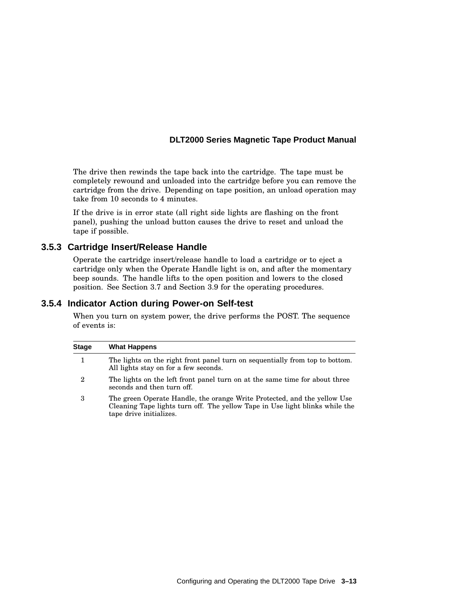The drive then rewinds the tape back into the cartridge. The tape must be completely rewound and unloaded into the cartridge before you can remove the cartridge from the drive. Depending on tape position, an unload operation may take from 10 seconds to 4 minutes.

If the drive is in error state (all right side lights are flashing on the front panel), pushing the unload button causes the drive to reset and unload the tape if possible.

### **3.5.3 Cartridge Insert/Release Handle**

Operate the cartridge insert/release handle to load a cartridge or to eject a cartridge only when the Operate Handle light is on, and after the momentary beep sounds. The handle lifts to the open position and lowers to the closed position. See Section 3.7 and Section 3.9 for the operating procedures.

### **3.5.4 Indicator Action during Power-on Self-test**

When you turn on system power, the drive performs the POST. The sequence of events is:

| <b>Stage</b> | <b>What Happens</b>                                                                                                                                                                 |
|--------------|-------------------------------------------------------------------------------------------------------------------------------------------------------------------------------------|
|              | The lights on the right front panel turn on sequentially from top to bottom.<br>All lights stay on for a few seconds.                                                               |
| 2            | The lights on the left front panel turn on at the same time for about three<br>seconds and then turn off.                                                                           |
| 3            | The green Operate Handle, the orange Write Protected, and the yellow Use<br>Cleaning Tape lights turn off. The yellow Tape in Use light blinks while the<br>tape drive initializes. |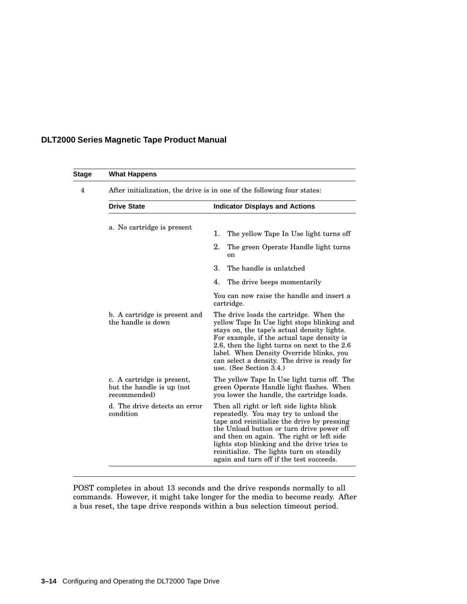| Stage | <b>What Happens</b>                                                     |                                                                                                                                                                                                                                                                                                                                                                    |  |  |
|-------|-------------------------------------------------------------------------|--------------------------------------------------------------------------------------------------------------------------------------------------------------------------------------------------------------------------------------------------------------------------------------------------------------------------------------------------------------------|--|--|
| 4     | After initialization, the drive is in one of the following four states: |                                                                                                                                                                                                                                                                                                                                                                    |  |  |
|       | <b>Drive State</b>                                                      | <b>Indicator Displays and Actions</b>                                                                                                                                                                                                                                                                                                                              |  |  |
|       | a. No cartridge is present                                              | 1.<br>The yellow Tape In Use light turns off                                                                                                                                                                                                                                                                                                                       |  |  |
|       |                                                                         | 2.<br>The green Operate Handle light turns<br><sub>on</sub>                                                                                                                                                                                                                                                                                                        |  |  |
|       |                                                                         | 3.<br>The handle is unlatched                                                                                                                                                                                                                                                                                                                                      |  |  |
|       |                                                                         | 4.<br>The drive beeps momentarily                                                                                                                                                                                                                                                                                                                                  |  |  |
|       |                                                                         | You can now raise the handle and insert a<br>cartridge.                                                                                                                                                                                                                                                                                                            |  |  |
|       | b. A cartridge is present and<br>the handle is down                     | The drive loads the cartridge. When the<br>yellow Tape In Use light stops blinking and<br>stays on, the tape's actual density lights.<br>For example, if the actual tape density is<br>2.6, then the light turns on next to the 2.6<br>label. When Density Override blinks, you<br>can select a density. The drive is ready for<br>use. (See Section 3.4.)         |  |  |
|       | c. A cartridge is present,<br>but the handle is up (not<br>recommended) | The yellow Tape In Use light turns off. The<br>green Operate Handle light flashes. When<br>you lower the handle, the cartridge loads.                                                                                                                                                                                                                              |  |  |
|       | d. The drive detects an error<br>condition                              | Then all right or left side lights blink<br>repeatedly. You may try to unload the<br>tape and reinitialize the drive by pressing<br>the Unload button or turn drive power off<br>and then on again. The right or left side<br>lights stop blinking and the drive tries to<br>reinitialize. The lights turn on steadily<br>again and turn off if the test succeeds. |  |  |

POST completes in about 13 seconds and the drive responds normally to all commands. However, it might take longer for the media to become ready. After a bus reset, the tape drive responds within a bus selection timeout period.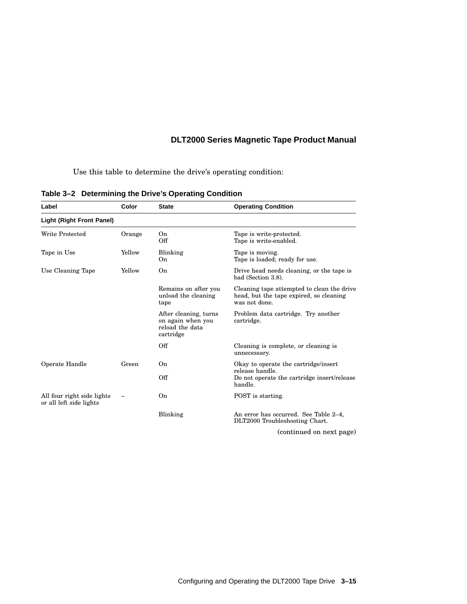Use this table to determine the drive's operating condition:

| Label                                                 | Color  | <b>State</b>                                                               | <b>Operating Condition</b>                                                                             |
|-------------------------------------------------------|--------|----------------------------------------------------------------------------|--------------------------------------------------------------------------------------------------------|
| <b>Light (Right Front Panel)</b>                      |        |                                                                            |                                                                                                        |
| Write Protected                                       | Orange | On<br>Off                                                                  | Tape is write-protected.<br>Tape is write-enabled.                                                     |
| Tape in Use                                           | Yellow | Blinking<br>O <sub>n</sub>                                                 | Tape is moving.<br>Tape is loaded; ready for use.                                                      |
| Use Cleaning Tape                                     | Yellow | On                                                                         | Drive head needs cleaning, or the tape is<br>bad (Section 3.8).                                        |
|                                                       |        | Remains on after you<br>unload the cleaning<br>tape                        | Cleaning tape attempted to clean the drive<br>head, but the tape expired, so cleaning<br>was not done. |
|                                                       |        | After cleaning, turns<br>on again when you<br>reload the data<br>cartridge | Problem data cartridge. Try another<br>cartridge.                                                      |
|                                                       |        | Off                                                                        | Cleaning is complete, or cleaning is<br>unnecessary.                                                   |
| Operate Handle                                        | Green  | On                                                                         | Okay to operate the cartridge/insert<br>release handle.                                                |
|                                                       |        | Off                                                                        | Do not operate the cartridge insert/release<br>handle.                                                 |
| All four right side lights<br>or all left side lights |        | On                                                                         | POST is starting.                                                                                      |
|                                                       |        | Blinking                                                                   | An error has occurred. See Table 2–4,<br>DLT2000 Troubleshooting Chart.                                |

## **Table 3–2 Determining the Drive's Operating Condition**

(continued on next page)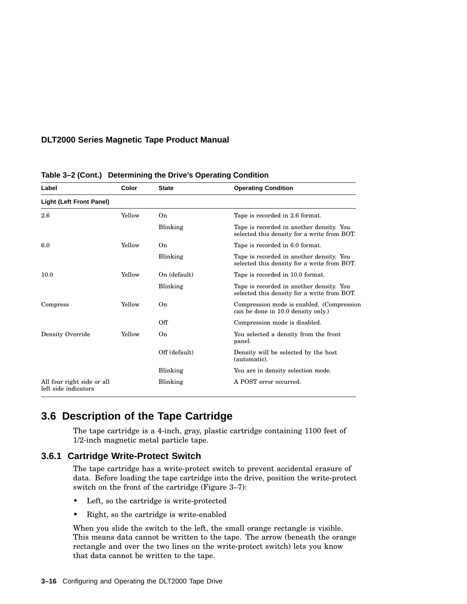| Label                                              | Color  | <b>State</b>  | <b>Operating Condition</b>                                                              |
|----------------------------------------------------|--------|---------------|-----------------------------------------------------------------------------------------|
| <b>Light (Left Front Panel)</b>                    |        |               |                                                                                         |
| 2.6                                                | Yellow | On            | Tape is recorded in 2.6 format.                                                         |
|                                                    |        | Blinking      | Tape is recorded in another density. You<br>selected this density for a write from BOT. |
| 6.0                                                | Yellow | On            | Tape is recorded in 6.0 format.                                                         |
|                                                    |        | Blinking      | Tape is recorded in another density. You<br>selected this density for a write from BOT. |
| 10.0                                               | Yellow | On (default)  | Tape is recorded in 10.0 format.                                                        |
|                                                    |        | Blinking      | Tape is recorded in another density. You<br>selected this density for a write from BOT. |
| Compress                                           | Yellow | On            | Compression mode is enabled. (Compression<br>can be done in 10.0 density only.)         |
|                                                    |        | Off           | Compression mode is disabled.                                                           |
| Density Override                                   | Yellow | On            | You selected a density from the front<br>panel.                                         |
|                                                    |        | Off (default) | Density will be selected by the host<br>(automatic).                                    |
|                                                    |        | Blinking      | You are in density selection mode.                                                      |
| All four right side or all<br>left side indicators |        | Blinking      | A POST error occurred.                                                                  |

#### **Table 3–2 (Cont.) Determining the Drive's Operating Condition**

## **3.6 Description of the Tape Cartridge**

The tape cartridge is a 4-inch, gray, plastic cartridge containing 1100 feet of 1/2-inch magnetic metal particle tape.

#### **3.6.1 Cartridge Write-Protect Switch**

The tape cartridge has a write-protect switch to prevent accidental erasure of data. Before loading the tape cartridge into the drive, position the write-protect switch on the front of the cartridge (Figure 3–7):

- Left, so the cartridge is write-protected
- Right, so the cartridge is write-enabled

When you slide the switch to the left, the small orange rectangle is visible. This means data cannot be written to the tape. The arrow (beneath the orange rectangle and over the two lines on the write-protect switch) lets you know that data cannot be written to the tape.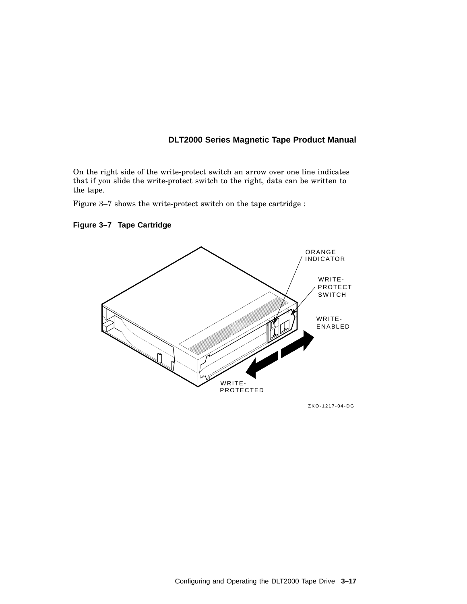On the right side of the write-protect switch an arrow over one line indicates that if you slide the write-protect switch to the right, data can be written to the tape.

Figure 3–7 shows the write-protect switch on the tape cartridge :

## **Figure 3–7 Tape Cartridge**



ZKO-1217-04-DG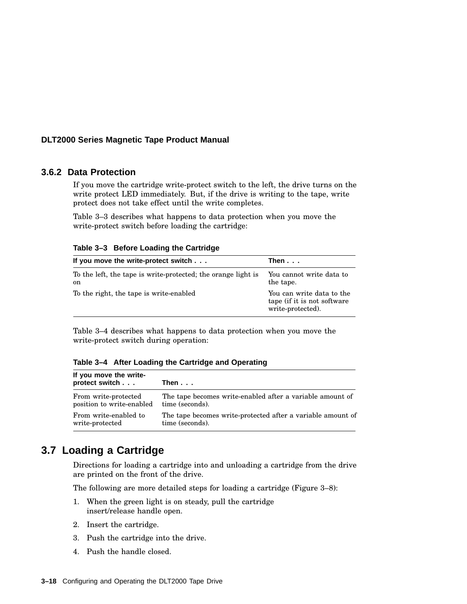### **3.6.2 Data Protection**

If you move the cartridge write-protect switch to the left, the drive turns on the write protect LED immediately. But, if the drive is writing to the tape, write protect does not take effect until the write completes.

Table 3–3 describes what happens to data protection when you move the write-protect switch before loading the cartridge:

| If you move the write-protect switch                                           | Then                                                                          |
|--------------------------------------------------------------------------------|-------------------------------------------------------------------------------|
| To the left, the tape is write-protected; the orange light is<br><sub>on</sub> | You cannot write data to<br>the tape.                                         |
| To the right, the tape is write-enabled                                        | You can write data to the<br>tape (if it is not software<br>write-protected). |

Table 3–4 describes what happens to data protection when you move the write-protect switch during operation:

**Table 3–4 After Loading the Cartridge and Operating**

| If you move the write-<br>protect switch | Then                                                        |
|------------------------------------------|-------------------------------------------------------------|
| From write-protected                     | The tape becomes write-enabled after a variable amount of   |
| position to write-enabled                | time (seconds).                                             |
| From write-enabled to                    | The tape becomes write-protected after a variable amount of |
| write-protected                          | time (seconds).                                             |

## **3.7 Loading a Cartridge**

Directions for loading a cartridge into and unloading a cartridge from the drive are printed on the front of the drive.

The following are more detailed steps for loading a cartridge (Figure 3–8):

- 1. When the green light is on steady, pull the cartridge insert/release handle open.
- 2. Insert the cartridge.
- 3. Push the cartridge into the drive.
- 4. Push the handle closed.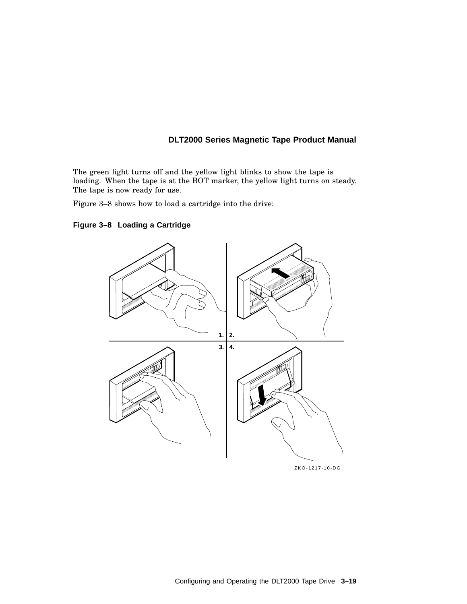The green light turns off and the yellow light blinks to show the tape is loading. When the tape is at the BOT marker, the yellow light turns on steady. The tape is now ready for use.

Figure 3–8 shows how to load a cartridge into the drive:



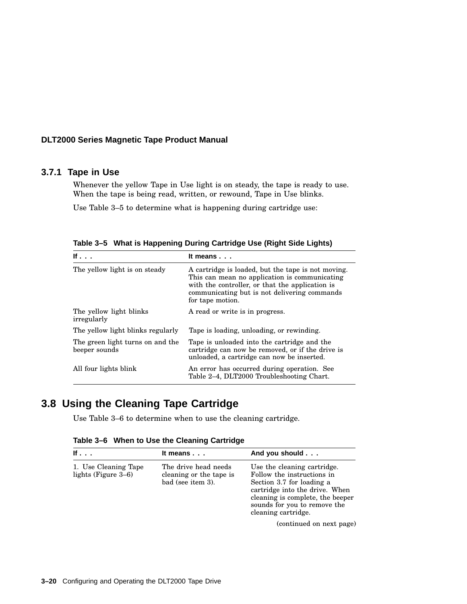### **3.7.1 Tape in Use**

Whenever the yellow Tape in Use light is on steady, the tape is ready to use. When the tape is being read, written, or rewound, Tape in Use blinks.

Use Table 3–5 to determine what is happening during cartridge use:

| If                                                | It means $\ldots$                                                                                                                                                                                                          |
|---------------------------------------------------|----------------------------------------------------------------------------------------------------------------------------------------------------------------------------------------------------------------------------|
| The yellow light is on steady                     | A cartridge is loaded, but the tape is not moving.<br>This can mean no application is communicating<br>with the controller, or that the application is<br>communicating but is not delivering commands<br>for tape motion. |
| The yellow light blinks<br>irregularly            | A read or write is in progress.                                                                                                                                                                                            |
| The vellow light blinks regularly                 | Tape is loading, unloading, or rewinding.                                                                                                                                                                                  |
| The green light turns on and the<br>beeper sounds | Tape is unloaded into the cartridge and the<br>cartridge can now be removed, or if the drive is<br>unloaded, a cartridge can now be inserted.                                                                              |
| All four lights blink                             | An error has occurred during operation. See<br>Table 2–4, DLT2000 Troubleshooting Chart.                                                                                                                                   |

**Table 3–5 What is Happening During Cartridge Use (Right Side Lights)**

## **3.8 Using the Cleaning Tape Cartridge**

Use Table 3–6 to determine when to use the cleaning cartridge.

| If $\sim$ .                                    | It means $\ldots$                                                    | And you should                                                                                                                                                                                                      |
|------------------------------------------------|----------------------------------------------------------------------|---------------------------------------------------------------------------------------------------------------------------------------------------------------------------------------------------------------------|
| 1. Use Cleaning Tape<br>lights (Figure $3-6$ ) | The drive head needs<br>cleaning or the tape is<br>bad (see item 3). | Use the cleaning cartridge.<br>Follow the instructions in<br>Section 3.7 for loading a<br>cartridge into the drive. When<br>cleaning is complete, the beeper<br>sounds for you to remove the<br>cleaning cartridge. |
|                                                |                                                                      | (continued on next page)                                                                                                                                                                                            |

**Table 3–6 When to Use the Cleaning Cartridge**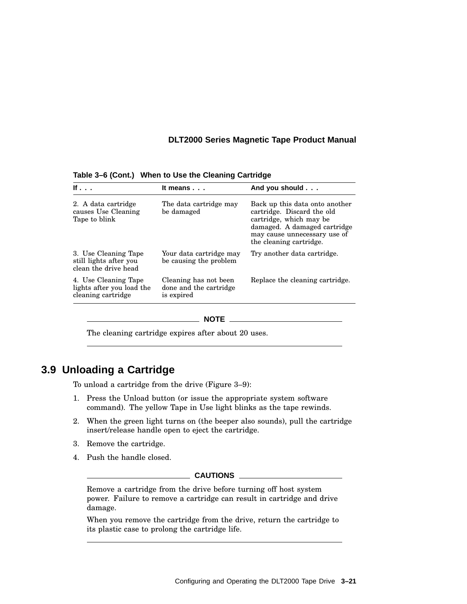| If $\ldots$                                                             | It means                                                      | And you should                                                                                                                                                                     |
|-------------------------------------------------------------------------|---------------------------------------------------------------|------------------------------------------------------------------------------------------------------------------------------------------------------------------------------------|
| 2. A data cartridge<br>causes Use Cleaning<br>Tape to blink             | The data cartridge may<br>be damaged                          | Back up this data onto another<br>cartridge. Discard the old<br>cartridge, which may be<br>damaged. A damaged cartridge<br>may cause unnecessary use of<br>the cleaning cartridge. |
| 3. Use Cleaning Tape<br>still lights after you<br>clean the drive head  | Your data cartridge may<br>be causing the problem             | Try another data cartridge.                                                                                                                                                        |
| 4. Use Cleaning Tape<br>lights after you load the<br>cleaning cartridge | Cleaning has not been<br>done and the cartridge<br>is expired | Replace the cleaning cartridge.                                                                                                                                                    |

**Table 3–6 (Cont.) When to Use the Cleaning Cartridge**

#### **NOTE**

The cleaning cartridge expires after about 20 uses.

## **3.9 Unloading a Cartridge**

To unload a cartridge from the drive (Figure 3–9):

- 1. Press the Unload button (or issue the appropriate system software command). The yellow Tape in Use light blinks as the tape rewinds.
- 2. When the green light turns on (the beeper also sounds), pull the cartridge insert/release handle open to eject the cartridge.
- 3. Remove the cartridge.
- 4. Push the handle closed.

#### **CAUTIONS**

Remove a cartridge from the drive before turning off host system power. Failure to remove a cartridge can result in cartridge and drive damage.

When you remove the cartridge from the drive, return the cartridge to its plastic case to prolong the cartridge life.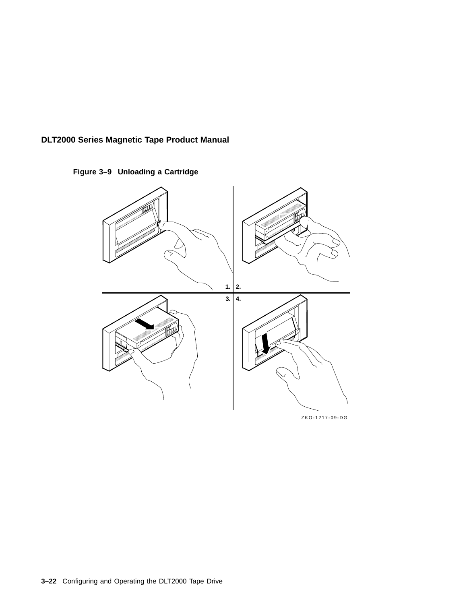**Figure 3–9 Unloading a Cartridge**



ZKO-1217-09-DG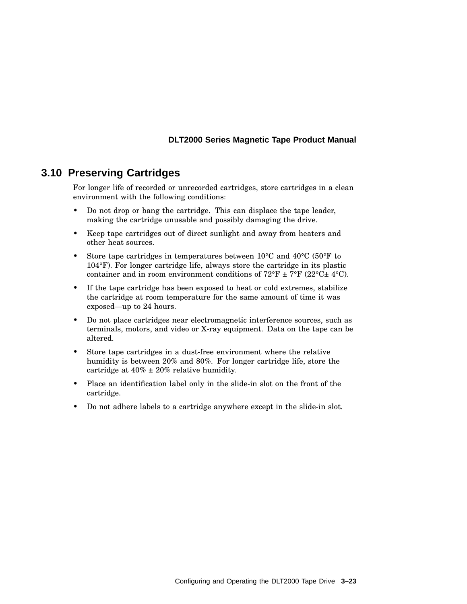## **3.10 Preserving Cartridges**

For longer life of recorded or unrecorded cartridges, store cartridges in a clean environment with the following conditions:

- Do not drop or bang the cartridge. This can displace the tape leader, making the cartridge unusable and possibly damaging the drive.
- Keep tape cartridges out of direct sunlight and away from heaters and other heat sources.
- Store tape cartridges in temperatures between  $10^{\circ}$ C and  $40^{\circ}$ C (50 $^{\circ}$ F to 104°F). For longer cartridge life, always store the cartridge in its plastic container and in room environment conditions of  $72^{\circ}$ F  $\pm$  7°F (22°C $\pm$  4°C).
- If the tape cartridge has been exposed to heat or cold extremes, stabilize the cartridge at room temperature for the same amount of time it was exposed—up to 24 hours.
- Do not place cartridges near electromagnetic interference sources, such as terminals, motors, and video or X-ray equipment. Data on the tape can be altered.
- Store tape cartridges in a dust-free environment where the relative humidity is between 20% and 80%. For longer cartridge life, store the cartridge at  $40\% \pm 20\%$  relative humidity.
- Place an identification label only in the slide-in slot on the front of the cartridge.
- Do not adhere labels to a cartridge anywhere except in the slide-in slot.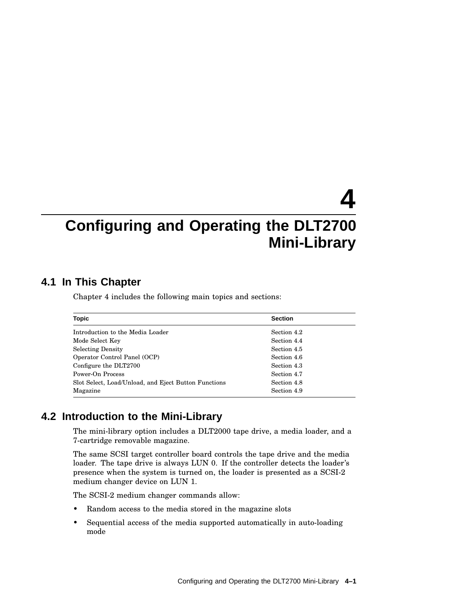# **4 Configuring and Operating the DLT2700 Mini-Library**

## **4.1 In This Chapter**

Chapter 4 includes the following main topics and sections:

| <b>Topic</b>                                         | <b>Section</b> |
|------------------------------------------------------|----------------|
| Introduction to the Media Loader                     | Section 4.2    |
| Mode Select Key                                      | Section 4.4    |
| <b>Selecting Density</b>                             | Section 4.5    |
| Operator Control Panel (OCP)                         | Section 4.6    |
| Configure the DLT2700                                | Section 4.3    |
| Power-On Process                                     | Section 4.7    |
| Slot Select, Load/Unload, and Eject Button Functions | Section 4.8    |
| Magazine                                             | Section 4.9    |

## **4.2 Introduction to the Mini-Library**

The mini-library option includes a DLT2000 tape drive, a media loader, and a 7-cartridge removable magazine.

The same SCSI target controller board controls the tape drive and the media loader. The tape drive is always LUN 0. If the controller detects the loader's presence when the system is turned on, the loader is presented as a SCSI-2 medium changer device on LUN 1.

The SCSI-2 medium changer commands allow:

- Random access to the media stored in the magazine slots
- Sequential access of the media supported automatically in auto-loading mode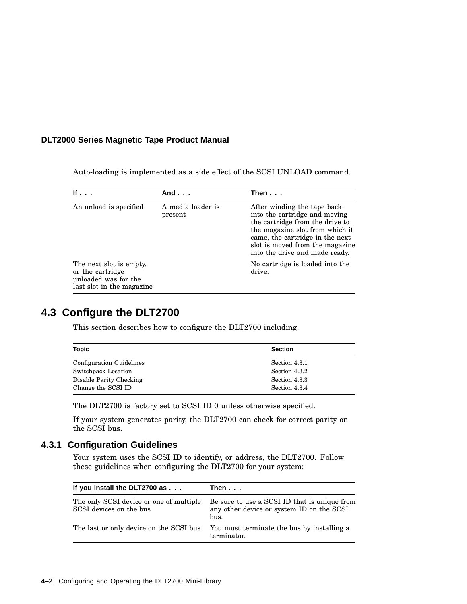Auto-loading is implemented as a side effect of the SCSI UNLOAD command.

| If $\cdot$ $\cdot$ $\cdot$                                                                       | And $\ldots$                 | Then $\ldots$                                                                                                                                                                                                                              |
|--------------------------------------------------------------------------------------------------|------------------------------|--------------------------------------------------------------------------------------------------------------------------------------------------------------------------------------------------------------------------------------------|
| An unload is specified                                                                           | A media loader is<br>present | After winding the tape back<br>into the cartridge and moving<br>the cartridge from the drive to<br>the magazine slot from which it<br>came, the cartridge in the next<br>slot is moved from the magazine<br>into the drive and made ready. |
| The next slot is empty,<br>or the cartridge<br>unloaded was for the<br>last slot in the magazine |                              | No cartridge is loaded into the<br>drive.                                                                                                                                                                                                  |

## **4.3 Configure the DLT2700**

This section describes how to configure the DLT2700 including:

| <b>Topic</b>                    | <b>Section</b> |  |
|---------------------------------|----------------|--|
| <b>Configuration Guidelines</b> | Section 4.3.1  |  |
| Switchpack Location             | Section 4.3.2  |  |
| Disable Parity Checking         | Section 4.3.3  |  |
| Change the SCSI ID              | Section 4.3.4  |  |

The DLT2700 is factory set to SCSI ID 0 unless otherwise specified.

If your system generates parity, the DLT2700 can check for correct parity on the SCSI bus.

## **4.3.1 Configuration Guidelines**

Your system uses the SCSI ID to identify, or address, the DLT2700. Follow these guidelines when configuring the DLT2700 for your system:

| If you install the DLT2700 as                                      | Then...                                                                                           |
|--------------------------------------------------------------------|---------------------------------------------------------------------------------------------------|
| The only SCSI device or one of multiple<br>SCSI devices on the bus | Be sure to use a SCSI ID that is unique from<br>any other device or system ID on the SCSI<br>bus. |
| The last or only device on the SCSI bus                            | You must terminate the bus by installing a<br>terminator.                                         |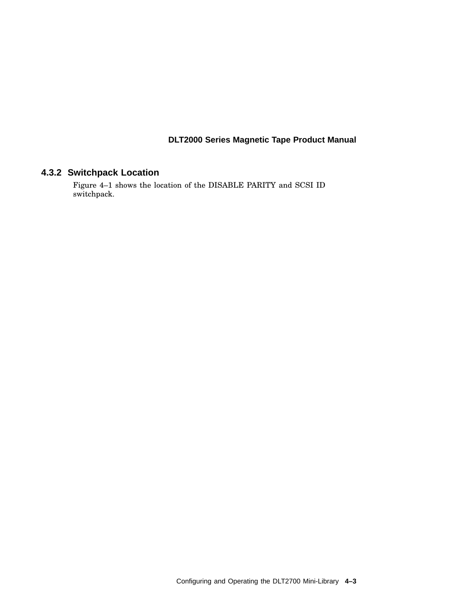## **4.3.2 Switchpack Location**

Figure 4–1 shows the location of the DISABLE PARITY and SCSI ID switchpack.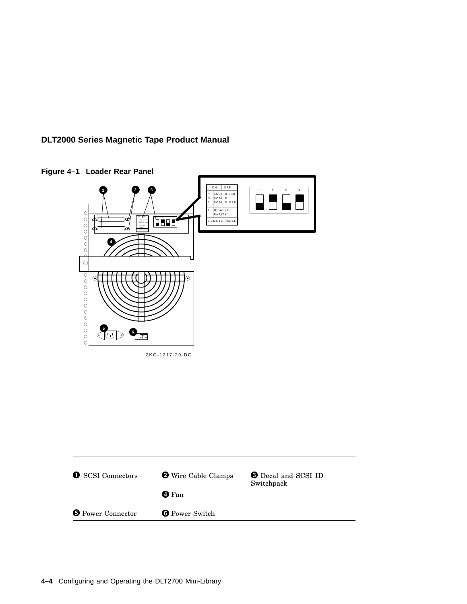



**Figure 4–1 Loader Rear Panel**

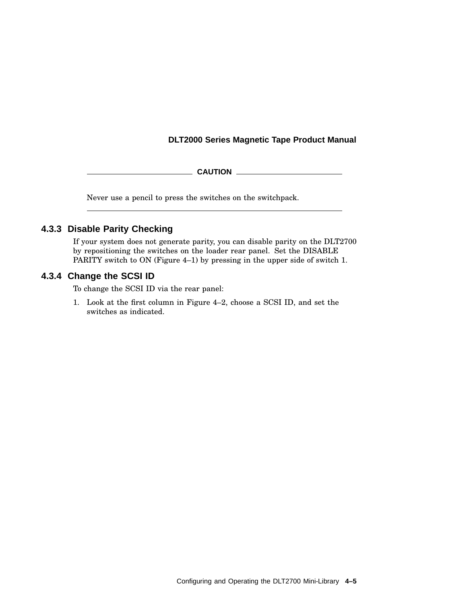**CAUTION** 2008 2008 2012 2022 2023 2024 2022 2022 2023 2024 2022 2023 2024 2025 2026 2027 2028 2022 2023 2024 20

Never use a pencil to press the switches on the switchpack.

## **4.3.3 Disable Parity Checking**

If your system does not generate parity, you can disable parity on the DLT2700 by repositioning the switches on the loader rear panel. Set the DISABLE PARITY switch to ON (Figure 4–1) by pressing in the upper side of switch 1.

## **4.3.4 Change the SCSI ID**

To change the SCSI ID via the rear panel:

1. Look at the first column in Figure 4–2, choose a SCSI ID, and set the switches as indicated.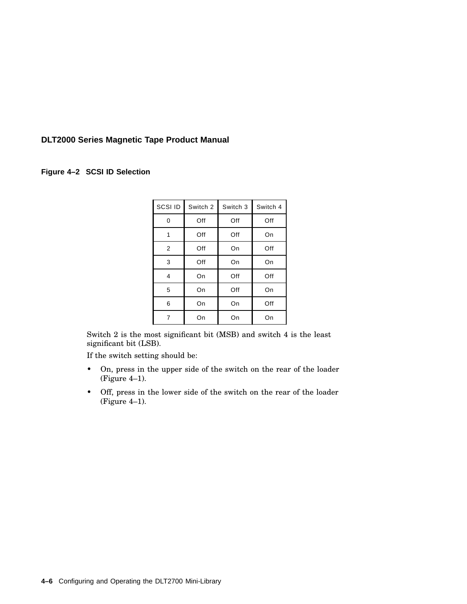#### **Figure 4–2 SCSI ID Selection**

| SCSI ID | Switch 2 | Switch 3 | Switch 4 |
|---------|----------|----------|----------|
| 0       | Off      | Off      | Off      |
| 1       | Off      | Off      | On       |
| 2       | Off      | On       | Off      |
| 3       | Off      | On       | On       |
| 4       | On       | Off      | Off      |
| 5       | On       | Off      | On       |
| 6       | On       | On       | Off      |
| 7       | On       | On       | On       |

Switch 2 is the most significant bit (MSB) and switch 4 is the least significant bit (LSB).

If the switch setting should be:

- On, press in the upper side of the switch on the rear of the loader (Figure 4–1).
- Off, press in the lower side of the switch on the rear of the loader (Figure 4–1).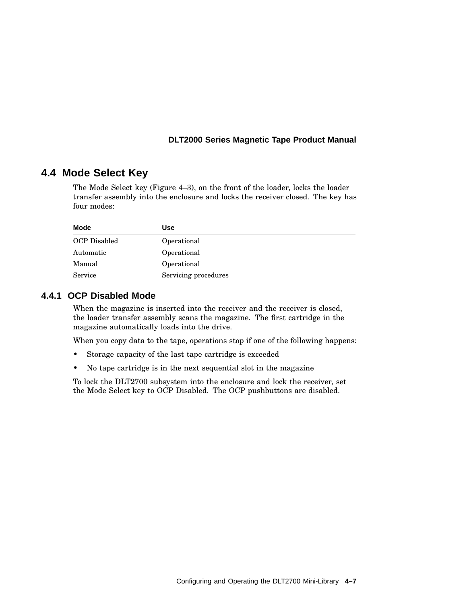## **4.4 Mode Select Key**

The Mode Select key (Figure 4–3), on the front of the loader, locks the loader transfer assembly into the enclosure and locks the receiver closed. The key has four modes:

| <b>Mode</b>  | Use                  |
|--------------|----------------------|
| OCP Disabled | Operational          |
| Automatic    | Operational          |
| Manual       | Operational          |
| Service      | Servicing procedures |

## **4.4.1 OCP Disabled Mode**

When the magazine is inserted into the receiver and the receiver is closed, the loader transfer assembly scans the magazine. The first cartridge in the magazine automatically loads into the drive.

When you copy data to the tape, operations stop if one of the following happens:

- Storage capacity of the last tape cartridge is exceeded
- No tape cartridge is in the next sequential slot in the magazine

To lock the DLT2700 subsystem into the enclosure and lock the receiver, set the Mode Select key to OCP Disabled. The OCP pushbuttons are disabled.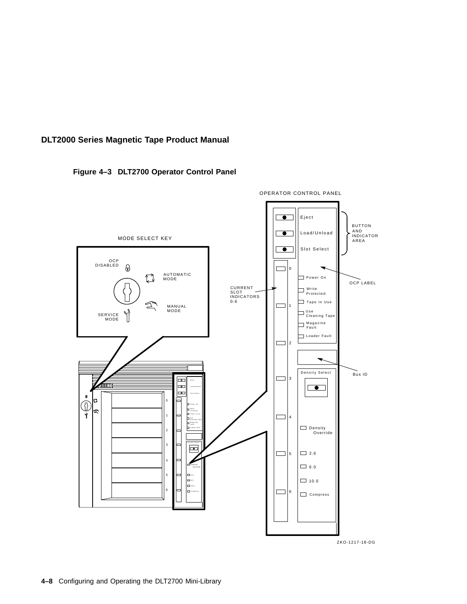### **Figure 4–3 DLT2700 Operator Control Panel**



**4–8** Configuring and Operating the DLT2700 Mini-Library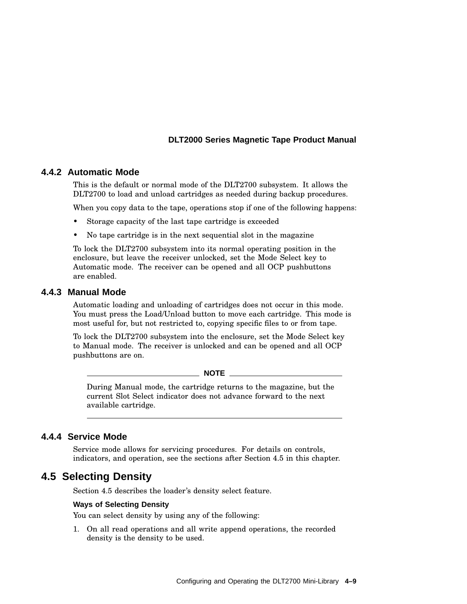### **4.4.2 Automatic Mode**

This is the default or normal mode of the DLT2700 subsystem. It allows the DLT2700 to load and unload cartridges as needed during backup procedures.

When you copy data to the tape, operations stop if one of the following happens:

- Storage capacity of the last tape cartridge is exceeded
- No tape cartridge is in the next sequential slot in the magazine

To lock the DLT2700 subsystem into its normal operating position in the enclosure, but leave the receiver unlocked, set the Mode Select key to Automatic mode. The receiver can be opened and all OCP pushbuttons are enabled.

### **4.4.3 Manual Mode**

Automatic loading and unloading of cartridges does not occur in this mode. You must press the Load/Unload button to move each cartridge. This mode is most useful for, but not restricted to, copying specific files to or from tape.

To lock the DLT2700 subsystem into the enclosure, set the Mode Select key to Manual mode. The receiver is unlocked and can be opened and all OCP pushbuttons are on.

**NOTE**

During Manual mode, the cartridge returns to the magazine, but the current Slot Select indicator does not advance forward to the next available cartridge.

### **4.4.4 Service Mode**

Service mode allows for servicing procedures. For details on controls, indicators, and operation, see the sections after Section 4.5 in this chapter.

## **4.5 Selecting Density**

Section 4.5 describes the loader's density select feature.

#### **Ways of Selecting Density**

You can select density by using any of the following:

1. On all read operations and all write append operations, the recorded density is the density to be used.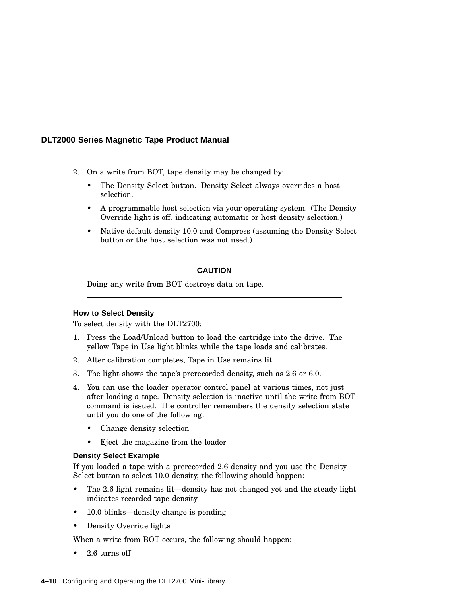- 2. On a write from BOT, tape density may be changed by:
	- The Density Select button. Density Select always overrides a host selection.
	- A programmable host selection via your operating system. (The Density Override light is off, indicating automatic or host density selection.)
	- Native default density 10.0 and Compress (assuming the Density Select button or the host selection was not used.)

**CAUTION**

Doing any write from BOT destroys data on tape.

#### **How to Select Density**

To select density with the DLT2700:

- 1. Press the Load/Unload button to load the cartridge into the drive. The yellow Tape in Use light blinks while the tape loads and calibrates.
- 2. After calibration completes, Tape in Use remains lit.
- 3. The light shows the tape's prerecorded density, such as 2.6 or 6.0.
- 4. You can use the loader operator control panel at various times, not just after loading a tape. Density selection is inactive until the write from BOT command is issued. The controller remembers the density selection state until you do one of the following:
	- Change density selection
	- Eject the magazine from the loader

#### **Density Select Example**

If you loaded a tape with a prerecorded 2.6 density and you use the Density Select button to select 10.0 density, the following should happen:

- The 2.6 light remains lit—density has not changed yet and the steady light indicates recorded tape density
- 10.0 blinks—density change is pending
- Density Override lights

When a write from BOT occurs, the following should happen:

• 2.6 turns off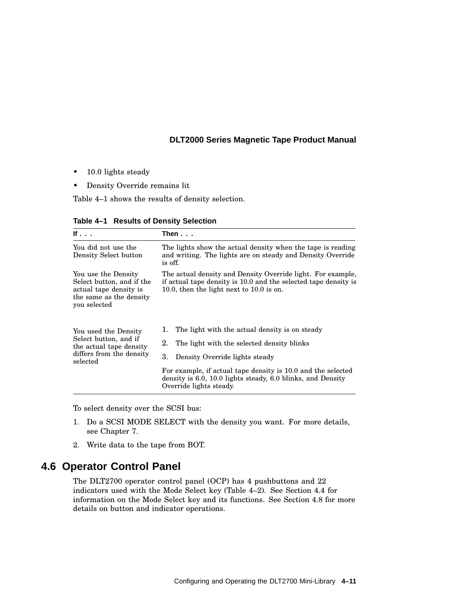- 10.0 lights steady
- Density Override remains lit

Table 4–1 shows the results of density selection.

| lf                                                                                                                    | Then...                                                                                                                                                                      |  |  |
|-----------------------------------------------------------------------------------------------------------------------|------------------------------------------------------------------------------------------------------------------------------------------------------------------------------|--|--|
| You did not use the<br>Density Select button                                                                          | The lights show the actual density when the tape is reading<br>and writing. The lights are on steady and Density Override<br>is off.                                         |  |  |
| You use the Density<br>Select button, and if the<br>actual tape density is<br>the same as the density<br>you selected | The actual density and Density Override light. For example,<br>if actual tape density is 10.0 and the selected tape density is<br>10.0, then the light next to $10.0$ is on. |  |  |
| You used the Density<br>Select button, and if<br>the actual tape density<br>differs from the density<br>selected      | The light with the actual density is on steady<br>1.                                                                                                                         |  |  |
|                                                                                                                       | 2.<br>The light with the selected density blinks                                                                                                                             |  |  |
|                                                                                                                       | 3.<br>Density Override lights steady                                                                                                                                         |  |  |
|                                                                                                                       | For example, if actual tape density is 10.0 and the selected<br>density is 6.0, 10.0 lights steady, 6.0 blinks, and Density<br>Override lights steady.                       |  |  |

**Table 4–1 Results of Density Selection**

To select density over the SCSI bus:

- 1. Do a SCSI MODE SELECT with the density you want. For more details, see Chapter 7.
- 2. Write data to the tape from BOT.

## **4.6 Operator Control Panel**

The DLT2700 operator control panel (OCP) has 4 pushbuttons and 22 indicators used with the Mode Select key (Table 4–2). See Section 4.4 for information on the Mode Select key and its functions. See Section 4.8 for more details on button and indicator operations.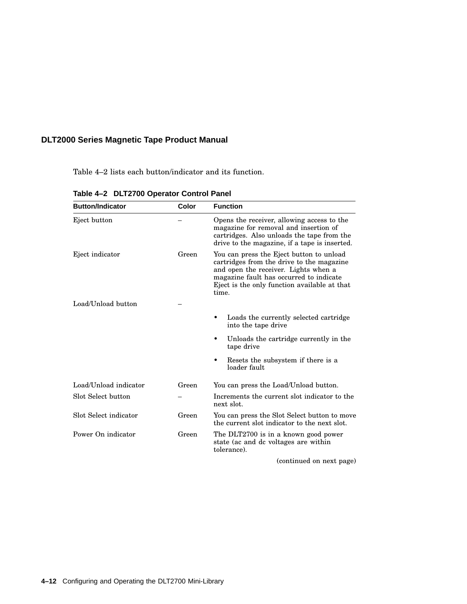Table 4–2 lists each button/indicator and its function.

| <b>Button/Indicator</b> | Color | <b>Function</b>                                                                                                                                                                                                                   |
|-------------------------|-------|-----------------------------------------------------------------------------------------------------------------------------------------------------------------------------------------------------------------------------------|
| Eject button            |       | Opens the receiver, allowing access to the<br>magazine for removal and insertion of<br>cartridges. Also unloads the tape from the<br>drive to the magazine, if a tape is inserted.                                                |
| Eject indicator         | Green | You can press the Eject button to unload<br>cartridges from the drive to the magazine<br>and open the receiver. Lights when a<br>magazine fault has occurred to indicate<br>Eject is the only function available at that<br>time. |
| Load/Unload button      |       |                                                                                                                                                                                                                                   |
|                         |       | Loads the currently selected cartridge<br>into the tape drive                                                                                                                                                                     |
|                         |       | Unloads the cartridge currently in the<br>tape drive                                                                                                                                                                              |
|                         |       | Resets the subsystem if there is a<br>loader fault                                                                                                                                                                                |
| Load/Unload indicator   | Green | You can press the Load/Unload button.                                                                                                                                                                                             |
| Slot Select button      |       | Increments the current slot indicator to the<br>next slot.                                                                                                                                                                        |
| Slot Select indicator   | Green | You can press the Slot Select button to move<br>the current slot indicator to the next slot.                                                                                                                                      |
| Power On indicator      | Green | The DLT2700 is in a known good power<br>state (ac and dc voltages are within<br>tolerance).                                                                                                                                       |
|                         |       |                                                                                                                                                                                                                                   |

**Table 4–2 DLT2700 Operator Control Panel**

(continued on next page)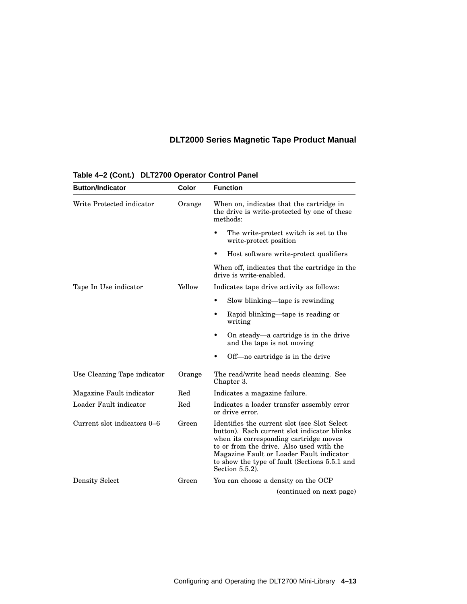| <b>Button/Indicator</b>     | Color  | <b>Function</b>                                                                                                                                                                                                                                                                                       |
|-----------------------------|--------|-------------------------------------------------------------------------------------------------------------------------------------------------------------------------------------------------------------------------------------------------------------------------------------------------------|
| Write Protected indicator   | Orange | When on, indicates that the cartridge in<br>the drive is write-protected by one of these<br>methods:                                                                                                                                                                                                  |
|                             |        | The write-protect switch is set to the<br>write-protect position                                                                                                                                                                                                                                      |
|                             |        | Host software write-protect qualifiers<br>٠                                                                                                                                                                                                                                                           |
|                             |        | When off, indicates that the cartridge in the<br>drive is write-enabled.                                                                                                                                                                                                                              |
| Tape In Use indicator       | Yellow | Indicates tape drive activity as follows:                                                                                                                                                                                                                                                             |
|                             |        | Slow blinking—tape is rewinding<br>٠                                                                                                                                                                                                                                                                  |
|                             |        | Rapid blinking—tape is reading or<br>writing                                                                                                                                                                                                                                                          |
|                             |        | On steady—a cartridge is in the drive<br>and the tape is not moving                                                                                                                                                                                                                                   |
|                             |        | Off—no cartridge is in the drive<br>٠                                                                                                                                                                                                                                                                 |
| Use Cleaning Tape indicator | Orange | The read/write head needs cleaning. See<br>Chapter 3.                                                                                                                                                                                                                                                 |
| Magazine Fault indicator    | Red    | Indicates a magazine failure.                                                                                                                                                                                                                                                                         |
| Loader Fault indicator      | Red    | Indicates a loader transfer assembly error<br>or drive error.                                                                                                                                                                                                                                         |
| Current slot indicators 0–6 | Green  | Identifies the current slot (see Slot Select)<br>button). Each current slot indicator blinks<br>when its corresponding cartridge moves<br>to or from the drive. Also used with the<br>Magazine Fault or Loader Fault indicator<br>to show the type of fault (Sections 5.5.1 and<br>Section $5.5.2$ ). |
| <b>Density Select</b>       | Green  | You can choose a density on the OCP                                                                                                                                                                                                                                                                   |
|                             |        | (continued on next page)                                                                                                                                                                                                                                                                              |

## **Table 4–2 (Cont.) DLT2700 Operator Control Panel**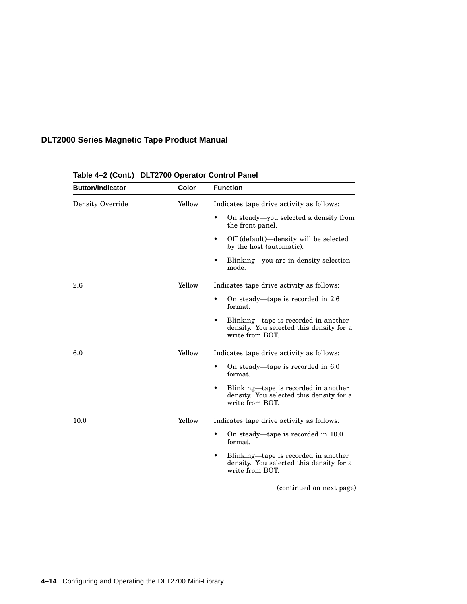| <b>Button/Indicator</b> | Color  | <b>Function</b>                                                                                          |
|-------------------------|--------|----------------------------------------------------------------------------------------------------------|
| Density Override        | Yellow | Indicates tape drive activity as follows:                                                                |
|                         |        | On steady—you selected a density from<br>٠<br>the front panel.                                           |
|                         |        | Off (default)—density will be selected<br>٠<br>by the host (automatic).                                  |
|                         |        | Blinking—you are in density selection<br>٠<br>mode.                                                      |
| 2.6                     | Yellow | Indicates tape drive activity as follows:                                                                |
|                         |        | On steady—tape is recorded in 2.6<br>٠<br>format.                                                        |
|                         |        | Blinking—tape is recorded in another<br>٠<br>density. You selected this density for a<br>write from BOT. |
| 6.0                     | Yellow | Indicates tape drive activity as follows:                                                                |
|                         |        | On steady—tape is recorded in 6.0<br>٠<br>format.                                                        |
|                         |        | Blinking—tape is recorded in another<br>٠<br>density. You selected this density for a<br>write from BOT. |
| 10.0                    | Yellow | Indicates tape drive activity as follows:                                                                |
|                         |        | $\bullet$<br>On steady—tape is recorded in 10.0<br>format.                                               |
|                         |        | Blinking—tape is recorded in another<br>٠<br>density. You selected this density for a<br>write from BOT. |
|                         |        | (continued on next page)                                                                                 |

## **Table 4–2 (Cont.) DLT2700 Operator Control Panel**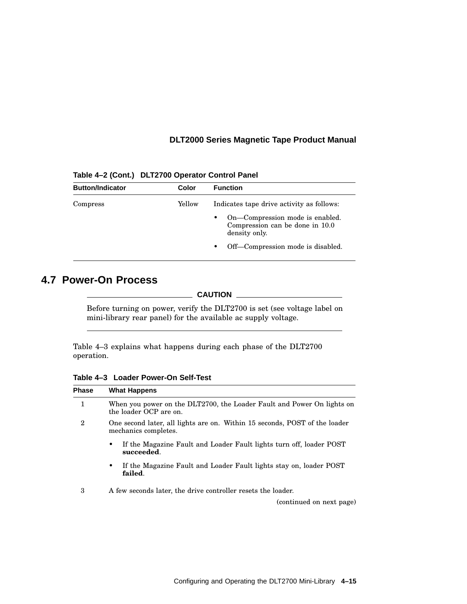| <b>Button/Indicator</b> | Color  | <b>Function</b>                                                                          |  |
|-------------------------|--------|------------------------------------------------------------------------------------------|--|
| Compress                | Yellow | Indicates tape drive activity as follows:                                                |  |
|                         |        | On-Compression mode is enabled.<br>٠<br>Compression can be done in 10.0<br>density only. |  |
|                         |        | Off—Compression mode is disabled.<br>$\bullet$                                           |  |

**Table 4–2 (Cont.) DLT2700 Operator Control Panel**

## **4.7 Power-On Process**

**CAUTION**

Before turning on power, verify the DLT2700 is set (see voltage label on mini-library rear panel) for the available ac supply voltage.

Table 4–3 explains what happens during each phase of the DLT2700 operation.

**Table 4–3 Loader Power-On Self-Test**

| <b>What Happens</b>                                                                                |
|----------------------------------------------------------------------------------------------------|
| When you power on the DLT2700, the Loader Fault and Power On lights on<br>the loader OCP are on.   |
| One second later, all lights are on. Within 15 seconds, POST of the loader<br>mechanics completes. |
| If the Magazine Fault and Loader Fault lights turn off, loader POST<br>٠<br>succeeded.             |
| If the Magazine Fault and Loader Fault lights stay on, loader POST<br>٠<br>failed.                 |
| A few seconds later, the drive controller resets the loader.<br>(continued on next page)           |
|                                                                                                    |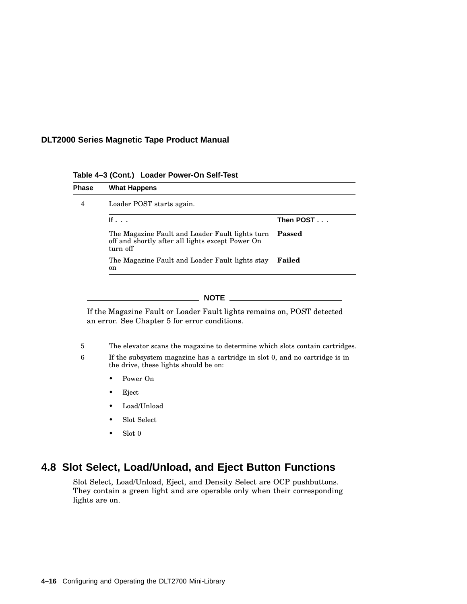**Table 4–3 (Cont.) Loader Power-On Self-Test**

| Phase | <b>What Happens</b>                                                                                             |           |
|-------|-----------------------------------------------------------------------------------------------------------------|-----------|
| 4     | Loader POST starts again.                                                                                       |           |
|       | If $\ldots$                                                                                                     | Then POST |
|       | The Magazine Fault and Loader Fault lights turn<br>off and shortly after all lights except Power On<br>turn off | Passed    |
|       | The Magazine Fault and Loader Fault lights stay<br>on                                                           | Failed    |

If the Magazine Fault or Loader Fault lights remains on, POST detected an error. See Chapter 5 for error conditions.

5 The elevator scans the magazine to determine which slots contain cartridges.

6 If the subsystem magazine has a cartridge in slot 0, and no cartridge is in the drive, these lights should be on:

- Power On
- Eject
- Load/Unload
- Slot Select
- Slot 0

## **4.8 Slot Select, Load/Unload, and Eject Button Functions**

Slot Select, Load/Unload, Eject, and Density Select are OCP pushbuttons. They contain a green light and are operable only when their corresponding lights are on.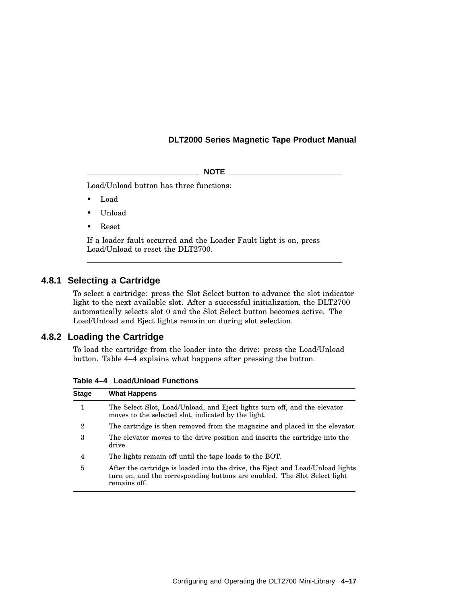$\_$  NOTE  $\_$ 

Load/Unload button has three functions:

- Load
- Unload
- Reset

If a loader fault occurred and the Loader Fault light is on, press Load/Unload to reset the DLT2700.

#### **4.8.1 Selecting a Cartridge**

To select a cartridge: press the Slot Select button to advance the slot indicator light to the next available slot. After a successful initialization, the DLT2700 automatically selects slot 0 and the Slot Select button becomes active. The Load/Unload and Eject lights remain on during slot selection.

#### **4.8.2 Loading the Cartridge**

To load the cartridge from the loader into the drive: press the Load/Unload button. Table 4–4 explains what happens after pressing the button.

**Table 4–4 Load/Unload Functions**

| <b>Stage</b>   | <b>What Happens</b>                                                                                                                                                         |
|----------------|-----------------------------------------------------------------------------------------------------------------------------------------------------------------------------|
|                | The Select Slot, Load/Unload, and Eject lights turn off, and the elevator<br>moves to the selected slot, indicated by the light.                                            |
| $\overline{2}$ | The cartridge is then removed from the magazine and placed in the elevator.                                                                                                 |
| 3              | The elevator moves to the drive position and inserts the cartridge into the<br>drive.                                                                                       |
| 4              | The lights remain off until the tape loads to the BOT.                                                                                                                      |
| 5              | After the cartridge is loaded into the drive, the Eject and Load/Unload lights<br>turn on, and the corresponding buttons are enabled. The Slot Select light<br>remains off. |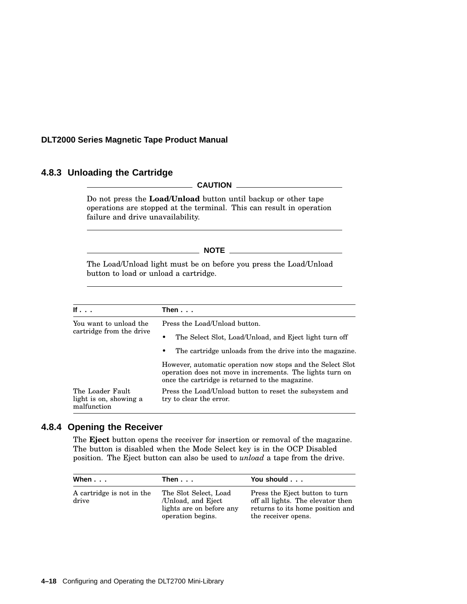#### **4.8.3 Unloading the Cartridge**

#### **CAUTION**

Do not press the **Load/Unload** button until backup or other tape operations are stopped at the terminal. This can result in operation failure and drive unavailability.

#### \_\_\_\_\_\_\_\_\_\_ NOTE \_\_\_\_\_\_\_\_\_\_\_\_

The Load/Unload light must be on before you press the Load/Unload button to load or unload a cartridge.

| If $\cdot$ $\cdot$ $\cdot$                                | Then $\ldots$                                                                                                                                                              |  |
|-----------------------------------------------------------|----------------------------------------------------------------------------------------------------------------------------------------------------------------------------|--|
| You want to unload the                                    | Press the Load/Unload button.                                                                                                                                              |  |
| cartridge from the drive                                  | The Select Slot, Load/Unload, and Eject light turn off                                                                                                                     |  |
|                                                           | The cartridge unloads from the drive into the magazine.<br>٠                                                                                                               |  |
|                                                           | However, automatic operation now stops and the Select Slot<br>operation does not move in increments. The lights turn on<br>once the cartridge is returned to the magazine. |  |
| The Loader Fault<br>light is on, showing a<br>malfunction | Press the Load/Unload button to reset the subsystem and<br>try to clear the error.                                                                                         |  |

#### **4.8.4 Opening the Receiver**

The **Eject** button opens the receiver for insertion or removal of the magazine. The button is disabled when the Mode Select key is in the OCP Disabled position. The Eject button can also be used to *unload* a tape from the drive.

| When...                            | Then $\ldots$                                                                                | You should                                                                                                                     |
|------------------------------------|----------------------------------------------------------------------------------------------|--------------------------------------------------------------------------------------------------------------------------------|
| A cartridge is not in the<br>drive | The Slot Select, Load<br>/Unload, and Eject<br>lights are on before any<br>operation begins. | Press the Eject button to turn<br>off all lights. The elevator then<br>returns to its home position and<br>the receiver opens. |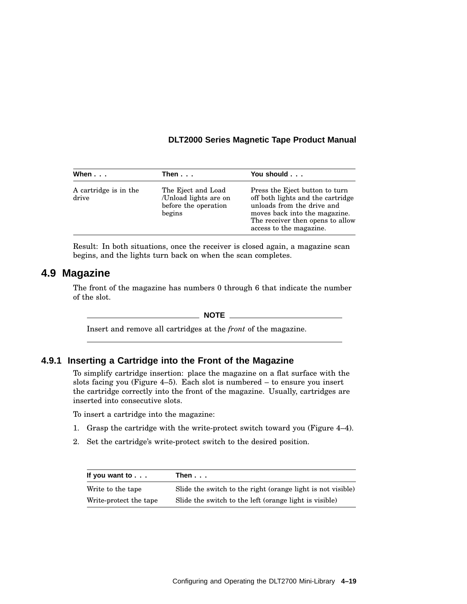| When                           | Then...                                                                       | You should                                                                                                                                                                                        |
|--------------------------------|-------------------------------------------------------------------------------|---------------------------------------------------------------------------------------------------------------------------------------------------------------------------------------------------|
| A cartridge is in the<br>drive | The Eject and Load<br>/Unload lights are on<br>before the operation<br>begins | Press the Eject button to turn<br>off both lights and the cartridge<br>unloads from the drive and<br>moves back into the magazine.<br>The receiver then opens to allow<br>access to the magazine. |

Result: In both situations, once the receiver is closed again, a magazine scan begins, and the lights turn back on when the scan completes.

## **4.9 Magazine**

The front of the magazine has numbers 0 through 6 that indicate the number of the slot.

 $\_$  NOTE  $\_$ 

Insert and remove all cartridges at the *front* of the magazine.

#### **4.9.1 Inserting a Cartridge into the Front of the Magazine**

To simplify cartridge insertion: place the magazine on a flat surface with the slots facing you (Figure 4–5). Each slot is numbered – to ensure you insert the cartridge correctly into the front of the magazine. Usually, cartridges are inserted into consecutive slots.

To insert a cartridge into the magazine:

- 1. Grasp the cartridge with the write-protect switch toward you (Figure 4–4).
- 2. Set the cartridge's write-protect switch to the desired position.

| If you want to $\ldots$ | Then...                                                     |
|-------------------------|-------------------------------------------------------------|
| Write to the tape       | Slide the switch to the right (orange light is not visible) |
| Write-protect the tape  | Slide the switch to the left (orange light is visible)      |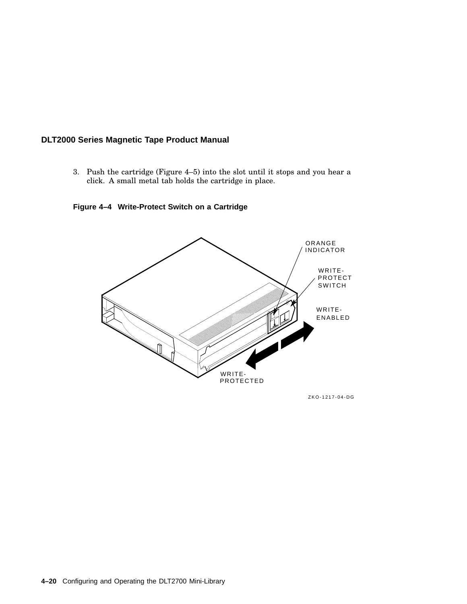3. Push the cartridge (Figure 4–5) into the slot until it stops and you hear a click. A small metal tab holds the cartridge in place.





ZKO-1217-04-DG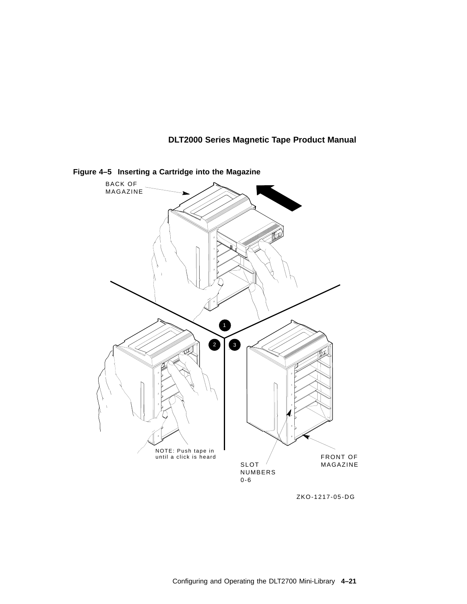

**Figure 4–5 Inserting a Cartridge into the Magazine**

ZKO-1217-05-DG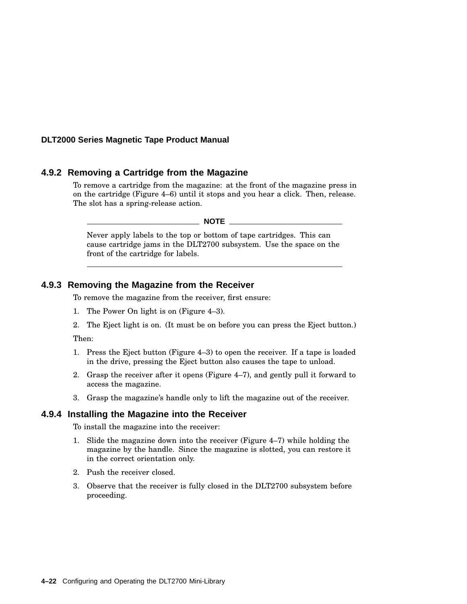#### **4.9.2 Removing a Cartridge from the Magazine**

To remove a cartridge from the magazine: at the front of the magazine press in on the cartridge (Figure 4–6) until it stops and you hear a click. Then, release. The slot has a spring-release action.

**NOTE** \_\_\_\_\_

Never apply labels to the top or bottom of tape cartridges. This can cause cartridge jams in the DLT2700 subsystem. Use the space on the front of the cartridge for labels.

#### **4.9.3 Removing the Magazine from the Receiver**

To remove the magazine from the receiver, first ensure:

- 1. The Power On light is on (Figure 4–3).
- 2. The Eject light is on. (It must be on before you can press the Eject button.)

Then:

- 1. Press the Eject button (Figure 4–3) to open the receiver. If a tape is loaded in the drive, pressing the Eject button also causes the tape to unload.
- 2. Grasp the receiver after it opens (Figure 4–7), and gently pull it forward to access the magazine.
- 3. Grasp the magazine's handle only to lift the magazine out of the receiver.

#### **4.9.4 Installing the Magazine into the Receiver**

To install the magazine into the receiver:

- 1. Slide the magazine down into the receiver (Figure 4–7) while holding the magazine by the handle. Since the magazine is slotted, you can restore it in the correct orientation only.
- 2. Push the receiver closed.
- 3. Observe that the receiver is fully closed in the DLT2700 subsystem before proceeding.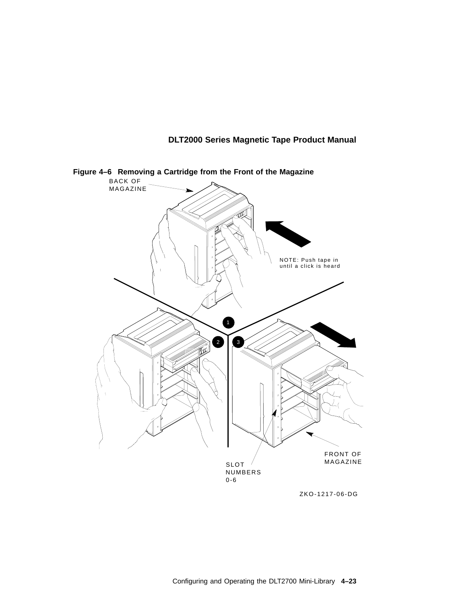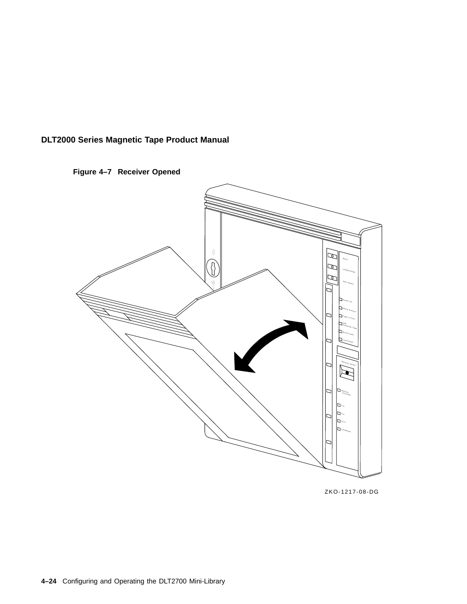



ZKO-1217-08-DG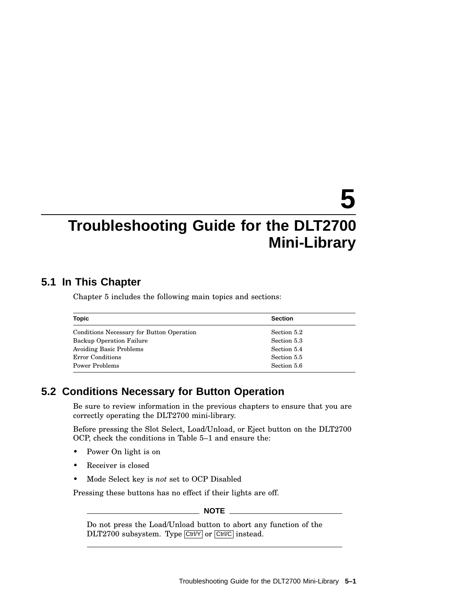# **5 Troubleshooting Guide for the DLT2700 Mini-Library**

## **5.1 In This Chapter**

Chapter 5 includes the following main topics and sections:

| <b>Topic</b>                              | <b>Section</b> |
|-------------------------------------------|----------------|
| Conditions Necessary for Button Operation | Section 5.2    |
| <b>Backup Operation Failure</b>           | Section 5.3    |
| Avoiding Basic Problems                   | Section 5.4    |
| Error Conditions                          | Section 5.5    |
| Power Problems                            | Section 5.6    |

## **5.2 Conditions Necessary for Button Operation**

Be sure to review information in the previous chapters to ensure that you are correctly operating the DLT2700 mini-library.

Before pressing the Slot Select, Load/Unload, or Eject button on the DLT2700 OCP, check the conditions in Table 5–1 and ensure the:

- Power On light is on
- Receiver is closed
- Mode Select key is *not* set to OCP Disabled

Pressing these buttons has no effect if their lights are off.

**NOTE**

Do not press the Load/Unload button to abort any function of the DLT2700 subsystem. Type Ctrl/Y or Ctrl/C instead.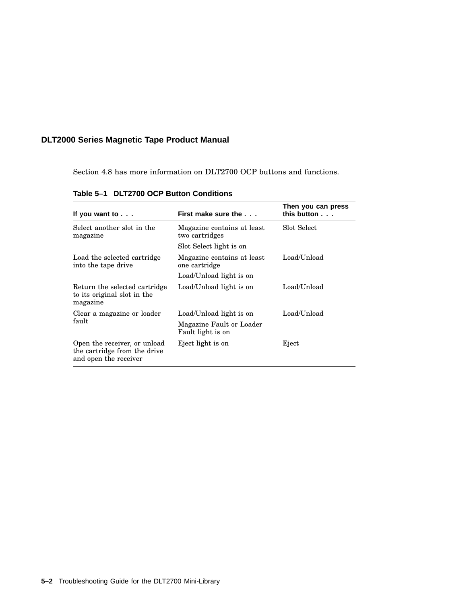Section 4.8 has more information on DLT2700 OCP buttons and functions.

| If you want to $\ldots$                                                               | First make sure the                           | Then you can press<br>this button |
|---------------------------------------------------------------------------------------|-----------------------------------------------|-----------------------------------|
| Select another slot in the<br>magazine                                                | Magazine contains at least<br>two cartridges  | Slot Select                       |
|                                                                                       | Slot Select light is on                       |                                   |
| Load the selected cartridge<br>into the tape drive                                    | Magazine contains at least<br>one cartridge   | Load/Unload                       |
|                                                                                       | Load/Unload light is on                       |                                   |
| Return the selected cartridge<br>to its original slot in the<br>magazine              | Load/Unload light is on                       | Load/Unload                       |
| Clear a magazine or loader                                                            | Load/Unload light is on                       | Load/Unload                       |
| fault                                                                                 | Magazine Fault or Loader<br>Fault light is on |                                   |
| Open the receiver, or unload<br>the cartridge from the drive<br>and open the receiver | Eject light is on                             | Eject                             |

**Table 5–1 DLT2700 OCP Button Conditions**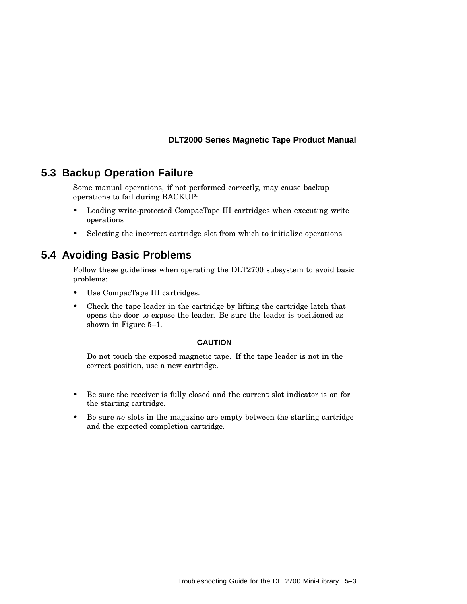## **5.3 Backup Operation Failure**

Some manual operations, if not performed correctly, may cause backup operations to fail during BACKUP:

- Loading write-protected CompacTape III cartridges when executing write operations
- Selecting the incorrect cartridge slot from which to initialize operations

## **5.4 Avoiding Basic Problems**

Follow these guidelines when operating the DLT2700 subsystem to avoid basic problems:

- Use CompacTape III cartridges.
- Check the tape leader in the cartridge by lifting the cartridge latch that opens the door to expose the leader. Be sure the leader is positioned as shown in Figure 5–1.

**CAUTION**

Do not touch the exposed magnetic tape. If the tape leader is not in the correct position, use a new cartridge.

- Be sure the receiver is fully closed and the current slot indicator is on for the starting cartridge.
- Be sure *no* slots in the magazine are empty between the starting cartridge and the expected completion cartridge.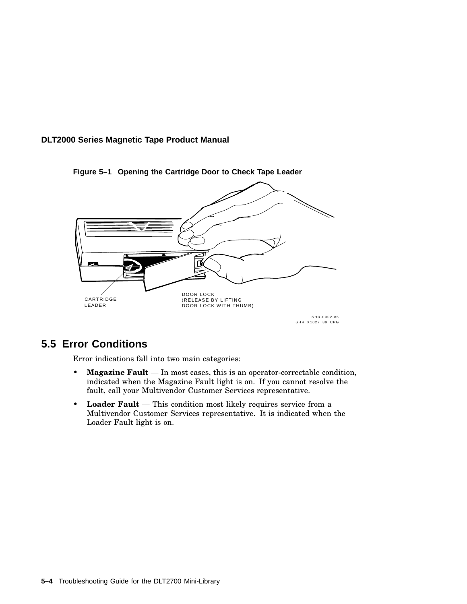

**Figure 5–1 Opening the Cartridge Door to Check Tape Leader**

## **5.5 Error Conditions**

Error indications fall into two main categories:

- **Magazine Fault** In most cases, this is an operator-correctable condition, indicated when the Magazine Fault light is on. If you cannot resolve the fault, call your Multivendor Customer Services representative.
- **Loader Fault** This condition most likely requires service from a Multivendor Customer Services representative. It is indicated when the Loader Fault light is on.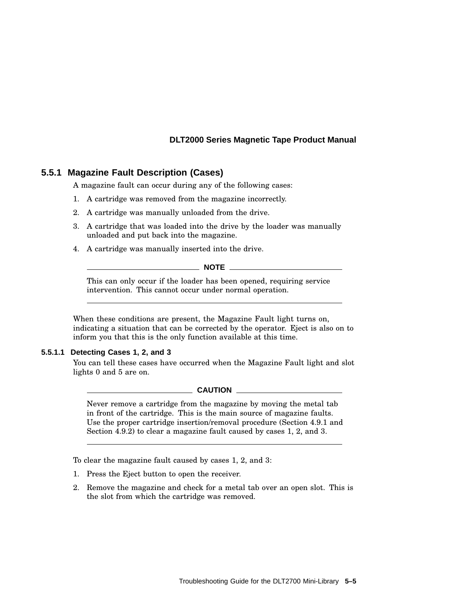#### **5.5.1 Magazine Fault Description (Cases)**

A magazine fault can occur during any of the following cases:

- 1. A cartridge was removed from the magazine incorrectly.
- 2. A cartridge was manually unloaded from the drive.
- 3. A cartridge that was loaded into the drive by the loader was manually unloaded and put back into the magazine.
- 4. A cartridge was manually inserted into the drive.

**NOTE**

This can only occur if the loader has been opened, requiring service intervention. This cannot occur under normal operation.

When these conditions are present, the Magazine Fault light turns on, indicating a situation that can be corrected by the operator. Eject is also on to inform you that this is the only function available at this time.

#### **5.5.1.1 Detecting Cases 1, 2, and 3**

You can tell these cases have occurred when the Magazine Fault light and slot lights 0 and 5 are on.

**CAUTION**

Never remove a cartridge from the magazine by moving the metal tab in front of the cartridge. This is the main source of magazine faults. Use the proper cartridge insertion/removal procedure (Section 4.9.1 and Section 4.9.2) to clear a magazine fault caused by cases 1, 2, and 3.

To clear the magazine fault caused by cases 1, 2, and 3:

- 1. Press the Eject button to open the receiver.
- 2. Remove the magazine and check for a metal tab over an open slot. This is the slot from which the cartridge was removed.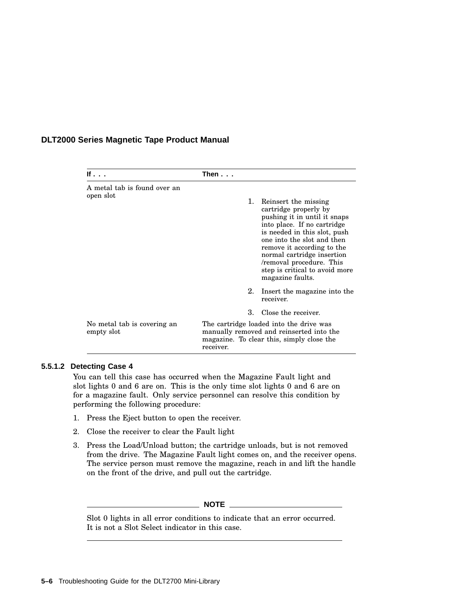| If $\cdot$ $\cdot$ $\cdot$                | Then...                                                                                                                                       |    |                                                                                                                                                                                                                                                                                                                          |
|-------------------------------------------|-----------------------------------------------------------------------------------------------------------------------------------------------|----|--------------------------------------------------------------------------------------------------------------------------------------------------------------------------------------------------------------------------------------------------------------------------------------------------------------------------|
| A metal tab is found over an              |                                                                                                                                               |    |                                                                                                                                                                                                                                                                                                                          |
| open slot                                 |                                                                                                                                               | 1. | Reinsert the missing<br>cartridge properly by<br>pushing it in until it snaps<br>into place. If no cartridge<br>is needed in this slot, push<br>one into the slot and then<br>remove it according to the<br>normal cartridge insertion<br>/removal procedure. This<br>step is critical to avoid more<br>magazine faults. |
|                                           |                                                                                                                                               | 2. | Insert the magazine into the<br>receiver.                                                                                                                                                                                                                                                                                |
|                                           |                                                                                                                                               | 3. | Close the receiver.                                                                                                                                                                                                                                                                                                      |
| No metal tab is covering an<br>empty slot | The cartridge loaded into the drive was<br>manually removed and reinserted into the<br>magazine. To clear this, simply close the<br>receiver. |    |                                                                                                                                                                                                                                                                                                                          |

#### **5.5.1.2 Detecting Case 4**

You can tell this case has occurred when the Magazine Fault light and slot lights 0 and 6 are on. This is the only time slot lights 0 and 6 are on for a magazine fault. Only service personnel can resolve this condition by performing the following procedure:

- 1. Press the Eject button to open the receiver.
- 2. Close the receiver to clear the Fault light
- 3. Press the Load/Unload button; the cartridge unloads, but is not removed from the drive. The Magazine Fault light comes on, and the receiver opens. The service person must remove the magazine, reach in and lift the handle on the front of the drive, and pull out the cartridge.

#### **NOTE**

Slot 0 lights in all error conditions to indicate that an error occurred. It is not a Slot Select indicator in this case.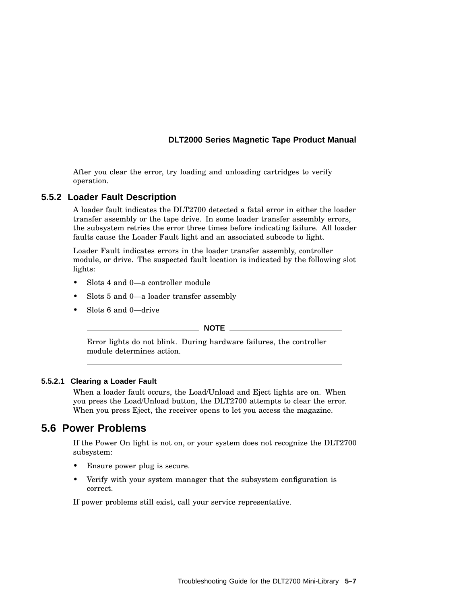After you clear the error, try loading and unloading cartridges to verify operation.

#### **5.5.2 Loader Fault Description**

A loader fault indicates the DLT2700 detected a fatal error in either the loader transfer assembly or the tape drive. In some loader transfer assembly errors, the subsystem retries the error three times before indicating failure. All loader faults cause the Loader Fault light and an associated subcode to light.

Loader Fault indicates errors in the loader transfer assembly, controller module, or drive. The suspected fault location is indicated by the following slot lights:

- Slots 4 and 0—a controller module
- Slots 5 and 0—a loader transfer assembly
- Slots 6 and 0—drive

#### **NOTE**

Error lights do not blink. During hardware failures, the controller module determines action.

#### **5.5.2.1 Clearing a Loader Fault**

When a loader fault occurs, the Load/Unload and Eject lights are on. When you press the Load/Unload button, the DLT2700 attempts to clear the error. When you press Eject, the receiver opens to let you access the magazine.

#### **5.6 Power Problems**

If the Power On light is not on, or your system does not recognize the DLT2700 subsystem:

- Ensure power plug is secure.
- Verify with your system manager that the subsystem configuration is correct.

If power problems still exist, call your service representative.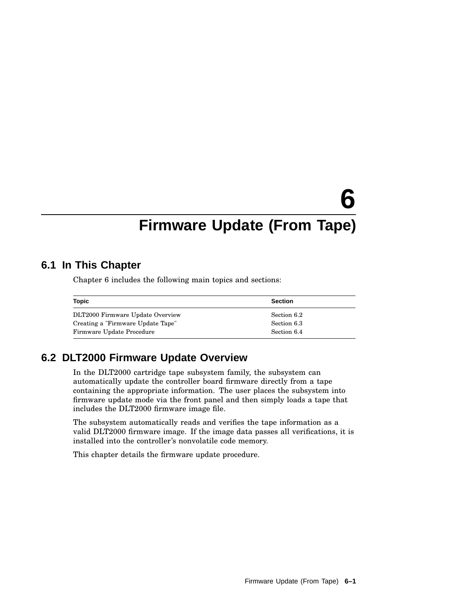# **6**

## **Firmware Update (From Tape)**

## **6.1 In This Chapter**

Chapter 6 includes the following main topics and sections:

| Topic                             | <b>Section</b> |
|-----------------------------------|----------------|
| DLT2000 Firmware Update Overview  | Section 6.2    |
| Creating a "Firmware Update Tape" | Section 6.3    |
| Firmware Update Procedure         | Section 6.4    |

## **6.2 DLT2000 Firmware Update Overview**

In the DLT2000 cartridge tape subsystem family, the subsystem can automatically update the controller board firmware directly from a tape containing the appropriate information. The user places the subsystem into firmware update mode via the front panel and then simply loads a tape that includes the DLT2000 firmware image file.

The subsystem automatically reads and verifies the tape information as a valid DLT2000 firmware image. If the image data passes all verifications, it is installed into the controller's nonvolatile code memory.

This chapter details the firmware update procedure.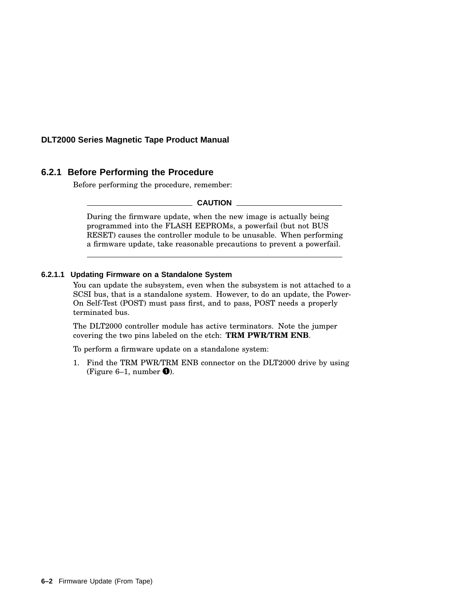#### **6.2.1 Before Performing the Procedure**

Before performing the procedure, remember:

**CAUTION**

During the firmware update, when the new image is actually being programmed into the FLASH EEPROMs, a powerfail (but not BUS RESET) causes the controller module to be unusable. When performing a firmware update, take reasonable precautions to prevent a powerfail.

#### **6.2.1.1 Updating Firmware on a Standalone System**

You can update the subsystem, even when the subsystem is not attached to a SCSI bus, that is a standalone system. However, to do an update, the Power-On Self-Test (POST) must pass first, and to pass, POST needs a properly terminated bus.

The DLT2000 controller module has active terminators. Note the jumper covering the two pins labeled on the etch: **TRM PWR/TRM ENB**.

To perform a firmware update on a standalone system:

1. Find the TRM PWR/TRM ENB connector on the DLT2000 drive by using (Figure 6–1, number  $\bullet$ ).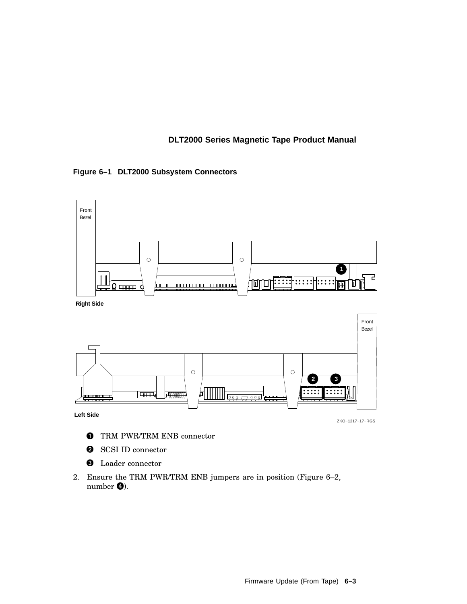#### **Figure 6–1 DLT2000 Subsystem Connectors**



- **O** TRM PWR/TRM ENB connector
- **2** SCSI ID connector
- **O** Loader connector
- 2. Ensure the TRM PWR/TRM ENB jumpers are in position (Figure 6–2, number  $\bullet$ ).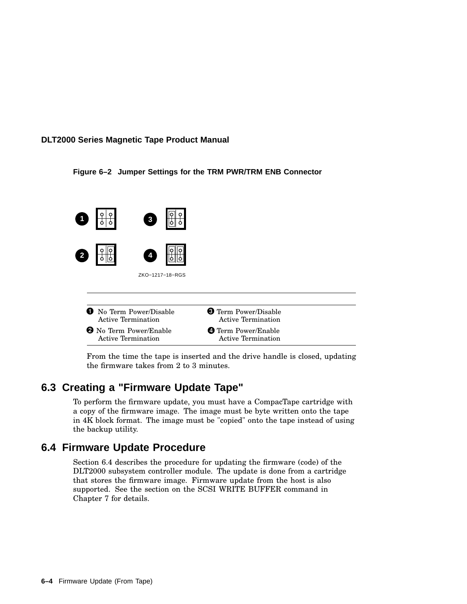#### **Figure 6–2 Jumper Settings for the TRM PWR/TRM ENB Connector**



From the time the tape is inserted and the drive handle is closed, updating the firmware takes from 2 to 3 minutes.

## **6.3 Creating a "Firmware Update Tape"**

To perform the firmware update, you must have a CompacTape cartridge with a copy of the firmware image. The image must be byte written onto the tape in 4K block format. The image must be "copied" onto the tape instead of using the backup utility.

## **6.4 Firmware Update Procedure**

Section 6.4 describes the procedure for updating the firmware (code) of the DLT2000 subsystem controller module. The update is done from a cartridge that stores the firmware image. Firmware update from the host is also supported. See the section on the SCSI WRITE BUFFER command in Chapter 7 for details.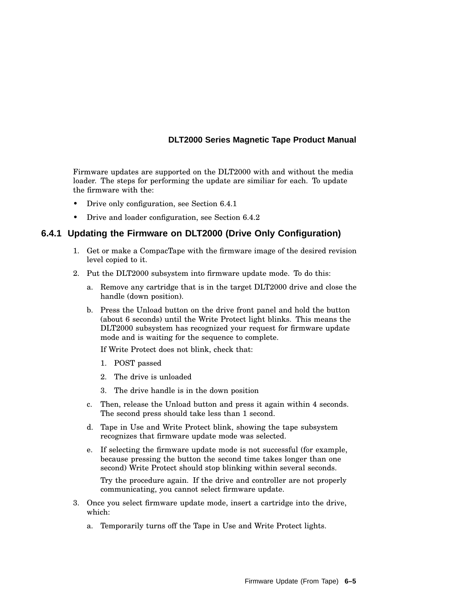Firmware updates are supported on the DLT2000 with and without the media loader. The steps for performing the update are similiar for each. To update the firmware with the:

- Drive only configuration, see Section 6.4.1
- Drive and loader configuration, see Section 6.4.2

#### **6.4.1 Updating the Firmware on DLT2000 (Drive Only Configuration)**

- 1. Get or make a CompacTape with the firmware image of the desired revision level copied to it.
- 2. Put the DLT2000 subsystem into firmware update mode. To do this:
	- a. Remove any cartridge that is in the target DLT2000 drive and close the handle (down position).
	- b. Press the Unload button on the drive front panel and hold the button (about 6 seconds) until the Write Protect light blinks. This means the DLT2000 subsystem has recognized your request for firmware update mode and is waiting for the sequence to complete.

If Write Protect does not blink, check that:

- 1. POST passed
- 2. The drive is unloaded
- 3. The drive handle is in the down position
- c. Then, release the Unload button and press it again within 4 seconds. The second press should take less than 1 second.
- d. Tape in Use and Write Protect blink, showing the tape subsystem recognizes that firmware update mode was selected.
- e. If selecting the firmware update mode is not successful (for example, because pressing the button the second time takes longer than one second) Write Protect should stop blinking within several seconds.

Try the procedure again. If the drive and controller are not properly communicating, you cannot select firmware update.

- 3. Once you select firmware update mode, insert a cartridge into the drive, which:
	- a. Temporarily turns off the Tape in Use and Write Protect lights.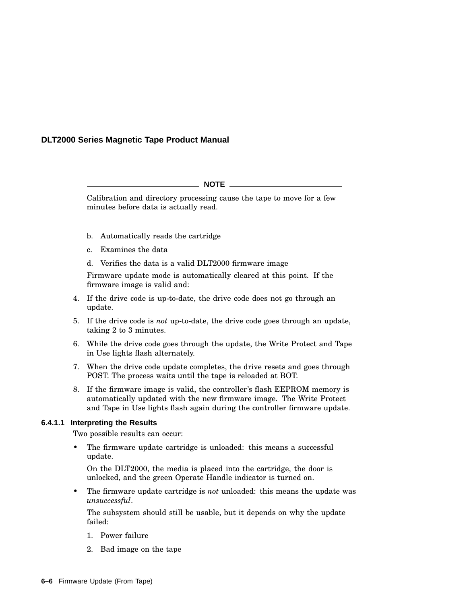#### **NOTE**

Calibration and directory processing cause the tape to move for a few minutes before data is actually read.

- b. Automatically reads the cartridge
- c. Examines the data
- d. Verifies the data is a valid DLT2000 firmware image

Firmware update mode is automatically cleared at this point. If the firmware image is valid and:

- 4. If the drive code is up-to-date, the drive code does not go through an update.
- 5. If the drive code is *not* up-to-date, the drive code goes through an update, taking 2 to 3 minutes.
- 6. While the drive code goes through the update, the Write Protect and Tape in Use lights flash alternately.
- 7. When the drive code update completes, the drive resets and goes through POST. The process waits until the tape is reloaded at BOT.
- 8. If the firmware image is valid, the controller's flash EEPROM memory is automatically updated with the new firmware image. The Write Protect and Tape in Use lights flash again during the controller firmware update.

#### **6.4.1.1 Interpreting the Results**

Two possible results can occur:

The firmware update cartridge is unloaded: this means a successful update.

On the DLT2000, the media is placed into the cartridge, the door is unlocked, and the green Operate Handle indicator is turned on.

• The firmware update cartridge is *not* unloaded: this means the update was *unsuccessful*.

The subsystem should still be usable, but it depends on why the update failed:

- 1. Power failure
- 2. Bad image on the tape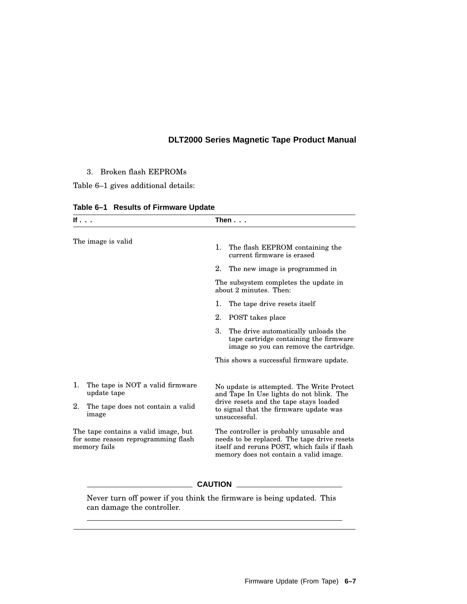3. Broken flash EEPROMs

Table 6–1 gives additional details:

| If $\ldots$                                                                                 |                                                 | Then...                                                                                                                                                                                    |  |
|---------------------------------------------------------------------------------------------|-------------------------------------------------|--------------------------------------------------------------------------------------------------------------------------------------------------------------------------------------------|--|
| The image is valid                                                                          |                                                 | 1. The flash EEPROM containing the<br>current firmware is erased                                                                                                                           |  |
|                                                                                             |                                                 | 2.<br>The new image is programmed in                                                                                                                                                       |  |
|                                                                                             |                                                 | The subsystem completes the update in<br>about 2 minutes. Then:                                                                                                                            |  |
|                                                                                             |                                                 | 1.<br>The tape drive resets itself                                                                                                                                                         |  |
|                                                                                             |                                                 | 2.<br>POST takes place                                                                                                                                                                     |  |
|                                                                                             |                                                 | 3.<br>The drive automatically unloads the<br>tape cartridge containing the firmware<br>image so you can remove the cartridge.                                                              |  |
|                                                                                             |                                                 | This shows a successful firmware update.                                                                                                                                                   |  |
| 1.                                                                                          | The tape is NOT a valid firmware<br>update tape | No update is attempted. The Write Protect<br>and Tape In Use lights do not blink. The<br>drive resets and the tape stays loaded<br>to signal that the firmware update was<br>unsuccessful. |  |
| 2.                                                                                          | The tape does not contain a valid<br>image      |                                                                                                                                                                                            |  |
| The tape contains a valid image, but<br>for some reason reprogramming flash<br>memory fails |                                                 | The controller is probably unusable and<br>needs to be replaced. The tape drive resets<br>itself and reruns POST, which fails if flash<br>memory does not contain a valid image.           |  |

**Table 6–1 Results of Firmware Update**

Never turn off power if you think the firmware is being updated. This can damage the controller.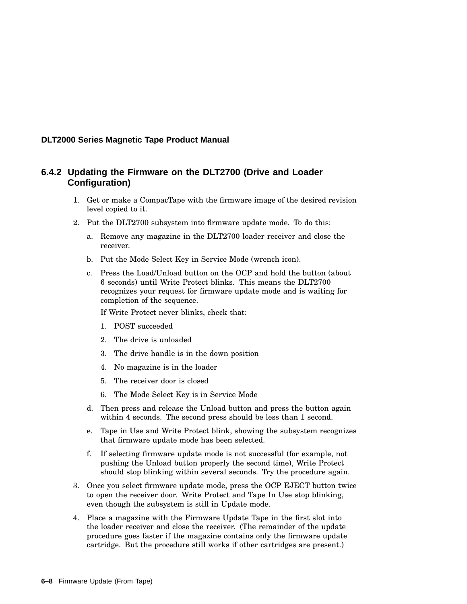#### **6.4.2 Updating the Firmware on the DLT2700 (Drive and Loader Configuration)**

- 1. Get or make a CompacTape with the firmware image of the desired revision level copied to it.
- 2. Put the DLT2700 subsystem into firmware update mode. To do this:
	- a. Remove any magazine in the DLT2700 loader receiver and close the receiver.
	- b. Put the Mode Select Key in Service Mode (wrench icon).
	- c. Press the Load/Unload button on the OCP and hold the button (about 6 seconds) until Write Protect blinks. This means the DLT2700 recognizes your request for firmware update mode and is waiting for completion of the sequence.

If Write Protect never blinks, check that:

- 1. POST succeeded
- 2. The drive is unloaded
- 3. The drive handle is in the down position
- 4. No magazine is in the loader
- 5. The receiver door is closed
- 6. The Mode Select Key is in Service Mode
- d. Then press and release the Unload button and press the button again within 4 seconds. The second press should be less than 1 second.
- e. Tape in Use and Write Protect blink, showing the subsystem recognizes that firmware update mode has been selected.
- f. If selecting firmware update mode is not successful (for example, not pushing the Unload button properly the second time), Write Protect should stop blinking within several seconds. Try the procedure again.
- 3. Once you select firmware update mode, press the OCP EJECT button twice to open the receiver door. Write Protect and Tape In Use stop blinking, even though the subsystem is still in Update mode.
- 4. Place a magazine with the Firmware Update Tape in the first slot into the loader receiver and close the receiver. (The remainder of the update procedure goes faster if the magazine contains only the firmware update cartridge. But the procedure still works if other cartridges are present.)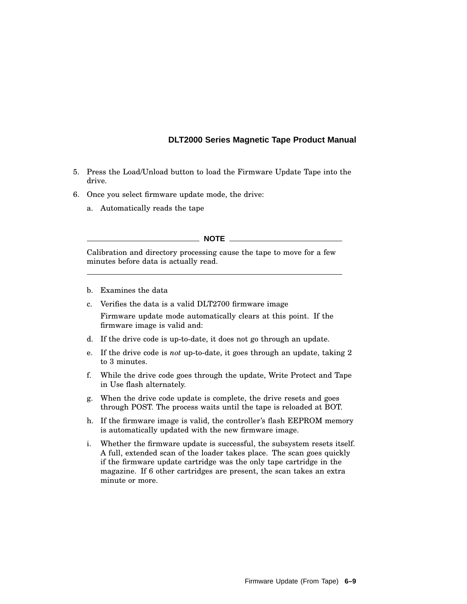- 5. Press the Load/Unload button to load the Firmware Update Tape into the drive.
- 6. Once you select firmware update mode, the drive:
	- a. Automatically reads the tape

#### **NOTE**

Calibration and directory processing cause the tape to move for a few minutes before data is actually read.

- b. Examines the data
- c. Verifies the data is a valid DLT2700 firmware image

Firmware update mode automatically clears at this point. If the firmware image is valid and:

- d. If the drive code is up-to-date, it does not go through an update.
- e. If the drive code is *not* up-to-date, it goes through an update, taking 2 to 3 minutes.
- f. While the drive code goes through the update, Write Protect and Tape in Use flash alternately.
- g. When the drive code update is complete, the drive resets and goes through POST. The process waits until the tape is reloaded at BOT.
- h. If the firmware image is valid, the controller's flash EEPROM memory is automatically updated with the new firmware image.
- i. Whether the firmware update is successful, the subsystem resets itself. A full, extended scan of the loader takes place. The scan goes quickly if the firmware update cartridge was the only tape cartridge in the magazine. If 6 other cartridges are present, the scan takes an extra minute or more.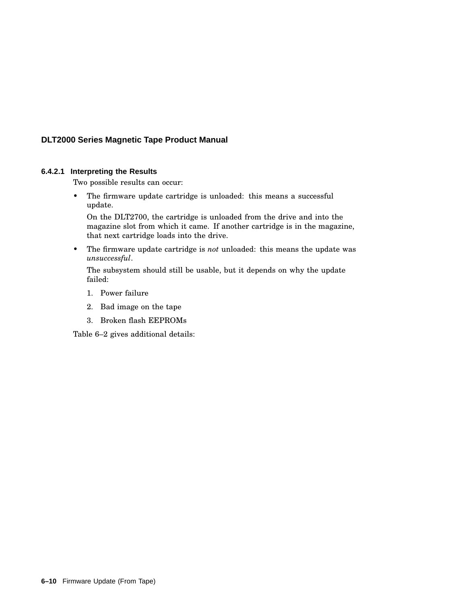#### **6.4.2.1 Interpreting the Results**

Two possible results can occur:

• The firmware update cartridge is unloaded: this means a successful update.

On the DLT2700, the cartridge is unloaded from the drive and into the magazine slot from which it came. If another cartridge is in the magazine, that next cartridge loads into the drive.

• The firmware update cartridge is *not* unloaded: this means the update was *unsuccessful*.

The subsystem should still be usable, but it depends on why the update failed:

- 1. Power failure
- 2. Bad image on the tape
- 3. Broken flash EEPROMs

Table 6–2 gives additional details: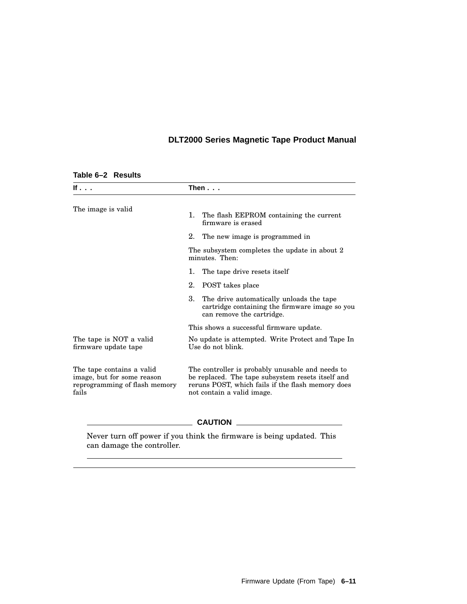| lf                                                                                                | Then $\ldots$                                                                                                                                                                            |  |
|---------------------------------------------------------------------------------------------------|------------------------------------------------------------------------------------------------------------------------------------------------------------------------------------------|--|
| The image is valid                                                                                | The flash EEPROM containing the current<br>1.<br>firmware is erased                                                                                                                      |  |
|                                                                                                   | 2. The new image is programmed in                                                                                                                                                        |  |
|                                                                                                   | The subsystem completes the update in about 2<br>minutes. Then:                                                                                                                          |  |
|                                                                                                   | The tape drive resets itself<br>1.                                                                                                                                                       |  |
|                                                                                                   | 2.<br>POST takes place                                                                                                                                                                   |  |
|                                                                                                   | 3.<br>The drive automatically unloads the tape<br>cartridge containing the firmware image so you<br>can remove the cartridge.                                                            |  |
|                                                                                                   | This shows a successful firmware update.                                                                                                                                                 |  |
| The tape is NOT a valid<br>firmware update tape                                                   | No update is attempted. Write Protect and Tape In<br>Use do not blink.                                                                                                                   |  |
| The tape contains a valid<br>image, but for some reason<br>reprogramming of flash memory<br>fails | The controller is probably unusable and needs to<br>be replaced. The tape subsystem resets itself and<br>reruns POST, which fails if the flash memory does<br>not contain a valid image. |  |
|                                                                                                   | <b>CAUTION</b>                                                                                                                                                                           |  |

#### **Table 6–2 Results**

Never turn off power if you think the firmware is being updated. This can damage the controller.

 $\overline{\phantom{a}}$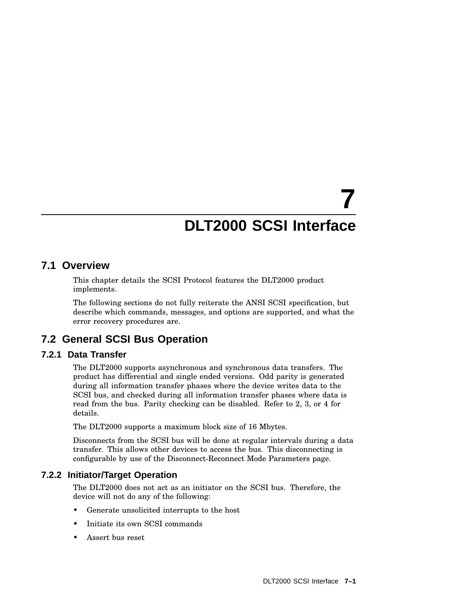# **7 DLT2000 SCSI Interface**

## **7.1 Overview**

This chapter details the SCSI Protocol features the DLT2000 product implements.

The following sections do not fully reiterate the ANSI SCSI specification, but describe which commands, messages, and options are supported, and what the error recovery procedures are.

## **7.2 General SCSI Bus Operation**

#### **7.2.1 Data Transfer**

The DLT2000 supports asynchronous and synchronous data transfers. The product has differential and single ended versions. Odd parity is generated during all information transfer phases where the device writes data to the SCSI bus, and checked during all information transfer phases where data is read from the bus. Parity checking can be disabled. Refer to 2, 3, or 4 for details.

The DLT2000 supports a maximum block size of 16 Mbytes.

Disconnects from the SCSI bus will be done at regular intervals during a data transfer. This allows other devices to access the bus. This disconnecting is configurable by use of the Disconnect-Reconnect Mode Parameters page.

#### **7.2.2 Initiator/Target Operation**

The DLT2000 does not act as an initiator on the SCSI bus. Therefore, the device will not do any of the following:

- Generate unsolicited interrupts to the host
- Initiate its own SCSI commands
- Assert bus reset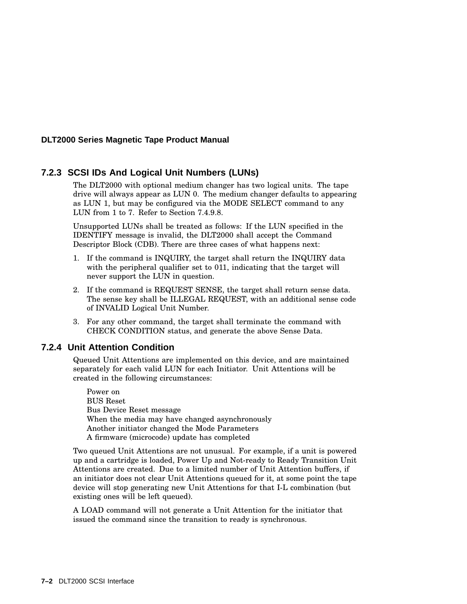#### **7.2.3 SCSI IDs And Logical Unit Numbers (LUNs)**

The DLT2000 with optional medium changer has two logical units. The tape drive will always appear as LUN 0. The medium changer defaults to appearing as LUN 1, but may be configured via the MODE SELECT command to any LUN from 1 to 7. Refer to Section 7.4.9.8.

Unsupported LUNs shall be treated as follows: If the LUN specified in the IDENTIFY message is invalid, the DLT2000 shall accept the Command Descriptor Block (CDB). There are three cases of what happens next:

- 1. If the command is INQUIRY, the target shall return the INQUIRY data with the peripheral qualifier set to 011, indicating that the target will never support the LUN in question.
- 2. If the command is REQUEST SENSE, the target shall return sense data. The sense key shall be ILLEGAL REQUEST, with an additional sense code of INVALID Logical Unit Number.
- 3. For any other command, the target shall terminate the command with CHECK CONDITION status, and generate the above Sense Data.

#### **7.2.4 Unit Attention Condition**

Queued Unit Attentions are implemented on this device, and are maintained separately for each valid LUN for each Initiator. Unit Attentions will be created in the following circumstances:

Power on BUS Reset Bus Device Reset message When the media may have changed asynchronously Another initiator changed the Mode Parameters A firmware (microcode) update has completed

Two queued Unit Attentions are not unusual. For example, if a unit is powered up and a cartridge is loaded, Power Up and Not-ready to Ready Transition Unit Attentions are created. Due to a limited number of Unit Attention buffers, if an initiator does not clear Unit Attentions queued for it, at some point the tape device will stop generating new Unit Attentions for that I-L combination (but existing ones will be left queued).

A LOAD command will not generate a Unit Attention for the initiator that issued the command since the transition to ready is synchronous.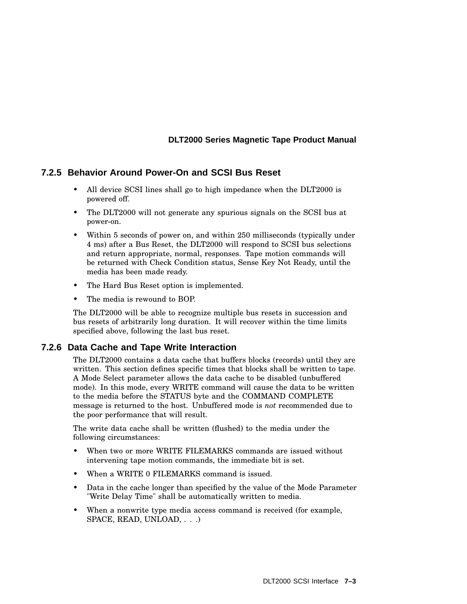#### **7.2.5 Behavior Around Power-On and SCSI Bus Reset**

- All device SCSI lines shall go to high impedance when the DLT2000 is powered off.
- The DLT2000 will not generate any spurious signals on the SCSI bus at power-on.
- Within 5 seconds of power on, and within 250 milliseconds (typically under 4 ms) after a Bus Reset, the DLT2000 will respond to SCSI bus selections and return appropriate, normal, responses. Tape motion commands will be returned with Check Condition status, Sense Key Not Ready, until the media has been made ready.
- The Hard Bus Reset option is implemented.
- The media is rewound to BOP.

The DLT2000 will be able to recognize multiple bus resets in succession and bus resets of arbitrarily long duration. It will recover within the time limits specified above, following the last bus reset.

#### **7.2.6 Data Cache and Tape Write Interaction**

The DLT2000 contains a data cache that buffers blocks (records) until they are written. This section defines specific times that blocks shall be written to tape. A Mode Select parameter allows the data cache to be disabled (unbuffered mode). In this mode, every WRITE command will cause the data to be written to the media before the STATUS byte and the COMMAND COMPLETE message is returned to the host. Unbuffered mode is *not* recommended due to the poor performance that will result.

The write data cache shall be written (flushed) to the media under the following circumstances:

- When two or more WRITE FILEMARKS commands are issued without intervening tape motion commands, the immediate bit is set.
- When a WRITE 0 FILEMARKS command is issued.
- Data in the cache longer than specified by the value of the Mode Parameter "Write Delay Time" shall be automatically written to media.
- When a nonwrite type media access command is received (for example, SPACE, READ, UNLOAD, . . .)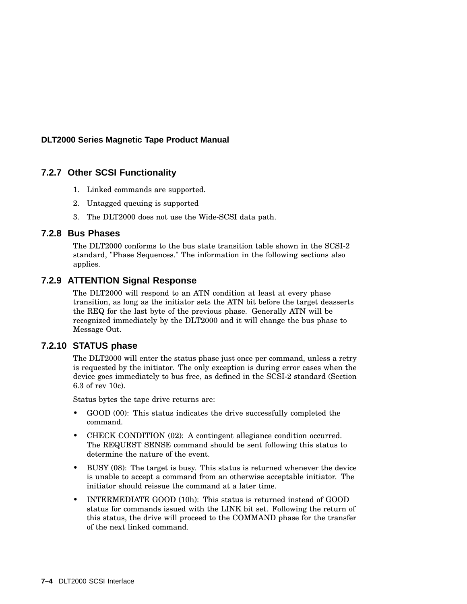#### **7.2.7 Other SCSI Functionality**

- 1. Linked commands are supported.
- 2. Untagged queuing is supported
- 3. The DLT2000 does not use the Wide-SCSI data path.

#### **7.2.8 Bus Phases**

The DLT2000 conforms to the bus state transition table shown in the SCSI-2 standard, "Phase Sequences." The information in the following sections also applies.

#### **7.2.9 ATTENTION Signal Response**

The DLT2000 will respond to an ATN condition at least at every phase transition, as long as the initiator sets the ATN bit before the target deasserts the REQ for the last byte of the previous phase. Generally ATN will be recognized immediately by the DLT2000 and it will change the bus phase to Message Out.

#### **7.2.10 STATUS phase**

The DLT2000 will enter the status phase just once per command, unless a retry is requested by the initiator. The only exception is during error cases when the device goes immediately to bus free, as defined in the SCSI-2 standard (Section 6.3 of rev 10c).

Status bytes the tape drive returns are:

- GOOD (00): This status indicates the drive successfully completed the command.
- CHECK CONDITION (02): A contingent allegiance condition occurred. The REQUEST SENSE command should be sent following this status to determine the nature of the event.
- BUSY (08): The target is busy. This status is returned whenever the device is unable to accept a command from an otherwise acceptable initiator. The initiator should reissue the command at a later time.
- INTERMEDIATE GOOD (10h): This status is returned instead of GOOD status for commands issued with the LINK bit set. Following the return of this status, the drive will proceed to the COMMAND phase for the transfer of the next linked command.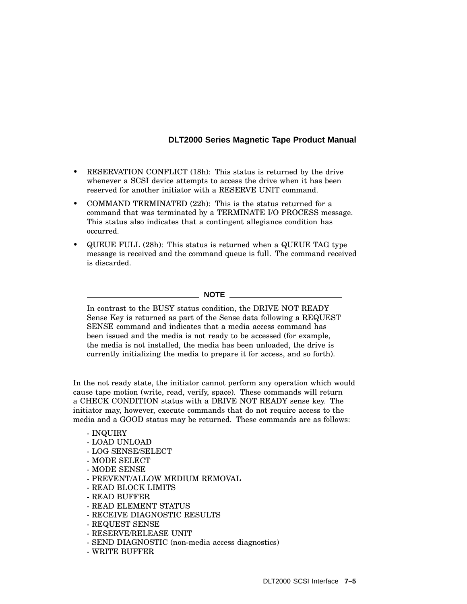- RESERVATION CONFLICT (18h): This status is returned by the drive whenever a SCSI device attempts to access the drive when it has been reserved for another initiator with a RESERVE UNIT command.
- COMMAND TERMINATED (22h): This is the status returned for a command that was terminated by a TERMINATE I/O PROCESS message. This status also indicates that a contingent allegiance condition has occurred.
- QUEUE FULL (28h): This status is returned when a QUEUE TAG type message is received and the command queue is full. The command received is discarded.

**NOTE**

In contrast to the BUSY status condition, the DRIVE NOT READY Sense Key is returned as part of the Sense data following a REQUEST SENSE command and indicates that a media access command has been issued and the media is not ready to be accessed (for example, the media is not installed, the media has been unloaded, the drive is currently initializing the media to prepare it for access, and so forth).

In the not ready state, the initiator cannot perform any operation which would cause tape motion (write, read, verify, space). These commands will return a CHECK CONDITION status with a DRIVE NOT READY sense key. The initiator may, however, execute commands that do not require access to the media and a GOOD status may be returned. These commands are as follows:

#### - INQUIRY

- LOAD UNLOAD
- LOG SENSE/SELECT
- MODE SELECT
- MODE SENSE
- PREVENT/ALLOW MEDIUM REMOVAL
- READ BLOCK LIMITS
- READ BUFFER
- READ ELEMENT STATUS
- RECEIVE DIAGNOSTIC RESULTS
- REQUEST SENSE
- RESERVE/RELEASE UNIT
- SEND DIAGNOSTIC (non-media access diagnostics)
- WRITE BUFFER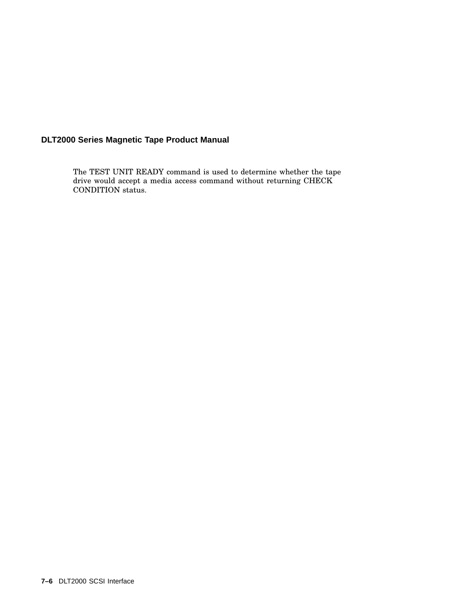The TEST UNIT READY command is used to determine whether the tape drive would accept a media access command without returning CHECK CONDITION status.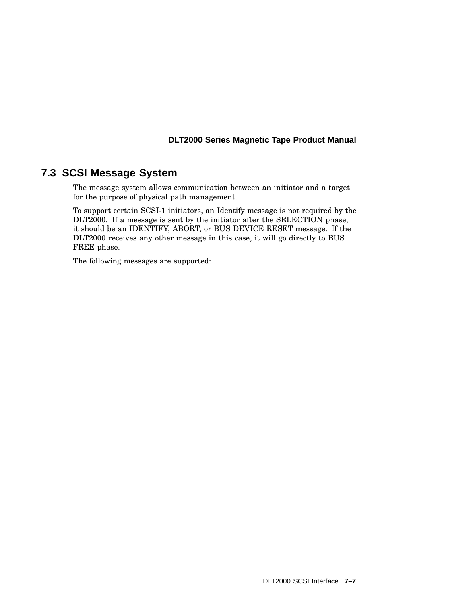# **7.3 SCSI Message System**

The message system allows communication between an initiator and a target for the purpose of physical path management.

To support certain SCSI-1 initiators, an Identify message is not required by the DLT2000. If a message is sent by the initiator after the SELECTION phase, it should be an IDENTIFY, ABORT, or BUS DEVICE RESET message. If the DLT2000 receives any other message in this case, it will go directly to BUS FREE phase.

The following messages are supported: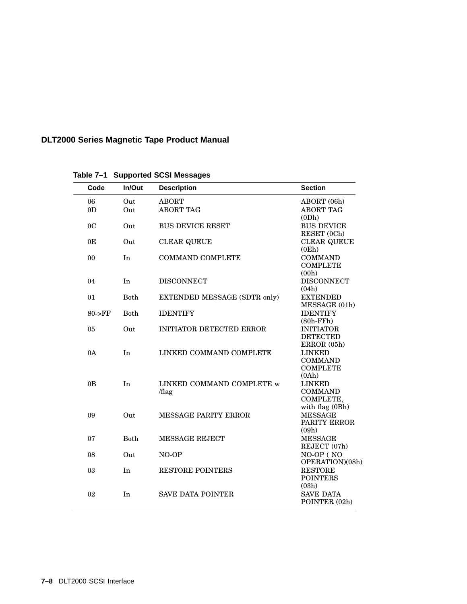| Code           | In/Out      | <b>Description</b>                  | <b>Section</b>                                                  |
|----------------|-------------|-------------------------------------|-----------------------------------------------------------------|
| 06             | Out         | <b>ABORT</b>                        | ABORT (06h)                                                     |
| 0 <sub>D</sub> | Out         | <b>ABORT TAG</b>                    | <b>ABORT TAG</b><br>(0Dh)                                       |
| 0 <sub>C</sub> | Out         | <b>BUS DEVICE RESET</b>             | <b>BUS DEVICE</b><br>RESET (0Ch)                                |
| 0E             | Out         | <b>CLEAR QUEUE</b>                  | <b>CLEAR QUEUE</b><br>(0Eh)                                     |
| 00             | In          | <b>COMMAND COMPLETE</b>             | <b>COMMAND</b><br><b>COMPLETE</b><br>(00h)                      |
| 04             | In          | <b>DISCONNECT</b>                   | <b>DISCONNECT</b><br>(04h)                                      |
| 01             | <b>Both</b> | <b>EXTENDED MESSAGE (SDTR only)</b> | <b>EXTENDED</b><br>MESSAGE (01h)                                |
| $80$ -> $FF$   | <b>Both</b> | <b>IDENTIFY</b>                     | <b>IDENTIFY</b><br>$(80h$ -FFh $)$                              |
| 05             | Out         | <b>INITIATOR DETECTED ERROR</b>     | <b>INITIATOR</b><br><b>DETECTED</b><br>ERROR (05h)              |
| 0A             | In          | LINKED COMMAND COMPLETE             | <b>LINKED</b><br><b>COMMAND</b><br><b>COMPLETE</b><br>(0Ah)     |
| 0B             | In          | LINKED COMMAND COMPLETE w<br>/flag  | <b>LINKED</b><br><b>COMMAND</b><br>COMPLETE,<br>with flag (0Bh) |
| 09             | Out         | <b>MESSAGE PARITY ERROR</b>         | <b>MESSAGE</b><br>PARITY ERROR<br>(09h)                         |
| 07             | <b>Both</b> | <b>MESSAGE REJECT</b>               | <b>MESSAGE</b><br>REJECT (07h)                                  |
| 08             | Out         | NO-OP                               | NO-OP (NO<br>OPERATION)(08h)                                    |
| 03             | In          | <b>RESTORE POINTERS</b>             | <b>RESTORE</b><br><b>POINTERS</b><br>(03h)                      |
| 02             | In          | <b>SAVE DATA POINTER</b>            | <b>SAVE DATA</b><br>POINTER (02h)                               |

**Table 7–1 Supported SCSI Messages**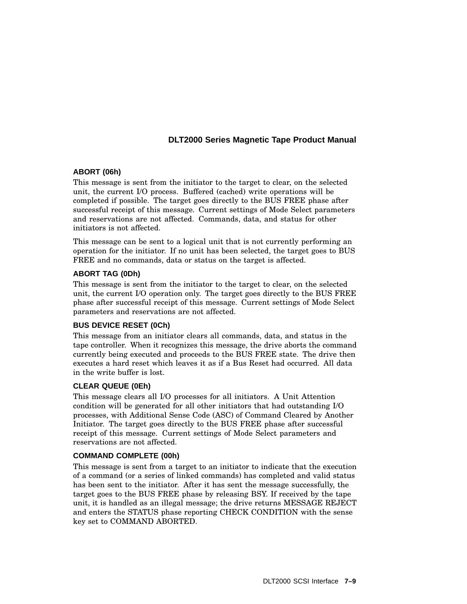### **ABORT (06h)**

This message is sent from the initiator to the target to clear, on the selected unit, the current I/O process. Buffered (cached) write operations will be completed if possible. The target goes directly to the BUS FREE phase after successful receipt of this message. Current settings of Mode Select parameters and reservations are not affected. Commands, data, and status for other initiators is not affected.

This message can be sent to a logical unit that is not currently performing an operation for the initiator. If no unit has been selected, the target goes to BUS FREE and no commands, data or status on the target is affected.

### **ABORT TAG (0Dh)**

This message is sent from the initiator to the target to clear, on the selected unit, the current I/O operation only. The target goes directly to the BUS FREE phase after successful receipt of this message. Current settings of Mode Select parameters and reservations are not affected.

### **BUS DEVICE RESET (0Ch)**

This message from an initiator clears all commands, data, and status in the tape controller. When it recognizes this message, the drive aborts the command currently being executed and proceeds to the BUS FREE state. The drive then executes a hard reset which leaves it as if a Bus Reset had occurred. All data in the write buffer is lost.

### **CLEAR QUEUE (0Eh)**

This message clears all I/O processes for all initiators. A Unit Attention condition will be generated for all other initiators that had outstanding I/O processes, with Additional Sense Code (ASC) of Command Cleared by Another Initiator. The target goes directly to the BUS FREE phase after successful receipt of this message. Current settings of Mode Select parameters and reservations are not affected.

#### **COMMAND COMPLETE (00h)**

This message is sent from a target to an initiator to indicate that the execution of a command (or a series of linked commands) has completed and valid status has been sent to the initiator. After it has sent the message successfully, the target goes to the BUS FREE phase by releasing BSY. If received by the tape unit, it is handled as an illegal message; the drive returns MESSAGE REJECT and enters the STATUS phase reporting CHECK CONDITION with the sense key set to COMMAND ABORTED.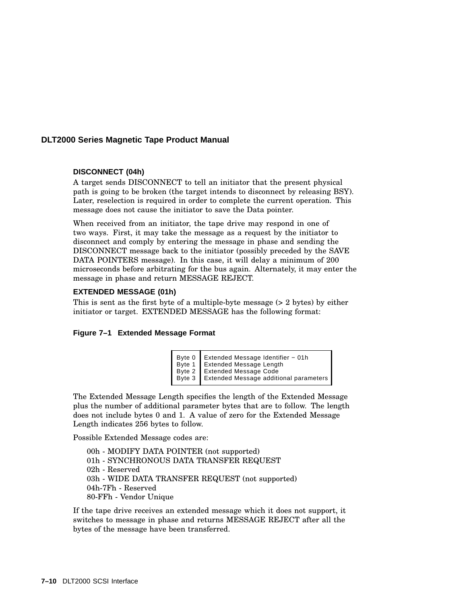### **DISCONNECT (04h)**

A target sends DISCONNECT to tell an initiator that the present physical path is going to be broken (the target intends to disconnect by releasing BSY). Later, reselection is required in order to complete the current operation. This message does not cause the initiator to save the Data pointer.

When received from an initiator, the tape drive may respond in one of two ways. First, it may take the message as a request by the initiator to disconnect and comply by entering the message in phase and sending the DISCONNECT message back to the initiator (possibly preceded by the SAVE DATA POINTERS message). In this case, it will delay a minimum of 200 microseconds before arbitrating for the bus again. Alternately, it may enter the message in phase and return MESSAGE REJECT.

#### **EXTENDED MESSAGE (01h)**

This is sent as the first byte of a multiple-byte message (> 2 bytes) by either initiator or target. EXTENDED MESSAGE has the following format:

#### **Figure 7–1 Extended Message Format**

| Byte 0 Extended Message Identifier - 01h      |
|-----------------------------------------------|
| Byte 1 Extended Message Length                |
| Byte 2 Extended Message Code                  |
| Byte 3 Extended Message additional parameters |
|                                               |

The Extended Message Length specifies the length of the Extended Message plus the number of additional parameter bytes that are to follow. The length does not include bytes 0 and 1. A value of zero for the Extended Message Length indicates 256 bytes to follow.

Possible Extended Message codes are:

00h - MODIFY DATA POINTER (not supported) 01h - SYNCHRONOUS DATA TRANSFER REQUEST 02h - Reserved 03h - WIDE DATA TRANSFER REQUEST (not supported) 04h-7Fh - Reserved 80-FFh - Vendor Unique

If the tape drive receives an extended message which it does not support, it switches to message in phase and returns MESSAGE REJECT after all the bytes of the message have been transferred.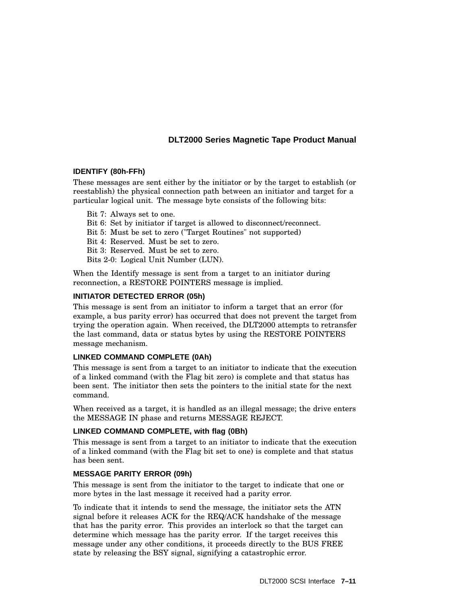#### **IDENTIFY (80h-FFh)**

These messages are sent either by the initiator or by the target to establish (or reestablish) the physical connection path between an initiator and target for a particular logical unit. The message byte consists of the following bits:

- Bit 7: Always set to one.
- Bit 6: Set by initiator if target is allowed to disconnect/reconnect.
- Bit 5: Must be set to zero ("Target Routines" not supported)
- Bit 4: Reserved. Must be set to zero.
- Bit 3: Reserved. Must be set to zero.
- Bits 2-0: Logical Unit Number (LUN).

When the Identify message is sent from a target to an initiator during reconnection, a RESTORE POINTERS message is implied.

### **INITIATOR DETECTED ERROR (05h)**

This message is sent from an initiator to inform a target that an error (for example, a bus parity error) has occurred that does not prevent the target from trying the operation again. When received, the DLT2000 attempts to retransfer the last command, data or status bytes by using the RESTORE POINTERS message mechanism.

### **LINKED COMMAND COMPLETE (0Ah)**

This message is sent from a target to an initiator to indicate that the execution of a linked command (with the Flag bit zero) is complete and that status has been sent. The initiator then sets the pointers to the initial state for the next command.

When received as a target, it is handled as an illegal message; the drive enters the MESSAGE IN phase and returns MESSAGE REJECT.

### **LINKED COMMAND COMPLETE, with flag (0Bh)**

This message is sent from a target to an initiator to indicate that the execution of a linked command (with the Flag bit set to one) is complete and that status has been sent.

### **MESSAGE PARITY ERROR (09h)**

This message is sent from the initiator to the target to indicate that one or more bytes in the last message it received had a parity error.

To indicate that it intends to send the message, the initiator sets the ATN signal before it releases ACK for the REQ/ACK handshake of the message that has the parity error. This provides an interlock so that the target can determine which message has the parity error. If the target receives this message under any other conditions, it proceeds directly to the BUS FREE state by releasing the BSY signal, signifying a catastrophic error.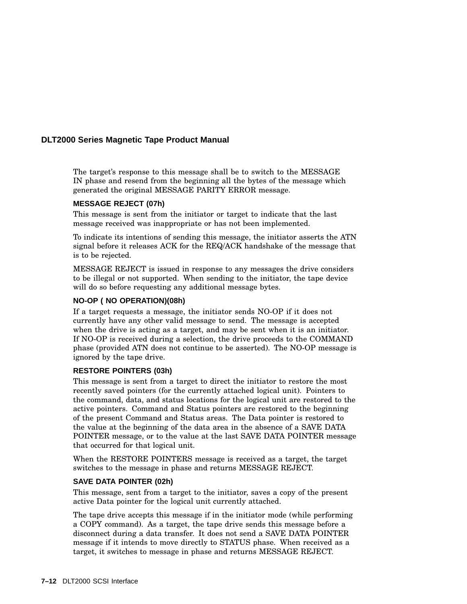The target's response to this message shall be to switch to the MESSAGE IN phase and resend from the beginning all the bytes of the message which generated the original MESSAGE PARITY ERROR message.

#### **MESSAGE REJECT (07h)**

This message is sent from the initiator or target to indicate that the last message received was inappropriate or has not been implemented.

To indicate its intentions of sending this message, the initiator asserts the ATN signal before it releases ACK for the REQ/ACK handshake of the message that is to be rejected.

MESSAGE REJECT is issued in response to any messages the drive considers to be illegal or not supported. When sending to the initiator, the tape device will do so before requesting any additional message bytes.

#### **NO-OP ( NO OPERATION)(08h)**

If a target requests a message, the initiator sends NO-OP if it does not currently have any other valid message to send. The message is accepted when the drive is acting as a target, and may be sent when it is an initiator. If NO-OP is received during a selection, the drive proceeds to the COMMAND phase (provided ATN does not continue to be asserted). The NO-OP message is ignored by the tape drive.

#### **RESTORE POINTERS (03h)**

This message is sent from a target to direct the initiator to restore the most recently saved pointers (for the currently attached logical unit). Pointers to the command, data, and status locations for the logical unit are restored to the active pointers. Command and Status pointers are restored to the beginning of the present Command and Status areas. The Data pointer is restored to the value at the beginning of the data area in the absence of a SAVE DATA POINTER message, or to the value at the last SAVE DATA POINTER message that occurred for that logical unit.

When the RESTORE POINTERS message is received as a target, the target switches to the message in phase and returns MESSAGE REJECT.

#### **SAVE DATA POINTER (02h)**

This message, sent from a target to the initiator, saves a copy of the present active Data pointer for the logical unit currently attached.

The tape drive accepts this message if in the initiator mode (while performing a COPY command). As a target, the tape drive sends this message before a disconnect during a data transfer. It does not send a SAVE DATA POINTER message if it intends to move directly to STATUS phase. When received as a target, it switches to message in phase and returns MESSAGE REJECT.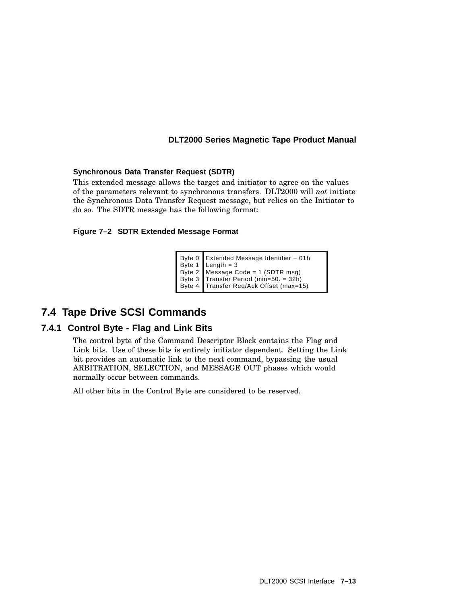### **Synchronous Data Transfer Request (SDTR)**

This extended message allows the target and initiator to agree on the values of the parameters relevant to synchronous transfers. DLT2000 will *not* initiate the Synchronous Data Transfer Request message, but relies on the Initiator to do so. The SDTR message has the following format:

#### **Figure 7–2 SDTR Extended Message Format**

```
Byte 0
Byte 1
Byte 2
Message Code = 1 (SDTR msg)
Byte 3
Transfer Period (min=50. = 32h)
Byte 4
Transfer Req/Ack Offset (max=15)
       Extended Message Identifier − 01h
       Length = 3
```
# **7.4 Tape Drive SCSI Commands**

# **7.4.1 Control Byte - Flag and Link Bits**

The control byte of the Command Descriptor Block contains the Flag and Link bits. Use of these bits is entirely initiator dependent. Setting the Link bit provides an automatic link to the next command, bypassing the usual ARBITRATION, SELECTION, and MESSAGE OUT phases which would normally occur between commands.

All other bits in the Control Byte are considered to be reserved.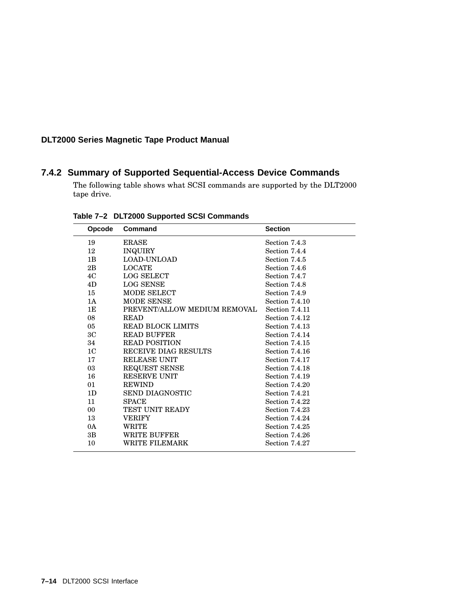# **7.4.2 Summary of Supported Sequential-Access Device Commands**

The following table shows what SCSI commands are supported by the DLT2000 tape drive.

| Opcode         | Command                      | <b>Section</b>        |
|----------------|------------------------------|-----------------------|
| 19             | <b>ERASE</b>                 | Section 7.4.3         |
| $12\,$         | <b>INQUIRY</b>               | Section 7.4.4         |
| 1B             | <b>LOAD-UNLOAD</b>           | Section 7.4.5         |
| 2B             | <b>LOCATE</b>                | Section 7.4.6         |
| 4C             | <b>LOG SELECT</b>            | Section 7.4.7         |
| 4D             | <b>LOG SENSE</b>             | Section 7.4.8         |
| 15             | MODE SELECT                  | Section 7.4.9         |
| 1A             | MODE SENSE                   | Section 7.4.10        |
| 1E             | PREVENT/ALLOW MEDIUM REMOVAL | Section 7.4.11        |
| 08             | <b>READ</b>                  | Section 7.4.12        |
| 05             | <b>READ BLOCK LIMITS</b>     | Section 7.4.13        |
| 3C             | <b>READ BUFFER</b>           | Section 7.4.14        |
| 34             | <b>READ POSITION</b>         | Section 7.4.15        |
| 1 <sup>C</sup> | RECEIVE DIAG RESULTS         | Section 7.4.16        |
| 17             | <b>RELEASE UNIT</b>          | Section 7.4.17        |
| 03             | REQUEST SENSE                | Section 7.4.18        |
| 16             | <b>RESERVE UNIT</b>          | <b>Section 7.4.19</b> |
| 01             | <b>REWIND</b>                | Section 7.4.20        |
| 1D             | <b>SEND DIAGNOSTIC</b>       | Section 7.4.21        |
| 11             | <b>SPACE</b>                 | Section 7.4.22        |
| 00             | <b>TEST UNIT READY</b>       | Section 7.4.23        |
| 13             | <b>VERIFY</b>                | Section 7.4.24        |
| 0A             | WRITE                        | Section 7.4.25        |
| $3\mathrm{B}$  | WRITE BUFFER                 | Section 7.4.26        |
| 10             | WRITE FILEMARK               | Section 7.4.27        |
|                |                              |                       |

**Table 7–2 DLT2000 Supported SCSI Commands**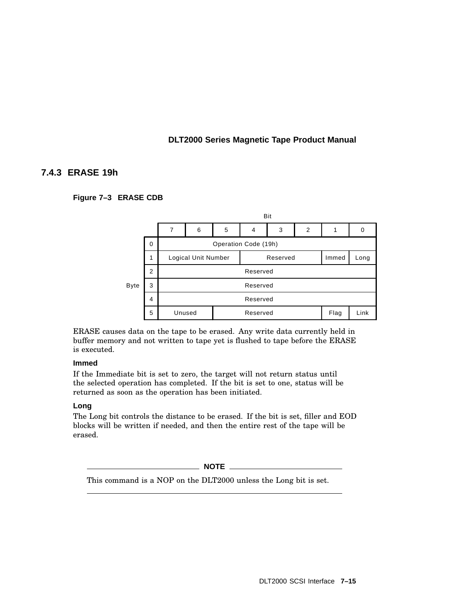# **7.4.3 ERASE 19h**

### **Figure 7–3 ERASE CDB**



ERASE causes data on the tape to be erased. Any write data currently held in buffer memory and not written to tape yet is flushed to tape before the ERASE is executed.

### **Immed**

If the Immediate bit is set to zero, the target will not return status until the selected operation has completed. If the bit is set to one, status will be returned as soon as the operation has been initiated.

### **Long**

The Long bit controls the distance to be erased. If the bit is set, filler and EOD blocks will be written if needed, and then the entire rest of the tape will be erased.

**NOTE**

This command is a NOP on the DLT2000 unless the Long bit is set.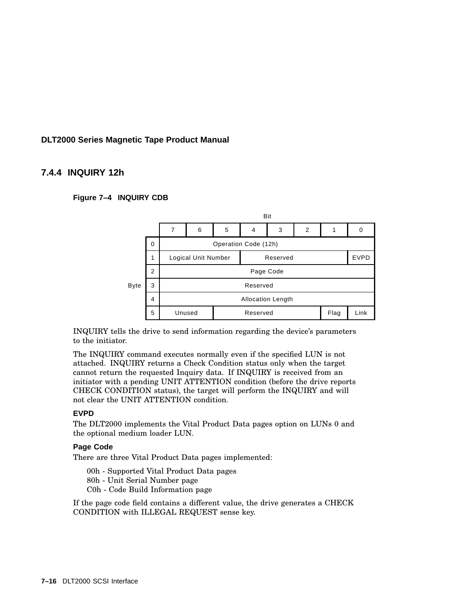### **7.4.4 INQUIRY 12h**

#### **Figure 7–4 INQUIRY CDB**



INQUIRY tells the drive to send information regarding the device's parameters to the initiator.

The INQUIRY command executes normally even if the specified LUN is not attached. INQUIRY returns a Check Condition status only when the target cannot return the requested Inquiry data. If INQUIRY is received from an initiator with a pending UNIT ATTENTION condition (before the drive reports CHECK CONDITION status), the target will perform the INQUIRY and will not clear the UNIT ATTENTION condition.

#### **EVPD**

The DLT2000 implements the Vital Product Data pages option on LUNs 0 and the optional medium loader LUN.

#### **Page Code**

There are three Vital Product Data pages implemented:

00h - Supported Vital Product Data pages 80h - Unit Serial Number page

C0h - Code Build Information page

If the page code field contains a different value, the drive generates a CHECK CONDITION with ILLEGAL REQUEST sense key.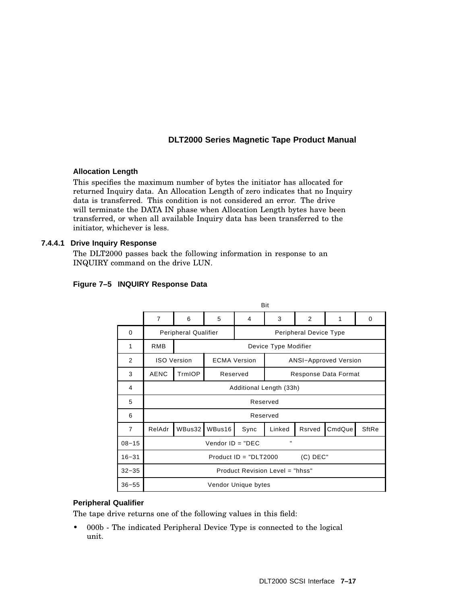### **Allocation Length**

This specifies the maximum number of bytes the initiator has allocated for returned Inquiry data. An Allocation Length of zero indicates that no Inquiry data is transferred. This condition is not considered an error. The drive will terminate the DATA IN phase when Allocation Length bytes have been transferred, or when all available Inquiry data has been transferred to the initiator, whichever is less.

### **7.4.4.1 Drive Inquiry Response**

The DLT2000 passes back the following information in response to an INQUIRY command on the drive LUN.

|  |  | Figure 7-5 INQUIRY Response Data |
|--|--|----------------------------------|
|--|--|----------------------------------|

|                | Bit                                   |                                                                           |                                  |                     |        |        |        |              |
|----------------|---------------------------------------|---------------------------------------------------------------------------|----------------------------------|---------------------|--------|--------|--------|--------------|
|                | $\overline{7}$                        | 6                                                                         | 5                                | 4                   | 3      | 2      | 1      | 0            |
| $\Omega$       |                                       | <b>Peripheral Qualifier</b><br>Peripheral Device Type                     |                                  |                     |        |        |        |              |
| 1              | <b>RMB</b>                            | Device Type Modifier                                                      |                                  |                     |        |        |        |              |
| 2              |                                       | <b>ECMA Version</b><br><b>ISO Version</b><br><b>ANSI-Approved Version</b> |                                  |                     |        |        |        |              |
| 3              | <b>AENC</b>                           | TrmIOP                                                                    | Reserved<br>Response Data Format |                     |        |        |        |              |
| 4              | Additional Length (33h)               |                                                                           |                                  |                     |        |        |        |              |
| 5              | Reserved                              |                                                                           |                                  |                     |        |        |        |              |
| 6              |                                       |                                                                           |                                  | Reserved            |        |        |        |              |
| $\overline{7}$ | RelAdr                                | WBus32                                                                    | WBus16                           | Sync                | Linked | Rsrved | CmdQue | <b>SftRe</b> |
| $08 - 15$      | Vendor $ID = "DEC$                    |                                                                           |                                  |                     |        |        |        |              |
| $16 - 31$      | Product $ID = "DLT2000$<br>$(C)$ DEC" |                                                                           |                                  |                     |        |        |        |              |
| $32 - 35$      | Product Revision Level = "hhss"       |                                                                           |                                  |                     |        |        |        |              |
| $36 - 55$      |                                       |                                                                           |                                  | Vendor Unique bytes |        |        |        |              |

# **Peripheral Qualifier**

The tape drive returns one of the following values in this field:

• 000b - The indicated Peripheral Device Type is connected to the logical unit.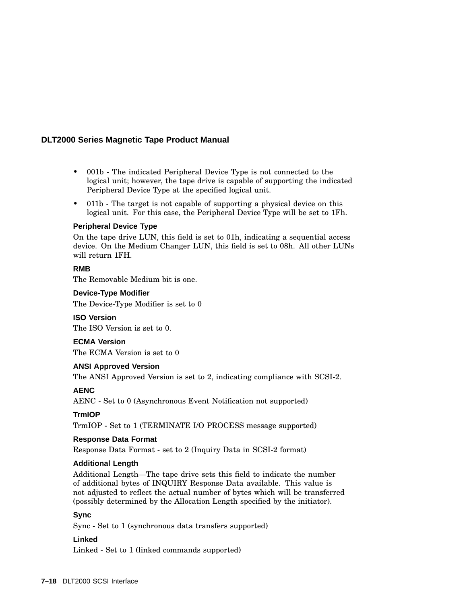- 001b The indicated Peripheral Device Type is not connected to the logical unit; however, the tape drive is capable of supporting the indicated Peripheral Device Type at the specified logical unit.
- 011b The target is not capable of supporting a physical device on this logical unit. For this case, the Peripheral Device Type will be set to 1Fh.

#### **Peripheral Device Type**

On the tape drive LUN, this field is set to 01h, indicating a sequential access device. On the Medium Changer LUN, this field is set to 08h. All other LUNs will return 1FH.

### **RMB**

The Removable Medium bit is one.

#### **Device-Type Modifier**

The Device-Type Modifier is set to 0

#### **ISO Version**

The ISO Version is set to 0.

### **ECMA Version**

The ECMA Version is set to 0

#### **ANSI Approved Version**

The ANSI Approved Version is set to 2, indicating compliance with SCSI-2.

### **AENC**

AENC - Set to 0 (Asynchronous Event Notification not supported)

#### **TrmIOP**

TrmIOP - Set to 1 (TERMINATE I/O PROCESS message supported)

#### **Response Data Format**

Response Data Format - set to 2 (Inquiry Data in SCSI-2 format)

### **Additional Length**

Additional Length—The tape drive sets this field to indicate the number of additional bytes of INQUIRY Response Data available. This value is not adjusted to reflect the actual number of bytes which will be transferred (possibly determined by the Allocation Length specified by the initiator).

#### **Sync**

Sync - Set to 1 (synchronous data transfers supported)

### **Linked**

Linked - Set to 1 (linked commands supported)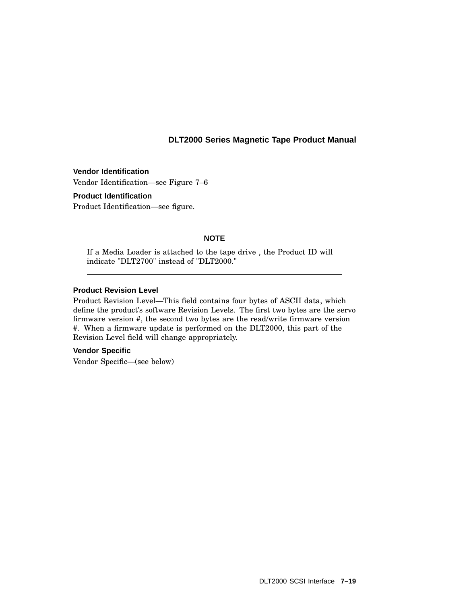# **Vendor Identification**

Vendor Identification—see Figure 7–6

#### **Product Identification**

Product Identification—see figure.

#### **NOTE**

If a Media Loader is attached to the tape drive , the Product ID will indicate "DLT2700" instead of "DLT2000."

#### **Product Revision Level**

Product Revision Level—This field contains four bytes of ASCII data, which define the product's software Revision Levels. The first two bytes are the servo firmware version #, the second two bytes are the read/write firmware version #. When a firmware update is performed on the DLT2000, this part of the Revision Level field will change appropriately.

#### **Vendor Specific**

Vendor Specific—(see below)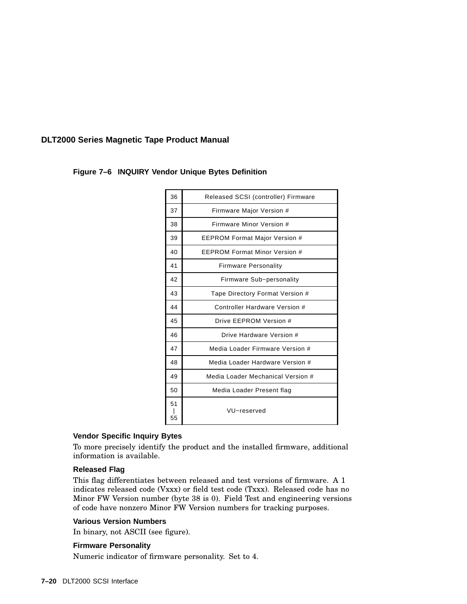| 36       | Released SCSI (controller) Firmware  |
|----------|--------------------------------------|
| 37       | Firmware Major Version #             |
| 38       | Firmware Minor Version #             |
| 39       | <b>EEPROM Format Major Version #</b> |
| 40       | <b>FFPROM Format Minor Version #</b> |
| 41       | <b>Firmware Personality</b>          |
| 42       | Firmware Sub-personality             |
| 43       | Tape Directory Format Version #      |
| 44       | Controller Hardware Version #        |
| 45       | Drive FFPROM Version #               |
| 46       | Drive Hardware Version #             |
| 47       | Media Loader Firmware Version #      |
| 48       | Media Loader Hardware Version #      |
| 49       | Media Loader Mechanical Version #    |
| 50       | Media Loader Present flag            |
| 51<br>55 | VU-reserved                          |

### **Figure 7–6 INQUIRY Vendor Unique Bytes Definition**

#### **Vendor Specific Inquiry Bytes**

To more precisely identify the product and the installed firmware, additional information is available.

### **Released Flag**

This flag differentiates between released and test versions of firmware. A 1 indicates released code (Vxxx) or field test code (Txxx). Released code has no Minor FW Version number (byte 38 is 0). Field Test and engineering versions of code have nonzero Minor FW Version numbers for tracking purposes.

#### **Various Version Numbers**

In binary, not ASCII (see figure).

#### **Firmware Personality**

Numeric indicator of firmware personality. Set to 4.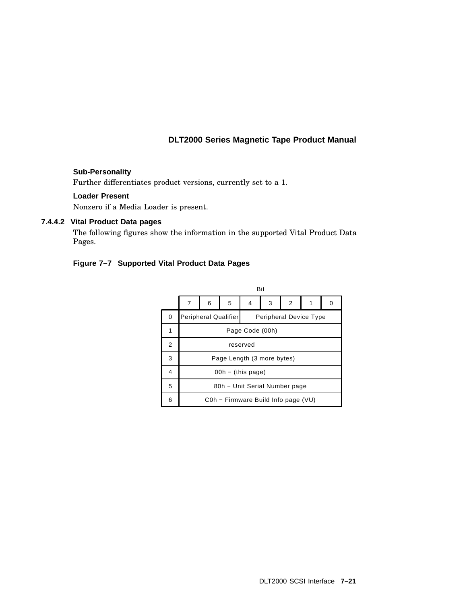### **Sub-Personality**

Further differentiates product versions, currently set to a 1.

### **Loader Present**

Nonzero if a Media Loader is present.

### **7.4.4.2 Vital Product Data pages**

The following figures show the information in the supported Vital Product Data Pages.

### **Figure 7–7 Supported Vital Product Data Pages**

|   |                               | <b>Bit</b>                          |   |   |   |                               |  |   |
|---|-------------------------------|-------------------------------------|---|---|---|-------------------------------|--|---|
|   | 7                             | 6                                   | 5 | 4 | 3 | 2                             |  | 0 |
| 0 |                               | <b>Peripheral Qualifier</b>         |   |   |   | <b>Peripheral Device Type</b> |  |   |
| 1 |                               | Page Code (00h)                     |   |   |   |                               |  |   |
| 2 | reserved                      |                                     |   |   |   |                               |  |   |
| 3 | Page Length (3 more bytes)    |                                     |   |   |   |                               |  |   |
| 4 |                               | $00h - (this page)$                 |   |   |   |                               |  |   |
| 5 | 80h - Unit Serial Number page |                                     |   |   |   |                               |  |   |
| 6 |                               | C0h - Firmware Build Info page (VU) |   |   |   |                               |  |   |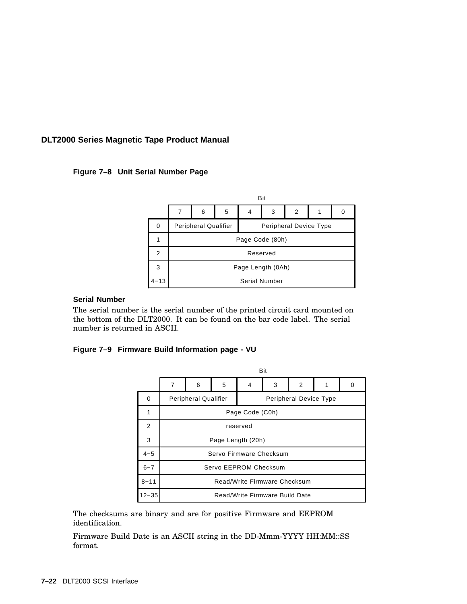**Figure 7–8 Unit Serial Number Page**

|          |                      | Bit                                                   |   |   |   |   |  |   |
|----------|----------------------|-------------------------------------------------------|---|---|---|---|--|---|
|          | 7                    | 6                                                     | 5 | 4 | 3 | 2 |  | 0 |
| 0        |                      | <b>Peripheral Qualifier</b><br>Peripheral Device Type |   |   |   |   |  |   |
|          |                      | Page Code (80h)                                       |   |   |   |   |  |   |
| 2        |                      | Reserved                                              |   |   |   |   |  |   |
| 3        | Page Length (0Ah)    |                                                       |   |   |   |   |  |   |
| $4 - 13$ | <b>Serial Number</b> |                                                       |   |   |   |   |  |   |

### **Serial Number**

The serial number is the serial number of the printed circuit card mounted on the bottom of the DLT2000. It can be found on the bar code label. The serial number is returned in ASCII.

### **Figure 7–9 Firmware Build Information page - VU**

|           |                                |                                                       |   |   | Bit |   |   |   |  |
|-----------|--------------------------------|-------------------------------------------------------|---|---|-----|---|---|---|--|
|           | $\overline{7}$                 | 6                                                     | 5 | 4 | 3   | 2 | 1 | 0 |  |
| $\Omega$  |                                | <b>Peripheral Qualifier</b><br>Peripheral Device Type |   |   |     |   |   |   |  |
| 1         |                                | Page Code (C0h)                                       |   |   |     |   |   |   |  |
| 2         | reserved                       |                                                       |   |   |     |   |   |   |  |
| 3         | Page Length (20h)              |                                                       |   |   |     |   |   |   |  |
| $4 - 5$   | Servo Firmware Checksum        |                                                       |   |   |     |   |   |   |  |
| $6 - 7$   | Servo EEPROM Checksum          |                                                       |   |   |     |   |   |   |  |
| $8 - 11$  | Read/Write Firmware Checksum   |                                                       |   |   |     |   |   |   |  |
| $12 - 35$ | Read/Write Firmware Build Date |                                                       |   |   |     |   |   |   |  |

The checksums are binary and are for positive Firmware and EEPROM identification.

Firmware Build Date is an ASCII string in the DD-Mmm-YYYY HH:MM::SS format.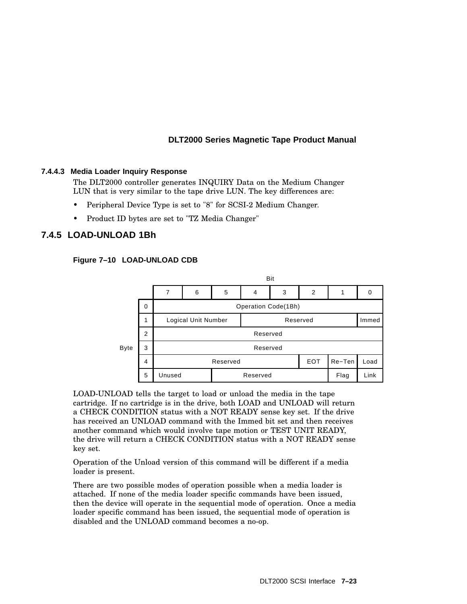#### **7.4.4.3 Media Loader Inquiry Response**

The DLT2000 controller generates INQUIRY Data on the Medium Changer LUN that is very similar to the tape drive LUN. The key differences are:

- Peripheral Device Type is set to "8" for SCSI-2 Medium Changer.
- Product ID bytes are set to "TZ Media Changer"

# **7.4.5 LOAD-UNLOAD 1Bh**



#### **Figure 7–10 LOAD-UNLOAD CDB**

LOAD-UNLOAD tells the target to load or unload the media in the tape cartridge. If no cartridge is in the drive, both LOAD and UNLOAD will return a CHECK CONDITION status with a NOT READY sense key set. If the drive has received an UNLOAD command with the Immed bit set and then receives another command which would involve tape motion or TEST UNIT READY, the drive will return a CHECK CONDITION status with a NOT READY sense key set.

Operation of the Unload version of this command will be different if a media loader is present.

There are two possible modes of operation possible when a media loader is attached. If none of the media loader specific commands have been issued, then the device will operate in the sequential mode of operation. Once a media loader specific command has been issued, the sequential mode of operation is disabled and the UNLOAD command becomes a no-op.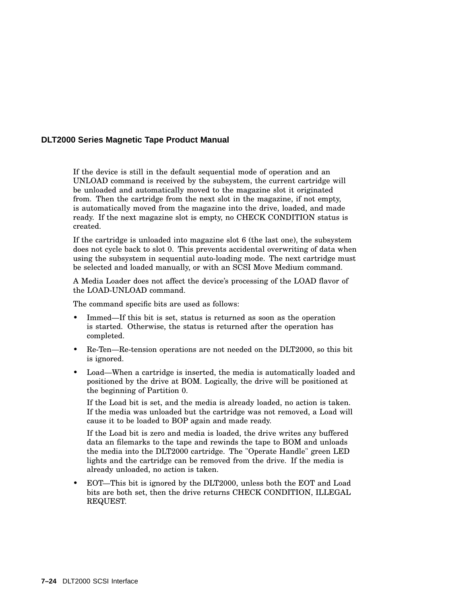If the device is still in the default sequential mode of operation and an UNLOAD command is received by the subsystem, the current cartridge will be unloaded and automatically moved to the magazine slot it originated from. Then the cartridge from the next slot in the magazine, if not empty, is automatically moved from the magazine into the drive, loaded, and made ready. If the next magazine slot is empty, no CHECK CONDITION status is created.

If the cartridge is unloaded into magazine slot 6 (the last one), the subsystem does not cycle back to slot 0. This prevents accidental overwriting of data when using the subsystem in sequential auto-loading mode. The next cartridge must be selected and loaded manually, or with an SCSI Move Medium command.

A Media Loader does not affect the device's processing of the LOAD flavor of the LOAD-UNLOAD command.

The command specific bits are used as follows:

- Immed—If this bit is set, status is returned as soon as the operation is started. Otherwise, the status is returned after the operation has completed.
- Re-Ten—Re-tension operations are not needed on the DLT2000, so this bit is ignored.
- Load—When a cartridge is inserted, the media is automatically loaded and positioned by the drive at BOM. Logically, the drive will be positioned at the beginning of Partition 0.

If the Load bit is set, and the media is already loaded, no action is taken. If the media was unloaded but the cartridge was not removed, a Load will cause it to be loaded to BOP again and made ready.

If the Load bit is zero and media is loaded, the drive writes any buffered data an filemarks to the tape and rewinds the tape to BOM and unloads the media into the DLT2000 cartridge. The "Operate Handle" green LED lights and the cartridge can be removed from the drive. If the media is already unloaded, no action is taken.

• EOT—This bit is ignored by the DLT2000, unless both the EOT and Load bits are both set, then the drive returns CHECK CONDITION, ILLEGAL REQUEST.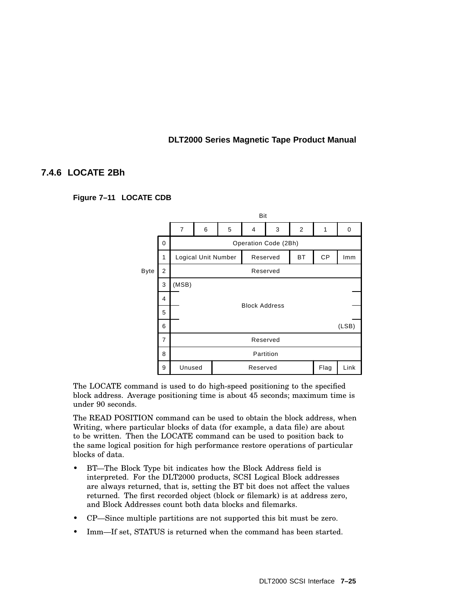# **7.4.6 LOCATE 2Bh**

#### **Figure 7–11 LOCATE CDB**



The LOCATE command is used to do high-speed positioning to the specified block address. Average positioning time is about 45 seconds; maximum time is under 90 seconds.

The READ POSITION command can be used to obtain the block address, when Writing, where particular blocks of data (for example, a data file) are about to be written. Then the LOCATE command can be used to position back to the same logical position for high performance restore operations of particular blocks of data.

- BT—The Block Type bit indicates how the Block Address field is interpreted. For the DLT2000 products, SCSI Logical Block addresses are always returned, that is, setting the BT bit does not affect the values returned. The first recorded object (block or filemark) is at address zero, and Block Addresses count both data blocks and filemarks.
- CP—Since multiple partitions are not supported this bit must be zero.
- Imm-If set, STATUS is returned when the command has been started.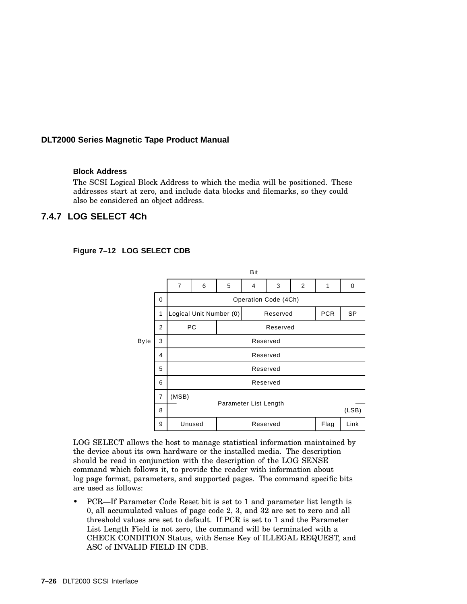#### **Block Address**

The SCSI Logical Block Address to which the media will be positioned. These addresses start at zero, and include data blocks and filemarks, so they could also be considered an object address.

# **7.4.7 LOG SELECT 4Ch**



#### **Figure 7–12 LOG SELECT CDB**

LOG SELECT allows the host to manage statistical information maintained by the device about its own hardware or the installed media. The description should be read in conjunction with the description of the LOG SENSE command which follows it, to provide the reader with information about log page format, parameters, and supported pages. The command specific bits are used as follows:

• PCR—If Parameter Code Reset bit is set to 1 and parameter list length is 0, all accumulated values of page code 2, 3, and 32 are set to zero and all threshold values are set to default. If PCR is set to 1 and the Parameter List Length Field is not zero, the command will be terminated with a CHECK CONDITION Status, with Sense Key of ILLEGAL REQUEST, and ASC of INVALID FIELD IN CDB.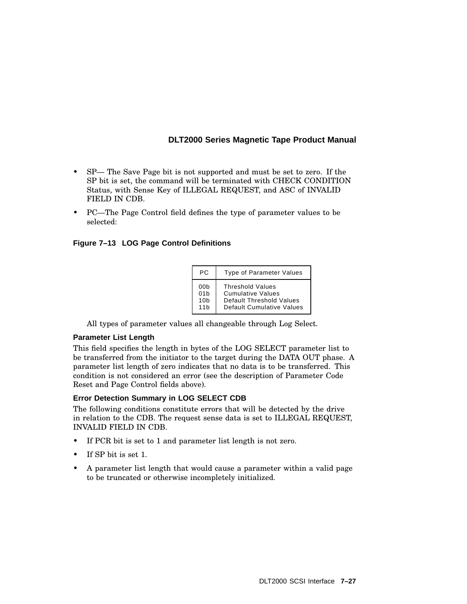- SP— The Save Page bit is not supported and must be set to zero. If the SP bit is set, the command will be terminated with CHECK CONDITION Status, with Sense Key of ILLEGAL REQUEST, and ASC of INVALID FIELD IN CDB.
- PC—The Page Control field defines the type of parameter values to be selected:

### **Figure 7–13 LOG Page Control Definitions**

| РC.                                              | <b>Type of Parameter Values</b>                                                                                     |
|--------------------------------------------------|---------------------------------------------------------------------------------------------------------------------|
| 00b<br>01 <sub>b</sub><br>10 <sub>b</sub><br>11h | <b>Threshold Values</b><br><b>Cumulative Values</b><br>Default Threshold Values<br><b>Default Cumulative Values</b> |

All types of parameter values all changeable through Log Select.

#### **Parameter List Length**

This field specifies the length in bytes of the LOG SELECT parameter list to be transferred from the initiator to the target during the DATA OUT phase. A parameter list length of zero indicates that no data is to be transferred. This condition is not considered an error (see the description of Parameter Code Reset and Page Control fields above).

#### **Error Detection Summary in LOG SELECT CDB**

The following conditions constitute errors that will be detected by the drive in relation to the CDB. The request sense data is set to ILLEGAL REQUEST, INVALID FIELD IN CDB.

- If PCR bit is set to 1 and parameter list length is not zero.
- If SP bit is set 1.
- A parameter list length that would cause a parameter within a valid page to be truncated or otherwise incompletely initialized.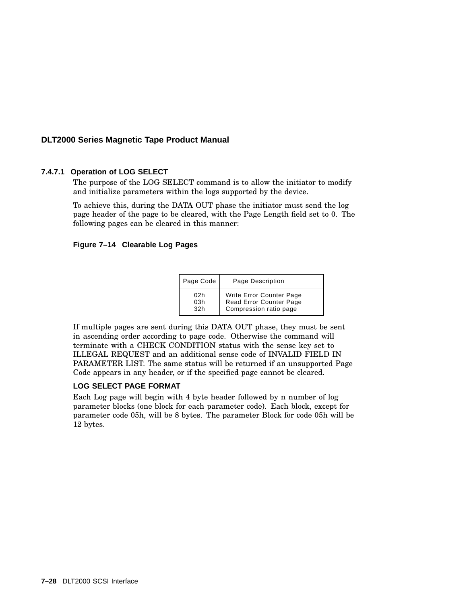### **7.4.7.1 Operation of LOG SELECT**

The purpose of the LOG SELECT command is to allow the initiator to modify and initialize parameters within the logs supported by the device.

To achieve this, during the DATA OUT phase the initiator must send the log page header of the page to be cleared, with the Page Length field set to 0. The following pages can be cleared in this manner:

#### **Figure 7–14 Clearable Log Pages**

| Page Code | Page Description                |
|-----------|---------------------------------|
| 02h       | <b>Write Error Counter Page</b> |
| 03h       | Read Error Counter Page         |
| 32h       | Compression ratio page          |

If multiple pages are sent during this DATA OUT phase, they must be sent in ascending order according to page code. Otherwise the command will terminate with a CHECK CONDITION status with the sense key set to ILLEGAL REQUEST and an additional sense code of INVALID FIELD IN PARAMETER LIST. The same status will be returned if an unsupported Page Code appears in any header, or if the specified page cannot be cleared.

#### **LOG SELECT PAGE FORMAT**

Each Log page will begin with 4 byte header followed by n number of log parameter blocks (one block for each parameter code). Each block, except for parameter code 05h, will be 8 bytes. The parameter Block for code 05h will be 12 bytes.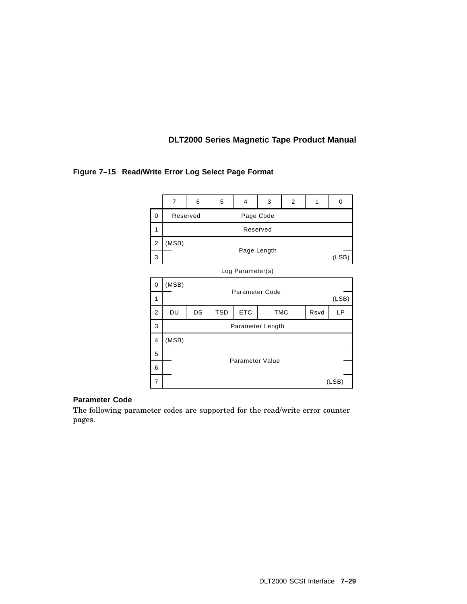### **Figure 7–15 Read/Write Error Log Select Page Format**



### **Parameter Code**

The following parameter codes are supported for the read/write error counter pages.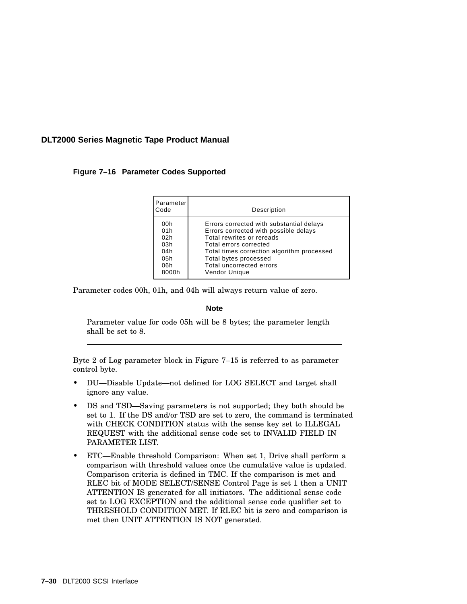**Figure 7–16 Parameter Codes Supported**

| Parameter<br>Code                                      | Description                                                                                                                                                                                                                                                  |
|--------------------------------------------------------|--------------------------------------------------------------------------------------------------------------------------------------------------------------------------------------------------------------------------------------------------------------|
| 00h<br>01h<br>02h<br>03h<br>04h<br>05h<br>06h<br>8000h | Errors corrected with substantial delays<br>Errors corrected with possible delays<br>Total rewrites or rereads<br>Total errors corrected<br>Total times correction algorithm processed<br>Total bytes processed<br>Total uncorrected errors<br>Vendor Unique |

Parameter codes 00h, 01h, and 04h will always return value of zero.

#### **Note**

Parameter value for code 05h will be 8 bytes; the parameter length shall be set to 8.

Byte 2 of Log parameter block in Figure 7–15 is referred to as parameter control byte.

- DU—Disable Update—not defined for LOG SELECT and target shall ignore any value.
- DS and TSD—Saving parameters is not supported; they both should be set to 1. If the DS and/or TSD are set to zero, the command is terminated with CHECK CONDITION status with the sense key set to ILLEGAL REQUEST with the additional sense code set to INVALID FIELD IN PARAMETER LIST.
- ETC—Enable threshold Comparison: When set 1, Drive shall perform a comparison with threshold values once the cumulative value is updated. Comparison criteria is defined in TMC. If the comparison is met and RLEC bit of MODE SELECT/SENSE Control Page is set 1 then a UNIT ATTENTION IS generated for all initiators. The additional sense code set to LOG EXCEPTION and the additional sense code qualifier set to THRESHOLD CONDITION MET. If RLEC bit is zero and comparison is met then UNIT ATTENTION IS NOT generated.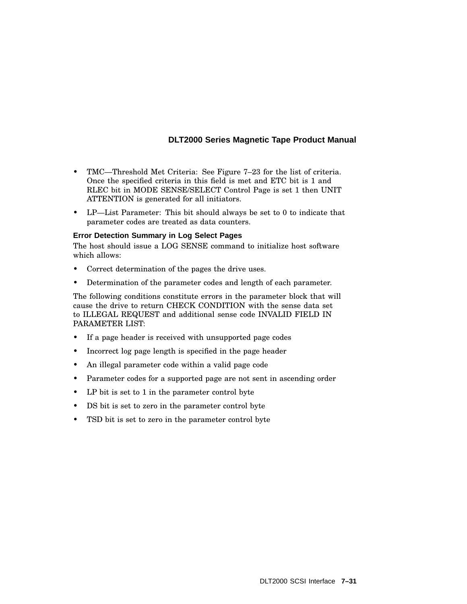- TMC—Threshold Met Criteria: See Figure 7–23 for the list of criteria. Once the specified criteria in this field is met and ETC bit is 1 and RLEC bit in MODE SENSE/SELECT Control Page is set 1 then UNIT ATTENTION is generated for all initiators.
- LP—List Parameter: This bit should always be set to 0 to indicate that parameter codes are treated as data counters.

### **Error Detection Summary in Log Select Pages**

The host should issue a LOG SENSE command to initialize host software which allows:

- Correct determination of the pages the drive uses.
- Determination of the parameter codes and length of each parameter.

The following conditions constitute errors in the parameter block that will cause the drive to return CHECK CONDITION with the sense data set to ILLEGAL REQUEST and additional sense code INVALID FIELD IN PARAMETER LIST:

- If a page header is received with unsupported page codes
- Incorrect log page length is specified in the page header
- An illegal parameter code within a valid page code
- Parameter codes for a supported page are not sent in ascending order
- LP bit is set to 1 in the parameter control byte
- DS bit is set to zero in the parameter control byte
- TSD bit is set to zero in the parameter control byte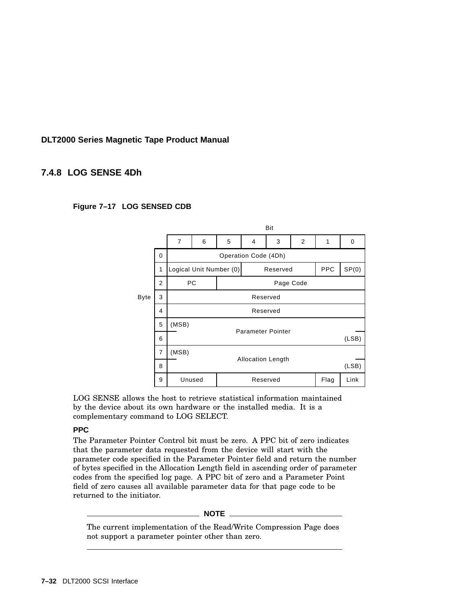# **7.4.8 LOG SENSE 4Dh**

### **Figure 7–17 LOG SENSED CDB**



LOG SENSE allows the host to retrieve statistical information maintained by the device about its own hardware or the installed media. It is a complementary command to LOG SELECT.

#### **PPC**

The Parameter Pointer Control bit must be zero. A PPC bit of zero indicates that the parameter data requested from the device will start with the parameter code specified in the Parameter Pointer field and return the number of bytes specified in the Allocation Length field in ascending order of parameter codes from the specified log page. A PPC bit of zero and a Parameter Point field of zero causes all available parameter data for that page code to be returned to the initiator.

#### **NOTE**

The current implementation of the Read/Write Compression Page does not support a parameter pointer other than zero.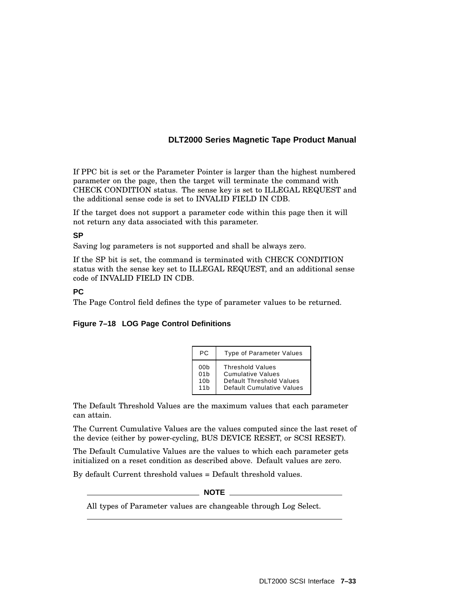If PPC bit is set or the Parameter Pointer is larger than the highest numbered parameter on the page, then the target will terminate the command with CHECK CONDITION status. The sense key is set to ILLEGAL REQUEST and the additional sense code is set to INVALID FIELD IN CDB.

If the target does not support a parameter code within this page then it will not return any data associated with this parameter.

#### **SP**

Saving log parameters is not supported and shall be always zero.

If the SP bit is set, the command is terminated with CHECK CONDITION status with the sense key set to ILLEGAL REQUEST, and an additional sense code of INVALID FIELD IN CDB.

### **PC**

The Page Control field defines the type of parameter values to be returned.

#### **Figure 7–18 LOG Page Control Definitions**

| PC.             | <b>Type of Parameter Values</b> |
|-----------------|---------------------------------|
| 00b             | <b>Threshold Values</b>         |
| 01 <sub>b</sub> | <b>Cumulative Values</b>        |
| 10 <sub>b</sub> | Default Threshold Values        |
| 11h             | Default Cumulative Values       |

The Default Threshold Values are the maximum values that each parameter can attain.

The Current Cumulative Values are the values computed since the last reset of the device (either by power-cycling, BUS DEVICE RESET, or SCSI RESET).

The Default Cumulative Values are the values to which each parameter gets initialized on a reset condition as described above. Default values are zero.

By default Current threshold values = Default threshold values.

**NOTE**

All types of Parameter values are changeable through Log Select.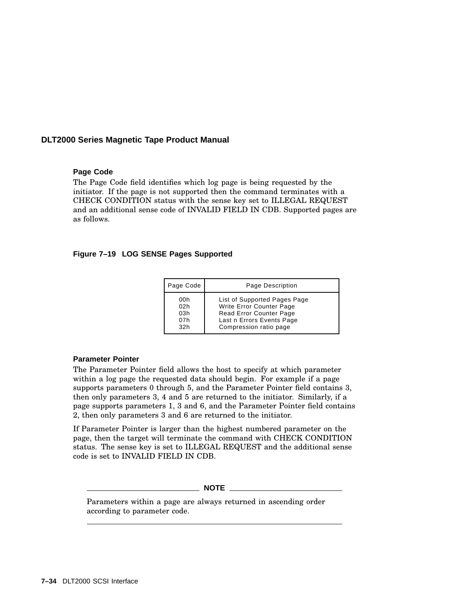#### **Page Code**

The Page Code field identifies which log page is being requested by the initiator. If the page is not supported then the command terminates with a CHECK CONDITION status with the sense key set to ILLEGAL REQUEST and an additional sense code of INVALID FIELD IN CDB. Supported pages are as follows.

#### **Figure 7–19 LOG SENSE Pages Supported**

| Page Code                       | Page Description                                                                                                                           |
|---------------------------------|--------------------------------------------------------------------------------------------------------------------------------------------|
| 00h<br>02h<br>03h<br>07h<br>32h | List of Supported Pages Page<br>Write Error Counter Page<br>Read Error Counter Page<br>Last n Errors Events Page<br>Compression ratio page |

#### **Parameter Pointer**

The Parameter Pointer field allows the host to specify at which parameter within a log page the requested data should begin. For example if a page supports parameters 0 through 5, and the Parameter Pointer field contains 3, then only parameters 3, 4 and 5 are returned to the initiator. Similarly, if a page supports parameters 1, 3 and 6, and the Parameter Pointer field contains 2, then only parameters 3 and 6 are returned to the initiator.

If Parameter Pointer is larger than the highest numbered parameter on the page, then the target will terminate the command with CHECK CONDITION status. The sense key is set to ILLEGAL REQUEST and the additional sense code is set to INVALID FIELD IN CDB.

 $M$  **NOTE**  $\_\_$ 

Parameters within a page are always returned in ascending order according to parameter code.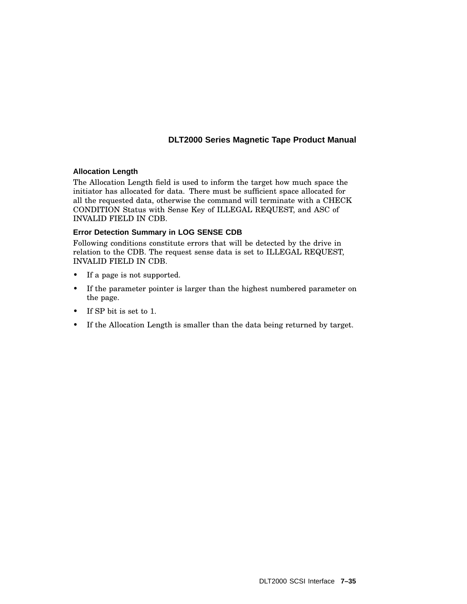### **Allocation Length**

The Allocation Length field is used to inform the target how much space the initiator has allocated for data. There must be sufficient space allocated for all the requested data, otherwise the command will terminate with a CHECK CONDITION Status with Sense Key of ILLEGAL REQUEST, and ASC of INVALID FIELD IN CDB.

### **Error Detection Summary in LOG SENSE CDB**

Following conditions constitute errors that will be detected by the drive in relation to the CDB. The request sense data is set to ILLEGAL REQUEST, INVALID FIELD IN CDB.

- If a page is not supported.
- If the parameter pointer is larger than the highest numbered parameter on the page.
- If SP bit is set to 1.
- If the Allocation Length is smaller than the data being returned by target.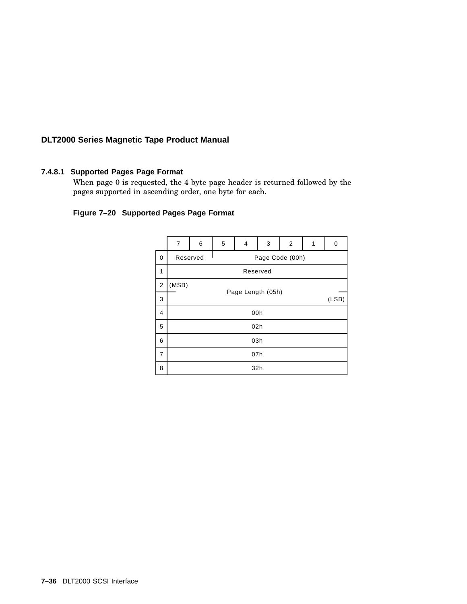### **7.4.8.1 Supported Pages Page Format**

When page 0 is requested, the 4 byte page header is returned followed by the pages supported in ascending order, one byte for each.

# **Figure 7–20 Supported Pages Page Format**

|                | $\overline{7}$    | 6                           | 5 | 4 | 3 | 2     | 1 | 0 |
|----------------|-------------------|-----------------------------|---|---|---|-------|---|---|
| 0              |                   | Page Code (00h)<br>Reserved |   |   |   |       |   |   |
| 1              | Reserved          |                             |   |   |   |       |   |   |
| 2              | (MSB)             |                             |   |   |   |       |   |   |
| 3              | Page Length (05h) |                             |   |   |   | (LSB) |   |   |
| 4              | 00h               |                             |   |   |   |       |   |   |
| 5              | 02h               |                             |   |   |   |       |   |   |
| 6              | 03h               |                             |   |   |   |       |   |   |
| $\overline{7}$ | 07h               |                             |   |   |   |       |   |   |
| 8              | 32h               |                             |   |   |   |       |   |   |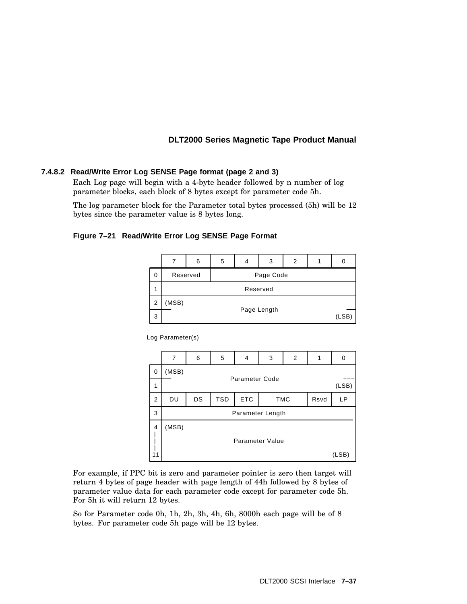### **7.4.8.2 Read/Write Error Log SENSE Page format (page 2 and 3)**

Each Log page will begin with a 4-byte header followed by n number of log parameter blocks, each block of 8 bytes except for parameter code 5h.

The log parameter block for the Parameter total bytes processed (5h) will be 12 bytes since the parameter value is 8 bytes long.

#### **Figure 7–21 Read/Write Error Log SENSE Page Format**

|   |                       | 6 | 5 | 4 | 3 | $\overline{2}$ |  |  |
|---|-----------------------|---|---|---|---|----------------|--|--|
| 0 | Reserved<br>Page Code |   |   |   |   |                |  |  |
| 1 | Reserved              |   |   |   |   |                |  |  |
| 2 | (MSB)                 |   |   |   |   |                |  |  |
| 3 | Page Length<br>(LSB)  |   |   |   |   |                |  |  |

Log Parameter(s)

|                | 7                                 | 6                     | 5          | 4          | 3          | 2 |      | U     |
|----------------|-----------------------------------|-----------------------|------------|------------|------------|---|------|-------|
| 0              | (MSB)                             | <b>Parameter Code</b> |            |            |            |   |      |       |
| 1              |                                   |                       |            |            |            |   |      | (LSB) |
| $\overline{2}$ | DU                                | DS                    | <b>TSD</b> | <b>ETC</b> | <b>TMC</b> |   | Rsvd | LP    |
| 3              |                                   | Parameter Length      |            |            |            |   |      |       |
| 4              | (MSB)<br>Parameter Value<br>(LSB) |                       |            |            |            |   |      |       |

For example, if PPC bit is zero and parameter pointer is zero then target will return 4 bytes of page header with page length of 44h followed by 8 bytes of parameter value data for each parameter code except for parameter code 5h. For 5h it will return 12 bytes.

So for Parameter code 0h, 1h, 2h, 3h, 4h, 6h, 8000h each page will be of 8 bytes. For parameter code 5h page will be 12 bytes.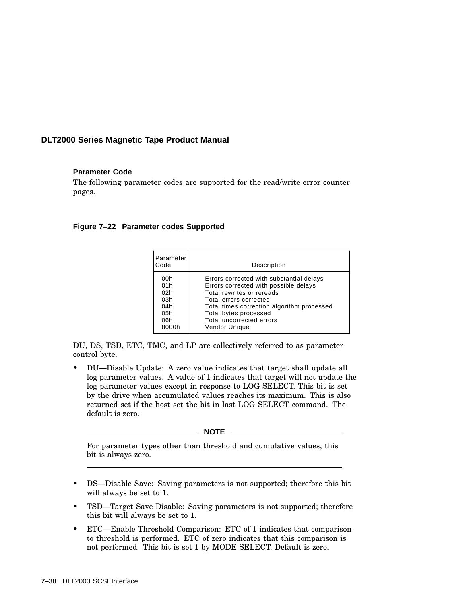### **Parameter Code**

The following parameter codes are supported for the read/write error counter pages.

#### **Figure 7–22 Parameter codes Supported**

| Parameter<br>Code | Description                                |
|-------------------|--------------------------------------------|
| 00h               | Errors corrected with substantial delays   |
| 01h               | Errors corrected with possible delays      |
| 02h               | Total rewrites or rereads                  |
| 03h               | Total errors corrected                     |
| 04h               | Total times correction algorithm processed |
| 05h               | Total bytes processed                      |
| 06h               | Total uncorrected errors                   |
| 8000h             | Vendor Unique                              |

DU, DS, TSD, ETC, TMC, and LP are collectively referred to as parameter control byte.

• DU—Disable Update: A zero value indicates that target shall update all log parameter values. A value of 1 indicates that target will not update the log parameter values except in response to LOG SELECT. This bit is set by the drive when accumulated values reaches its maximum. This is also returned set if the host set the bit in last LOG SELECT command. The default is zero.

**NOTE** \_\_\_\_\_\_

For parameter types other than threshold and cumulative values, this bit is always zero.

- DS—Disable Save: Saving parameters is not supported; therefore this bit will always be set to 1.
- TSD—Target Save Disable: Saving parameters is not supported; therefore this bit will always be set to 1.
- ETC—Enable Threshold Comparison: ETC of 1 indicates that comparison to threshold is performed. ETC of zero indicates that this comparison is not performed. This bit is set 1 by MODE SELECT. Default is zero.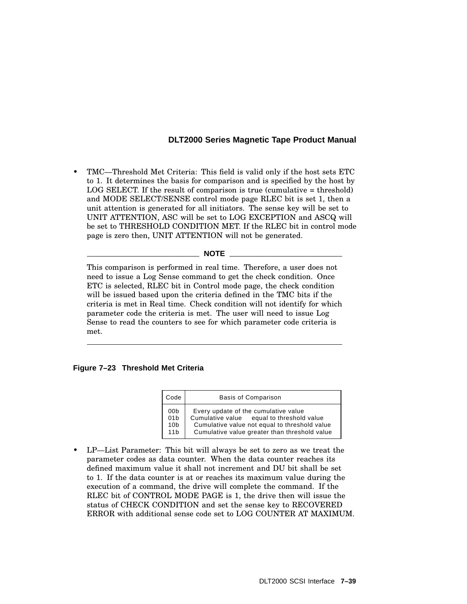• TMC—Threshold Met Criteria: This field is valid only if the host sets ETC to 1. It determines the basis for comparison and is specified by the host by LOG SELECT. If the result of comparison is true (cumulative = threshold) and MODE SELECT/SENSE control mode page RLEC bit is set 1, then a unit attention is generated for all initiators. The sense key will be set to UNIT ATTENTION, ASC will be set to LOG EXCEPTION and ASCQ will be set to THRESHOLD CONDITION MET. If the RLEC bit in control mode page is zero then, UNIT ATTENTION will not be generated.

**NOTE**

This comparison is performed in real time. Therefore, a user does not need to issue a Log Sense command to get the check condition. Once ETC is selected, RLEC bit in Control mode page, the check condition will be issued based upon the criteria defined in the TMC bits if the criteria is met in Real time. Check condition will not identify for which parameter code the criteria is met. The user will need to issue Log Sense to read the counters to see for which parameter code criteria is met.

#### **Figure 7–23 Threshold Met Criteria**

| Code                                                         | <b>Basis of Comparison</b>                                                                                                                                                          |  |  |  |
|--------------------------------------------------------------|-------------------------------------------------------------------------------------------------------------------------------------------------------------------------------------|--|--|--|
| 00b<br>01 <sub>b</sub><br>10 <sub>b</sub><br>11 <sub>b</sub> | Every update of the cumulative value<br>Cumulative value equal to threshold value<br>Cumulative value not equal to threshold value<br>Cumulative value greater than threshold value |  |  |  |

• LP—List Parameter: This bit will always be set to zero as we treat the parameter codes as data counter. When the data counter reaches its defined maximum value it shall not increment and DU bit shall be set to 1. If the data counter is at or reaches its maximum value during the execution of a command, the drive will complete the command. If the RLEC bit of CONTROL MODE PAGE is 1, the drive then will issue the status of CHECK CONDITION and set the sense key to RECOVERED ERROR with additional sense code set to LOG COUNTER AT MAXIMUM.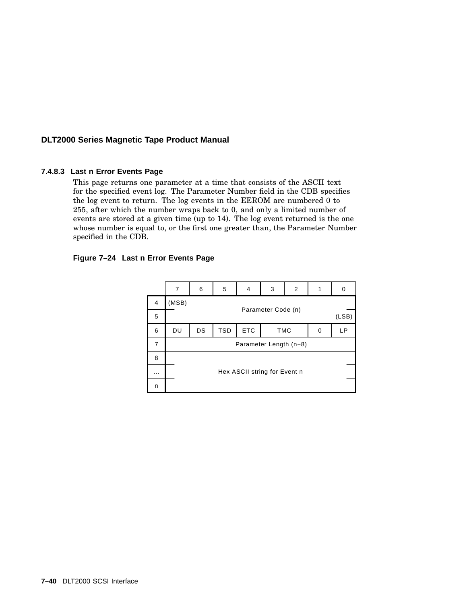#### **7.4.8.3 Last n Error Events Page**

This page returns one parameter at a time that consists of the ASCII text for the specified event log. The Parameter Number field in the CDB specifies the log event to return. The log events in the EEROM are numbered 0 to 255, after which the number wraps back to 0, and only a limited number of events are stored at a given time (up to 14). The log event returned is the one whose number is equal to, or the first one greater than, the Parameter Number specified in the CDB.

#### **Figure 7–24 Last n Error Events Page**

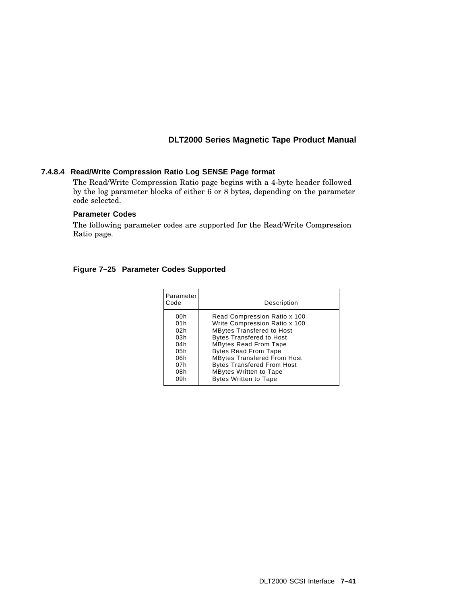### **7.4.8.4 Read/Write Compression Ratio Log SENSE Page format**

The Read/Write Compression Ratio page begins with a 4-byte header followed by the log parameter blocks of either 6 or 8 bytes, depending on the parameter code selected.

### **Parameter Codes**

The following parameter codes are supported for the Read/Write Compression Ratio page.

| Parameter<br>Code                                           | Description                                                                                                                                                                                                                                                                                                     |
|-------------------------------------------------------------|-----------------------------------------------------------------------------------------------------------------------------------------------------------------------------------------------------------------------------------------------------------------------------------------------------------------|
| 00h<br>01h<br>02h<br>03h<br>04h<br>05h<br>06h<br>07h<br>08h | Read Compression Ratio x 100<br>Write Compression Ratio x 100<br><b>MBytes Transfered to Host</b><br><b>Bytes Transfered to Host</b><br><b>MBytes Read From Tape</b><br><b>Bytes Read From Tape</b><br><b>MBytes Transfered From Host</b><br><b>Bytes Transfered From Host</b><br><b>MBytes Written to Tape</b> |
| 09h                                                         | <b>Bytes Written to Tape</b>                                                                                                                                                                                                                                                                                    |

### **Figure 7–25 Parameter Codes Supported**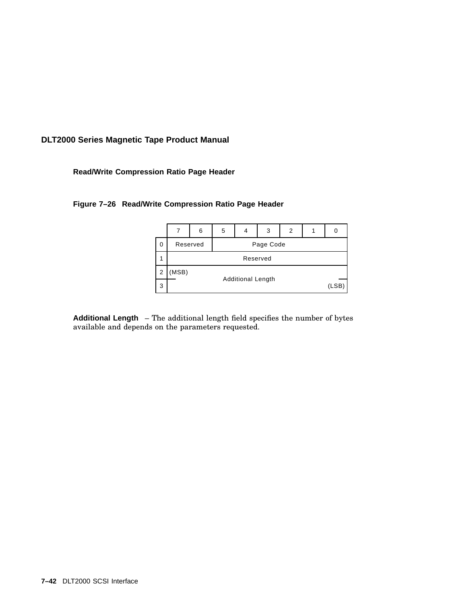**Read/Write Compression Ratio Page Header**

### **Figure 7–26 Read/Write Compression Ratio Page Header**



**Additional Length** – The additional length field specifies the number of bytes available and depends on the parameters requested.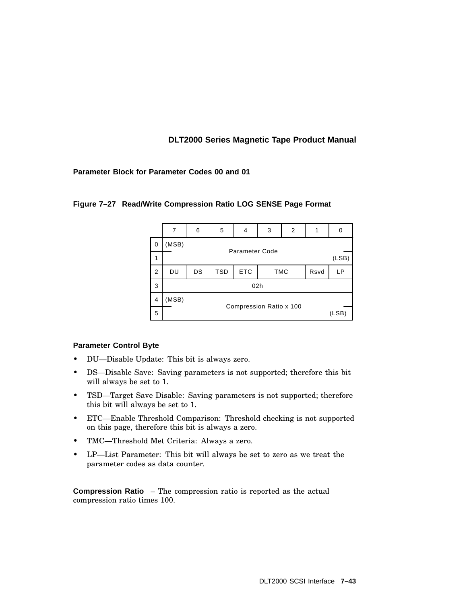### **Parameter Block for Parameter Codes 00 and 01**

|                |                                  | 6                       | 5          | 4          | 3          | 2 |      | 0     |  |
|----------------|----------------------------------|-------------------------|------------|------------|------------|---|------|-------|--|
| 0              | (MSB)                            |                         |            |            |            |   |      |       |  |
| 1              |                                  | Parameter Code<br>(LSB) |            |            |            |   |      |       |  |
| $\overline{2}$ | DU                               | DS                      | <b>TSD</b> | <b>ETC</b> | <b>TMC</b> |   | Rsvd | LP    |  |
| 3              | 02h                              |                         |            |            |            |   |      |       |  |
| 4              | (MSB)<br>Compression Ratio x 100 |                         |            |            |            |   |      |       |  |
| 5              |                                  |                         |            |            |            |   |      | (LSB) |  |

### **Figure 7–27 Read/Write Compression Ratio LOG SENSE Page Format**

### **Parameter Control Byte**

- DU—Disable Update: This bit is always zero.
- DS—Disable Save: Saving parameters is not supported; therefore this bit will always be set to 1.
- TSD—Target Save Disable: Saving parameters is not supported; therefore this bit will always be set to 1.
- ETC—Enable Threshold Comparison: Threshold checking is not supported on this page, therefore this bit is always a zero.
- TMC—Threshold Met Criteria: Always a zero.
- LP—List Parameter: This bit will always be set to zero as we treat the parameter codes as data counter.

**Compression Ratio** – The compression ratio is reported as the actual compression ratio times 100.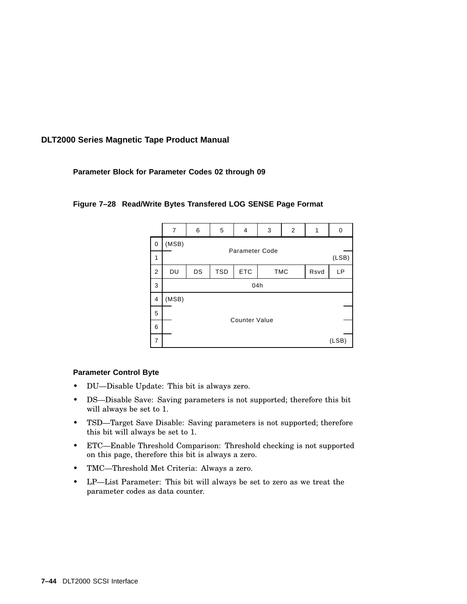### **Parameter Block for Parameter Codes 02 through 09**

|                  | $\overline{7}$ | 6   | 5          | $\overline{4}$        | 3          | 2 |      | 0     |
|------------------|----------------|-----|------------|-----------------------|------------|---|------|-------|
| $\vert 0$        | (MSB)          |     |            | <b>Parameter Code</b> |            |   |      |       |
| 1                |                |     |            |                       |            |   |      | (LSB) |
| $\boldsymbol{2}$ | DU             | DS  | <b>TSD</b> | ETC                   | <b>TMC</b> |   | Rsvd | LP    |
| 3                |                | 04h |            |                       |            |   |      |       |
| $\overline{4}$   | (MSB)          |     |            |                       |            |   |      |       |
| 5                |                |     |            | <b>Counter Value</b>  |            |   |      |       |
| 6                |                |     |            |                       |            |   |      |       |
| $\overline{7}$   |                |     |            |                       |            |   |      | (LSB) |

### **Figure 7–28 Read/Write Bytes Transfered LOG SENSE Page Format**

#### **Parameter Control Byte**

- DU—Disable Update: This bit is always zero.
- DS—Disable Save: Saving parameters is not supported; therefore this bit will always be set to 1.
- TSD—Target Save Disable: Saving parameters is not supported; therefore this bit will always be set to 1.
- ETC—Enable Threshold Comparison: Threshold checking is not supported on this page, therefore this bit is always a zero.
- TMC—Threshold Met Criteria: Always a zero.
- LP—List Parameter: This bit will always be set to zero as we treat the parameter codes as data counter.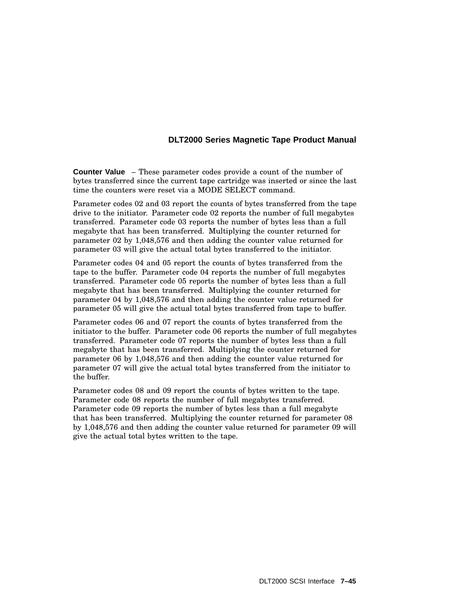**Counter Value** – These parameter codes provide a count of the number of bytes transferred since the current tape cartridge was inserted or since the last time the counters were reset via a MODE SELECT command.

Parameter codes 02 and 03 report the counts of bytes transferred from the tape drive to the initiator. Parameter code 02 reports the number of full megabytes transferred. Parameter code 03 reports the number of bytes less than a full megabyte that has been transferred. Multiplying the counter returned for parameter 02 by 1,048,576 and then adding the counter value returned for parameter 03 will give the actual total bytes transferred to the initiator.

Parameter codes 04 and 05 report the counts of bytes transferred from the tape to the buffer. Parameter code 04 reports the number of full megabytes transferred. Parameter code 05 reports the number of bytes less than a full megabyte that has been transferred. Multiplying the counter returned for parameter 04 by 1,048,576 and then adding the counter value returned for parameter 05 will give the actual total bytes transferred from tape to buffer.

Parameter codes 06 and 07 report the counts of bytes transferred from the initiator to the buffer. Parameter code 06 reports the number of full megabytes transferred. Parameter code 07 reports the number of bytes less than a full megabyte that has been transferred. Multiplying the counter returned for parameter 06 by 1,048,576 and then adding the counter value returned for parameter 07 will give the actual total bytes transferred from the initiator to the buffer.

Parameter codes 08 and 09 report the counts of bytes written to the tape. Parameter code 08 reports the number of full megabytes transferred. Parameter code 09 reports the number of bytes less than a full megabyte that has been transferred. Multiplying the counter returned for parameter 08 by 1,048,576 and then adding the counter value returned for parameter 09 will give the actual total bytes written to the tape.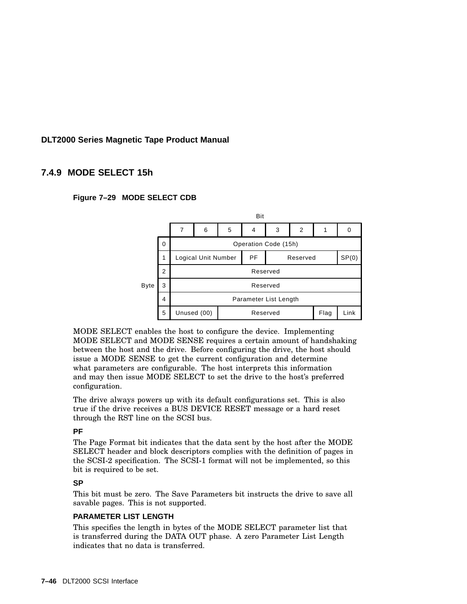## **7.4.9 MODE SELECT 15h**





MODE SELECT enables the host to configure the device. Implementing MODE SELECT and MODE SENSE requires a certain amount of handshaking between the host and the drive. Before configuring the drive, the host should issue a MODE SENSE to get the current configuration and determine what parameters are configurable. The host interprets this information and may then issue MODE SELECT to set the drive to the host's preferred configuration.

The drive always powers up with its default configurations set. This is also true if the drive receives a BUS DEVICE RESET message or a hard reset through the RST line on the SCSI bus.

### **PF**

The Page Format bit indicates that the data sent by the host after the MODE SELECT header and block descriptors complies with the definition of pages in the SCSI-2 specification. The SCSI-1 format will not be implemented, so this bit is required to be set.

### **SP**

This bit must be zero. The Save Parameters bit instructs the drive to save all savable pages. This is not supported.

### **PARAMETER LIST LENGTH**

This specifies the length in bytes of the MODE SELECT parameter list that is transferred during the DATA OUT phase. A zero Parameter List Length indicates that no data is transferred.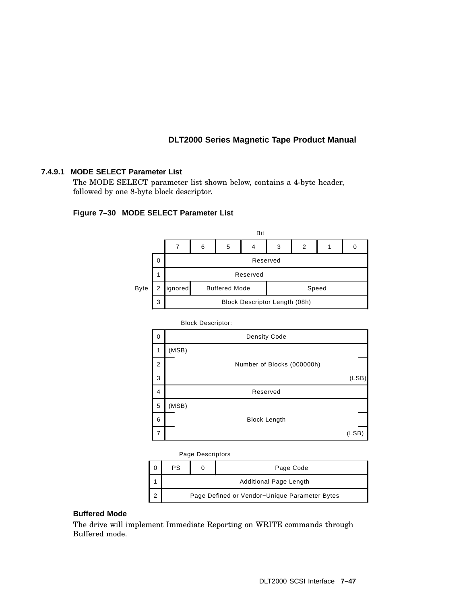### **7.4.9.1 MODE SELECT Parameter List**

The MODE SELECT parameter list shown below, contains a 4-byte header, followed by one 8-byte block descriptor.

### **Figure 7–30 MODE SELECT Parameter List**



Block Descriptor:

| 0              |       | <b>Density Code</b>        |       |
|----------------|-------|----------------------------|-------|
| 1              | (MSB) |                            |       |
| $\overline{2}$ |       | Number of Blocks (000000h) |       |
| 3              |       |                            | (LSB) |
| 4              |       | Reserved                   |       |
| 5              | (MSB) |                            |       |
| 6              |       | <b>Block Length</b>        |       |
| 7              |       |                            | (LSB  |

#### Page Descriptors

| PS                                            |  | Page Code |  |  |  |  |
|-----------------------------------------------|--|-----------|--|--|--|--|
| <b>Additional Page Length</b>                 |  |           |  |  |  |  |
| Page Defined or Vendor-Unique Parameter Bytes |  |           |  |  |  |  |

### **Buffered Mode**

The drive will implement Immediate Reporting on WRITE commands through Buffered mode.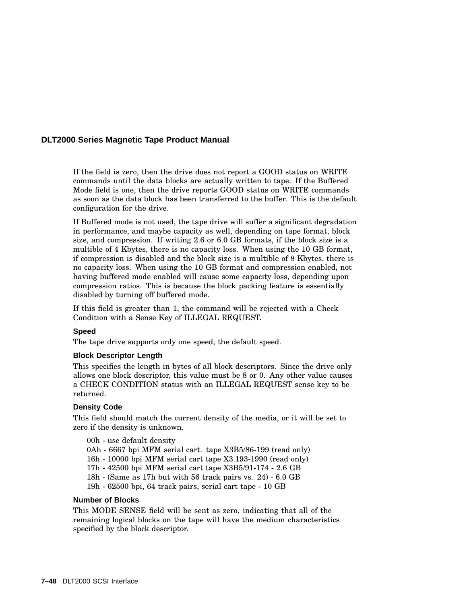If the field is zero, then the drive does not report a GOOD status on WRITE commands until the data blocks are actually written to tape. If the Buffered Mode field is one, then the drive reports GOOD status on WRITE commands as soon as the data block has been transferred to the buffer. This is the default configuration for the drive.

If Buffered mode is not used, the tape drive will suffer a significant degradation in performance, and maybe capacity as well, depending on tape format, block size, and compression. If writing 2.6 or 6.0 GB formats, if the block size is a multible of 4 Kbytes, there is no capacity loss. When using the 10 GB format, if compression is disabled and the block size is a multible of 8 Kbytes, there is no capacity loss. When using the 10 GB format and compression enabled, not having buffered mode enabled will cause some capacity loss, depending upon compression ratios. This is because the block packing feature is essentially disabled by turning off buffered mode.

If this field is greater than 1, the command will be rejected with a Check Condition with a Sense Key of ILLEGAL REQUEST.

### **Speed**

The tape drive supports only one speed, the default speed.

### **Block Descriptor Length**

This specifies the length in bytes of all block descriptors. Since the drive only allows one block descriptor, this value must be 8 or 0. Any other value causes a CHECK CONDITION status with an ILLEGAL REQUEST sense key to be returned.

### **Density Code**

This field should match the current density of the media, or it will be set to zero if the density is unknown.

00h - use default density

- 0Ah 6667 bpi MFM serial cart. tape X3B5/86-199 (read only)
- 16h 10000 bpi MFM serial cart tape X3.193-1990 (read only)
- 17h 42500 bpi MFM serial cart tape X3B5/91-174 2.6 GB
- 18h (Same as 17h but with 56 track pairs vs. 24) 6.0 GB
- 19h 62500 bpi, 64 track pairs, serial cart tape 10 GB

### **Number of Blocks**

This MODE SENSE field will be sent as zero, indicating that all of the remaining logical blocks on the tape will have the medium characteristics specified by the block descriptor.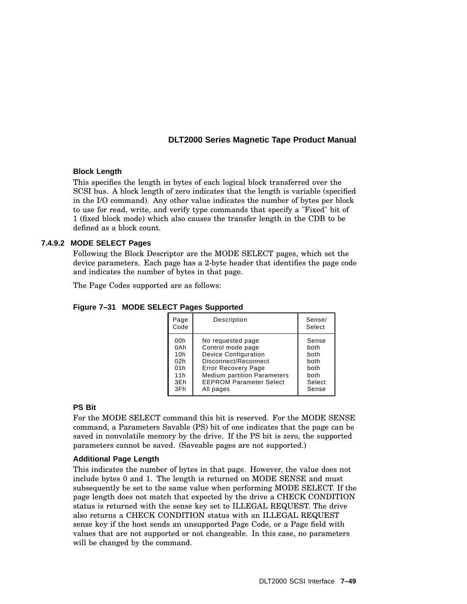### **Block Length**

This specifies the length in bytes of each logical block transferred over the SCSI bus. A block length of zero indicates that the length is variable (specified in the I/O command). Any other value indicates the number of bytes per block to use for read, write, and verify type commands that specify a "Fixed" bit of 1 (fixed block mode) which also causes the transfer length in the CDB to be defined as a block count.

### **7.4.9.2 MODE SELECT Pages**

Following the Block Descriptor are the MODE SELECT pages, which set the device parameters. Each page has a 2-byte header that identifies the page code and indicates the number of bytes in that page.

The Page Codes supported are as follows:

| Page<br>Code | Description                        | Sense/<br>Select |
|--------------|------------------------------------|------------------|
| 00h          | No requested page                  | Sense            |
| 0Ah          | Control mode page                  | both             |
| 10h          | <b>Device Configuration</b>        | both             |
| 02h          | Disconnect/Reconnect               | both             |
| 01h          | <b>Error Recovery Page</b>         | both             |
| 11h          | <b>Medium partition Parameters</b> | both             |
| 3Eh          | <b>EEPROM Parameter Select</b>     | Select           |
| 3Fh          | All pages                          | Sense            |

**Figure 7–31 MODE SELECT Pages Supported**

### **PS Bit**

For the MODE SELECT command this bit is reserved. For the MODE SENSE command, a Parameters Savable (PS) bit of one indicates that the page can be saved in nonvolatile memory by the drive. If the PS bit is zero, the supported parameters cannot be saved. (Saveable pages are not supported.)

### **Additional Page Length**

This indicates the number of bytes in that page. However, the value does not include bytes 0 and 1. The length is returned on MODE SENSE and must subsequently be set to the same value when performing MODE SELECT. If the page length does not match that expected by the drive a CHECK CONDITION status is returned with the sense key set to ILLEGAL REQUEST. The drive also returns a CHECK CONDITION status with an ILLEGAL REQUEST sense key if the host sends an unsupported Page Code, or a Page field with values that are not supported or not changeable. In this case, no parameters will be changed by the command.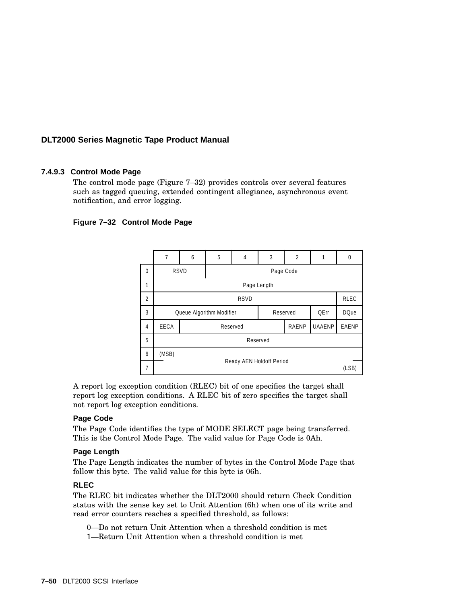### **7.4.9.3 Control Mode Page**

The control mode page (Figure 7–32) provides controls over several features such as tagged queuing, extended contingent allegiance, asynchronous event notification, and error logging.

### **Figure 7–32 Control Mode Page**



A report log exception condition (RLEC) bit of one specifies the target shall report log exception conditions. A RLEC bit of zero specifies the target shall not report log exception conditions.

#### **Page Code**

The Page Code identifies the type of MODE SELECT page being transferred. This is the Control Mode Page. The valid value for Page Code is 0Ah.

#### **Page Length**

The Page Length indicates the number of bytes in the Control Mode Page that follow this byte. The valid value for this byte is 06h.

#### **RLEC**

The RLEC bit indicates whether the DLT2000 should return Check Condition status with the sense key set to Unit Attention (6h) when one of its write and read error counters reaches a specified threshold, as follows:

0—Do not return Unit Attention when a threshold condition is met

1—Return Unit Attention when a threshold condition is met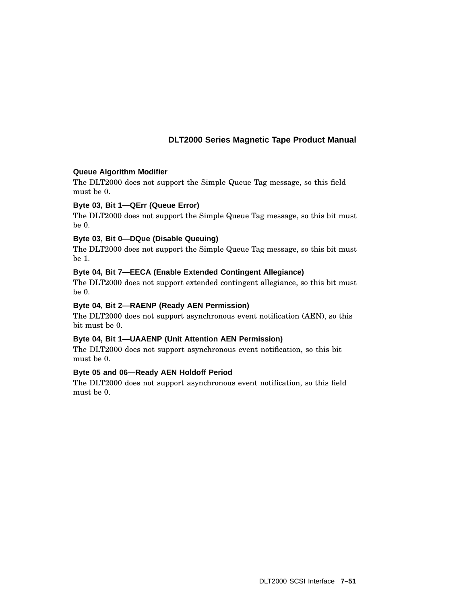### **Queue Algorithm Modifier**

The DLT2000 does not support the Simple Queue Tag message, so this field must be 0.

### **Byte 03, Bit 1—QErr (Queue Error)**

The DLT2000 does not support the Simple Queue Tag message, so this bit must be 0.

### **Byte 03, Bit 0—DQue (Disable Queuing)**

The DLT2000 does not support the Simple Queue Tag message, so this bit must be 1.

### **Byte 04, Bit 7—EECA (Enable Extended Contingent Allegiance)**

The DLT2000 does not support extended contingent allegiance, so this bit must be 0.

### **Byte 04, Bit 2—RAENP (Ready AEN Permission)**

The DLT2000 does not support asynchronous event notification (AEN), so this bit must be 0.

### **Byte 04, Bit 1—UAAENP (Unit Attention AEN Permission)**

The DLT2000 does not support asynchronous event notification, so this bit must be 0.

### **Byte 05 and 06—Ready AEN Holdoff Period**

The DLT2000 does not support asynchronous event notification, so this field must be 0.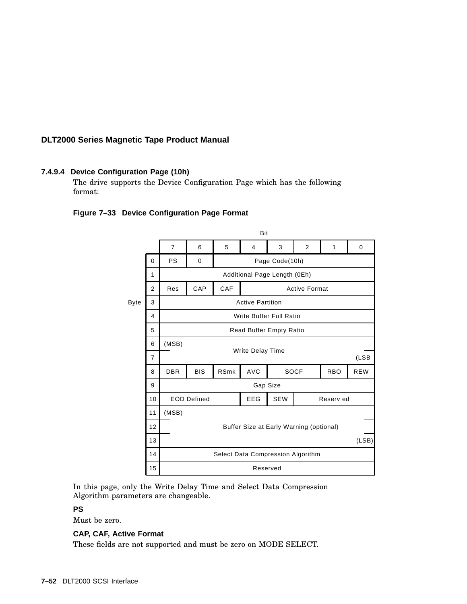### **7.4.9.4 Device Configuration Page (10h)**

The drive supports the Device Configuration Page which has the following format:

### **Figure 7–33 Device Configuration Page Format**



In this page, only the Write Delay Time and Select Data Compression Algorithm parameters are changeable.

### **PS**

Must be zero.

### **CAP, CAF, Active Format**

These fields are not supported and must be zero on MODE SELECT.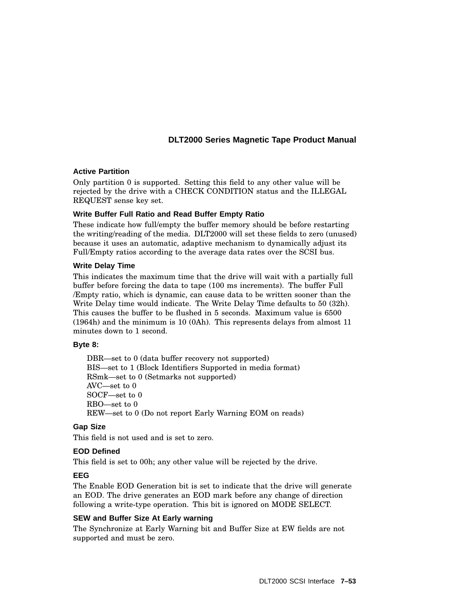### **Active Partition**

Only partition 0 is supported. Setting this field to any other value will be rejected by the drive with a CHECK CONDITION status and the ILLEGAL REQUEST sense key set.

### **Write Buffer Full Ratio and Read Buffer Empty Ratio**

These indicate how full/empty the buffer memory should be before restarting the writing/reading of the media. DLT2000 will set these fields to zero (unused) because it uses an automatic, adaptive mechanism to dynamically adjust its Full/Empty ratios according to the average data rates over the SCSI bus.

### **Write Delay Time**

This indicates the maximum time that the drive will wait with a partially full buffer before forcing the data to tape (100 ms increments). The buffer Full /Empty ratio, which is dynamic, can cause data to be written sooner than the Write Delay time would indicate. The Write Delay Time defaults to 50 (32h). This causes the buffer to be flushed in 5 seconds. Maximum value is 6500 (1964h) and the minimum is 10 (0Ah). This represents delays from almost 11 minutes down to 1 second.

### **Byte 8:**

DBR—set to 0 (data buffer recovery not supported) BIS—set to 1 (Block Identifiers Supported in media format) RSmk—set to 0 (Setmarks not supported) AVC—set to 0 SOCF—set to 0 RBO—set to 0 REW—set to 0 (Do not report Early Warning EOM on reads)

### **Gap Size**

This field is not used and is set to zero.

### **EOD Defined**

This field is set to 00h; any other value will be rejected by the drive.

### **EEG**

The Enable EOD Generation bit is set to indicate that the drive will generate an EOD. The drive generates an EOD mark before any change of direction following a write-type operation. This bit is ignored on MODE SELECT.

### **SEW and Buffer Size At Early warning**

The Synchronize at Early Warning bit and Buffer Size at EW fields are not supported and must be zero.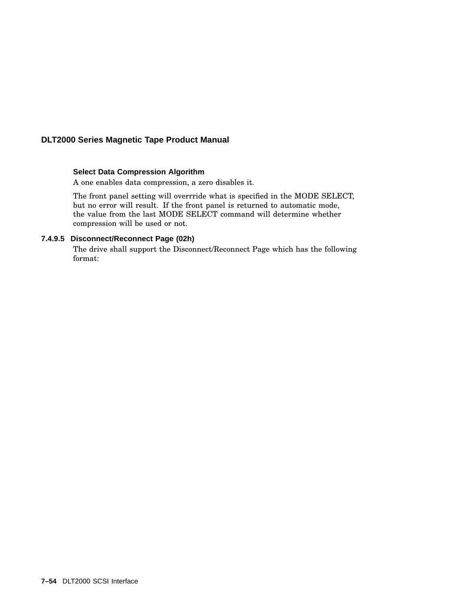### **Select Data Compression Algorithm**

A one enables data compression, a zero disables it.

The front panel setting will overrride what is specified in the MODE SELECT, but no error will result. If the front panel is returned to automatic mode, the value from the last MODE SELECT command will determine whether compression will be used or not.

### **7.4.9.5 Disconnect/Reconnect Page (02h)**

The drive shall support the Disconnect/Reconnect Page which has the following format: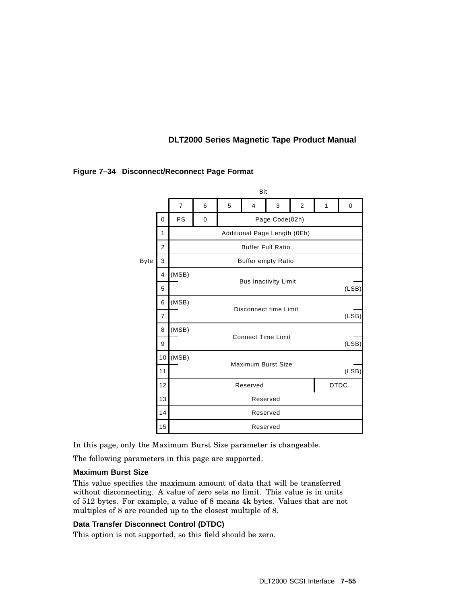|                                            |          | Bit            |             |                              |                           |                |       |   |       |
|--------------------------------------------|----------|----------------|-------------|------------------------------|---------------------------|----------------|-------|---|-------|
|                                            |          | $\overline{7}$ | 6           | 5                            | 4                         | 3              | 2     | 1 | 0     |
|                                            | $\Omega$ | <b>PS</b>      | $\mathbf 0$ |                              |                           | Page Code(02h) |       |   |       |
|                                            | 1        |                |             | Additional Page Length (0Eh) |                           |                |       |   |       |
| <b>Buffer Full Ratio</b><br>$\overline{2}$ |          |                |             |                              |                           |                |       |   |       |
| <b>Byte</b>                                | 3        |                |             |                              | <b>Buffer empty Ratio</b> |                |       |   |       |
|                                            | 4        | (MSB)          |             |                              |                           |                |       |   |       |
| <b>Bus Inactivity Limit</b><br>5           |          |                |             |                              |                           |                | (LSB) |   |       |
|                                            | 6        | (MSB)          |             | Disconnect time Limit        |                           |                |       |   |       |
|                                            | 7        |                |             |                              |                           |                |       |   | (LSB) |
|                                            | 8        | (MSB)          |             | <b>Connect Time Limit</b>    |                           |                |       |   |       |
|                                            | 9        |                |             |                              |                           |                |       |   | (LSB) |
|                                            | 10       | (MSB)          |             | Maximum Burst Size           |                           |                |       |   |       |
|                                            | 11       |                |             |                              |                           |                |       |   | (LSB) |
|                                            | 12       |                |             | <b>DTDC</b><br>Reserved      |                           |                |       |   |       |
|                                            | 13       |                |             | Reserved                     |                           |                |       |   |       |
|                                            | 14       |                |             |                              |                           | Reserved       |       |   |       |
|                                            | 15       |                |             |                              |                           | Reserved       |       |   |       |

### **Figure 7–34 Disconnect/Reconnect Page Format**

In this page, only the Maximum Burst Size parameter is changeable.

The following parameters in this page are supported:

#### **Maximum Burst Size**

This value specifies the maximum amount of data that will be transferred without disconnecting. A value of zero sets no limit. This value is in units of 512 bytes. For example, a value of 8 means 4k bytes. Values that are not multiples of 8 are rounded up to the closest multiple of 8.

### **Data Transfer Disconnect Control (DTDC)**

This option is not supported, so this field should be zero.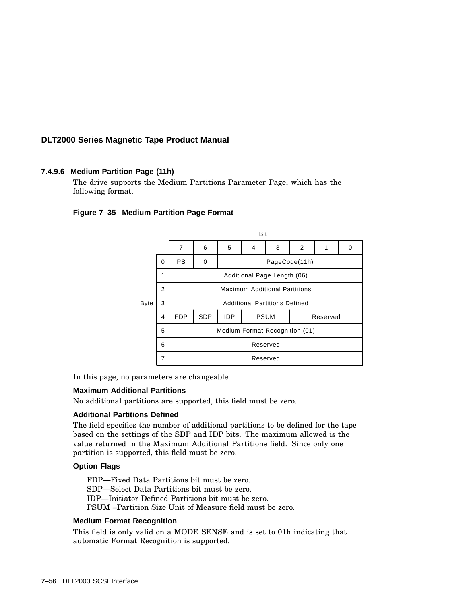### **7.4.9.6 Medium Partition Page (11h)**

The drive supports the Medium Partitions Parameter Page, which has the following format.

#### **Figure 7–35 Medium Partition Page Format**



In this page, no parameters are changeable.

#### **Maximum Additional Partitions**

No additional partitions are supported, this field must be zero.

#### **Additional Partitions Defined**

The field specifies the number of additional partitions to be defined for the tape based on the settings of the SDP and IDP bits. The maximum allowed is the value returned in the Maximum Additional Partitions field. Since only one partition is supported, this field must be zero.

#### **Option Flags**

FDP—Fixed Data Partitions bit must be zero. SDP—Select Data Partitions bit must be zero. IDP—Initiator Defined Partitions bit must be zero. PSUM –Partition Size Unit of Measure field must be zero.

#### **Medium Format Recognition**

This field is only valid on a MODE SENSE and is set to 01h indicating that automatic Format Recognition is supported.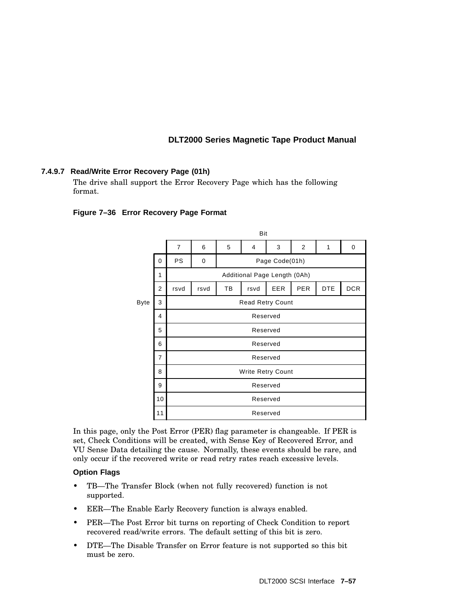### **7.4.9.7 Read/Write Error Recovery Page (01h)**

The drive shall support the Error Recovery Page which has the following format.

### **Figure 7–36 Error Recovery Page Format**

|      |                |                |          |    | Bit                          |                |                |            |            |  |  |
|------|----------------|----------------|----------|----|------------------------------|----------------|----------------|------------|------------|--|--|
|      |                | $\overline{7}$ | 6        | 5  | 4                            | 3              | $\overline{2}$ | 1          | 0          |  |  |
|      | 0              | <b>PS</b>      | 0        |    |                              | Page Code(01h) |                |            |            |  |  |
|      | 1              |                |          |    | Additional Page Length (0Ah) |                |                |            |            |  |  |
|      | $\overline{2}$ | rsvd           | rsvd     | ТB | rsvd                         | <b>EER</b>     | <b>PER</b>     | <b>DTE</b> | <b>DCR</b> |  |  |
| Byte | 3              |                |          |    | <b>Read Retry Count</b>      |                |                |            |            |  |  |
|      | 4              | Reserved       |          |    |                              |                |                |            |            |  |  |
|      | 5              |                |          |    | Reserved                     |                |                |            |            |  |  |
|      | 6              |                |          |    | Reserved                     |                |                |            |            |  |  |
|      | $\overline{7}$ |                |          |    | Reserved                     |                |                |            |            |  |  |
|      | 8              |                |          |    | <b>Write Retry Count</b>     |                |                |            |            |  |  |
|      | 9              |                | Reserved |    |                              |                |                |            |            |  |  |
|      | 10             |                |          |    | Reserved                     |                |                |            |            |  |  |
|      | 11             |                |          |    | Reserved                     |                |                |            |            |  |  |

In this page, only the Post Error (PER) flag parameter is changeable. If PER is set, Check Conditions will be created, with Sense Key of Recovered Error, and VU Sense Data detailing the cause. Normally, these events should be rare, and only occur if the recovered write or read retry rates reach excessive levels.

### **Option Flags**

- TB—The Transfer Block (when not fully recovered) function is not supported.
- EER—The Enable Early Recovery function is always enabled.
- PER—The Post Error bit turns on reporting of Check Condition to report recovered read/write errors. The default setting of this bit is zero.
- DTE—The Disable Transfer on Error feature is not supported so this bit must be zero.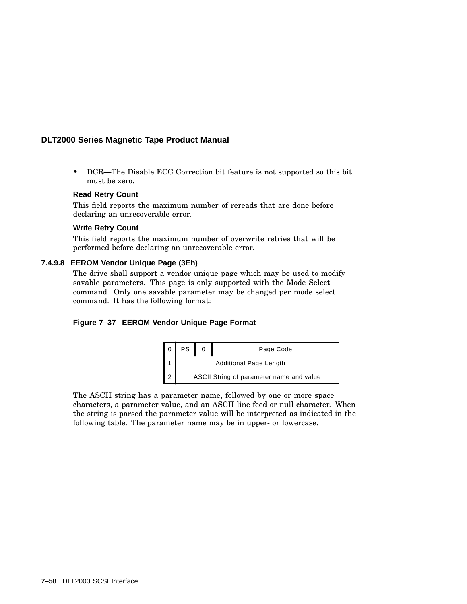• DCR—The Disable ECC Correction bit feature is not supported so this bit must be zero.

### **Read Retry Count**

This field reports the maximum number of rereads that are done before declaring an unrecoverable error.

#### **Write Retry Count**

This field reports the maximum number of overwrite retries that will be performed before declaring an unrecoverable error.

### **7.4.9.8 EEROM Vendor Unique Page (3Eh)**

The drive shall support a vendor unique page which may be used to modify savable parameters. This page is only supported with the Mode Select command. Only one savable parameter may be changed per mode select command. It has the following format:

### **Figure 7–37 EEROM Vendor Unique Page Format**



The ASCII string has a parameter name, followed by one or more space characters, a parameter value, and an ASCII line feed or null character. When the string is parsed the parameter value will be interpreted as indicated in the following table. The parameter name may be in upper- or lowercase.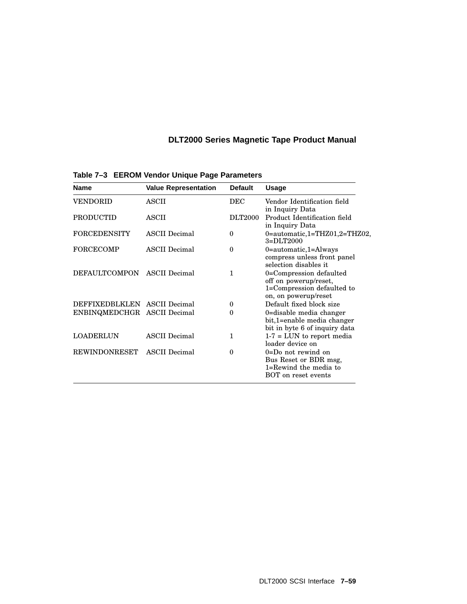| <b>Name</b>                  | <b>Value Representation</b> | <b>Default</b> | <b>Usage</b>                                                                                           |
|------------------------------|-----------------------------|----------------|--------------------------------------------------------------------------------------------------------|
| VENDORID                     | ASCII                       | <b>DEC</b>     | Vendor Identification field<br>in Inquiry Data                                                         |
| <b>PRODUCTID</b>             | ASCII                       | <b>DLT2000</b> | Product Identification field<br>in Inquiry Data                                                        |
| <b>FORCEDENSITY</b>          | <b>ASCII</b> Decimal        | $\theta$       | $0 =$ automatic, 1=THZ01, 2=THZ02,<br>$3=DLT2000$                                                      |
| <b>FORCECOMP</b>             | <b>ASCII</b> Decimal        | $\theta$       | $0$ =automatic,1=Always<br>compress unless front panel<br>selection disables it                        |
| <b>DEFAULTCOMPON</b>         | <b>ASCII</b> Decimal        | 1              | 0=Compression defaulted<br>off on powerup/reset,<br>1=Compression defaulted to<br>on, on powerup/reset |
| DEFFIXEDBLKLEN ASCII Decimal |                             | $\bf{0}$       | Default fixed block size                                                                               |
| ENBINQMEDCHGR ASCII Decimal  |                             | $\Omega$       | 0=disable media changer<br>bit,1=enable media changer<br>bit in byte 6 of inquiry data                 |
| LOADERLUN                    | <b>ASCII</b> Decimal        | 1              | $1-7 = LUN$ to report media<br>loader device on                                                        |
| <b>REWINDONRESET</b>         | <b>ASCII</b> Decimal        | $\theta$       | $0 = Do$ not rewind on<br>Bus Reset or BDR msg,<br>$1 =$ Rewind the media to<br>BOT on reset events    |

**Table 7–3 EEROM Vendor Unique Page Parameters**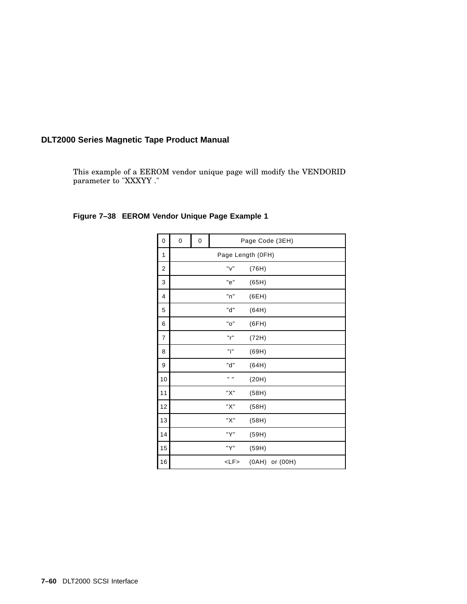This example of a EEROM vendor unique page will modify the VENDORID parameter to "XXXYY ."

| 0  | 0 | $\pmb{0}$         |                  | Page Code (3EH)    |  |  |  |
|----|---|-------------------|------------------|--------------------|--|--|--|
| 1  |   | Page Length (OFH) |                  |                    |  |  |  |
| 2  |   |                   | "v"              | (76H)              |  |  |  |
| 3  |   |                   | "e"              | (65H)              |  |  |  |
| 4  |   |                   | "n"              | (6EH)              |  |  |  |
| 5  |   |                   | "d"              | (64H)              |  |  |  |
| 6  |   |                   | "o"              | (6FH)              |  |  |  |
| 7  |   |                   | "r"              | (72H)              |  |  |  |
| 8  |   |                   | "i"              | (69H)              |  |  |  |
| 9  |   |                   | "d"              | (64H)              |  |  |  |
| 10 |   |                   | $\mathbf{u}$ and | (20H)              |  |  |  |
| 11 |   |                   | "X"              | (58H)              |  |  |  |
| 12 |   |                   | "X"              | (58H)              |  |  |  |
| 13 |   |                   | "X"              | (58H)              |  |  |  |
| 14 |   |                   | "Y"              | (59H)              |  |  |  |
| 15 |   |                   | "Y"              | (59H)              |  |  |  |
| 16 |   |                   | <lf></lf>        | $(OAH)$ or $(OOH)$ |  |  |  |

## **Figure 7–38 EEROM Vendor Unique Page Example 1**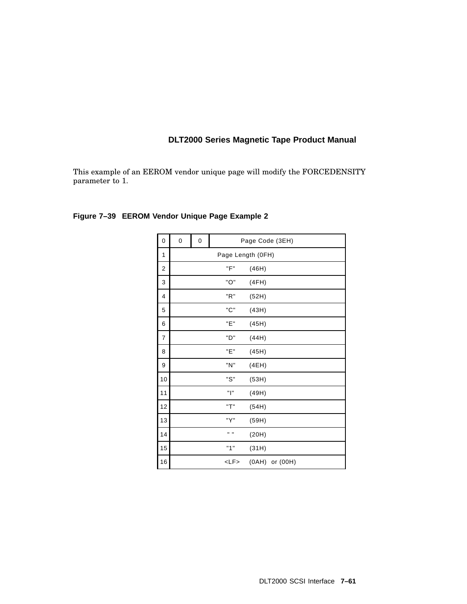This example of an EEROM vendor unique page will modify the FORCEDENSITY parameter to 1.

| 0  | 0 | 0                 |                  | Page Code (3EH)    |  |  |  |
|----|---|-------------------|------------------|--------------------|--|--|--|
| 1  |   | Page Length (OFH) |                  |                    |  |  |  |
| 2  |   |                   | "F"              | (46H)              |  |  |  |
| 3  |   |                   | "O"              | (4FH)              |  |  |  |
| 4  |   |                   | "R"              | (52H)              |  |  |  |
| 5  |   |                   | "C"              | (43H)              |  |  |  |
| 6  |   |                   | "Е"              | (45H)              |  |  |  |
| 7  |   |                   | "D"              | (44H)              |  |  |  |
| 8  |   |                   | "Е"              | (45H)              |  |  |  |
| 9  |   |                   | "N"              | (4EH)              |  |  |  |
| 10 |   |                   | "S"              | (53H)              |  |  |  |
| 11 |   |                   | "l"              | (49H)              |  |  |  |
| 12 |   |                   | "T"              | (54H)              |  |  |  |
| 13 |   |                   | "Y"              | (59H)              |  |  |  |
| 14 |   |                   | $\mathbf{u}$ and | (20H)              |  |  |  |
| 15 |   |                   | "1"              | (31H)              |  |  |  |
| 16 |   |                   | <lf></lf>        | $(OAH)$ or $(OOH)$ |  |  |  |

## **Figure 7–39 EEROM Vendor Unique Page Example 2**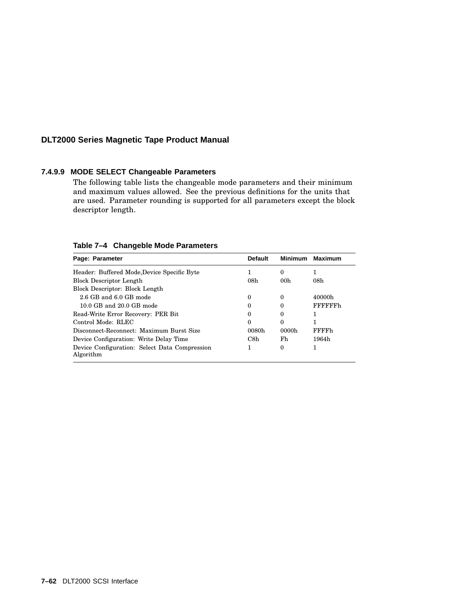### **7.4.9.9 MODE SELECT Changeable Parameters**

The following table lists the changeable mode parameters and their minimum and maximum values allowed. See the previous definitions for the units that are used. Parameter rounding is supported for all parameters except the block descriptor length.

| Page: Parameter                                            | <b>Default</b> | <b>Minimum</b>  | <b>Maximum</b>  |
|------------------------------------------------------------|----------------|-----------------|-----------------|
| Header: Buffered Mode, Device Specific Byte                |                | 0               |                 |
| <b>Block Descriptor Length</b>                             | 08h            | 00 <sub>h</sub> | 08h             |
| Block Descriptor: Block Length                             |                |                 |                 |
| $2.6$ GB and $6.0$ GB mode                                 | 0              | 0               | 40000h          |
| 10.0 GB and 20.0 GB mode                                   | $\Omega$       | 0               | <b>FFFFFFFh</b> |
| Read-Write Error Recovery: PER Bit                         | $\Omega$       | 0               |                 |
| Control Mode: RLEC                                         | $\Omega$       | $\theta$        |                 |
| Disconnect-Reconnect: Maximum Burst Size                   | 0080h          | 0000h           | <b>FFFFh</b>    |
| Device Configuration: Write Delay Time                     | C8h            | Fh              | 1964h           |
| Device Configuration: Select Data Compression<br>Algorithm |                | 0               |                 |

### **Table 7–4 Changeble Mode Parameters**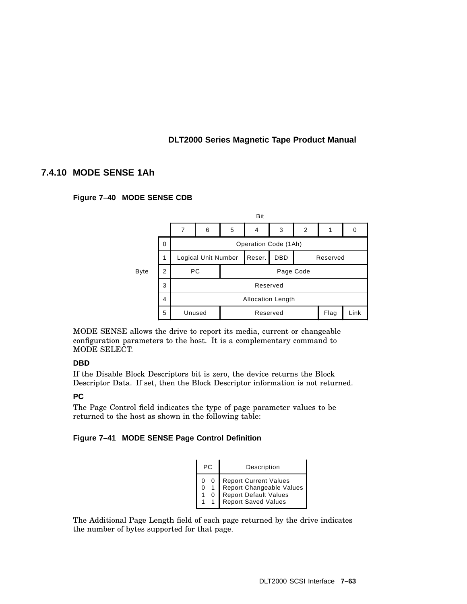## **7.4.10 MODE SENSE 1Ah**

### **Figure 7–40 MODE SENSE CDB**



MODE SENSE allows the drive to report its media, current or changeable configuration parameters to the host. It is a complementary command to MODE SELECT.

### **DBD**

If the Disable Block Descriptors bit is zero, the device returns the Block Descriptor Data. If set, then the Block Descriptor information is not returned.

### **PC**

The Page Control field indicates the type of page parameter values to be returned to the host as shown in the following table:

### **Figure 7–41 MODE SENSE Page Control Definition**

| PC.    |  | Description                                                                                       |
|--------|--|---------------------------------------------------------------------------------------------------|
| 0<br>0 |  | Report Current Values<br>Report Changeable Values<br>Report Default Values<br>Report Saved Values |

The Additional Page Length field of each page returned by the drive indicates the number of bytes supported for that page.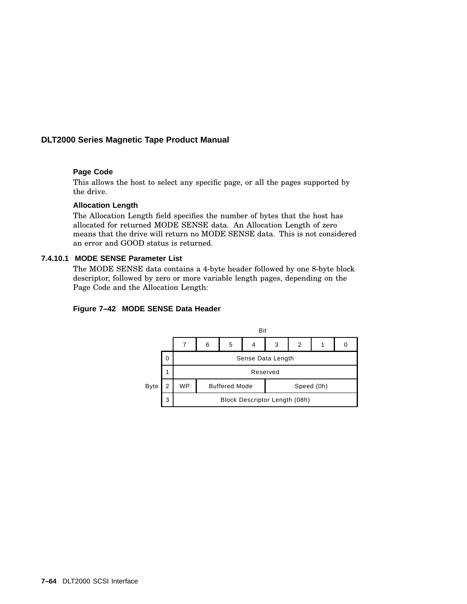### **Page Code**

This allows the host to select any specific page, or all the pages supported by the drive.

#### **Allocation Length**

The Allocation Length field specifies the number of bytes that the host has allocated for returned MODE SENSE data. An Allocation Length of zero means that the drive will return no MODE SENSE data. This is not considered an error and GOOD status is returned.

#### **7.4.10.1 MODE SENSE Parameter List**

The MODE SENSE data contains a 4-byte header followed by one 8-byte block descriptor, followed by zero or more variable length pages, depending on the Page Code and the Allocation Length:

### **Figure 7–42 MODE SENSE Data Header**

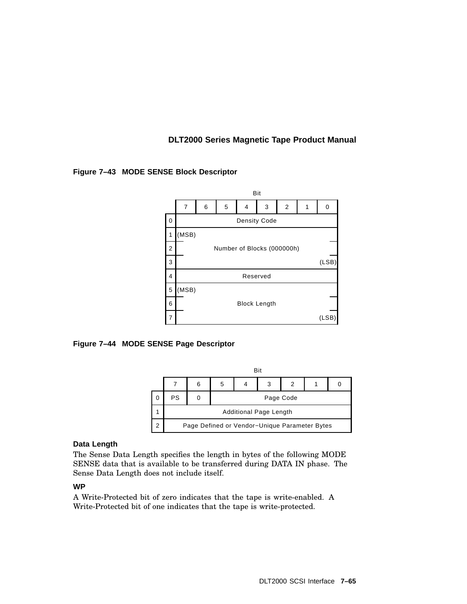

### **Figure 7–43 MODE SENSE Block Descriptor**





### **Data Length**

The Sense Data Length specifies the length in bytes of the following MODE SENSE data that is available to be transferred during DATA IN phase. The Sense Data Length does not include itself.

### **WP**

A Write-Protected bit of zero indicates that the tape is write-enabled. A Write-Protected bit of one indicates that the tape is write-protected.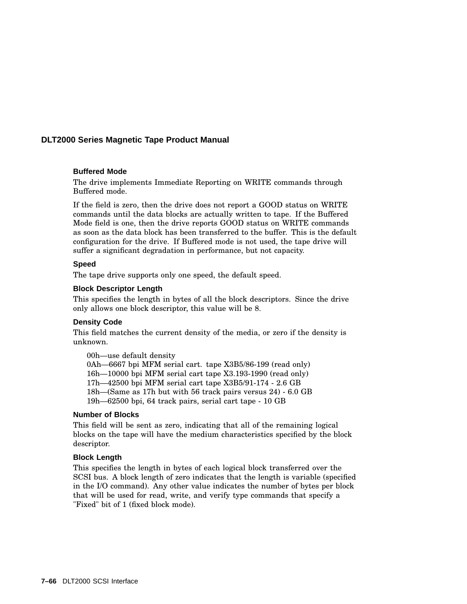#### **Buffered Mode**

The drive implements Immediate Reporting on WRITE commands through Buffered mode.

If the field is zero, then the drive does not report a GOOD status on WRITE commands until the data blocks are actually written to tape. If the Buffered Mode field is one, then the drive reports GOOD status on WRITE commands as soon as the data block has been transferred to the buffer. This is the default configuration for the drive. If Buffered mode is not used, the tape drive will suffer a significant degradation in performance, but not capacity.

### **Speed**

The tape drive supports only one speed, the default speed.

#### **Block Descriptor Length**

This specifies the length in bytes of all the block descriptors. Since the drive only allows one block descriptor, this value will be 8.

#### **Density Code**

This field matches the current density of the media, or zero if the density is unknown.

00h—use default density 0Ah—6667 bpi MFM serial cart. tape X3B5/86-199 (read only) 16h—10000 bpi MFM serial cart tape X3.193-1990 (read only) 17h—42500 bpi MFM serial cart tape X3B5/91-174 - 2.6 GB 18h—(Same as 17h but with 56 track pairs versus 24) - 6.0 GB 19h—62500 bpi, 64 track pairs, serial cart tape - 10 GB

#### **Number of Blocks**

This field will be sent as zero, indicating that all of the remaining logical blocks on the tape will have the medium characteristics specified by the block descriptor.

### **Block Length**

This specifies the length in bytes of each logical block transferred over the SCSI bus. A block length of zero indicates that the length is variable (specified in the I/O command). Any other value indicates the number of bytes per block that will be used for read, write, and verify type commands that specify a "Fixed" bit of 1 (fixed block mode).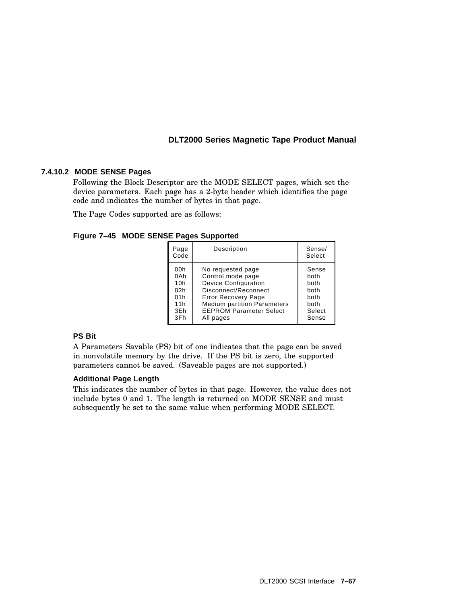### **7.4.10.2 MODE SENSE Pages**

Following the Block Descriptor are the MODE SELECT pages, which set the device parameters. Each page has a 2-byte header which identifies the page code and indicates the number of bytes in that page.

The Page Codes supported are as follows:

**Figure 7–45 MODE SENSE Pages Supported**

| Page<br>Code | Description                        | Sense/<br>Select |
|--------------|------------------------------------|------------------|
| 00h          | No requested page                  | Sense            |
| 0Ah          | Control mode page                  | both             |
| 10h          | <b>Device Configuration</b>        | both             |
| 02h          | Disconnect/Reconnect               | both             |
| 01h          | <b>Error Recovery Page</b>         | both             |
| 11h          | <b>Medium partition Parameters</b> | both             |
| 3Eh          | <b>EEPROM Parameter Select</b>     | Select           |
| 3Fh          | All pages                          | Sense            |

### **PS Bit**

A Parameters Savable (PS) bit of one indicates that the page can be saved in nonvolatile memory by the drive. If the PS bit is zero, the supported parameters cannot be saved. (Saveable pages are not supported.)

### **Additional Page Length**

This indicates the number of bytes in that page. However, the value does not include bytes 0 and 1. The length is returned on MODE SENSE and must subsequently be set to the same value when performing MODE SELECT.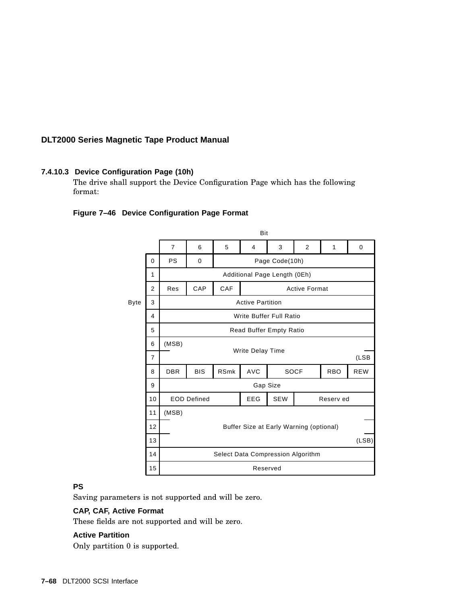### **7.4.10.3 Device Configuration Page (10h)**

The drive shall support the Device Configuration Page which has the following format:

### **Figure 7–46 Device Configuration Page Format**



### **PS**

Saving parameters is not supported and will be zero.

### **CAP, CAF, Active Format**

These fields are not supported and will be zero.

### **Active Partition**

Only partition 0 is supported.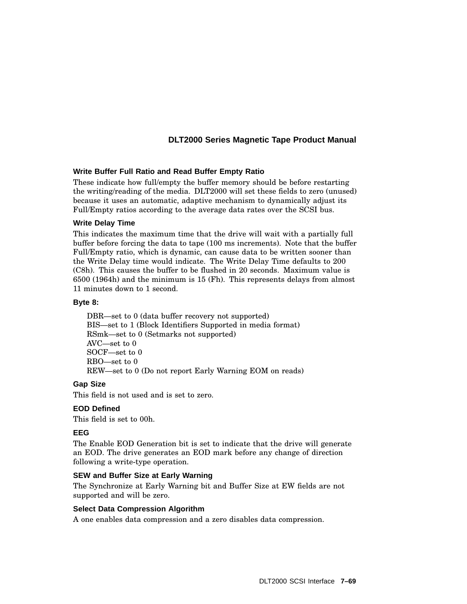### **Write Buffer Full Ratio and Read Buffer Empty Ratio**

These indicate how full/empty the buffer memory should be before restarting the writing/reading of the media. DLT2000 will set these fields to zero (unused) because it uses an automatic, adaptive mechanism to dynamically adjust its Full/Empty ratios according to the average data rates over the SCSI bus.

### **Write Delay Time**

This indicates the maximum time that the drive will wait with a partially full buffer before forcing the data to tape (100 ms increments). Note that the buffer Full/Empty ratio, which is dynamic, can cause data to be written sooner than the Write Delay time would indicate. The Write Delay Time defaults to 200 (C8h). This causes the buffer to be flushed in 20 seconds. Maximum value is 6500 (1964h) and the minimum is 15 (Fh). This represents delays from almost 11 minutes down to 1 second.

### **Byte 8:**

DBR—set to 0 (data buffer recovery not supported) BIS—set to 1 (Block Identifiers Supported in media format) RSmk—set to 0 (Setmarks not supported) AVC—set to 0 SOCF—set to 0 RBO—set to 0 REW—set to 0 (Do not report Early Warning EOM on reads)

### **Gap Size**

This field is not used and is set to zero.

### **EOD Defined**

This field is set to 00h.

### **EEG**

The Enable EOD Generation bit is set to indicate that the drive will generate an EOD. The drive generates an EOD mark before any change of direction following a write-type operation.

### **SEW and Buffer Size at Early Warning**

The Synchronize at Early Warning bit and Buffer Size at EW fields are not supported and will be zero.

### **Select Data Compression Algorithm**

A one enables data compression and a zero disables data compression.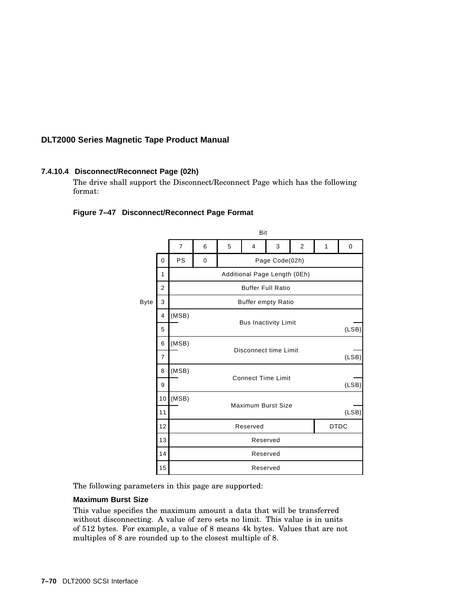### **7.4.10.4 Disconnect/Reconnect Page (02h)**

The drive shall support the Disconnect/Reconnect Page which has the following format:

### **Figure 7–47 Disconnect/Reconnect Page Format**



The following parameters in this page are supported:

### **Maximum Burst Size**

This value specifies the maximum amount a data that will be transferred without disconnecting. A value of zero sets no limit. This value is in units of 512 bytes. For example, a value of 8 means 4k bytes. Values that are not multiples of 8 are rounded up to the closest multiple of 8.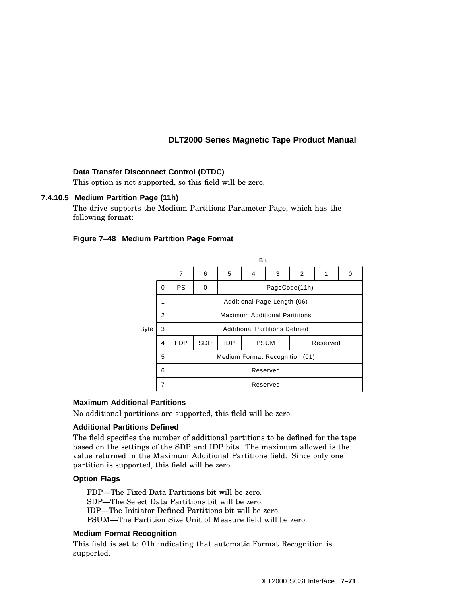### **Data Transfer Disconnect Control (DTDC)**

This option is not supported, so this field will be zero.

### **7.4.10.5 Medium Partition Page (11h)**

The drive supports the Medium Partitions Parameter Page, which has the following format:

### **Figure 7–48 Medium Partition Page Format**



#### **Maximum Additional Partitions**

No additional partitions are supported, this field will be zero.

#### **Additional Partitions Defined**

The field specifies the number of additional partitions to be defined for the tape based on the settings of the SDP and IDP bits. The maximum allowed is the value returned in the Maximum Additional Partitions field. Since only one partition is supported, this field will be zero.

#### **Option Flags**

FDP—The Fixed Data Partitions bit will be zero. SDP—The Select Data Partitions bit will be zero. IDP—The Initiator Defined Partitions bit will be zero. PSUM—The Partition Size Unit of Measure field will be zero.

#### **Medium Format Recognition**

This field is set to 01h indicating that automatic Format Recognition is supported.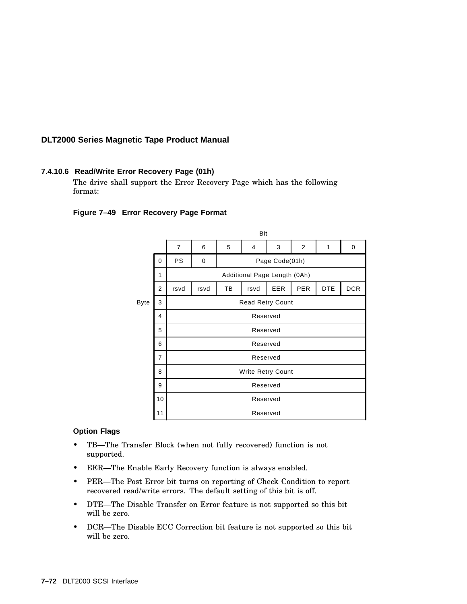### **7.4.10.6 Read/Write Error Recovery Page (01h)**

The drive shall support the Error Recovery Page which has the following format:

### **Figure 7–49 Error Recovery Page Format**

|      |                |                              |          |                | Bit  |     |                |            |            |
|------|----------------|------------------------------|----------|----------------|------|-----|----------------|------------|------------|
|      |                | $\overline{7}$               | 6        | 5              | 4    | 3   | $\overline{2}$ | 1          | 0          |
|      | $\Omega$       | PS                           | 0        | Page Code(01h) |      |     |                |            |            |
|      | 1              | Additional Page Length (0Ah) |          |                |      |     |                |            |            |
|      | $\overline{2}$ | rsvd                         | rsvd     | TB             | rsvd | EER | <b>PER</b>     | <b>DTE</b> | <b>DCR</b> |
| Byte | 3              | Read Retry Count             |          |                |      |     |                |            |            |
|      | 4              |                              | Reserved |                |      |     |                |            |            |
|      | 5              | Reserved                     |          |                |      |     |                |            |            |
|      | 6              | Reserved                     |          |                |      |     |                |            |            |
|      | $\overline{7}$ | Reserved                     |          |                |      |     |                |            |            |
|      | 8              | Write Retry Count            |          |                |      |     |                |            |            |
|      | 9              | Reserved                     |          |                |      |     |                |            |            |
|      | 10             | Reserved<br>Reserved         |          |                |      |     |                |            |            |
|      | 11             |                              |          |                |      |     |                |            |            |

### **Option Flags**

- TB—The Transfer Block (when not fully recovered) function is not supported.
- EER—The Enable Early Recovery function is always enabled.
- PER—The Post Error bit turns on reporting of Check Condition to report recovered read/write errors. The default setting of this bit is off.
- DTE—The Disable Transfer on Error feature is not supported so this bit will be zero.
- DCR—The Disable ECC Correction bit feature is not supported so this bit will be zero.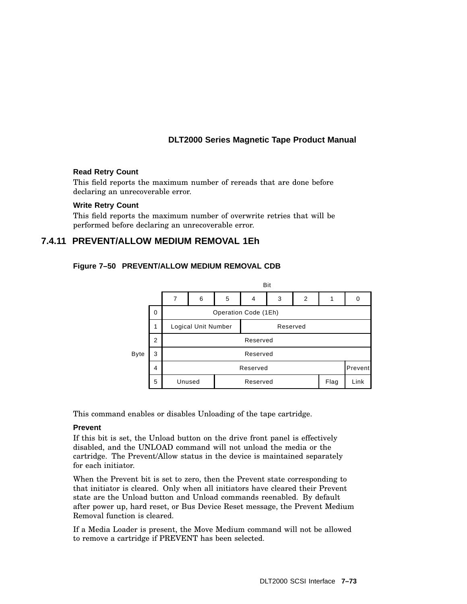### **Read Retry Count**

This field reports the maximum number of rereads that are done before declaring an unrecoverable error.

### **Write Retry Count**

This field reports the maximum number of overwrite retries that will be performed before declaring an unrecoverable error.

## **7.4.11 PREVENT/ALLOW MEDIUM REMOVAL 1Eh**





This command enables or disables Unloading of the tape cartridge.

### **Prevent**

If this bit is set, the Unload button on the drive front panel is effectively disabled, and the UNLOAD command will not unload the media or the cartridge. The Prevent/Allow status in the device is maintained separately for each initiator.

When the Prevent bit is set to zero, then the Prevent state corresponding to that initiator is cleared. Only when all initiators have cleared their Prevent state are the Unload button and Unload commands reenabled. By default after power up, hard reset, or Bus Device Reset message, the Prevent Medium Removal function is cleared.

If a Media Loader is present, the Move Medium command will not be allowed to remove a cartridge if PREVENT has been selected.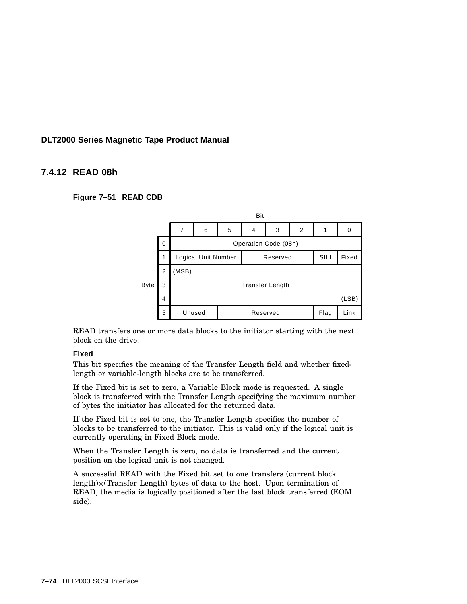## **7.4.12 READ 08h**

**Figure 7–51 READ CDB**



READ transfers one or more data blocks to the initiator starting with the next block on the drive.

### **Fixed**

This bit specifies the meaning of the Transfer Length field and whether fixedlength or variable-length blocks are to be transferred.

If the Fixed bit is set to zero, a Variable Block mode is requested. A single block is transferred with the Transfer Length specifying the maximum number of bytes the initiator has allocated for the returned data.

If the Fixed bit is set to one, the Transfer Length specifies the number of blocks to be transferred to the initiator. This is valid only if the logical unit is currently operating in Fixed Block mode.

When the Transfer Length is zero, no data is transferred and the current position on the logical unit is not changed.

A successful READ with the Fixed bit set to one transfers (current block length) (Transfer Length) bytes of data to the host. Upon termination of READ, the media is logically positioned after the last block transferred (EOM side).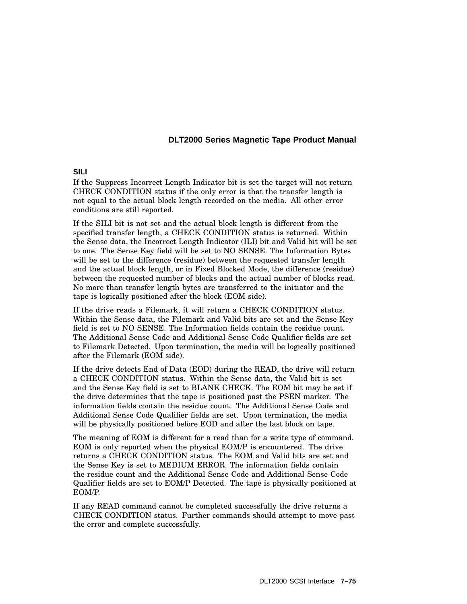### **SILI**

If the Suppress Incorrect Length Indicator bit is set the target will not return CHECK CONDITION status if the only error is that the transfer length is not equal to the actual block length recorded on the media. All other error conditions are still reported.

If the SILI bit is not set and the actual block length is different from the specified transfer length, a CHECK CONDITION status is returned. Within the Sense data, the Incorrect Length Indicator (ILI) bit and Valid bit will be set to one. The Sense Key field will be set to NO SENSE. The Information Bytes will be set to the difference (residue) between the requested transfer length and the actual block length, or in Fixed Blocked Mode, the difference (residue) between the requested number of blocks and the actual number of blocks read. No more than transfer length bytes are transferred to the initiator and the tape is logically positioned after the block (EOM side).

If the drive reads a Filemark, it will return a CHECK CONDITION status. Within the Sense data, the Filemark and Valid bits are set and the Sense Key field is set to NO SENSE. The Information fields contain the residue count. The Additional Sense Code and Additional Sense Code Qualifier fields are set to Filemark Detected. Upon termination, the media will be logically positioned after the Filemark (EOM side).

If the drive detects End of Data (EOD) during the READ, the drive will return a CHECK CONDITION status. Within the Sense data, the Valid bit is set and the Sense Key field is set to BLANK CHECK. The EOM bit may be set if the drive determines that the tape is positioned past the PSEN marker. The information fields contain the residue count. The Additional Sense Code and Additional Sense Code Qualifier fields are set. Upon termination, the media will be physically positioned before EOD and after the last block on tape.

The meaning of EOM is different for a read than for a write type of command. EOM is only reported when the physical EOM/P is encountered. The drive returns a CHECK CONDITION status. The EOM and Valid bits are set and the Sense Key is set to MEDIUM ERROR. The information fields contain the residue count and the Additional Sense Code and Additional Sense Code Qualifier fields are set to EOM/P Detected. The tape is physically positioned at EOM/P.

If any READ command cannot be completed successfully the drive returns a CHECK CONDITION status. Further commands should attempt to move past the error and complete successfully.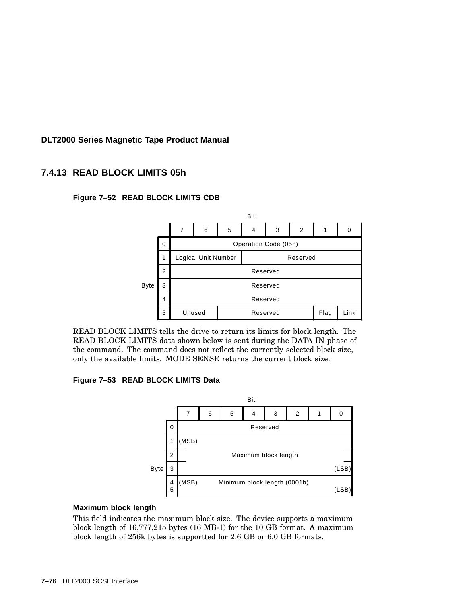## **7.4.13 READ BLOCK LIMITS 05h**





READ BLOCK LIMITS tells the drive to return its limits for block length. The READ BLOCK LIMITS data shown below is sent during the DATA IN phase of the command. The command does not reflect the currently selected block size, only the available limits. MODE SENSE returns the current block size.

**Figure 7–53 READ BLOCK LIMITS Data**



### **Maximum block length**

This field indicates the maximum block size. The device supports a maximum block length of 16,777,215 bytes (16 MB-1) for the 10 GB format. A maximum block length of 256k bytes is supportted for 2.6 GB or 6.0 GB formats.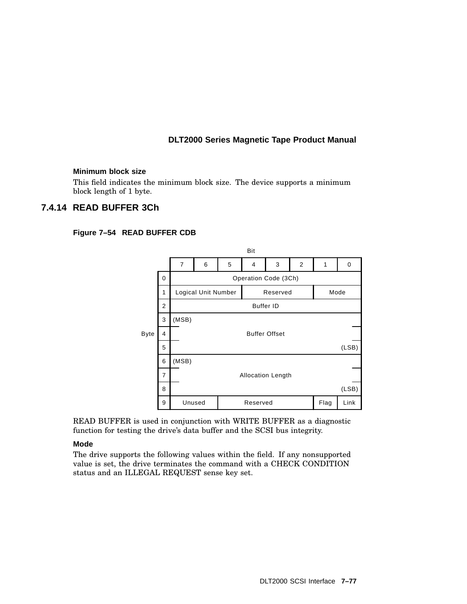### **Minimum block size**

This field indicates the minimum block size. The device supports a minimum block length of 1 byte.

## **7.4.14 READ BUFFER 3Ch**

### **Figure 7–54 READ BUFFER CDB**



READ BUFFER is used in conjunction with WRITE BUFFER as a diagnostic function for testing the drive's data buffer and the SCSI bus integrity.

### **Mode**

The drive supports the following values within the field. If any nonsupported value is set, the drive terminates the command with a CHECK CONDITION status and an ILLEGAL REQUEST sense key set.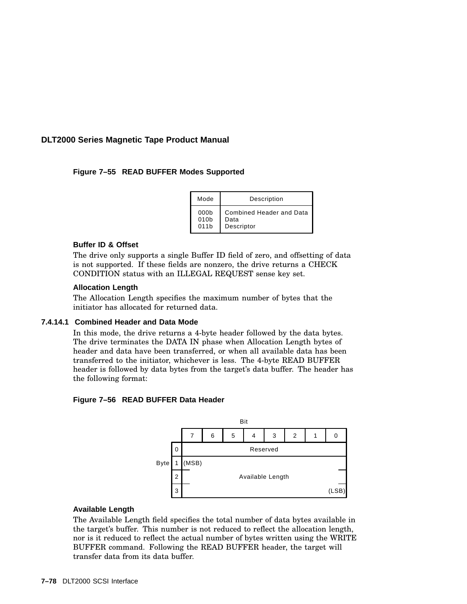### **Figure 7–55 READ BUFFER Modes Supported**

| Mode             | Description              |
|------------------|--------------------------|
| 000 <sub>b</sub> | Combined Header and Data |
| 010b             | Data                     |
| 011 <sub>b</sub> | Descriptor               |

### **Buffer ID & Offset**

The drive only supports a single Buffer ID field of zero, and offsetting of data is not supported. If these fields are nonzero, the drive returns a CHECK CONDITION status with an ILLEGAL REQUEST sense key set.

#### **Allocation Length**

The Allocation Length specifies the maximum number of bytes that the initiator has allocated for returned data.

#### **7.4.14.1 Combined Header and Data Mode**

In this mode, the drive returns a 4-byte header followed by the data bytes. The drive terminates the DATA IN phase when Allocation Length bytes of header and data have been transferred, or when all available data has been transferred to the initiator, whichever is less. The 4-byte READ BUFFER header is followed by data bytes from the target's data buffer. The header has the following format:

### **Figure 7–56 READ BUFFER Data Header**



### **Available Length**

The Available Length field specifies the total number of data bytes available in the target's buffer. This number is not reduced to reflect the allocation length, nor is it reduced to reflect the actual number of bytes written using the WRITE BUFFER command. Following the READ BUFFER header, the target will transfer data from its data buffer.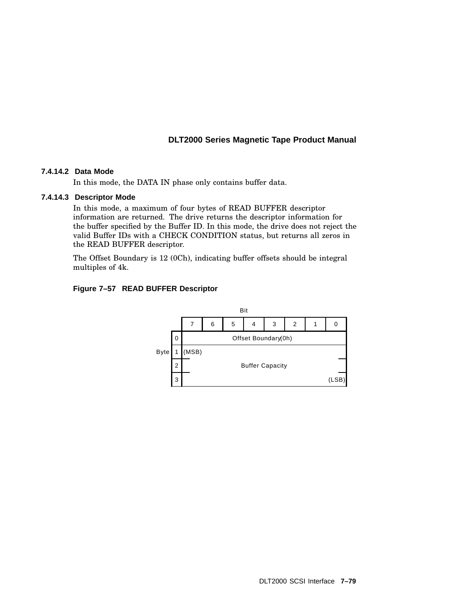### **7.4.14.2 Data Mode**

In this mode, the DATA IN phase only contains buffer data.

### **7.4.14.3 Descriptor Mode**

In this mode, a maximum of four bytes of READ BUFFER descriptor information are returned. The drive returns the descriptor information for the buffer specified by the Buffer ID. In this mode, the drive does not reject the valid Buffer IDs with a CHECK CONDITION status, but returns all zeros in the READ BUFFER descriptor.

The Offset Boundary is 12 (0Ch), indicating buffer offsets should be integral multiples of 4k.

### **Figure 7–57 READ BUFFER Descriptor**

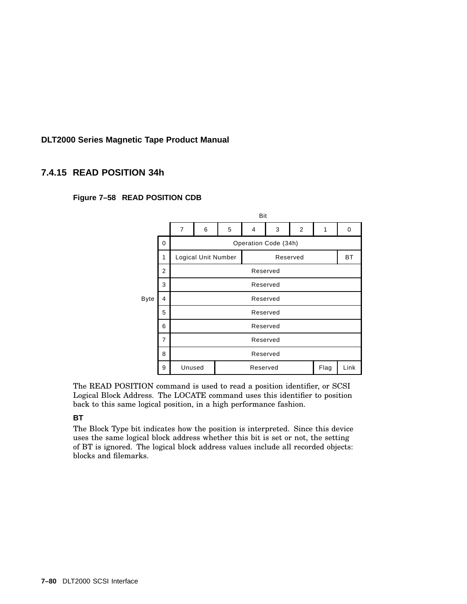# **7.4.15 READ POSITION 34h**



### **Figure 7–58 READ POSITION CDB**

The READ POSITION command is used to read a position identifier, or SCSI Logical Block Address. The LOCATE command uses this identifier to position back to this same logical position, in a high performance fashion.

### **BT**

The Block Type bit indicates how the position is interpreted. Since this device uses the same logical block address whether this bit is set or not, the setting of BT is ignored. The logical block address values include all recorded objects: blocks and filemarks.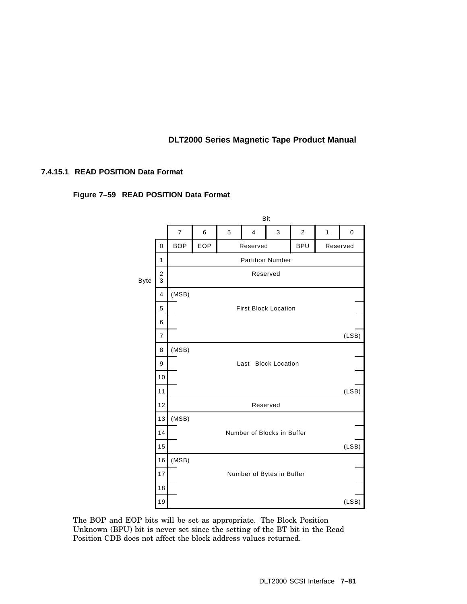### **7.4.15.1 READ POSITION Data Format**





The BOP and EOP bits will be set as appropriate. The Block Position Unknown (BPU) bit is never set since the setting of the BT bit in the Read Position CDB does not affect the block address values returned.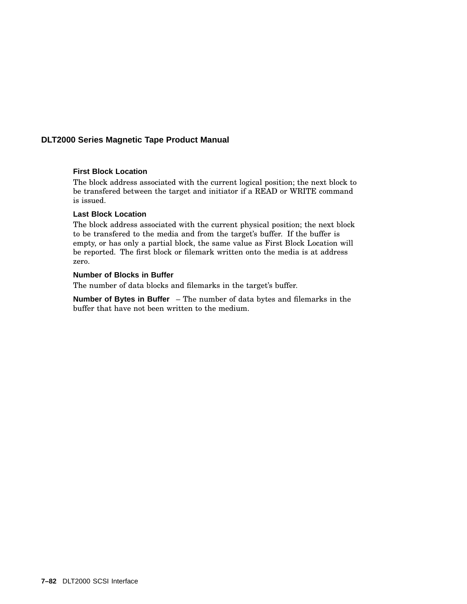### **First Block Location**

The block address associated with the current logical position; the next block to be transfered between the target and initiator if a READ or WRITE command is issued.

### **Last Block Location**

The block address associated with the current physical position; the next block to be transfered to the media and from the target's buffer. If the buffer is empty, or has only a partial block, the same value as First Block Location will be reported. The first block or filemark written onto the media is at address zero.

### **Number of Blocks in Buffer**

The number of data blocks and filemarks in the target's buffer.

**Number of Bytes in Buffer** – The number of data bytes and filemarks in the buffer that have not been written to the medium.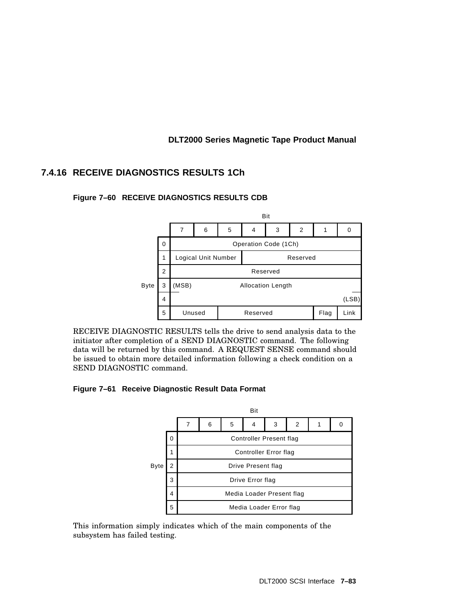# **7.4.16 RECEIVE DIAGNOSTICS RESULTS 1Ch**

### **Figure 7–60 RECEIVE DIAGNOSTICS RESULTS CDB**



RECEIVE DIAGNOSTIC RESULTS tells the drive to send analysis data to the initiator after completion of a SEND DIAGNOSTIC command. The following data will be returned by this command. A REQUEST SENSE command should be issued to obtain more detailed information following a check condition on a SEND DIAGNOSTIC command.

### **Figure 7–61 Receive Diagnostic Result Data Format**



This information simply indicates which of the main components of the subsystem has failed testing.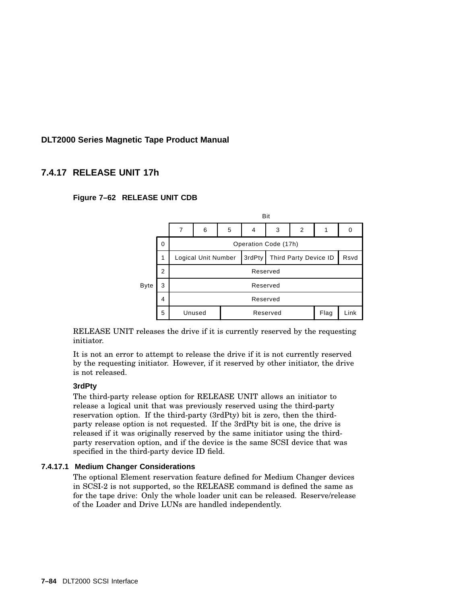## **7.4.17 RELEASE UNIT 17h**





RELEASE UNIT releases the drive if it is currently reserved by the requesting initiator.

It is not an error to attempt to release the drive if it is not currently reserved by the requesting initiator. However, if it reserved by other initiator, the drive is not released.

### **3rdPty**

The third-party release option for RELEASE UNIT allows an initiator to release a logical unit that was previously reserved using the third-party reservation option. If the third-party (3rdPty) bit is zero, then the thirdparty release option is not requested. If the 3rdPty bit is one, the drive is released if it was originally reserved by the same initiator using the thirdparty reservation option, and if the device is the same SCSI device that was specified in the third-party device ID field.

### **7.4.17.1 Medium Changer Considerations**

The optional Element reservation feature defined for Medium Changer devices in SCSI-2 is not supported, so the RELEASE command is defined the same as for the tape drive: Only the whole loader unit can be released. Reserve/release of the Loader and Drive LUNs are handled independently.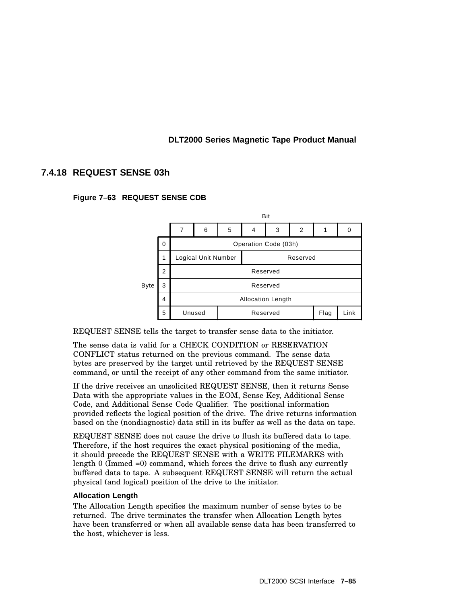# **7.4.18 REQUEST SENSE 03h**





REQUEST SENSE tells the target to transfer sense data to the initiator.

The sense data is valid for a CHECK CONDITION or RESERVATION CONFLICT status returned on the previous command. The sense data bytes are preserved by the target until retrieved by the REQUEST SENSE command, or until the receipt of any other command from the same initiator.

If the drive receives an unsolicited REQUEST SENSE, then it returns Sense Data with the appropriate values in the EOM, Sense Key, Additional Sense Code, and Additional Sense Code Qualifier. The positional information provided reflects the logical position of the drive. The drive returns information based on the (nondiagnostic) data still in its buffer as well as the data on tape.

REQUEST SENSE does not cause the drive to flush its buffered data to tape. Therefore, if the host requires the exact physical positioning of the media, it should precede the REQUEST SENSE with a WRITE FILEMARKS with length 0 (Immed =0) command, which forces the drive to flush any currently buffered data to tape. A subsequent REQUEST SENSE will return the actual physical (and logical) position of the drive to the initiator.

### **Allocation Length**

The Allocation Length specifies the maximum number of sense bytes to be returned. The drive terminates the transfer when Allocation Length bytes have been transferred or when all available sense data has been transferred to the host, whichever is less.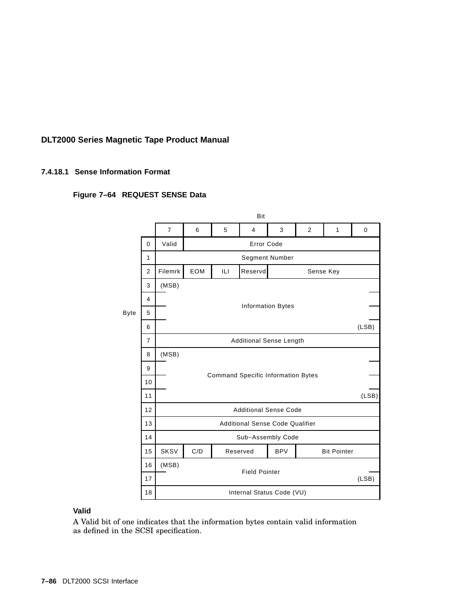### **7.4.18.1 Sense Information Format**

### **Figure 7–64 REQUEST SENSE Data**



#### **Valid**

A Valid bit of one indicates that the information bytes contain valid information as defined in the SCSI specification.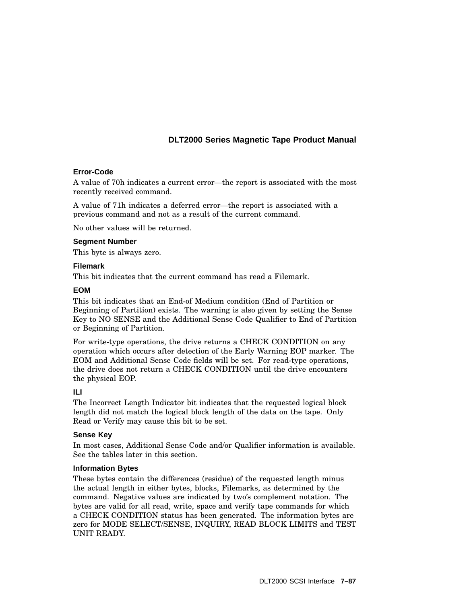### **Error-Code**

A value of 70h indicates a current error—the report is associated with the most recently received command.

A value of 71h indicates a deferred error—the report is associated with a previous command and not as a result of the current command.

No other values will be returned.

#### **Segment Number**

This byte is always zero.

#### **Filemark**

This bit indicates that the current command has read a Filemark.

#### **EOM**

This bit indicates that an End-of Medium condition (End of Partition or Beginning of Partition) exists. The warning is also given by setting the Sense Key to NO SENSE and the Additional Sense Code Qualifier to End of Partition or Beginning of Partition.

For write-type operations, the drive returns a CHECK CONDITION on any operation which occurs after detection of the Early Warning EOP marker. The EOM and Additional Sense Code fields will be set. For read-type operations, the drive does not return a CHECK CONDITION until the drive encounters the physical EOP.

### **ILI**

The Incorrect Length Indicator bit indicates that the requested logical block length did not match the logical block length of the data on the tape. Only Read or Verify may cause this bit to be set.

### **Sense Key**

In most cases, Additional Sense Code and/or Qualifier information is available. See the tables later in this section.

### **Information Bytes**

These bytes contain the differences (residue) of the requested length minus the actual length in either bytes, blocks, Filemarks, as determined by the command. Negative values are indicated by two's complement notation. The bytes are valid for all read, write, space and verify tape commands for which a CHECK CONDITION status has been generated. The information bytes are zero for MODE SELECT/SENSE, INQUIRY, READ BLOCK LIMITS and TEST UNIT READY.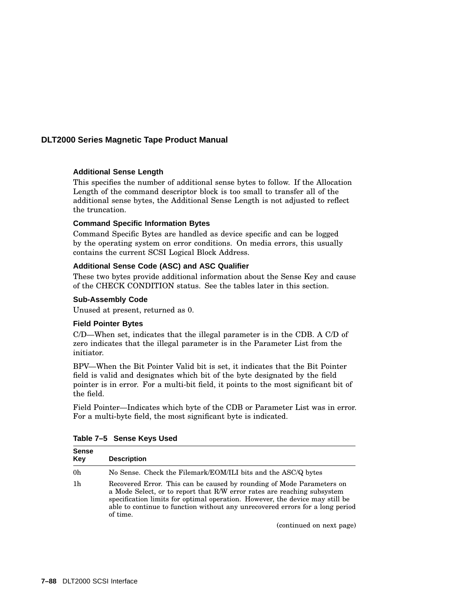### **Additional Sense Length**

This specifies the number of additional sense bytes to follow. If the Allocation Length of the command descriptor block is too small to transfer all of the additional sense bytes, the Additional Sense Length is not adjusted to reflect the truncation.

### **Command Specific Information Bytes**

Command Specific Bytes are handled as device specific and can be logged by the operating system on error conditions. On media errors, this usually contains the current SCSI Logical Block Address.

### **Additional Sense Code (ASC) and ASC Qualifier**

These two bytes provide additional information about the Sense Key and cause of the CHECK CONDITION status. See the tables later in this section.

### **Sub-Assembly Code**

Unused at present, returned as 0.

### **Field Pointer Bytes**

C/D—When set, indicates that the illegal parameter is in the CDB. A C/D of zero indicates that the illegal parameter is in the Parameter List from the initiator.

BPV—When the Bit Pointer Valid bit is set, it indicates that the Bit Pointer field is valid and designates which bit of the byte designated by the field pointer is in error. For a multi-bit field, it points to the most significant bit of the field.

Field Pointer—Indicates which byte of the CDB or Parameter List was in error. For a multi-byte field, the most significant byte is indicated.

| <b>Sense</b><br>Key | <b>Description</b>                                                                                                                                                                                                                                                                                                            |
|---------------------|-------------------------------------------------------------------------------------------------------------------------------------------------------------------------------------------------------------------------------------------------------------------------------------------------------------------------------|
| 0 <sub>h</sub>      | No Sense. Check the Filemark/EOM/ILI bits and the ASC/Q bytes                                                                                                                                                                                                                                                                 |
| 1 <sub>h</sub>      | Recovered Error. This can be caused by rounding of Mode Parameters on<br>a Mode Select, or to report that R/W error rates are reaching subsystem<br>specification limits for optimal operation. However, the device may still be<br>able to continue to function without any unrecovered errors for a long period<br>of time. |

**Table 7–5 Sense Keys Used**

(continued on next page)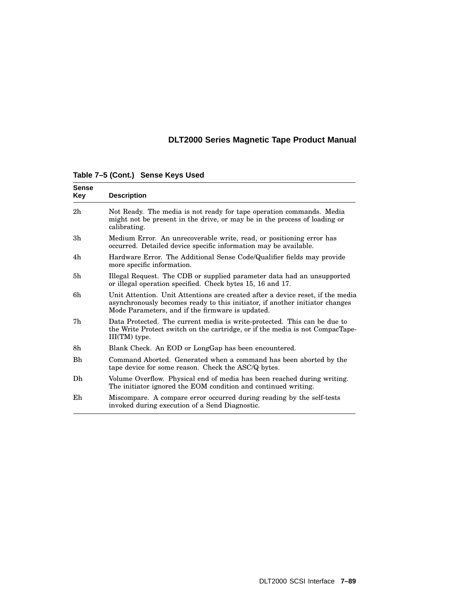| <b>Sense</b><br>Key | <b>Description</b>                                                                                                                                                                                                 |
|---------------------|--------------------------------------------------------------------------------------------------------------------------------------------------------------------------------------------------------------------|
| 2h                  | Not Ready. The media is not ready for tape operation commands. Media<br>might not be present in the drive, or may be in the process of loading or<br>calibrating.                                                  |
| 3h                  | Medium Error. An unrecoverable write, read, or positioning error has<br>occurred. Detailed device specific information may be available.                                                                           |
| 4h                  | Hardware Error. The Additional Sense Code/Qualifier fields may provide<br>more specific information.                                                                                                               |
| 5h                  | Illegal Request. The CDB or supplied parameter data had an unsupported<br>or illegal operation specified. Check bytes 15, 16 and 17.                                                                               |
| 6h                  | Unit Attention. Unit Attentions are created after a device reset, if the media<br>asynchronously becomes ready to this initiator, if another initiator changes<br>Mode Parameters, and if the firmware is updated. |
| 7h                  | Data Protected. The current media is write-protected. This can be due to<br>the Write Protect switch on the cartridge, or if the media is not CompacTape-<br>III(TM) type.                                         |
| 8h                  | Blank Check. An EOD or LongGap has been encountered.                                                                                                                                                               |
| <b>Bh</b>           | Command Aborted. Generated when a command has been aborted by the<br>tape device for some reason. Check the ASC/Q bytes.                                                                                           |
| Dh                  | Volume Overflow. Physical end of media has been reached during writing.<br>The initiator ignored the EOM condition and continued writing.                                                                          |
| Eh                  | Miscompare. A compare error occurred during reading by the self-tests<br>invoked during execution of a Send Diagnostic.                                                                                            |

**Table 7–5 (Cont.) Sense Keys Used**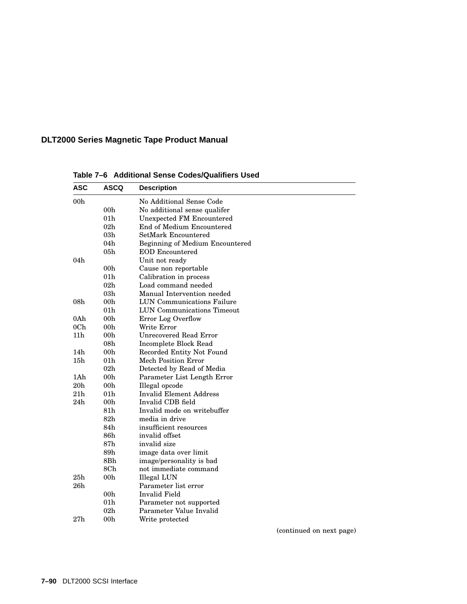| <b>ASC</b>      | <b>ASCQ</b>     | <b>Description</b>                     |
|-----------------|-----------------|----------------------------------------|
| 00 <sub>h</sub> |                 | No Additional Sense Code               |
|                 | 00 <sub>h</sub> | No additional sense qualifer           |
|                 | 01 <sub>h</sub> | <b>Unexpected FM Encountered</b>       |
|                 | 02h             | End of Medium Encountered              |
|                 | 03h             | SetMark Encountered                    |
|                 | 04h             | <b>Beginning of Medium Encountered</b> |
|                 | 05h             | <b>EOD</b> Encountered                 |
| 04h             |                 | Unit not ready                         |
|                 | 00h             | Cause non reportable                   |
|                 | 01 <sub>h</sub> | Calibration in process                 |
|                 | 02 <sub>h</sub> | Load command needed                    |
|                 | 03h             | Manual Intervention needed             |
| 08 <sub>h</sub> | 00h             | <b>LUN Communications Failure</b>      |
|                 | 01 <sub>h</sub> | <b>LUN Communications Timeout</b>      |
| 0Ah             | 00 <sub>h</sub> | Error Log Overflow                     |
| 0 <sub>Ch</sub> | 00 <sub>h</sub> | Write Error                            |
| 11 <sub>h</sub> | 00 <sub>h</sub> | <b>Unrecovered Read Error</b>          |
|                 | 08 <sub>h</sub> | Incomplete Block Read                  |
| 14h             | 00 <sub>h</sub> | Recorded Entity Not Found              |
| 15h             | 01 <sub>h</sub> | Mech Position Error                    |
|                 | 02 <sub>h</sub> | Detected by Read of Media              |
| 1Ah             | 00 <sub>h</sub> | Parameter List Length Error            |
| 20h             | 00h             | Illegal opcode                         |
| 21 <sub>h</sub> | 01 <sub>h</sub> | <b>Invalid Element Address</b>         |
| 24h             | 00h             | Invalid CDB field                      |
|                 | 81h             | Invalid mode on writebuffer            |
|                 | 82 <sub>h</sub> | media in drive                         |
|                 | 84h             | insufficient resources                 |
|                 | 86h             | invalid offset                         |
|                 | 87 <sub>h</sub> | invalid size                           |
|                 | 89h             | image data over limit                  |
|                 | 8Bh             | image/personality is bad               |
|                 | 8Ch             | not immediate command                  |
| 25h             | 00 <sub>h</sub> | Illegal LUN                            |
| 26h             |                 | Parameter list error                   |
|                 | 00 <sub>h</sub> | Invalid Field                          |
|                 | 01 <sub>h</sub> | Parameter not supported                |
|                 | $02\mathrm{h}$  | Parameter Value Invalid                |
| $27\mathrm{h}$  | 00h             | Write protected                        |

**Table 7–6 Additional Sense Codes/Qualifiers Used**

(continued on next page)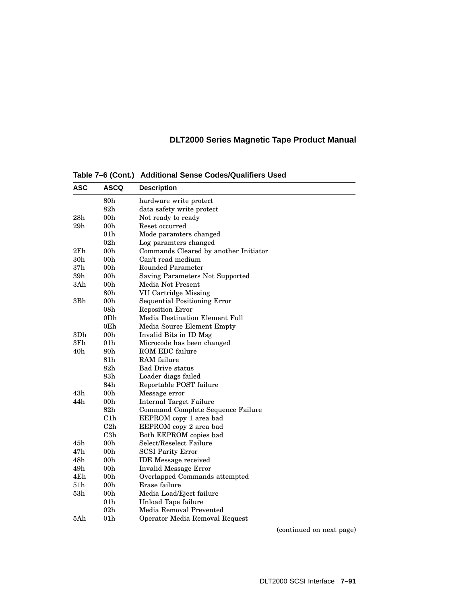| <b>ASC</b>      | <b>ASCQ</b>     | <b>Description</b>                     |
|-----------------|-----------------|----------------------------------------|
|                 | $80\mathrm{h}$  | hardware write protect                 |
|                 | 82h             | data safety write protect              |
| 28 <sub>h</sub> | 00 <sub>h</sub> | Not ready to ready                     |
| 29h             | 00 <sub>h</sub> | Reset occurred                         |
|                 | 01 <sub>h</sub> | Mode paramters changed                 |
|                 | 02h             | Log paramters changed                  |
| 2Fh             | 00 <sub>h</sub> | Commands Cleared by another Initiator  |
| 30h             | 00h             | Can't read medium                      |
| 37 <sub>h</sub> | 00 <sub>h</sub> | Rounded Parameter                      |
| 39h             | 00h             | <b>Saving Parameters Not Supported</b> |
| 3Ah             | 00 <sub>h</sub> | Media Not Present                      |
|                 | 80h             | <b>VU Cartridge Missing</b>            |
| 3Bh             | 00 <sub>h</sub> | <b>Sequential Positioning Error</b>    |
|                 | 08 <sub>h</sub> | <b>Reposition Error</b>                |
|                 | 0D <sub>h</sub> | Media Destination Element Full         |
|                 | 0Eh             | Media Source Element Empty             |
| 3Dh             | 00 <sub>h</sub> | Invalid Bits in ID Msg                 |
| 3Fh             | 01h             | Microcode has been changed             |
| 40 <sub>h</sub> | $80\mathrm{h}$  | ROM EDC failure                        |
|                 | 81h             | RAM failure                            |
|                 | 82 <sub>h</sub> | <b>Bad Drive status</b>                |
|                 | 83h             | Loader diags failed                    |
|                 | 84h             | Reportable POST failure                |
| 43h             | 00h             | Message error                          |
| 44h             | 00 <sub>h</sub> | <b>Internal Target Failure</b>         |
|                 | 82 <sub>h</sub> | Command Complete Sequence Failure      |
|                 | C1h             | EEPROM copy 1 area bad                 |
|                 | C2h             | EEPROM copy 2 area bad                 |
|                 | C3h             | Both EEPROM copies bad                 |
| 45h             | 00h             | Select/Reselect Failure                |
| 47h             | 00 <sub>h</sub> | <b>SCSI Parity Error</b>               |
| 48h             | 00 <sub>h</sub> | <b>IDE</b> Message received            |
| 49h             | 00 <sub>h</sub> | <b>Invalid Message Error</b>           |
| 4Eh             | 00 <sub>h</sub> | Overlapped Commands attempted          |
| 51h             | 00 <sub>h</sub> | Erase failure                          |
| 53 <sub>h</sub> | 00 <sub>h</sub> | Media Load/Eject failure               |
|                 | 01 <sub>h</sub> | Unload Tape failure                    |
|                 | 02h             | Media Removal Prevented                |
| 5Ah             | 01 <sub>h</sub> | Operator Media Removal Request         |

**Table 7–6 (Cont.) Additional Sense Codes/Qualifiers Used**

(continued on next page)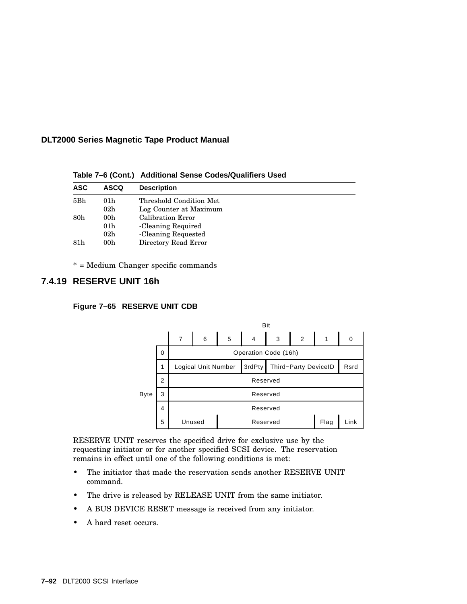| <b>ASC</b>      | <b>ASCQ</b>     | <b>Description</b>      |
|-----------------|-----------------|-------------------------|
| 5Bh             | 01 <sub>h</sub> | Threshold Condition Met |
|                 | 02 <sub>h</sub> | Log Counter at Maximum  |
| 80 <sub>h</sub> | 00h             | Calibration Error       |
|                 | 01 <sub>h</sub> | -Cleaning Required      |
|                 | 02 <sub>h</sub> | -Cleaning Requested     |
| 81h             | 00 <sub>h</sub> | Directory Read Error    |

**Table 7–6 (Cont.) Additional Sense Codes/Qualifiers Used**

\* = Medium Changer specific commands

# **7.4.19 RESERVE UNIT 16h**

### **Figure 7–65 RESERVE UNIT CDB**



RESERVE UNIT reserves the specified drive for exclusive use by the requesting initiator or for another specified SCSI device. The reservation remains in effect until one of the following conditions is met:

- The initiator that made the reservation sends another RESERVE UNIT command.
- The drive is released by RELEASE UNIT from the same initiator.
- A BUS DEVICE RESET message is received from any initiator.
- A hard reset occurs.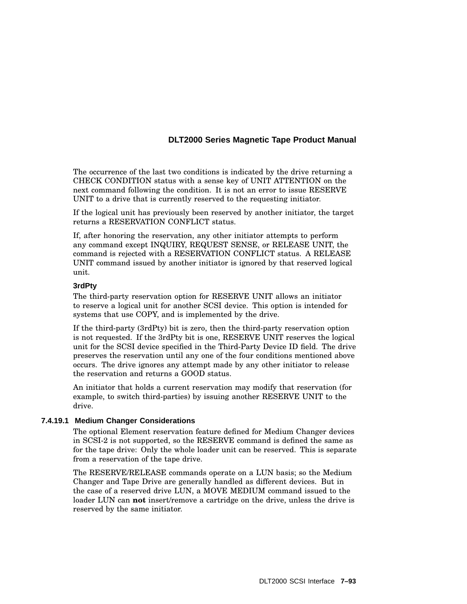The occurrence of the last two conditions is indicated by the drive returning a CHECK CONDITION status with a sense key of UNIT ATTENTION on the next command following the condition. It is not an error to issue RESERVE UNIT to a drive that is currently reserved to the requesting initiator.

If the logical unit has previously been reserved by another initiator, the target returns a RESERVATION CONFLICT status.

If, after honoring the reservation, any other initiator attempts to perform any command except INQUIRY, REQUEST SENSE, or RELEASE UNIT, the command is rejected with a RESERVATION CONFLICT status. A RELEASE UNIT command issued by another initiator is ignored by that reserved logical unit.

#### **3rdPty**

The third-party reservation option for RESERVE UNIT allows an initiator to reserve a logical unit for another SCSI device. This option is intended for systems that use COPY, and is implemented by the drive.

If the third-party (3rdPty) bit is zero, then the third-party reservation option is not requested. If the 3rdPty bit is one, RESERVE UNIT reserves the logical unit for the SCSI device specified in the Third-Party Device ID field. The drive preserves the reservation until any one of the four conditions mentioned above occurs. The drive ignores any attempt made by any other initiator to release the reservation and returns a GOOD status.

An initiator that holds a current reservation may modify that reservation (for example, to switch third-parties) by issuing another RESERVE UNIT to the drive.

### **7.4.19.1 Medium Changer Considerations**

The optional Element reservation feature defined for Medium Changer devices in SCSI-2 is not supported, so the RESERVE command is defined the same as for the tape drive: Only the whole loader unit can be reserved. This is separate from a reservation of the tape drive.

The RESERVE/RELEASE commands operate on a LUN basis; so the Medium Changer and Tape Drive are generally handled as different devices. But in the case of a reserved drive LUN, a MOVE MEDIUM command issued to the loader LUN can **not** insert/remove a cartridge on the drive, unless the drive is reserved by the same initiator.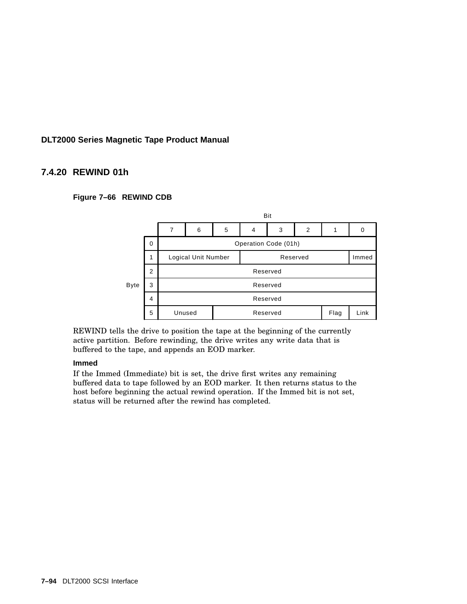## **7.4.20 REWIND 01h**

### **Figure 7–66 REWIND CDB**



REWIND tells the drive to position the tape at the beginning of the currently active partition. Before rewinding, the drive writes any write data that is buffered to the tape, and appends an EOD marker.

### **Immed**

If the Immed (Immediate) bit is set, the drive first writes any remaining buffered data to tape followed by an EOD marker. It then returns status to the host before beginning the actual rewind operation. If the Immed bit is not set, status will be returned after the rewind has completed.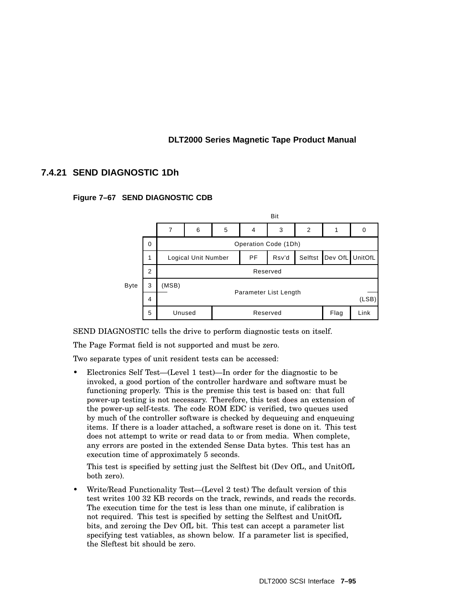## **7.4.21 SEND DIAGNOSTIC 1Dh**





SEND DIAGNOSTIC tells the drive to perform diagnostic tests on itself.

The Page Format field is not supported and must be zero.

Two separate types of unit resident tests can be accessed:

• Electronics Self Test—(Level 1 test)—In order for the diagnostic to be invoked, a good portion of the controller hardware and software must be functioning properly. This is the premise this test is based on: that full power-up testing is not necessary. Therefore, this test does an extension of the power-up self-tests. The code ROM EDC is verified, two queues used by much of the controller software is checked by dequeuing and enqueuing items. If there is a loader attached, a software reset is done on it. This test does not attempt to write or read data to or from media. When complete, any errors are posted in the extended Sense Data bytes. This test has an execution time of approximately 5 seconds.

This test is specified by setting just the Selftest bit (Dev OfL, and UnitOfL both zero).

• Write/Read Functionality Test—(Level 2 test) The default version of this test writes 100 32 KB records on the track, rewinds, and reads the records. The execution time for the test is less than one minute, if calibration is not required. This test is specified by setting the Selftest and UnitOfL bits, and zeroing the Dev OfL bit. This test can accept a parameter list specifying test vatiables, as shown below. If a parameter list is specified, the Sleftest bit should be zero.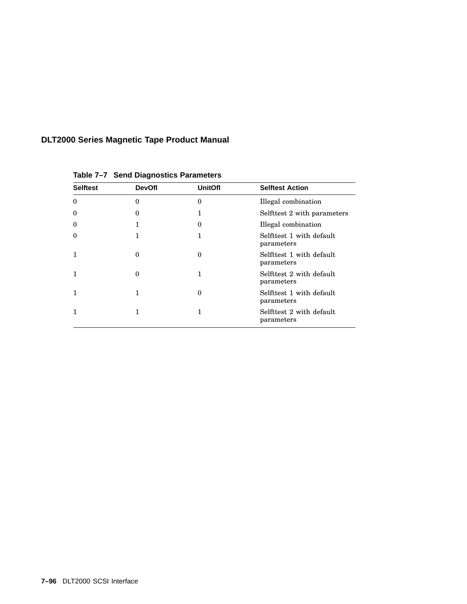| <b>Selftest</b> | <b>DevOfl</b> | <b>UnitOfl</b> | <b>Selftest Action</b>                 |
|-----------------|---------------|----------------|----------------------------------------|
| $\theta$        | 0             | 0              | Illegal combination                    |
| $\theta$        | $\Omega$      | 1              | Selfttest 2 with parameters            |
| $\theta$        |               | 0              | Illegal combination                    |
| $\theta$        | 1             | 1              | Selfttest 1 with default<br>parameters |
| 1               | $\Omega$      | 0              | Selfttest 1 with default<br>parameters |
| 1               | $\Omega$      | 1              | Selfttest 2 with default<br>parameters |
| 1               |               | 0              | Selfttest 1 with default<br>parameters |
| 1               | 1             | 1              | Selfttest 2 with default<br>parameters |

**Table 7–7 Send Diagnostics Parameters**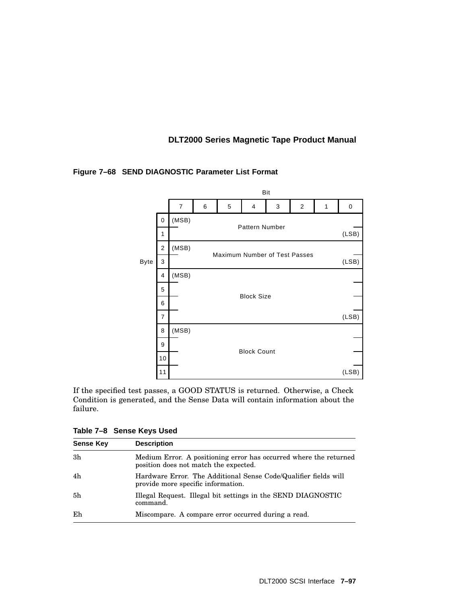

### **Figure 7–68 SEND DIAGNOSTIC Parameter List Format**

If the specified test passes, a GOOD STATUS is returned. Otherwise, a Check Condition is generated, and the Sense Data will contain information about the failure.

**Table 7–8 Sense Keys Used**

| <b>Sense Key</b> | <b>Description</b>                                                                                         |
|------------------|------------------------------------------------------------------------------------------------------------|
| 3 <sub>h</sub>   | Medium Error. A positioning error has occurred where the returned<br>position does not match the expected. |
| 4h               | Hardware Error. The Additional Sense Code/Qualifier fields will<br>provide more specific information.      |
| 5 <sub>h</sub>   | Illegal Request. Illegal bit settings in the SEND DIAGNOSTIC<br>command.                                   |
| Eh               | Miscompare. A compare error occurred during a read.                                                        |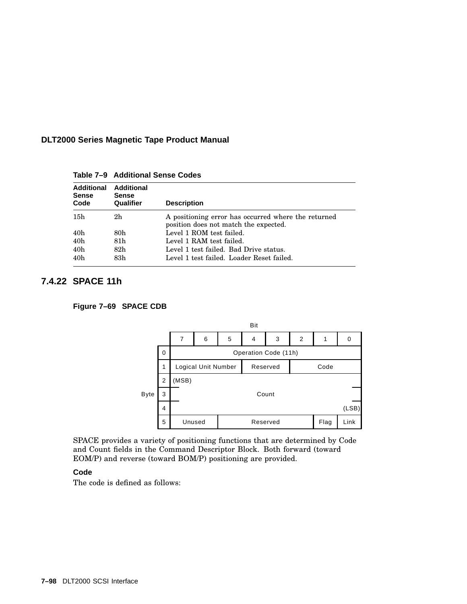| <b>Additional</b><br><b>Sense</b><br>Code | <b>Additional</b><br>Sense<br>Qualifier | <b>Description</b>                                                                           |
|-------------------------------------------|-----------------------------------------|----------------------------------------------------------------------------------------------|
| 15h                                       | 2h                                      | A positioning error has occurred where the returned<br>position does not match the expected. |
| 40h                                       | 80h                                     | Level 1 ROM test failed.                                                                     |
| 40 <sub>h</sub>                           | 81h                                     | Level 1 RAM test failed.                                                                     |
| 40 <sub>h</sub>                           | 82h                                     | Level 1 test failed. Bad Drive status.                                                       |
| 40h                                       | 83h                                     | Level 1 test failed. Loader Reset failed.                                                    |

**Table 7–9 Additional Sense Codes**

# **7.4.22 SPACE 11h**

**Figure 7–69 SPACE CDB**



SPACE provides a variety of positioning functions that are determined by Code and Count fields in the Command Descriptor Block. Both forward (toward EOM/P) and reverse (toward BOM/P) positioning are provided.

### **Code**

The code is defined as follows: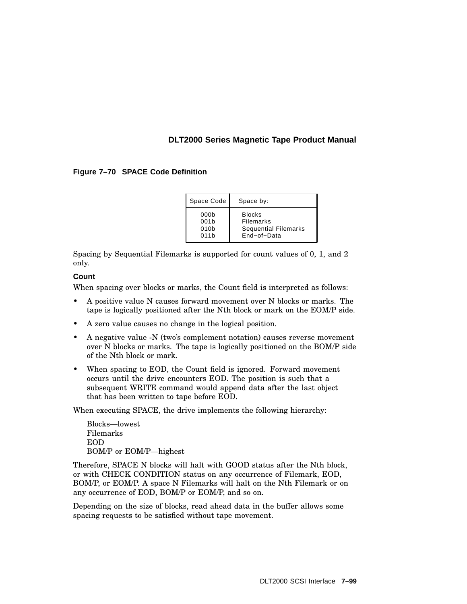### **Figure 7–70 SPACE Code Definition**

| Space Code       | Space by:                   |
|------------------|-----------------------------|
| 000 <sub>b</sub> | <b>Blocks</b>               |
| 001 <sub>b</sub> | Filemarks                   |
| 010 <sub>b</sub> | <b>Sequential Filemarks</b> |
| 011h             | End-of-Data                 |

Spacing by Sequential Filemarks is supported for count values of 0, 1, and 2 only.

### **Count**

When spacing over blocks or marks, the Count field is interpreted as follows:

- A positive value N causes forward movement over N blocks or marks. The tape is logically positioned after the Nth block or mark on the EOM/P side.
- A zero value causes no change in the logical position.
- A negative value -N (two's complement notation) causes reverse movement over N blocks or marks. The tape is logically positioned on the BOM/P side of the Nth block or mark.
- When spacing to EOD, the Count field is ignored. Forward movement occurs until the drive encounters EOD. The position is such that a subsequent WRITE command would append data after the last object that has been written to tape before EOD.

When executing SPACE, the drive implements the following hierarchy:

Blocks—lowest Filemarks EOD BOM/P or EOM/P—highest

Therefore, SPACE N blocks will halt with GOOD status after the Nth block, or with CHECK CONDITION status on any occurrence of Filemark, EOD, BOM/P, or EOM/P. A space N Filemarks will halt on the Nth Filemark or on any occurrence of EOD, BOM/P or EOM/P, and so on.

Depending on the size of blocks, read ahead data in the buffer allows some spacing requests to be satisfied without tape movement.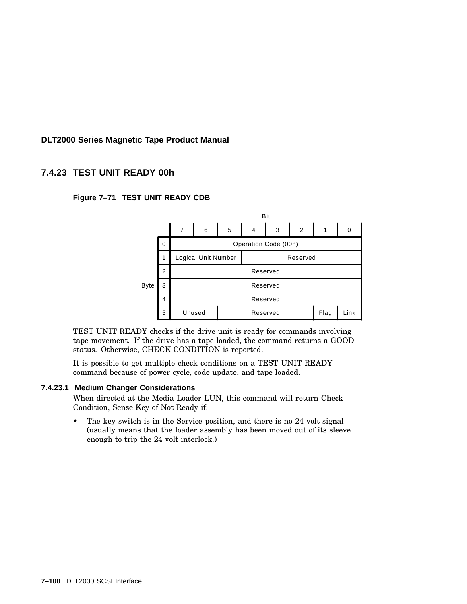# **7.4.23 TEST UNIT READY 00h**

### **Figure 7–71 TEST UNIT READY CDB**



TEST UNIT READY checks if the drive unit is ready for commands involving tape movement. If the drive has a tape loaded, the command returns a GOOD status. Otherwise, CHECK CONDITION is reported.

It is possible to get multiple check conditions on a TEST UNIT READY command because of power cycle, code update, and tape loaded.

### **7.4.23.1 Medium Changer Considerations**

When directed at the Media Loader LUN, this command will return Check Condition, Sense Key of Not Ready if:

The key switch is in the Service position, and there is no 24 volt signal (usually means that the loader assembly has been moved out of its sleeve enough to trip the 24 volt interlock.)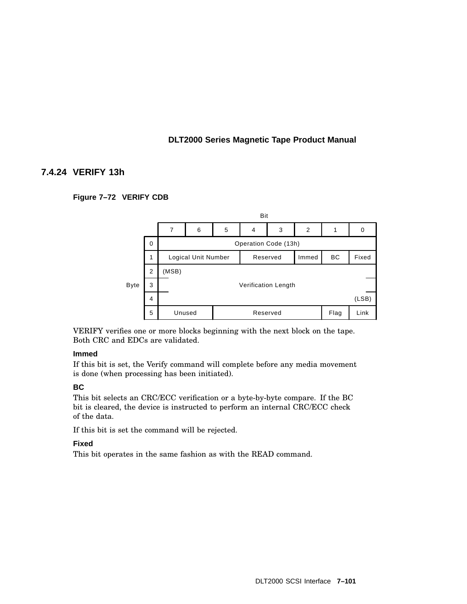## **7.4.24 VERIFY 13h**

### **Figure 7–72 VERIFY CDB**



VERIFY verifies one or more blocks beginning with the next block on the tape. Both CRC and EDCs are validated.

### **Immed**

If this bit is set, the Verify command will complete before any media movement is done (when processing has been initiated).

### **BC**

This bit selects an CRC/ECC verification or a byte-by-byte compare. If the BC bit is cleared, the device is instructed to perform an internal CRC/ECC check of the data.

If this bit is set the command will be rejected.

### **Fixed**

This bit operates in the same fashion as with the READ command.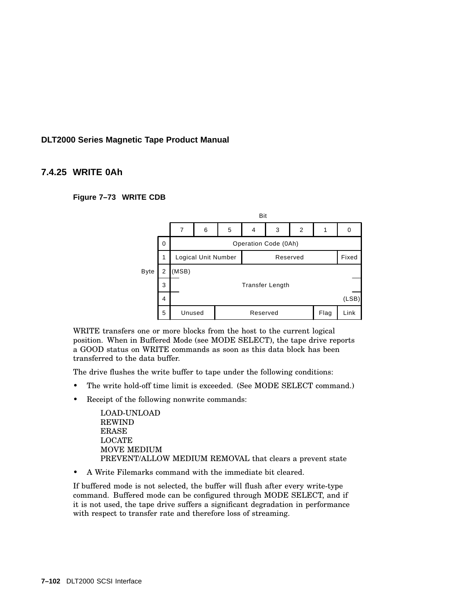### **7.4.25 WRITE 0Ah**

**Figure 7–73 WRITE CDB**



WRITE transfers one or more blocks from the host to the current logical position. When in Buffered Mode (see MODE SELECT), the tape drive reports a GOOD status on WRITE commands as soon as this data block has been transferred to the data buffer.

The drive flushes the write buffer to tape under the following conditions:

- The write hold-off time limit is exceeded. (See MODE SELECT command.)
- Receipt of the following nonwrite commands:

LOAD-UNLOAD REWIND ERASE LOCATE MOVE MEDIUM PREVENT/ALLOW MEDIUM REMOVAL that clears a prevent state

• A Write Filemarks command with the immediate bit cleared.

If buffered mode is not selected, the buffer will flush after every write-type command. Buffered mode can be configured through MODE SELECT, and if it is not used, the tape drive suffers a significant degradation in performance with respect to transfer rate and therefore loss of streaming.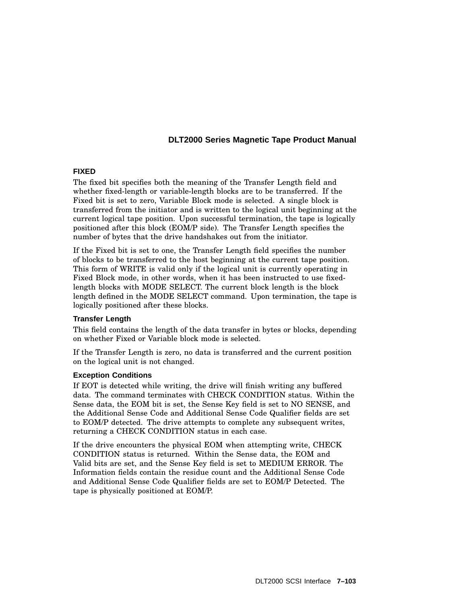### **FIXED**

The fixed bit specifies both the meaning of the Transfer Length field and whether fixed-length or variable-length blocks are to be transferred. If the Fixed bit is set to zero, Variable Block mode is selected. A single block is transferred from the initiator and is written to the logical unit beginning at the current logical tape position. Upon successful termination, the tape is logically positioned after this block (EOM/P side). The Transfer Length specifies the number of bytes that the drive handshakes out from the initiator.

If the Fixed bit is set to one, the Transfer Length field specifies the number of blocks to be transferred to the host beginning at the current tape position. This form of WRITE is valid only if the logical unit is currently operating in Fixed Block mode, in other words, when it has been instructed to use fixedlength blocks with MODE SELECT. The current block length is the block length defined in the MODE SELECT command. Upon termination, the tape is logically positioned after these blocks.

#### **Transfer Length**

This field contains the length of the data transfer in bytes or blocks, depending on whether Fixed or Variable block mode is selected.

If the Transfer Length is zero, no data is transferred and the current position on the logical unit is not changed.

#### **Exception Conditions**

If EOT is detected while writing, the drive will finish writing any buffered data. The command terminates with CHECK CONDITION status. Within the Sense data, the EOM bit is set, the Sense Key field is set to NO SENSE, and the Additional Sense Code and Additional Sense Code Qualifier fields are set to EOM/P detected. The drive attempts to complete any subsequent writes, returning a CHECK CONDITION status in each case.

If the drive encounters the physical EOM when attempting write, CHECK CONDITION status is returned. Within the Sense data, the EOM and Valid bits are set, and the Sense Key field is set to MEDIUM ERROR. The Information fields contain the residue count and the Additional Sense Code and Additional Sense Code Qualifier fields are set to EOM/P Detected. The tape is physically positioned at EOM/P.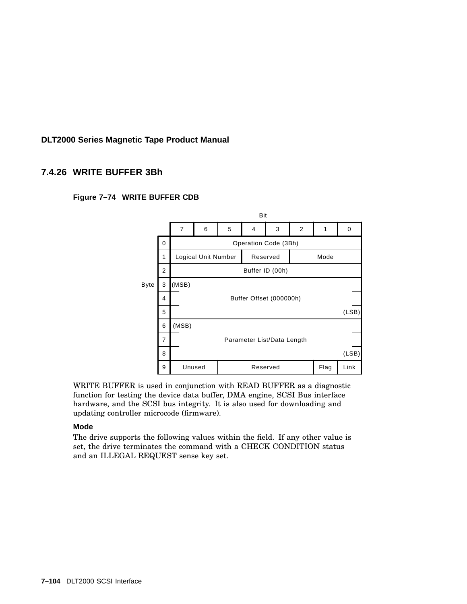# **7.4.26 WRITE BUFFER 3Bh**





WRITE BUFFER is used in conjunction with READ BUFFER as a diagnostic function for testing the device data buffer, DMA engine, SCSI Bus interface hardware, and the SCSI bus integrity. It is also used for downloading and updating controller microcode (firmware).

### **Mode**

The drive supports the following values within the field. If any other value is set, the drive terminates the command with a CHECK CONDITION status and an ILLEGAL REQUEST sense key set.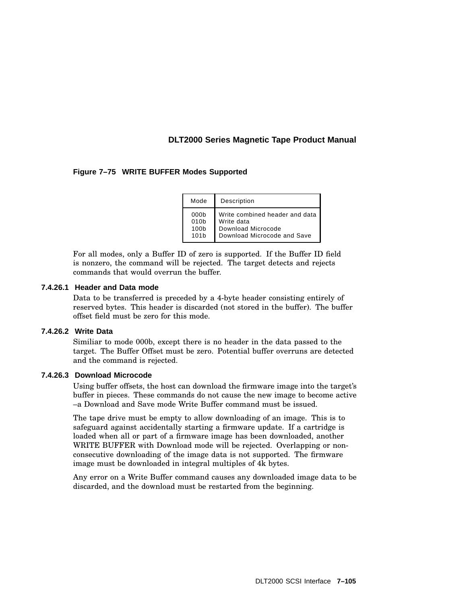### **Figure 7–75 WRITE BUFFER Modes Supported**

| Mode             | Description                    |
|------------------|--------------------------------|
| 000 <sub>b</sub> | Write combined header and data |
| 010 <sub>b</sub> | Write data                     |
| 100 <sub>b</sub> | Download Microcode             |
| 101 <sub>b</sub> | Download Microcode and Save    |

For all modes, only a Buffer ID of zero is supported. If the Buffer ID field is nonzero, the command will be rejected. The target detects and rejects commands that would overrun the buffer.

#### **7.4.26.1 Header and Data mode**

Data to be transferred is preceded by a 4-byte header consisting entirely of reserved bytes. This header is discarded (not stored in the buffer). The buffer offset field must be zero for this mode.

#### **7.4.26.2 Write Data**

Similiar to mode 000b, except there is no header in the data passed to the target. The Buffer Offset must be zero. Potential buffer overruns are detected and the command is rejected.

#### **7.4.26.3 Download Microcode**

Using buffer offsets, the host can download the firmware image into the target's buffer in pieces. These commands do not cause the new image to become active –a Download and Save mode Write Buffer command must be issued.

The tape drive must be empty to allow downloading of an image. This is to safeguard against accidentally starting a firmware update. If a cartridge is loaded when all or part of a firmware image has been downloaded, another WRITE BUFFER with Download mode will be rejected. Overlapping or nonconsecutive downloading of the image data is not supported. The firmware image must be downloaded in integral multiples of 4k bytes.

Any error on a Write Buffer command causes any downloaded image data to be discarded, and the download must be restarted from the beginning.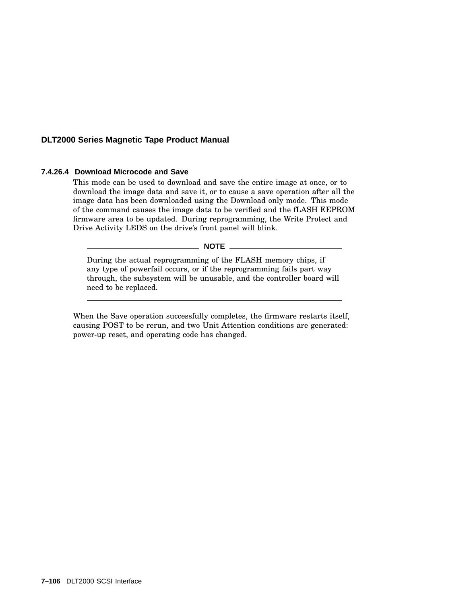### **7.4.26.4 Download Microcode and Save**

This mode can be used to download and save the entire image at once, or to download the image data and save it, or to cause a save operation after all the image data has been downloaded using the Download only mode. This mode of the command causes the image data to be verified and the fLASH EEPROM firmware area to be updated. During reprogramming, the Write Protect and Drive Activity LEDS on the drive's front panel will blink.

**NOTE**

During the actual reprogramming of the FLASH memory chips, if any type of powerfail occurs, or if the reprogramming fails part way through, the subsystem will be unusable, and the controller board will need to be replaced.

When the Save operation successfully completes, the firmware restarts itself, causing POST to be rerun, and two Unit Attention conditions are generated: power-up reset, and operating code has changed.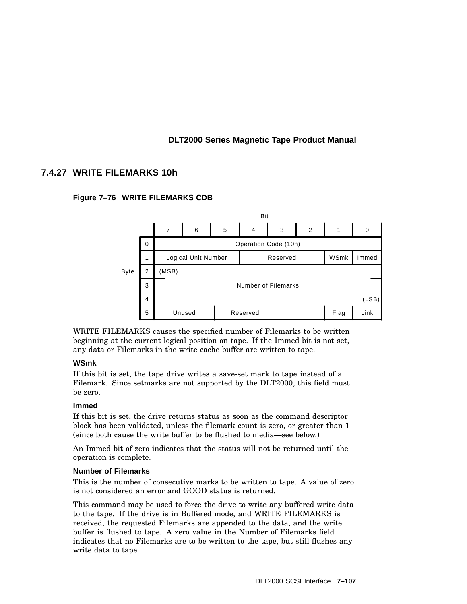# **7.4.27 WRITE FILEMARKS 10h**

### **Figure 7–76 WRITE FILEMARKS CDB**



WRITE FILEMARKS causes the specified number of Filemarks to be written beginning at the current logical position on tape. If the Immed bit is not set, any data or Filemarks in the write cache buffer are written to tape.

### **WSmk**

If this bit is set, the tape drive writes a save-set mark to tape instead of a Filemark. Since setmarks are not supported by the DLT2000, this field must be zero.

### **Immed**

If this bit is set, the drive returns status as soon as the command descriptor block has been validated, unless the filemark count is zero, or greater than 1 (since both cause the write buffer to be flushed to media—see below.)

An Immed bit of zero indicates that the status will not be returned until the operation is complete.

### **Number of Filemarks**

This is the number of consecutive marks to be written to tape. A value of zero is not considered an error and GOOD status is returned.

This command may be used to force the drive to write any buffered write data to the tape. If the drive is in Buffered mode, and WRITE FILEMARKS is received, the requested Filemarks are appended to the data, and the write buffer is flushed to tape. A zero value in the Number of Filemarks field indicates that no Filemarks are to be written to the tape, but still flushes any write data to tape.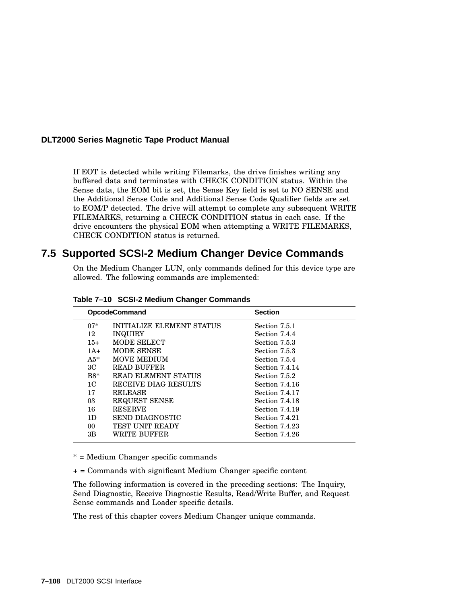If EOT is detected while writing Filemarks, the drive finishes writing any buffered data and terminates with CHECK CONDITION status. Within the Sense data, the EOM bit is set, the Sense Key field is set to NO SENSE and the Additional Sense Code and Additional Sense Code Qualifier fields are set to EOM/P detected. The drive will attempt to complete any subsequent WRITE FILEMARKS, returning a CHECK CONDITION status in each case. If the drive encounters the physical EOM when attempting a WRITE FILEMARKS, CHECK CONDITION status is returned.

# **7.5 Supported SCSI-2 Medium Changer Device Commands**

On the Medium Changer LUN, only commands defined for this device type are allowed. The following commands are implemented:

|                | <b>OpcodeCommand</b>             | <b>Section</b> |
|----------------|----------------------------------|----------------|
| $07*$          | <b>INITIALIZE ELEMENT STATUS</b> | Section 7.5.1  |
| 12             | <b>INQUIRY</b>                   | Section 7.4.4  |
| $15+$          | MODE SELECT                      | Section 7.5.3  |
| $1A+$          | <b>MODE SENSE</b>                | Section 7.5.3  |
| $A5*$          | <b>MOVE MEDIUM</b>               | Section 7.5.4  |
| ЗC             | <b>READ BUFFER</b>               | Section 7.4.14 |
| $B8*$          | <b>READ ELEMENT STATUS</b>       | Section 7.5.2  |
| 1 <sup>C</sup> | RECEIVE DIAG RESULTS             | Section 7.4.16 |
| 17             | <b>RELEASE</b>                   | Section 7.4.17 |
| 03             | REQUEST SENSE                    | Section 7.4.18 |
| 16             | <b>RESERVE</b>                   | Section 7.4.19 |
| 1D             | <b>SEND DIAGNOSTIC</b>           | Section 7.4.21 |
| 00             | <b>TEST UNIT READY</b>           | Section 7.4.23 |
| 3B             | WRITE BUFFER                     | Section 7.4.26 |
|                |                                  |                |

**Table 7–10 SCSI-2 Medium Changer Commands**

\* = Medium Changer specific commands

 $+$  = Commands with significant Medium Changer specific content

The following information is covered in the preceding sections: The Inquiry, Send Diagnostic, Receive Diagnostic Results, Read/Write Buffer, and Request Sense commands and Loader specific details.

The rest of this chapter covers Medium Changer unique commands.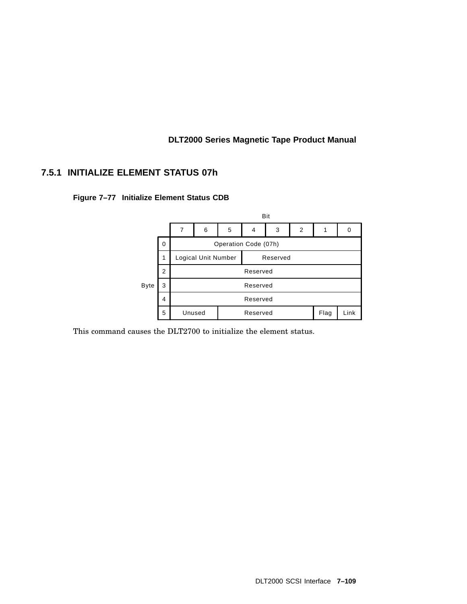# **7.5.1 INITIALIZE ELEMENT STATUS 07h**



**Figure 7–77 Initialize Element Status CDB**

This command causes the DLT2700 to initialize the element status.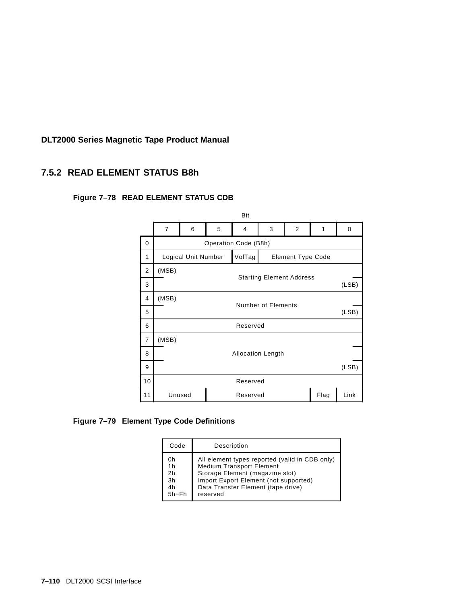# **7.5.2 READ ELEMENT STATUS B8h**

# **Figure 7–78 READ ELEMENT STATUS CDB**



### **Figure 7–79 Element Type Code Definitions**

| Code     | Description                                    |
|----------|------------------------------------------------|
| 0h       | All element types reported (valid in CDB only) |
| 1h       | <b>Medium Transport Element</b>                |
| 2h       | Storage Element (magazine slot)                |
| 3h       | Import Export Element (not supported)          |
| 4h       | Data Transfer Element (tape drive)             |
| $5h$ –Fh | reserved                                       |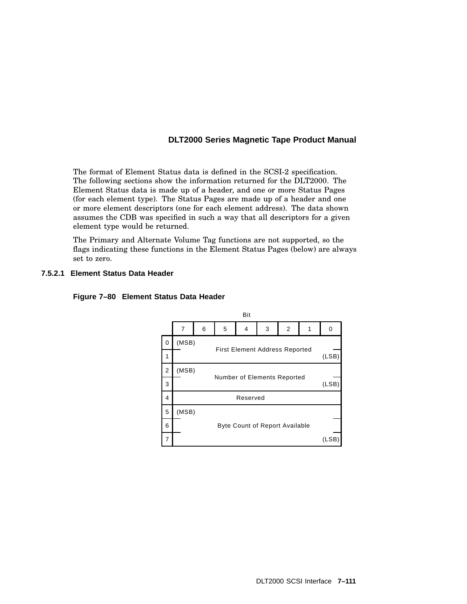The format of Element Status data is defined in the SCSI-2 specification. The following sections show the information returned for the DLT2000. The Element Status data is made up of a header, and one or more Status Pages (for each element type). The Status Pages are made up of a header and one or more element descriptors (one for each element address). The data shown assumes the CDB was specified in such a way that all descriptors for a given element type would be returned.

The Primary and Alternate Volume Tag functions are not supported, so the flags indicating these functions in the Element Status Pages (below) are always set to zero.

### **7.5.2.1 Element Status Data Header**



#### **Figure 7–80 Element Status Data Header**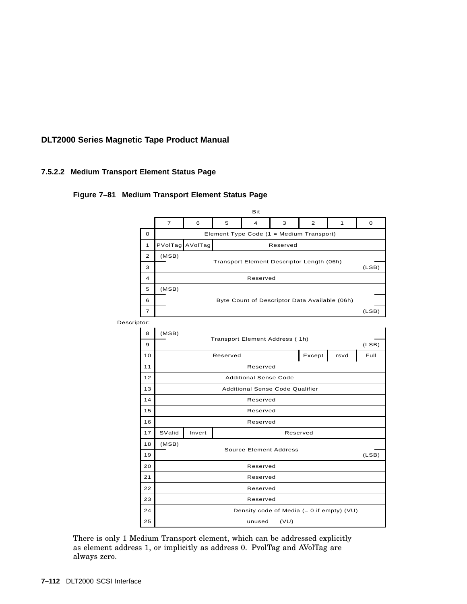### **7.5.2.2 Medium Transport Element Status Page**

### **Figure 7–81 Medium Transport Element Status Page**



There is only 1 Medium Transport element, which can be addressed explicitly as element address 1, or implicitly as address 0. PvolTag and AVolTag are always zero.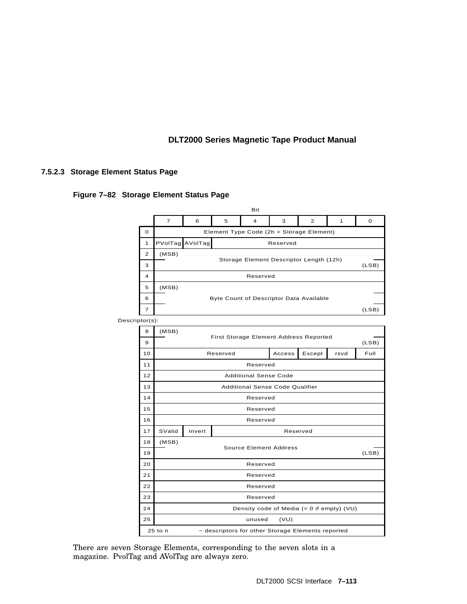### **7.5.2.3 Storage Element Status Page**

#### **Figure 7–82 Storage Element Status Page**



There are seven Storage Elements, corresponding to the seven slots in a magazine. PvolTag and AVolTag are always zero.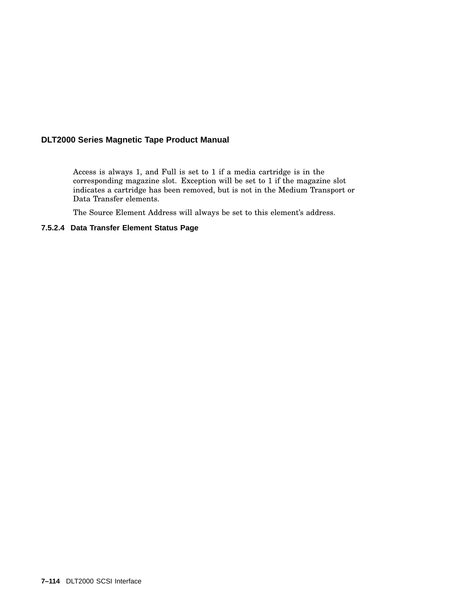Access is always 1, and Full is set to 1 if a media cartridge is in the corresponding magazine slot. Exception will be set to 1 if the magazine slot indicates a cartridge has been removed, but is not in the Medium Transport or Data Transfer elements.

The Source Element Address will always be set to this element's address.

### **7.5.2.4 Data Transfer Element Status Page**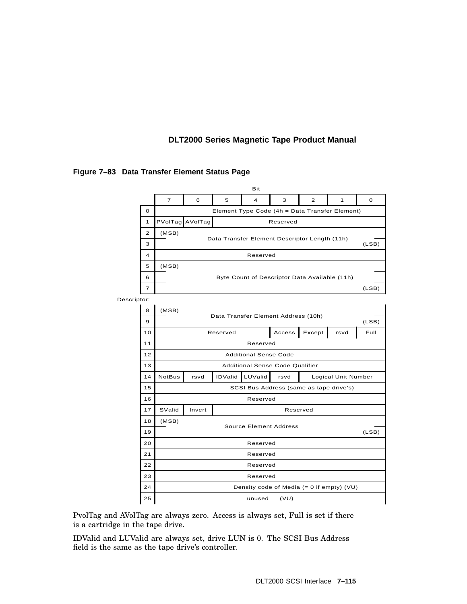|             |                |                |                                                                        |                | Bit                                         |        |                |                     |          |
|-------------|----------------|----------------|------------------------------------------------------------------------|----------------|---------------------------------------------|--------|----------------|---------------------|----------|
|             |                | $\overline{7}$ | 6                                                                      | 5              | 4                                           | 3      | $\overline{2}$ | 1                   | $\Omega$ |
|             | 0              |                | Element Type Code (4h = Data Transfer Element)                         |                |                                             |        |                |                     |          |
|             | 1              |                | PVolTag AVolTag<br>Reserved                                            |                |                                             |        |                |                     |          |
|             | $\overline{2}$ | (MSB)          | Data Transfer Element Descriptor Length (11h)                          |                |                                             |        |                |                     |          |
|             | 3              |                | (LSB)                                                                  |                |                                             |        |                |                     |          |
|             | 4              |                | Reserved                                                               |                |                                             |        |                |                     |          |
|             | 5              | (MSB)          | Byte Count of Descriptor Data Available (11h)                          |                |                                             |        |                |                     |          |
|             | 6              |                |                                                                        |                |                                             |        |                |                     |          |
|             | 7              |                |                                                                        |                |                                             |        |                |                     | (LSB)    |
| Descriptor: |                |                |                                                                        |                |                                             |        |                |                     |          |
|             | 8              | (MSB)          |                                                                        |                | Data Transfer Element Address (10h)         |        |                |                     |          |
|             | 9              |                |                                                                        |                |                                             |        |                |                     | (LSB)    |
|             | 10             |                |                                                                        | Reserved       |                                             | Access | Except         | rsvd                | Full     |
|             | 11             |                |                                                                        |                | Reserved                                    |        |                |                     |          |
|             | 12             |                | <b>Additional Sense Code</b><br><b>Additional Sense Code Qualifier</b> |                |                                             |        |                |                     |          |
|             | 13             |                |                                                                        |                |                                             |        |                |                     |          |
|             | 14             | <b>NotBus</b>  | rsvd                                                                   | <b>IDValid</b> | LUValid                                     | rsvd   |                | Logical Unit Number |          |
|             | 15             |                |                                                                        |                | SCSI Bus Address (same as tape drive's)     |        |                |                     |          |
|             | 16             |                |                                                                        |                | Reserved                                    |        |                |                     |          |
|             | 17             | SValid         | Invert                                                                 |                |                                             |        | Reserved       |                     |          |
|             | 18             | (MSB)          |                                                                        |                | <b>Source Element Address</b>               |        |                |                     |          |
|             | 19             |                | (LSB)                                                                  |                |                                             |        |                |                     |          |
|             | 20             |                | Reserved                                                               |                |                                             |        |                |                     |          |
|             | 21             |                | Reserved                                                               |                |                                             |        |                |                     |          |
|             | 22             |                |                                                                        |                | Reserved                                    |        |                |                     |          |
|             | 23             |                |                                                                        |                | Reserved                                    |        |                |                     |          |
|             | 24             |                |                                                                        |                | Density code of Media $(= 0$ if empty) (VU) |        |                |                     |          |
|             | 25             |                |                                                                        |                | unused                                      | (VU)   |                |                     |          |

#### **Figure 7–83 Data Transfer Element Status Page**

PvolTag and AVolTag are always zero. Access is always set, Full is set if there is a cartridge in the tape drive.

IDValid and LUValid are always set, drive LUN is 0. The SCSI Bus Address field is the same as the tape drive's controller.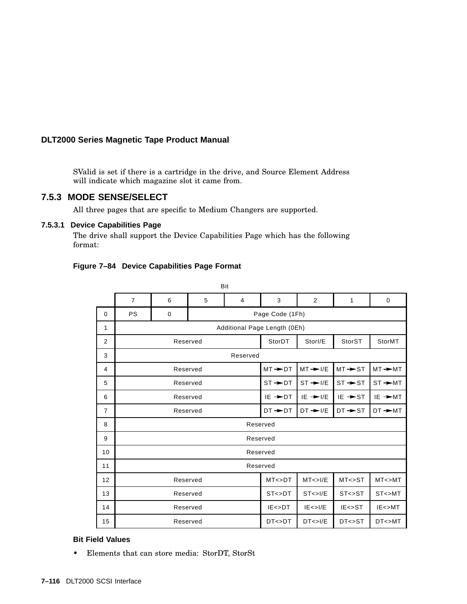SValid is set if there is a cartridge in the drive, and Source Element Address will indicate which magazine slot it came from.

#### **7.5.3 MODE SENSE/SELECT**

All three pages that are specific to Medium Changers are supported.

#### **7.5.3.1 Device Capabilities Page**

The drive shall support the Device Capabilities Page which has the following format:

 $D<sub>14</sub>$ 

| Figure 7-84 Device Capabilities Page Format |  |  |  |  |  |  |
|---------------------------------------------|--|--|--|--|--|--|
|---------------------------------------------|--|--|--|--|--|--|

|                | ◡              |   |          |                      |                              |                     |                      |           |
|----------------|----------------|---|----------|----------------------|------------------------------|---------------------|----------------------|-----------|
|                | $\overline{7}$ | 6 | 5        | $\overline{4}$       | 3                            | 2                   | 1                    | 0         |
| $\Omega$       | <b>PS</b>      | 0 |          |                      | Page Code (1Fh)              |                     |                      |           |
| 1              |                |   |          |                      | Additional Page Length (0Eh) |                     |                      |           |
| 2              |                |   | Reserved |                      | StorDT                       | Storl/E             | StorST               | StorMT    |
| 3              | Reserved       |   |          |                      |                              |                     |                      |           |
| 4              | Reserved       |   |          | $MT \rightarrow D$   | $MT \rightarrow I/E$         | $MT \rightarrow ST$ | $MT \rightarrow M$   |           |
| 5              | Reserved       |   |          | $ST \rightarrow D$   | $ST \rightarrow V/E$         | $ST \rightarrow ST$ | $ST \rightarrow M$   |           |
| 6              | Reserved       |   |          | $IE \rightarrow D$ T | $IE \rightarrow I/E$         | $IE \rightarrow ST$ | IE →MT               |           |
| $\overline{7}$ | Reserved       |   |          | $DT + DT$            | $DT \rightarrow I/E$         | $DT \rightarrow ST$ | $DT \rightarrow M T$ |           |
| 8              |                |   |          |                      | Reserved                     |                     |                      |           |
| 9              | Reserved       |   |          |                      |                              |                     |                      |           |
| 10             | Reserved       |   |          |                      |                              |                     |                      |           |
| 11             |                |   |          |                      | Reserved                     |                     |                      |           |
| 12             | Reserved       |   |          | MT < >DT             | MT < > I/E                   | MT < >ST            | MT < > MT            |           |
| 13             | Reserved       |   |          | ST < >DT             | ST < > I/E                   | ST < >ST            | ST < > MT            |           |
| 14             |                |   | Reserved |                      | $IE <$ $D T$                 | IE < > I/E          | $IE \ll S$ T         | IE < >MT  |
| 15             |                |   | Reserved |                      | DT<>DT                       | DT < > I/E          | DT<>ST               | $D$ T<>MT |

#### **Bit Field Values**

• Elements that can store media: StorDT, StorSt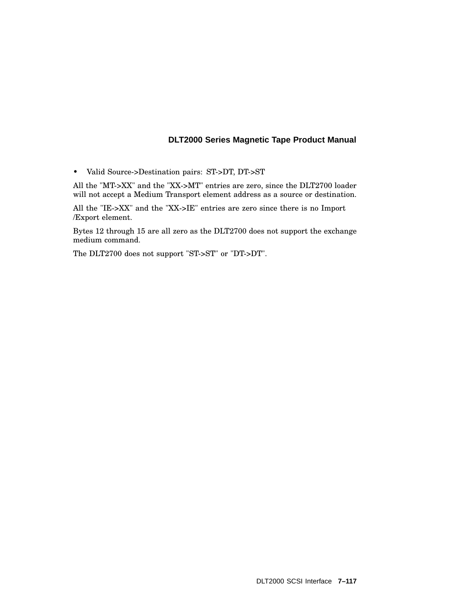• Valid Source->Destination pairs: ST->DT, DT->ST

All the "MT->XX" and the "XX->MT" entries are zero, since the DLT2700 loader will not accept a Medium Transport element address as a source or destination.

All the "IE->XX" and the "XX->IE" entries are zero since there is no Import /Export element.

Bytes 12 through 15 are all zero as the DLT2700 does not support the exchange medium command.

The DLT2700 does not support "ST->ST" or "DT->DT".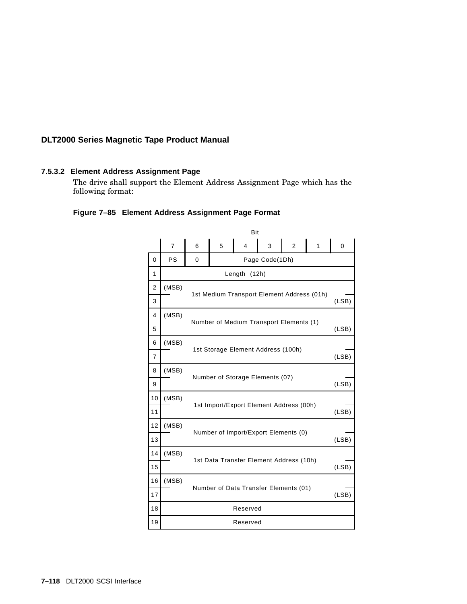#### **7.5.3.2 Element Address Assignment Page**

The drive shall support the Element Address Assignment Page which has the following format:

#### **Figure 7–85 Element Address Assignment Page Format**

|                | Bit            |                                                  |                                                               |                                            |                |  |  |       |  |
|----------------|----------------|--------------------------------------------------|---------------------------------------------------------------|--------------------------------------------|----------------|--|--|-------|--|
|                | $\overline{7}$ | 6                                                | 5<br>$\overline{\mathbf{4}}$<br>3<br>$\overline{2}$<br>1<br>0 |                                            |                |  |  |       |  |
| 0              | <b>PS</b>      | 0                                                |                                                               |                                            | Page Code(1Dh) |  |  |       |  |
| 1              |                |                                                  |                                                               | Length                                     | (12h)          |  |  |       |  |
| $\overline{2}$ | (MSB)          |                                                  |                                                               |                                            |                |  |  |       |  |
| 3              |                |                                                  |                                                               | 1st Medium Transport Element Address (01h) |                |  |  | (LSB) |  |
| 4              | (MSB)          |                                                  |                                                               |                                            |                |  |  |       |  |
| 5              |                |                                                  |                                                               | Number of Medium Transport Elements (1)    |                |  |  | (LSB) |  |
| 6              | (MSB)          | 1st Storage Element Address (100h)<br>(LSB)      |                                                               |                                            |                |  |  |       |  |
| $\overline{7}$ |                |                                                  |                                                               |                                            |                |  |  |       |  |
| 8              | (MSB)          |                                                  | Number of Storage Elements (07)<br>(LSB)                      |                                            |                |  |  |       |  |
| 9              |                |                                                  |                                                               |                                            |                |  |  |       |  |
| 10             | (MSB)          |                                                  |                                                               |                                            |                |  |  |       |  |
| 11             |                | 1st Import/Export Element Address (00h)<br>(LSB) |                                                               |                                            |                |  |  |       |  |
| 12             | (MSB)          |                                                  |                                                               | Number of Import/Export Elements (0)       |                |  |  |       |  |
| 13             |                |                                                  |                                                               |                                            |                |  |  | (LSB) |  |
| 14             | (MSB)          |                                                  |                                                               |                                            |                |  |  |       |  |
| 15             |                |                                                  |                                                               | 1st Data Transfer Element Address (10h)    |                |  |  | (LSB) |  |
| 16             | (MSB)          |                                                  |                                                               |                                            |                |  |  |       |  |
| 17             |                | Number of Data Transfer Elements (01)<br>(LSB)   |                                                               |                                            |                |  |  |       |  |
| 18             |                |                                                  |                                                               | Reserved                                   |                |  |  |       |  |
| 19             | Reserved       |                                                  |                                                               |                                            |                |  |  |       |  |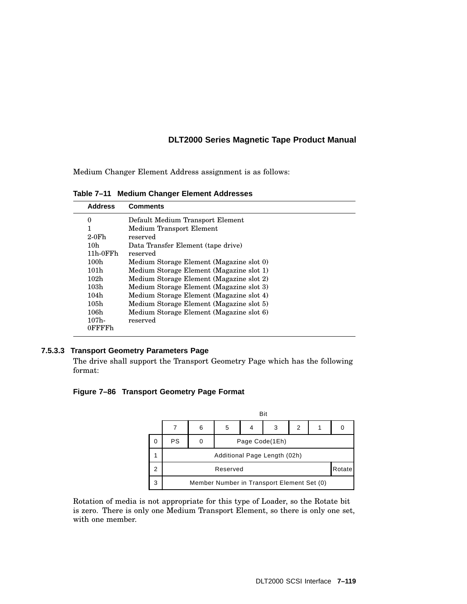Medium Changer Element Address assignment is as follows:

**Table 7–11 Medium Changer Element Addresses**

| <b>Address</b>   | <b>Comments</b>                          |
|------------------|------------------------------------------|
| 0                | Default Medium Transport Element         |
| $\mathbf{1}$     | Medium Transport Element                 |
| $2-0Fh$          | reserved                                 |
| 10 <sub>h</sub>  | Data Transfer Element (tape drive)       |
| $11h-0FFh$       | reserved                                 |
| 100h             | Medium Storage Element (Magazine slot 0) |
| 101h             | Medium Storage Element (Magazine slot 1) |
| 102h             | Medium Storage Element (Magazine slot 2) |
| 103h             | Medium Storage Element (Magazine slot 3) |
| 104h             | Medium Storage Element (Magazine slot 4) |
| 105h             | Medium Storage Element (Magazine slot 5) |
| 106h             | Medium Storage Element (Magazine slot 6) |
| 107 <sub>h</sub> | reserved                                 |
| 0FFFFh           |                                          |
|                  |                                          |

#### **7.5.3.3 Transport Geometry Parameters Page**

The drive shall support the Transport Geometry Page which has the following format:

#### **Figure 7–86 Transport Geometry Page Format**

|   |                                            | Bit |                |  |   |   |  |        |  |
|---|--------------------------------------------|-----|----------------|--|---|---|--|--------|--|
|   |                                            | 6   | 5              |  | 3 | 2 |  | 0      |  |
| 0 | PS                                         |     | Page Code(1Eh) |  |   |   |  |        |  |
|   | Additional Page Length (02h)               |     |                |  |   |   |  |        |  |
| 2 | Reserved                                   |     |                |  |   |   |  | Rotate |  |
| 3 | Member Number in Transport Element Set (0) |     |                |  |   |   |  |        |  |

Rotation of media is not appropriate for this type of Loader, so the Rotate bit is zero. There is only one Medium Transport Element, so there is only one set, with one member.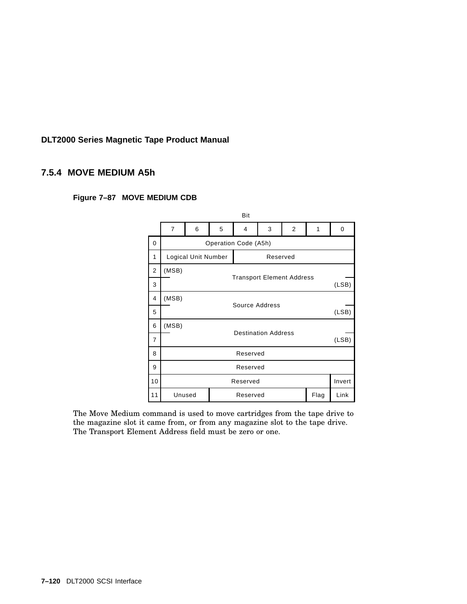#### **7.5.4 MOVE MEDIUM A5h**

|                |                         | Bit                                 |   |          |          |                |      |        |  |  |
|----------------|-------------------------|-------------------------------------|---|----------|----------|----------------|------|--------|--|--|
|                | $\overline{7}$          | 6                                   | 5 | 4        | 3        | $\overline{2}$ | 1    | 0      |  |  |
| 0              |                         | Operation Code (A5h)                |   |          |          |                |      |        |  |  |
| 1              |                         | Logical Unit Number                 |   |          | Reserved |                |      |        |  |  |
| $\overline{2}$ | (MSB)                   | <b>Transport Element Address</b>    |   |          |          |                |      |        |  |  |
| 3              |                         | (LSB)                               |   |          |          |                |      |        |  |  |
| 4              | (MSB)                   |                                     |   |          |          |                |      |        |  |  |
| 5              | Source Address<br>(LSB) |                                     |   |          |          |                |      |        |  |  |
| 6              | (MSB)                   |                                     |   |          |          |                |      |        |  |  |
| 7              |                         | <b>Destination Address</b><br>(LSB) |   |          |          |                |      |        |  |  |
| 8              |                         |                                     |   | Reserved |          |                |      |        |  |  |
| 9              |                         |                                     |   | Reserved |          |                |      |        |  |  |
| 10             |                         |                                     |   | Reserved |          |                |      | Invert |  |  |
| 11             |                         | Unused                              |   | Reserved |          |                | Flag | Link   |  |  |

**Figure 7–87 MOVE MEDIUM CDB**

The Move Medium command is used to move cartridges from the tape drive to the magazine slot it came from, or from any magazine slot to the tape drive. The Transport Element Address field must be zero or one.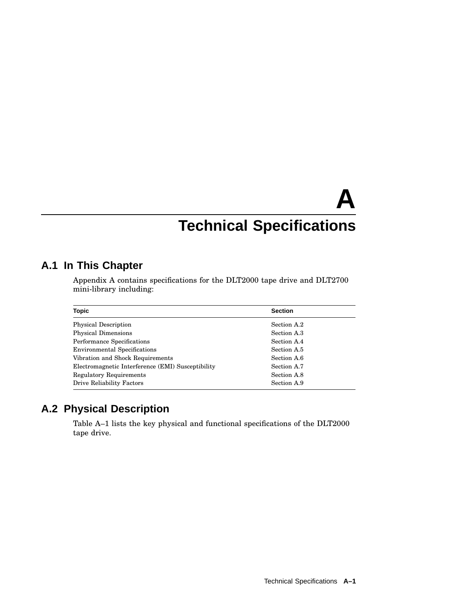# **A Technical Specifications**

# **A.1 In This Chapter**

Appendix A contains specifications for the DLT2000 tape drive and DLT2700 mini-library including:

| <b>Topic</b>                                      | <b>Section</b> |
|---------------------------------------------------|----------------|
| <b>Physical Description</b>                       | Section A.2    |
| <b>Physical Dimensions</b>                        | Section A.3    |
| Performance Specifications                        | Section A.4    |
| <b>Environmental Specifications</b>               | Section A.5    |
| Vibration and Shock Requirements                  | Section A.6    |
| Electromagnetic Interference (EMI) Susceptibility | Section A.7    |
| <b>Regulatory Requirements</b>                    | Section A.8    |
| Drive Reliability Factors                         | Section A.9    |

# **A.2 Physical Description**

Table A–1 lists the key physical and functional specifications of the DLT2000 tape drive.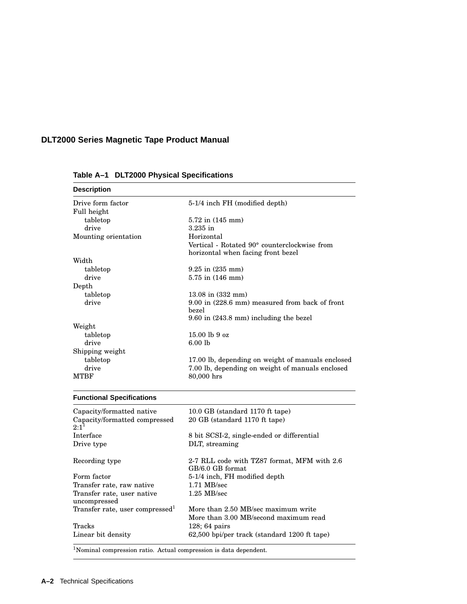| <b>Description</b>                          |                                                                                    |
|---------------------------------------------|------------------------------------------------------------------------------------|
| Drive form factor                           | 5-1/4 inch FH (modified depth)                                                     |
| Full height                                 |                                                                                    |
| tabletop                                    | 5.72 in (145 mm)                                                                   |
| drive                                       | $3.235$ in                                                                         |
| Mounting orientation                        | Horizontal                                                                         |
|                                             | Vertical - Rotated 90° counterclockwise from<br>horizontal when facing front bezel |
| Width                                       |                                                                                    |
| tabletop                                    | 9.25 in (235 mm)                                                                   |
| drive                                       | $5.75$ in $(146 \text{ mm})$                                                       |
| Depth                                       |                                                                                    |
| tabletop                                    | $13.08$ in $(332 \text{ mm})$                                                      |
| drive                                       | 9.00 in (228.6 mm) measured from back of front                                     |
|                                             | bezel                                                                              |
|                                             | $9.60$ in $(243.8 \text{ mm})$ including the bezel                                 |
| Weight                                      |                                                                                    |
| tabletop                                    | $15.00$ lb 9 oz                                                                    |
| drive                                       | 6.00 lb                                                                            |
| Shipping weight                             |                                                                                    |
| tabletop                                    | 17.00 lb, depending on weight of manuals enclosed                                  |
| drive                                       | 7.00 lb, depending on weight of manuals enclosed                                   |
| <b>MTBF</b>                                 | 80,000 hrs                                                                         |
| <b>Functional Specifications</b>            |                                                                                    |
| Capacity/formatted native                   | 10.0 GB (standard 1170 ft tape)                                                    |
| Capacity/formatted compressed<br>$2:1^1$    | 20 GB (standard 1170 ft tape)                                                      |
| Interface                                   | 8 bit SCSI-2, single-ended or differential                                         |
| Drive type                                  | DLT, streaming                                                                     |
| Recording type                              | 2-7 RLL code with TZ87 format, MFM with 2.6<br>GB/6.0 GB format                    |
| Form factor                                 | 5-1/4 inch, FH modified depth                                                      |
| Transfer rate, raw native                   | $1.71$ MB/sec                                                                      |
| Transfer rate, user native<br>uncompressed  | $1.25$ MB/sec                                                                      |
| Transfer rate, user compressed <sup>1</sup> | More than 2.50 MB/sec maximum write                                                |
|                                             | More than 3.00 MB/second maximum read                                              |
|                                             |                                                                                    |
| Tracks                                      | $128:64 \text{ pairs}$                                                             |

**Table A–1 DLT2000 Physical Specifications**

<sup>1</sup>Nominal compression ratio. Actual compression is data dependent.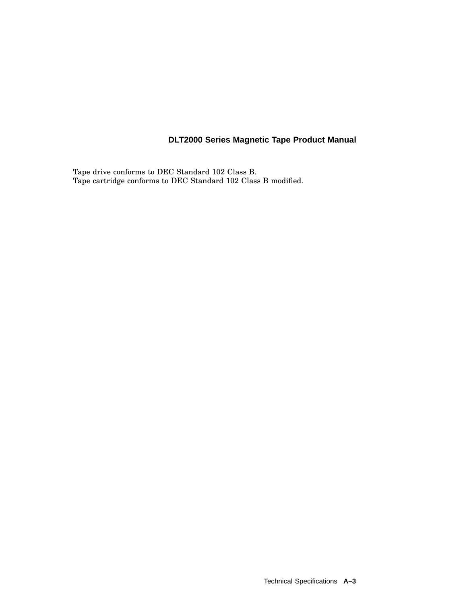Tape drive conforms to DEC Standard 102 Class B. Tape cartridge conforms to DEC Standard 102 Class B modified.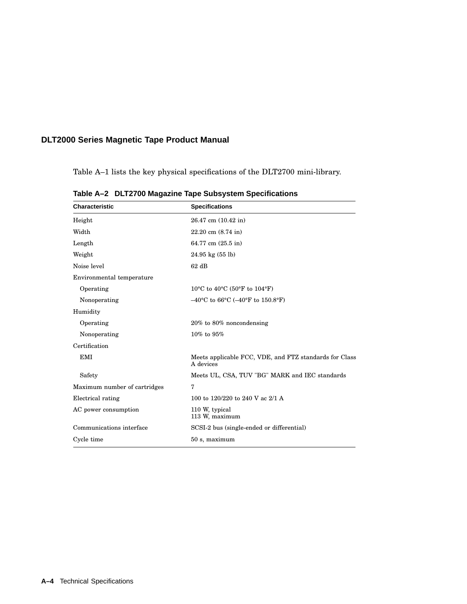Table A–1 lists the key physical specifications of the DLT2700 mini-library.

| <b>Characteristic</b>        | <b>Specifications</b>                                                       |  |  |  |
|------------------------------|-----------------------------------------------------------------------------|--|--|--|
| Height                       | 26.47 cm (10.42 in)                                                         |  |  |  |
| Width                        | $22.20$ cm $(8.74$ in)                                                      |  |  |  |
| Length                       | 64.77 cm (25.5 in)                                                          |  |  |  |
| Weight                       | $24.95 \text{ kg} (55 \text{ lb})$                                          |  |  |  |
| Noise level                  | $62$ dB                                                                     |  |  |  |
| Environmental temperature    |                                                                             |  |  |  |
| Operating                    | 10°C to 40°C (50°F to 104°F)                                                |  |  |  |
| Nonoperating                 | $-40^{\circ}$ C to 66 $^{\circ}$ C ( $-40^{\circ}$ F to 150.8 $^{\circ}$ F) |  |  |  |
| Humidity                     |                                                                             |  |  |  |
| Operating                    | $20\%$ to $80\%$ noncondensing                                              |  |  |  |
| Nonoperating                 | 10% to 95%                                                                  |  |  |  |
| Certification                |                                                                             |  |  |  |
| <b>EMI</b>                   | Meets applicable FCC, VDE, and FTZ standards for Class<br>A devices         |  |  |  |
| Safety                       | Meets UL, CSA, TUV "BG" MARK and IEC standards                              |  |  |  |
| Maximum number of cartridges | 7                                                                           |  |  |  |
| Electrical rating            | 100 to 120/220 to 240 V ac 2/1 A                                            |  |  |  |
| AC power consumption         | 110 W, typical<br>113 W, maximum                                            |  |  |  |
| Communications interface     | SCSI-2 bus (single-ended or differential)                                   |  |  |  |
| Cycle time                   | 50 s, maximum                                                               |  |  |  |

**Table A–2 DLT2700 Magazine Tape Subsystem Specifications**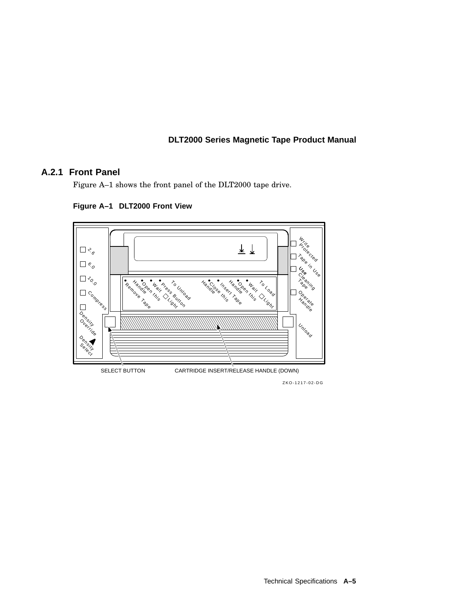#### **A.2.1 Front Panel**

Figure A–1 shows the front panel of the DLT2000 tape drive.



**Figure A–1 DLT2000 Front View**

ZKO-1217-02-DG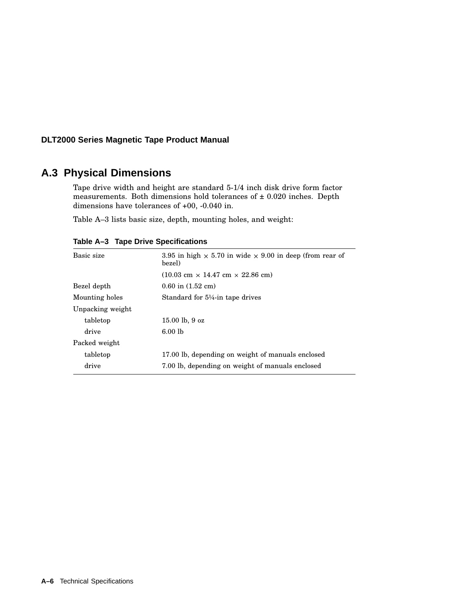# **A.3 Physical Dimensions**

Tape drive width and height are standard 5-1/4 inch disk drive form factor measurements. Both dimensions hold tolerances of  $\pm$  0.020 inches. Depth dimensions have tolerances of +00, -0.040 in.

Table A–3 lists basic size, depth, mounting holes, and weight:

| Basic size       | 3.95 in high $\times$ 5.70 in wide $\times$ 9.00 in deep (from rear of<br>bezel) |
|------------------|----------------------------------------------------------------------------------|
|                  | $(10.03 \text{ cm} \times 14.47 \text{ cm} \times 22.86 \text{ cm})$             |
| Bezel depth      | $0.60$ in $(1.52$ cm)                                                            |
| Mounting holes   | Standard for $5\frac{1}{4}$ -in tape drives                                      |
| Unpacking weight |                                                                                  |
| tabletop         | $15.00$ lb, 9 oz                                                                 |
| drive            | $6.00$ lb                                                                        |
| Packed weight    |                                                                                  |
| tabletop         | 17.00 lb, depending on weight of manuals enclosed                                |
| drive            | 7.00 lb, depending on weight of manuals enclosed                                 |

**Table A–3 Tape Drive Specifications**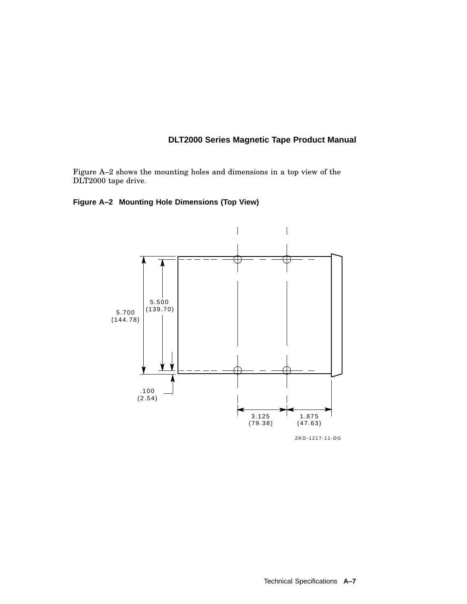Figure A–2 shows the mounting holes and dimensions in a top view of the DLT2000 tape drive.

#### **Figure A–2 Mounting Hole Dimensions (Top View)**

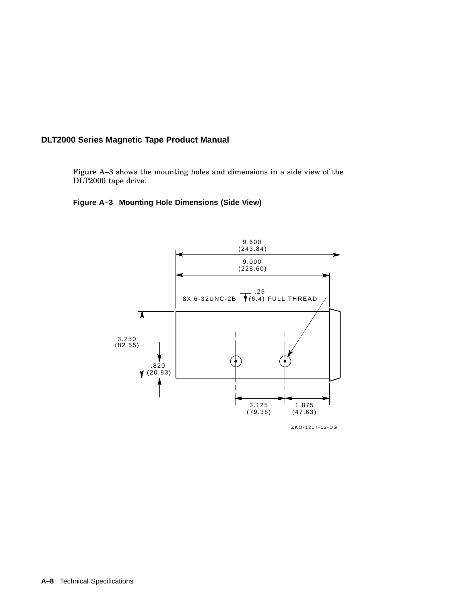Figure A–3 shows the mounting holes and dimensions in a side view of the DLT2000 tape drive.

#### **Figure A–3 Mounting Hole Dimensions (Side View)**



ZKO-1217-12-DG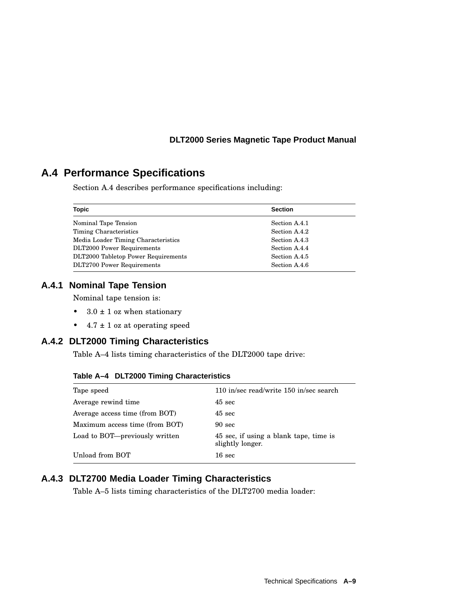# **A.4 Performance Specifications**

Section A.4 describes performance specifications including:

| <b>Topic</b>                        | <b>Section</b> |  |  |
|-------------------------------------|----------------|--|--|
| Nominal Tape Tension                | Section A.4.1  |  |  |
| Timing Characteristics              | Section A.4.2  |  |  |
| Media Loader Timing Characteristics | Section A.4.3  |  |  |
| <b>DLT2000 Power Requirements</b>   | Section A.4.4  |  |  |
| DLT2000 Tabletop Power Requirements | Section A.4.5  |  |  |
| DLT2700 Power Requirements          | Section A.4.6  |  |  |

#### **A.4.1 Nominal Tape Tension**

Nominal tape tension is:

- $3.0 \pm 1$  oz when stationary
- $4.7 \pm 1$  oz at operating speed

# **A.4.2 DLT2000 Timing Characteristics**

Table A–4 lists timing characteristics of the DLT2000 tape drive:

| Table A-4 DLT2000 Timing Characteristics |  |  |  |  |
|------------------------------------------|--|--|--|--|
|------------------------------------------|--|--|--|--|

| Tape speed                     | 110 in/sec read/write 150 in/sec search                    |
|--------------------------------|------------------------------------------------------------|
| Average rewind time            | $45 \text{ sec}$                                           |
| Average access time (from BOT) | $45 \text{ sec}$                                           |
| Maximum access time (from BOT) | $90 \text{ sec}$                                           |
| Load to BOT-previously written | 45 sec, if using a blank tape, time is<br>slightly longer. |
| Unload from BOT                | $16 \text{ sec}$                                           |

# **A.4.3 DLT2700 Media Loader Timing Characteristics**

Table A–5 lists timing characteristics of the DLT2700 media loader: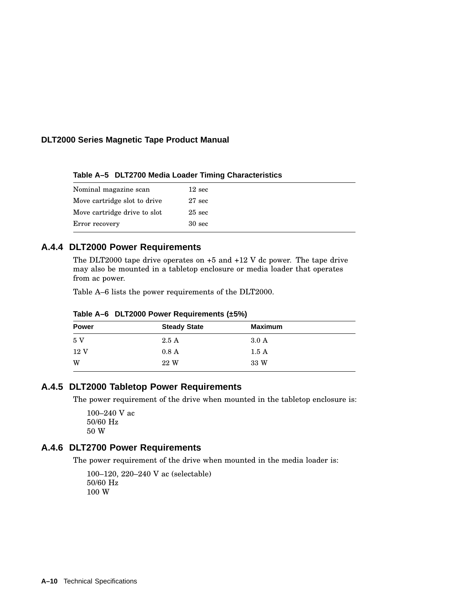**Table A–5 DLT2700 Media Loader Timing Characteristics**

| Nominal magazine scan        | $12 \text{ sec}$  |
|------------------------------|-------------------|
| Move cartridge slot to drive | $27 \text{ sec}$  |
| Move cartridge drive to slot | $25 \text{ sec}$  |
| Error recovery               | 30 <sub>sec</sub> |

#### **A.4.4 DLT2000 Power Requirements**

The DLT2000 tape drive operates on +5 and +12 V dc power. The tape drive may also be mounted in a tabletop enclosure or media loader that operates from ac power.

Table A–6 lists the power requirements of the DLT2000.

| <b>Power</b>    | <b>Steady State</b> | <b>Maximum</b> |  |
|-----------------|---------------------|----------------|--|
| 5 V             | 2.5A                | $3.0\text{ A}$ |  |
| 12 <sub>V</sub> | 0.8A                | 1.5A           |  |
| W               | 22 W                | 33 W           |  |

**Table A–6 DLT2000 Power Requirements (±5%)**

#### **A.4.5 DLT2000 Tabletop Power Requirements**

The power requirement of the drive when mounted in the tabletop enclosure is:

100–240 V ac 50/60 Hz 50 W

#### **A.4.6 DLT2700 Power Requirements**

The power requirement of the drive when mounted in the media loader is:

100–120, 220–240 V ac (selectable) 50/60 Hz 100 W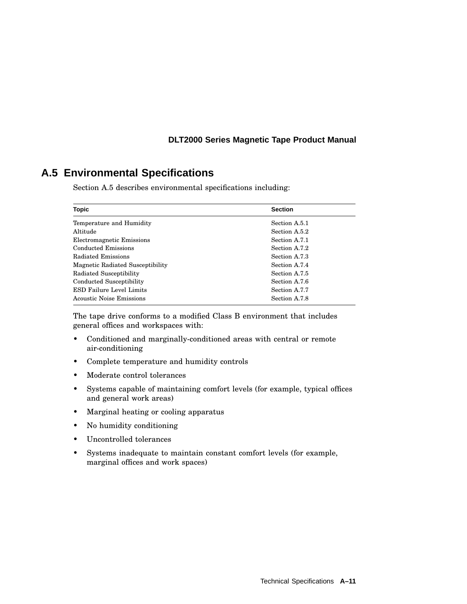# **A.5 Environmental Specifications**

Section A.5 describes environmental specifications including:

| Topic                            | <b>Section</b> |
|----------------------------------|----------------|
| Temperature and Humidity         | Section A.5.1  |
| Altitude                         | Section A.5.2  |
| Electromagnetic Emissions        | Section A.7.1  |
| Conducted Emissions              | Section A.7.2  |
| Radiated Emissions               | Section A.7.3  |
| Magnetic Radiated Susceptibility | Section A.7.4  |
| Radiated Susceptibility          | Section A.7.5  |
| Conducted Susceptibility         | Section A.7.6  |
| <b>ESD Failure Level Limits</b>  | Section A.7.7  |
| Acoustic Noise Emissions         | Section A.7.8  |

The tape drive conforms to a modified Class B environment that includes general offices and workspaces with:

- Conditioned and marginally-conditioned areas with central or remote air-conditioning
- Complete temperature and humidity controls
- Moderate control tolerances
- Systems capable of maintaining comfort levels (for example, typical offices and general work areas)
- Marginal heating or cooling apparatus
- No humidity conditioning
- Uncontrolled tolerances
- Systems inadequate to maintain constant comfort levels (for example, marginal offices and work spaces)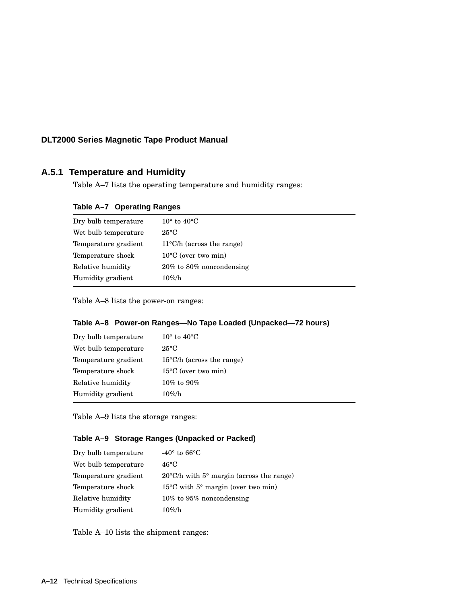# **A.5.1 Temperature and Humidity**

Table A–7 lists the operating temperature and humidity ranges:

| Table A-7 Operating Ranges |
|----------------------------|
|----------------------------|

| Dry bulb temperature | $10^{\circ}$ to $40^{\circ}$ C      |
|----------------------|-------------------------------------|
| Wet bulb temperature | $25^{\circ}$ C                      |
| Temperature gradient | $11^{\circ}$ C/h (across the range) |
| Temperature shock    | $10^{\circ}$ C (over two min)       |
| Relative humidity    | $20\%$ to 80% noncondensing         |
| Humidity gradient    | $10\%$ /h                           |

Table A–8 lists the power-on ranges:

|  |  |  | Table A-8 Power-on Ranges—No Tape Loaded (Unpacked—72 hours) |
|--|--|--|--------------------------------------------------------------|
|--|--|--|--------------------------------------------------------------|

| Dry bulb temperature | $10^{\circ}$ to $40^{\circ}$ C      |
|----------------------|-------------------------------------|
| Wet bulb temperature | $25^{\circ}C$                       |
| Temperature gradient | $15^{\circ}$ C/h (across the range) |
| Temperature shock    | $15^{\circ}$ C (over two min)       |
| Relative humidity    | $10\%$ to $90\%$                    |
| Humidity gradient    | $10\%$ /h                           |

Table A–9 lists the storage ranges:

|  | Table A-9 Storage Ranges (Unpacked or Packed) |  |
|--|-----------------------------------------------|--|
|  |                                               |  |

| Dry bulb temperature | $-40^{\circ}$ to 66 $^{\circ}$ C                      |
|----------------------|-------------------------------------------------------|
| Wet bulb temperature | 46°C                                                  |
| Temperature gradient | $20^{\circ}$ C/h with 5° margin (across the range)    |
| Temperature shock    | $15^{\circ}$ C with $5^{\circ}$ margin (over two min) |
| Relative humidity    | $10\%$ to 95% noncondensing                           |
| Humidity gradient    | $10\%$ /h                                             |

Table A–10 lists the shipment ranges: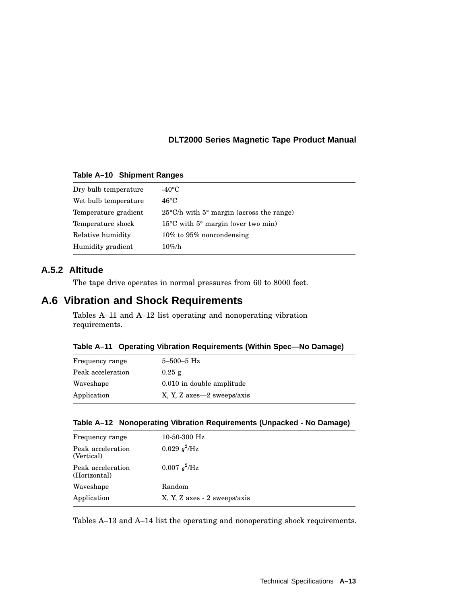#### **Table A–10 Shipment Ranges**

| Dry bulb temperature | -40°C                                                 |
|----------------------|-------------------------------------------------------|
| Wet bulb temperature | $46^{\circ}$ C                                        |
| Temperature gradient | $25^{\circ}$ C/h with 5° margin (across the range)    |
| Temperature shock    | $15^{\circ}$ C with $5^{\circ}$ margin (over two min) |
| Relative humidity    | $10\%$ to 95% noncondensing                           |
| Humidity gradient    | $10\%$ /h                                             |
|                      |                                                       |

# **A.5.2 Altitude**

The tape drive operates in normal pressures from 60 to 8000 feet.

# **A.6 Vibration and Shock Requirements**

Tables A–11 and A–12 list operating and nonoperating vibration requirements.

|  | Table A-11 Operating Vibration Requirements (Within Spec-No Damage) |  |  |
|--|---------------------------------------------------------------------|--|--|
|  |                                                                     |  |  |

| Frequency range   | $5 - 500 - 5$ Hz            |
|-------------------|-----------------------------|
| Peak acceleration | $0.25$ g                    |
| Waveshape         | 0.010 in double amplitude   |
| Application       | X, Y, Z axes -2 sweeps/axis |

| Table A-12 Nonoperating Vibration Requirements (Unpacked - No Damage) |
|-----------------------------------------------------------------------|
|-----------------------------------------------------------------------|

| Frequency range                   | $10-50-300$ Hz               |
|-----------------------------------|------------------------------|
| Peak acceleration<br>(Vertical)   | 0.029 $q^2$ /Hz              |
| Peak acceleration<br>(Horizontal) | 0.007 $q^2$ /Hz              |
| Waveshape                         | Random                       |
| Application                       | X, Y, Z axes - 2 sweeps/axis |
|                                   |                              |

Tables A–13 and A–14 list the operating and nonoperating shock requirements.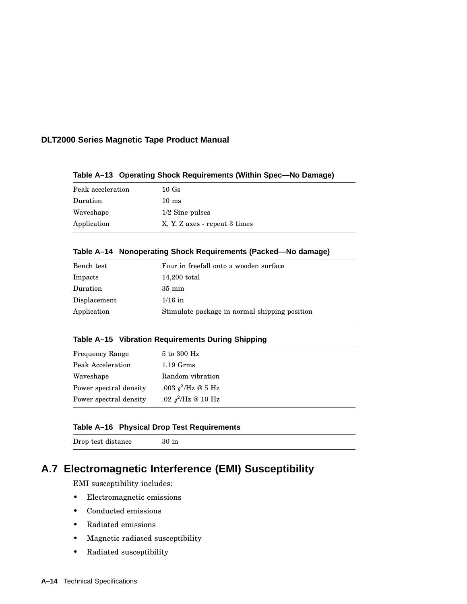| Peak acceleration | 10Gs                          |
|-------------------|-------------------------------|
| Duration          | $10 \text{ ms}$               |
| Waveshape         | $1/2$ Sine pulses             |
| Application       | X, Y, Z axes - repeat 3 times |

**Table A–13 Operating Shock Requirements (Within Spec—No Damage)**

#### **Table A–14 Nonoperating Shock Requirements (Packed—No damage)**

| Bench test   | Four in freefall onto a wooden surface        |
|--------------|-----------------------------------------------|
| Impacts      | 14,200 total                                  |
| Duration     | $35 \text{ min}$                              |
| Displacement | $1/16$ in                                     |
| Application  | Stimulate package in normal shipping position |

#### **Table A–15 Vibration Requirements During Shipping**

| <b>Frequency Range</b> | 5 to 300 Hz           |
|------------------------|-----------------------|
| Peak Acceleration      | $1.19 \text{ Grms}$   |
| Waveshape              | Random vibration      |
| Power spectral density | .003 $q^2$ /Hz @ 5 Hz |
| Power spectral density | .02 $q^2$ /Hz @ 10 Hz |

#### **Table A–16 Physical Drop Test Requirements**

Drop test distance 30 in

# **A.7 Electromagnetic Interference (EMI) Susceptibility**

EMI susceptibility includes:

- Electromagnetic emissions
- Conducted emissions
- Radiated emissions
- Magnetic radiated susceptibility
- Radiated susceptibility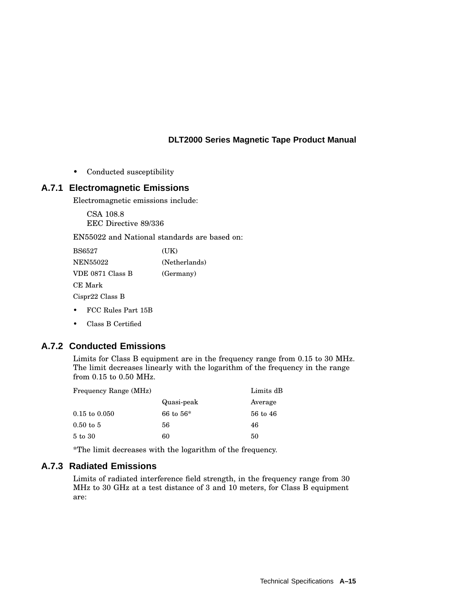• Conducted susceptibility

#### **A.7.1 Electromagnetic Emissions**

Electromagnetic emissions include:

CSA 108.8 EEC Directive 89/336

EN55022 and National standards are based on:

| <b>BS6527</b>    | (UK)          |
|------------------|---------------|
| NEN55022         | (Netherlands) |
| VDE 0871 Class B | (Germany)     |
| CE Mark          |               |
| Cispr22 Class B  |               |
|                  |               |

- FCC Rules Part 15B
- Class B Certified

# **A.7.2 Conducted Emissions**

Limits for Class B equipment are in the frequency range from 0.15 to 30 MHz. The limit decreases linearly with the logarithm of the frequency in the range from 0.15 to 0.50 MHz.

| Frequency Range (MHz)    |             | Limits dB |
|--------------------------|-------------|-----------|
|                          | Quasi-peak  | Average   |
| $0.15 \text{ to } 0.050$ | 66 to $56*$ | 56 to 46  |
| $0.50$ to 5              | 56          | 46        |
| 5 to 30                  | 60          | 50        |

\*The limit decreases with the logarithm of the frequency.

#### **A.7.3 Radiated Emissions**

Limits of radiated interference field strength, in the frequency range from 30 MHz to 30 GHz at a test distance of 3 and 10 meters, for Class B equipment are: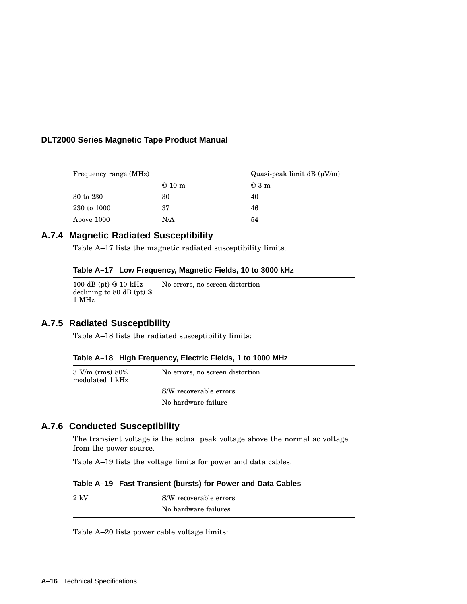| Frequency range (MHz) |         | Quasi-peak limit dB $(\mu V/m)$ |
|-----------------------|---------|---------------------------------|
|                       | $@10$ m | @3m                             |
| $30$ to $230$         | 30      | 40                              |
| 230 to 1000           | 37      | 46                              |
| Above 1000            | N/A     | 54                              |

#### **A.7.4 Magnetic Radiated Susceptibility**

Table A–17 lists the magnetic radiated susceptibility limits.

#### **Table A–17 Low Frequency, Magnetic Fields, 10 to 3000 kHz**

100 dB (pt) @ 10 kHz declining to 80 dB (pt) @ 1 MHz No errors, no screen distortion

#### **A.7.5 Radiated Susceptibility**

Table A–18 lists the radiated susceptibility limits:

#### **Table A–18 High Frequency, Electric Fields, 1 to 1000 MHz**

| $3 \text{ V/m (rms)} 80\%$<br>modulated 1 kHz | No errors, no screen distortion |
|-----------------------------------------------|---------------------------------|
|                                               | S/W recoverable errors          |
|                                               | No hardware failure             |

# **A.7.6 Conducted Susceptibility**

The transient voltage is the actual peak voltage above the normal ac voltage from the power source.

Table A–19 lists the voltage limits for power and data cables:

| Table A-19 Fast Transient (bursts) for Power and Data Cables |  |  |  |  |  |  |  |  |
|--------------------------------------------------------------|--|--|--|--|--|--|--|--|
|--------------------------------------------------------------|--|--|--|--|--|--|--|--|

| $2~{\rm kV}$ | S/W recoverable errors |
|--------------|------------------------|
|              | No hardware failures   |

Table A–20 lists power cable voltage limits: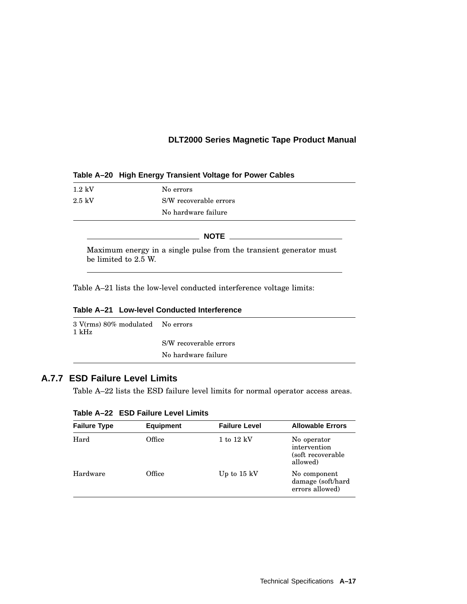#### **Table A–20 High Energy Transient Voltage for Power Cables**

| $1.2 \text{ kV}$ | No errors              |
|------------------|------------------------|
| $2.5~{\rm kV}$   | S/W recoverable errors |
|                  | No hardware failure    |

#### **NOTE** \_\_\_\_\_\_\_\_\_\_

Maximum energy in a single pulse from the transient generator must be limited to 2.5 W.

Table A–21 lists the low-level conducted interference voltage limits:

|  | Table A–21 Low-level Conducted Interference |
|--|---------------------------------------------|
|  |                                             |

| 3 V(rms) 80% modulated    No errors<br>1 kHz |                        |
|----------------------------------------------|------------------------|
|                                              | S/W recoverable errors |
|                                              | No hardware failure    |
|                                              |                        |

# **A.7.7 ESD Failure Level Limits**

Table A–22 lists the ESD failure level limits for normal operator access areas.

| <b>Failure Type</b> | <b>Equipment</b> | <b>Failure Level</b>  | <b>Allowable Errors</b>                                       |
|---------------------|------------------|-----------------------|---------------------------------------------------------------|
| Hard                | Office           | $1$ to $12$ kV        | No operator<br>intervention<br>(soft recoverable)<br>allowed) |
| Hardware            | Office           | Up to $15 \text{ kV}$ | No component<br>damage (soft/hard<br>errors allowed)          |

#### **Table A–22 ESD Failure Level Limits**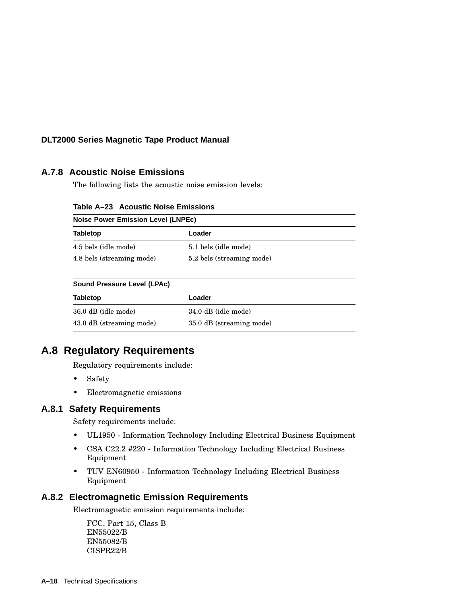# **A.7.8 Acoustic Noise Emissions**

The following lists the acoustic noise emission levels:

| Table A-23 Acoustic Noise Emissions       |                           |  |
|-------------------------------------------|---------------------------|--|
| <b>Noise Power Emission Level (LNPEc)</b> |                           |  |
| <b>Tabletop</b>                           | Loader                    |  |
| 4.5 bels (idle mode)                      | 5.1 bels (idle mode)      |  |
| 4.8 bels (streaming mode)                 | 5.2 bels (streaming mode) |  |

| $\frac{1}{2}$            |                          |  |
|--------------------------|--------------------------|--|
| <b>Tabletop</b>          | Loader                   |  |
| 36.0 dB (idle mode)      | 34.0 dB (idle mode)      |  |
| 43.0 dB (streaming mode) | 35.0 dB (streaming mode) |  |

# **A.8 Regulatory Requirements**

Regulatory requirements include:

- Safety
- Electromagnetic emissions

#### **A.8.1 Safety Requirements**

Safety requirements include:

- UL1950 Information Technology Including Electrical Business Equipment
- CSA C22.2 #220 Information Technology Including Electrical Business Equipment
- TUV EN60950 Information Technology Including Electrical Business Equipment

#### **A.8.2 Electromagnetic Emission Requirements**

Electromagnetic emission requirements include:

FCC, Part 15, Class B EN55022/B EN55082/B CISPR22/B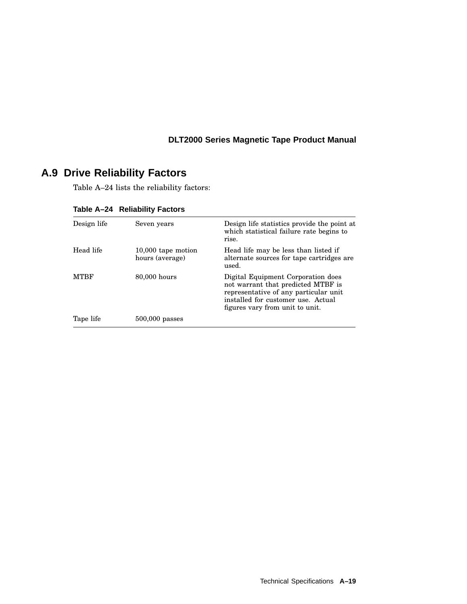# **A.9 Drive Reliability Factors**

Table A–24 lists the reliability factors:

| Design life | Seven years                           | Design life statistics provide the point at<br>which statistical failure rate begins to<br>rise.                                                                                           |
|-------------|---------------------------------------|--------------------------------------------------------------------------------------------------------------------------------------------------------------------------------------------|
| Head life   | 10,000 tape motion<br>hours (average) | Head life may be less than listed if<br>alternate sources for tape cartridges are<br>used.                                                                                                 |
| <b>MTRF</b> | 80,000 hours                          | Digital Equipment Corporation does<br>not warrant that predicted MTBF is<br>representative of any particular unit<br>installed for customer use. Actual<br>figures vary from unit to unit. |
| Tape life   | $500,000$ passes                      |                                                                                                                                                                                            |

**Table A–24 Reliability Factors**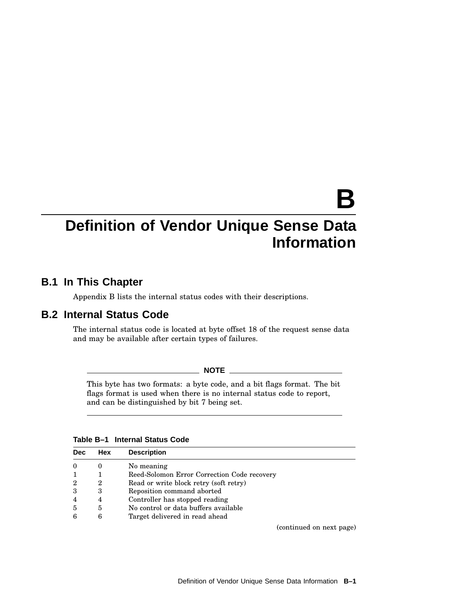# **B**

# **Definition of Vendor Unique Sense Data Information**

# **B.1 In This Chapter**

Appendix B lists the internal status codes with their descriptions.

#### **B.2 Internal Status Code**

The internal status code is located at byte offset 18 of the request sense data and may be available after certain types of failures.

#### **NOTE**

This byte has two formats: a byte code, and a bit flags format. The bit flags format is used when there is no internal status code to report, and can be distinguished by bit 7 being set.

| Table B-1 Internal Status Code |
|--------------------------------|
|--------------------------------|

| <b>Dec</b>     | Hex      | <b>Description</b>                          |
|----------------|----------|---------------------------------------------|
| $\theta$       | $\theta$ | No meaning                                  |
| -1             |          | Reed-Solomon Error Correction Code recovery |
| $\overline{2}$ | 2        | Read or write block retry (soft retry)      |
| 3              | 3        | Reposition command aborted                  |
| $\overline{4}$ | 4        | Controller has stopped reading              |
| 5              | 5        | No control or data buffers available        |
| 6              | 6        | Target delivered in read ahead              |

(continued on next page)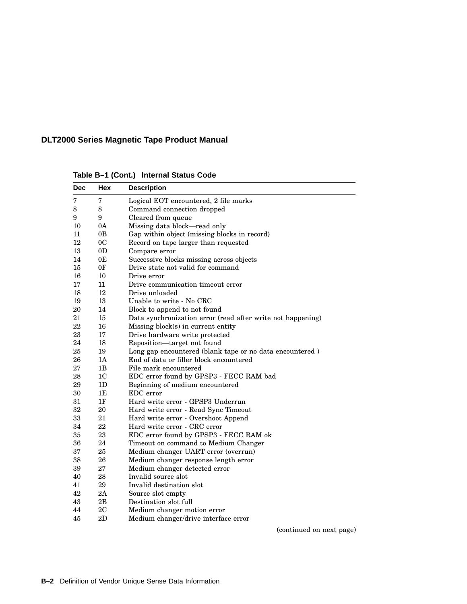| <b>Dec</b> | Hex            | <b>Description</b>                                          |
|------------|----------------|-------------------------------------------------------------|
| 7          | 7              | Logical EOT encountered, 2 file marks                       |
| 8          | 8              | Command connection dropped                                  |
| 9          | 9              | Cleared from queue                                          |
| 10         | 0A             | Missing data block—read only                                |
| 11         | 0B             | Gap within object (missing blocks in record)                |
| 12         | 0 <sup>C</sup> | Record on tape larger than requested                        |
| 13         | 0 <sub>D</sub> | Compare error                                               |
| 14         | 0E             | Successive blocks missing across objects                    |
| 15         | 0F             | Drive state not valid for command                           |
| 16         | 10             | Drive error                                                 |
| 17         | 11             | Drive communication timeout error                           |
| 18         | 12             | Drive unloaded                                              |
| 19         | 13             | Unable to write - No CRC                                    |
| 20         | 14             | Block to append to not found                                |
| 21         | 15             | Data synchronization error (read after write not happening) |
| 22         | 16             | Missing block(s) in current entity                          |
| 23         | 17             | Drive hardware write protected                              |
| 24         | 18             | Reposition-target not found                                 |
| 25         | 19             | Long gap encountered (blank tape or no data encountered)    |
| 26         | 1A             | End of data or filler block encountered                     |
| 27         | 1B             | File mark encountered                                       |
| 28         | 1 <sub>C</sub> | EDC error found by GPSP3 - FECC RAM bad                     |
| 29         | 1D             | Beginning of medium encountered                             |
| 30         | 1E             | EDC error                                                   |
| 31         | 1F             | Hard write error - GPSP3 Underrun                           |
| 32         | 20             | Hard write error - Read Sync Timeout                        |
| 33         | 21             | Hard write error - Overshoot Append                         |
| 34         | 22             | Hard write error - CRC error                                |
| 35         | 23             | EDC error found by GPSP3 - FECC RAM ok                      |
| 36         | 24             | Timeout on command to Medium Changer                        |
| 37         | 25             | Medium changer UART error (overrun)                         |
| 38         | 26             | Medium changer response length error                        |
| 39         | 27             | Medium changer detected error                               |
| 40         | 28             | Invalid source slot                                         |
| 41         | 29             | Invalid destination slot                                    |
| 42         | 2A             | Source slot empty                                           |
| 43         | 2B             | Destination slot full                                       |
| 44         | 2C             | Medium changer motion error                                 |
| 45         | 2D             | Medium changer/drive interface error                        |

**Table B–1 (Cont.) Internal Status Code**

(continued on next page)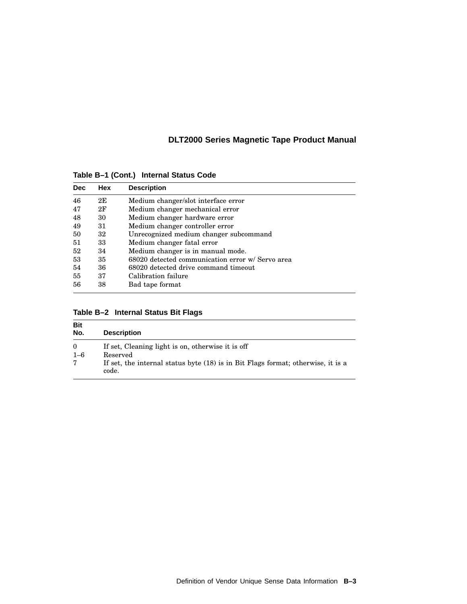**Dec Hex Description** 46 2E Medium changer/slot interface error Medium changer mechanical error 48 30 Medium changer hardware error<br>49 31 Medium changer controller error 49 31 Medium changer controller error<br>50 32 Unrecognized medium changer su 50 32 Unrecognized medium changer subcommand 51 33 Medium changer fatal error 52 34 Medium changer is in manual mode. 53 35 68020 detected communication error w/ Servo area 54 36 68020 detected drive command timeout<br>55 37 Calibration failure Calibration failure 56 38 Bad tape format

**Table B–1 (Cont.) Internal Status Code**

| Table B-2 Internal Status Bit Flags |  |  |  |  |
|-------------------------------------|--|--|--|--|
|-------------------------------------|--|--|--|--|

| <b>Bit</b><br>No.   | <b>Description</b>                                                                          |
|---------------------|---------------------------------------------------------------------------------------------|
| $\Omega$<br>$1 - 6$ | If set, Cleaning light is on, otherwise it is off<br>Reserved                               |
| 7                   | If set, the internal status byte $(18)$ is in Bit Flags format; otherwise, it is a<br>code. |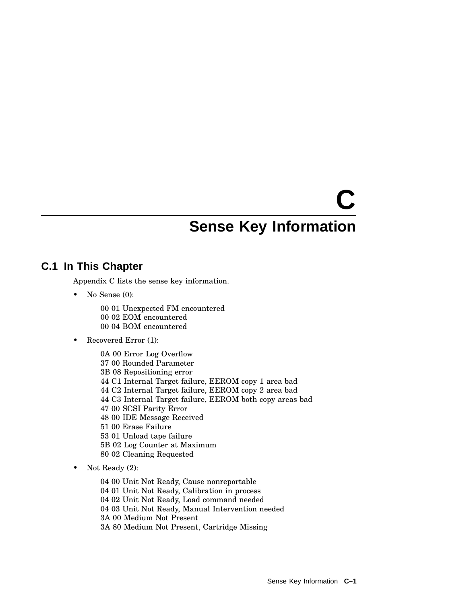# **C Sense Key Information**

# **C.1 In This Chapter**

Appendix C lists the sense key information.

- No Sense (0):
	- 00 01 Unexpected FM encountered 00 02 EOM encountered 00 04 BOM encountered
- Recovered Error (1):

0A 00 Error Log Overflow 00 Rounded Parameter 3B 08 Repositioning error C1 Internal Target failure, EEROM copy 1 area bad C2 Internal Target failure, EEROM copy 2 area bad C3 Internal Target failure, EEROM both copy areas bad 00 SCSI Parity Error 00 IDE Message Received 00 Erase Failure 01 Unload tape failure 5B 02 Log Counter at Maximum 02 Cleaning Requested

• Not Ready (2):

 00 Unit Not Ready, Cause nonreportable 01 Unit Not Ready, Calibration in process 02 Unit Not Ready, Load command needed 03 Unit Not Ready, Manual Intervention needed 3A 00 Medium Not Present 3A 80 Medium Not Present, Cartridge Missing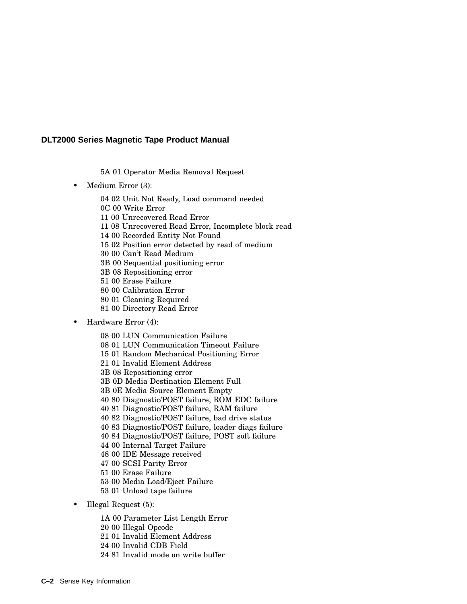5A 01 Operator Media Removal Request

• Medium Error (3):

 02 Unit Not Ready, Load command needed 0C 00 Write Error 00 Unrecovered Read Error 08 Unrecovered Read Error, Incomplete block read 00 Recorded Entity Not Found 02 Position error detected by read of medium 00 Can't Read Medium 3B 00 Sequential positioning error 3B 08 Repositioning error 00 Erase Failure 00 Calibration Error 01 Cleaning Required 00 Directory Read Error

• Hardware Error (4):

00 LUN Communication Failure

01 LUN Communication Timeout Failure

01 Random Mechanical Positioning Error

01 Invalid Element Address

3B 08 Repositioning error

3B 0D Media Destination Element Full

3B 0E Media Source Element Empty

80 Diagnostic/POST failure, ROM EDC failure

81 Diagnostic/POST failure, RAM failure

82 Diagnostic/POST failure, bad drive status

83 Diagnostic/POST failure, loader diags failure

84 Diagnostic/POST failure, POST soft failure

00 Internal Target Failure

00 IDE Message received

00 SCSI Parity Error

00 Erase Failure

00 Media Load/Eject Failure

01 Unload tape failure

• Illegal Request (5):

1A 00 Parameter List Length Error

00 Illegal Opcode

01 Invalid Element Address

00 Invalid CDB Field

81 Invalid mode on write buffer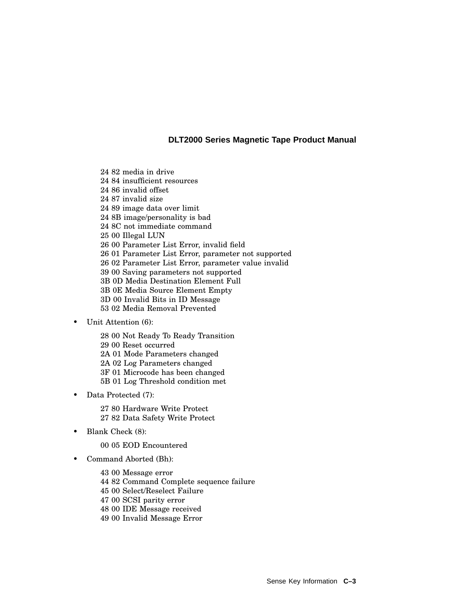82 media in drive 84 insufficient resources 86 invalid offset 87 invalid size 89 image data over limit 8B image/personality is bad 8C not immediate command 00 Illegal LUN 00 Parameter List Error, invalid field 01 Parameter List Error, parameter not supported 02 Parameter List Error, parameter value invalid 00 Saving parameters not supported 3B 0D Media Destination Element Full 3B 0E Media Source Element Empty 3D 00 Invalid Bits in ID Message 02 Media Removal Prevented

• Unit Attention (6):

 00 Not Ready To Ready Transition 00 Reset occurred 2A 01 Mode Parameters changed 2A 02 Log Parameters changed 3F 01 Microcode has been changed 5B 01 Log Threshold condition met

Data Protected (7):

 80 Hardware Write Protect 82 Data Safety Write Protect

• Blank Check (8):

05 EOD Encountered

• Command Aborted (Bh):

 00 Message error 82 Command Complete sequence failure 00 Select/Reselect Failure 00 SCSI parity error 00 IDE Message received 00 Invalid Message Error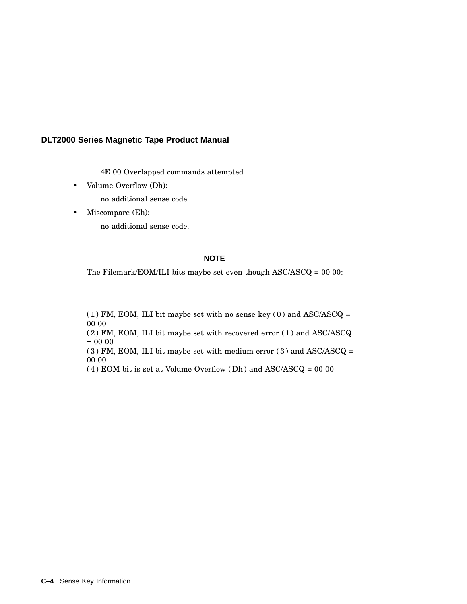4E 00 Overlapped commands attempted

• Volume Overflow (Dh):

no additional sense code.

• Miscompare (Eh):

no additional sense code.

**NOTE**

The Filemark/EOM/ILI bits maybe set even though ASC/ASCQ = 00 00:

(1) FM, EOM, ILI bit maybe set with no sense key (0) and  $\text{ASC/ASCQ} =$ 00 00

(2) FM, EOM, ILI bit maybe set with recovered error (1) and ASC/ASCQ = 00 00

(3) FM, EOM, ILI bit maybe set with medium error (3) and ASC/ASCQ = 00 00

(4) EOM bit is set at Volume Overflow (Dh) and  $\operatorname{ASC}/\!\!\operatorname{ASCQ}=00$ 00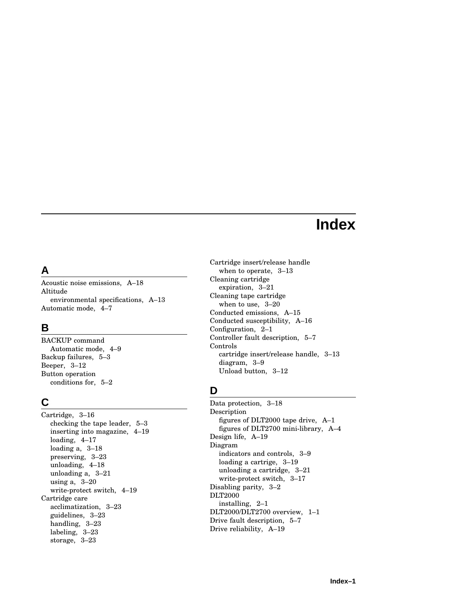# **Index**

# **A**

Acoustic noise emissions, A–18 Altitude environmental specifications, A–13 Automatic mode, 4–7

# **B**

BACKUP command Automatic mode, 4–9 Backup failures, 5–3 Beeper, 3–12 Button operation conditions for, 5–2

# **C**

Cartridge, 3–16 checking the tape leader, 5–3 inserting into magazine, 4–19 loading, 4–17 loading a, 3–18 preserving, 3–23 unloading, 4–18 unloading a, 3–21 using a, 3–20 write-protect switch, 4–19 Cartridge care acclimatization, 3–23 guidelines, 3–23 handling, 3–23 labeling, 3–23 storage, 3–23

Cartridge insert/release handle when to operate, 3–13 Cleaning cartridge expiration, 3–21 Cleaning tape cartridge when to use, 3–20 Conducted emissions, A–15 Conducted susceptibility, A–16 Configuration, 2–1 Controller fault description, 5–7 Controls cartridge insert/release handle, 3–13 diagram, 3–9 Unload button, 3–12

# **D**

Data protection, 3–18 Description figures of DLT2000 tape drive, A–1 figures of DLT2700 mini-library, A–4 Design life, A–19 Diagram indicators and controls, 3–9 loading a cartrige, 3–19 unloading a cartridge, 3–21 write-protect switch, 3–17 Disabling parity, 3–2 DLT2000 installing, 2–1 DLT2000/DLT2700 overview, 1–1 Drive fault description, 5–7 Drive reliability, A–19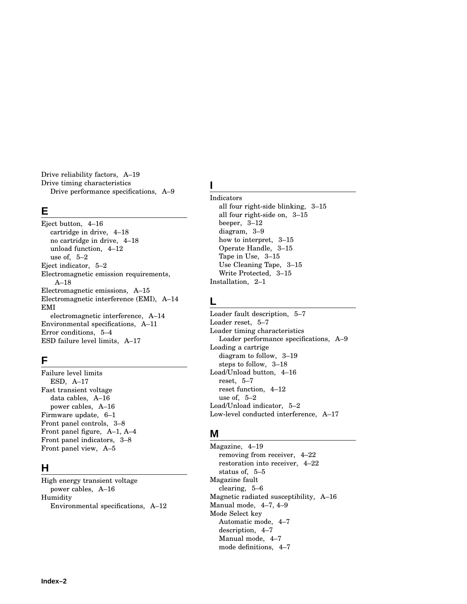Drive reliability factors, A–19 Drive timing characteristics Drive performance specifications, A–9

#### **E**

Eject button, 4–16 cartridge in drive, 4–18 no cartridge in drive, 4–18 unload function, 4–12 use of, 5–2 Eject indicator, 5–2 Electromagnetic emission requirements, A–18 Electromagnetic emissions, A–15 Electromagnetic interference (EMI), A–14 EMI electromagnetic interference, A–14 Environmental specifications, A–11 Error conditions, 5–4 ESD failure level limits, A–17

# **F**

Failure level limits ESD, A–17 Fast transient voltage data cables, A–16 power cables, A–16 Firmware update, 6–1 Front panel controls, 3–8 Front panel figure, A–1, A–4 Front panel indicators, 3–8 Front panel view, A–5

# **H**

High energy transient voltage power cables, A–16 Humidity Environmental specifications, A–12

# **I**

Indicators all four right-side blinking, 3–15 all four right-side on, 3–15 beeper, 3–12 diagram, 3–9 how to interpret, 3–15 Operate Handle, 3–15 Tape in Use, 3–15 Use Cleaning Tape, 3–15 Write Protected, 3–15 Installation, 2–1

# **L**

Loader fault description, 5–7 Loader reset, 5–7 Loader timing characteristics Loader performance specifications, A–9 Loading a cartrige diagram to follow, 3–19 steps to follow, 3–18 Load/Unload button, 4–16 reset, 5–7 reset function, 4–12 use of, 5–2 Load/Unload indicator, 5–2 Low-level conducted interference, A–17

# **M**

Magazine, 4–19 removing from receiver, 4–22 restoration into receiver, 4–22 status of, 5–5 Magazine fault clearing, 5–6 Magnetic radiated susceptibility, A–16 Manual mode, 4–7, 4–9 Mode Select key Automatic mode, 4–7 description, 4–7 Manual mode, 4–7 mode definitions, 4–7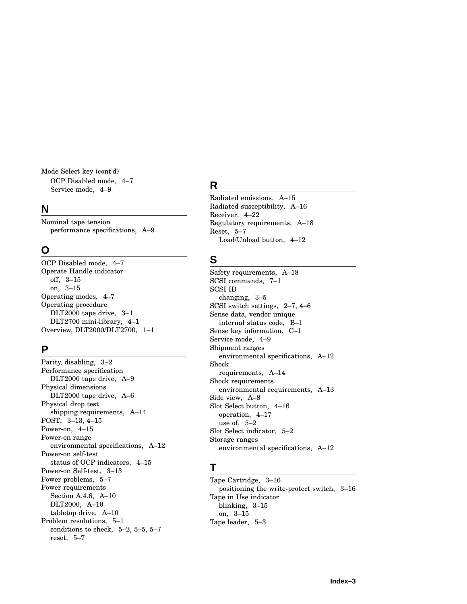Mode Select key (cont'd) OCP Disabled mode, 4–7 Service mode, 4–9

#### **N**

Nominal tape tension performance specifications, A–9

#### **O**

OCP Disabled mode, 4–7 Operate Handle indicator off, 3–15 on, 3–15 Operating modes, 4–7 Operating procedure DLT2000 tape drive, 3–1 DLT2700 mini-library, 4–1 Overview, DLT2000/DLT2700, 1–1

### **P**

Parity, disabling, 3–2 Performance specification DLT2000 tape drive, A–9 Physical dimensions DLT2000 tape drive, A–6 Physical drop test shipping requirements, A–14 POST, 3–13, 4–15 Power-on, 4–15 Power-on range environmental specifications, A–12 Power-on self-test status of OCP indicators, 4–15 Power-on Self-test, 3–13 Power problems, 5–7 Power requirements Section A.4.6, A–10 DLT2000, A–10 tabletop drive, A–10 Problem resolutions, 5–1 conditions to check, 5–2, 5–5, 5–7 reset, 5–7

# **R**

Radiated emissions, A–15 Radiated susceptibility, A–16 Receiver, 4–22 Regulatory requirements, A–18 Reset, 5–7 Load/Unload button, 4–12

## **S**

Safety requirements, A–18 SCSI commands, 7–1 SCSI ID changing, 3–5 SCSI switch settings, 2–7, 4–6 Sense data, vendor unique internal status code, B–1 Sense key information, C–1 Service mode, 4–9 Shipment ranges environmental specifications, A–12 Shock requirements, A–14 Shock requirements environmental requirements, A–13 Side view, A–8 Slot Select button, 4–16 operation, 4–17 use of, 5–2 Slot Select indicator, 5–2 Storage ranges environmental specifications, A–12

### **T**

Tape Cartridge, 3–16 positioning the write-protect switch, 3–16 Tape in Use indicator blinking, 3–15 on, 3–15 Tape leader, 5–3